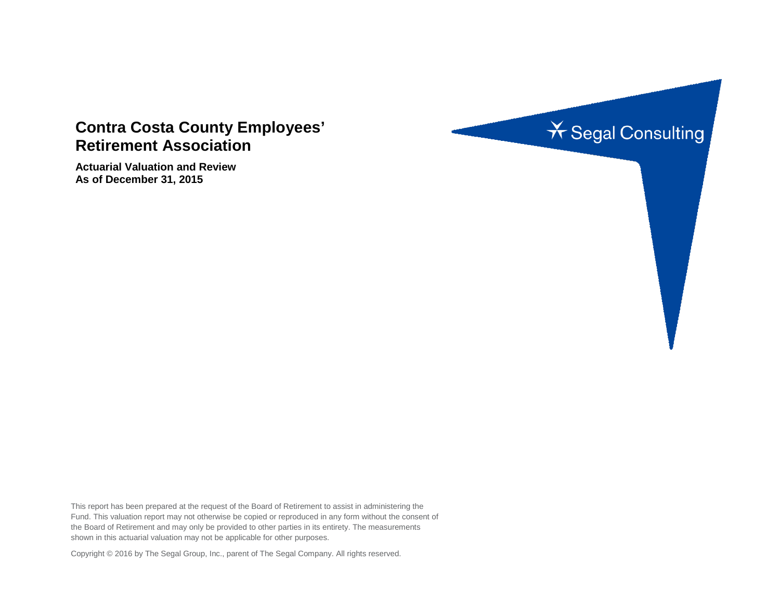# **Contra Costa County Employees' Retirement Association**

**Actuarial Valuation and Review As of December 31, 2015** 



This report has been prepared at the request of the Board of Retirement to assist in administering the Fund. This valuation report may not otherwise be copied or reproduced in any form without the consent of the Board of Retirement and may only be provided to other parties in its entirety. The measurements shown in this actuarial valuation may not be applicable for other purposes.

Copyright © 2016 by The Segal Group, Inc., parent of The Segal Company. All rights reserved.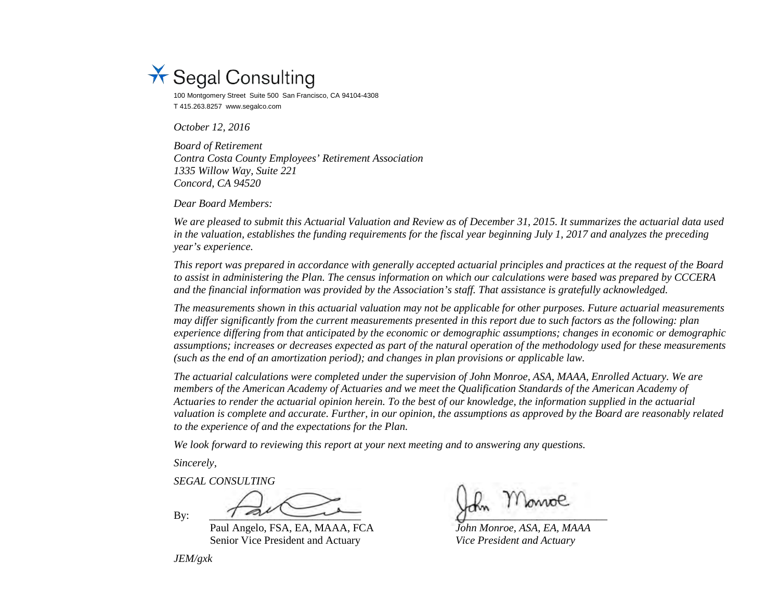

100 Montgomery Street Suite 500 San Francisco, CA 94104-4308 T 415.263.8257 www.segalco.com

*October 12, 2016* 

*Board of Retirement Contra Costa County Employees' Retirement Association 1335 Willow Way, Suite 221 Concord, CA 94520* 

*Dear Board Members:*

*We are pleased to submit this Actuarial Valuation and Review as of December 31, 2015. It summarizes the actuarial data used in the valuation, establishes the funding requirements for the fiscal year beginning July 1, 2017 and analyzes the preceding year's experience.* 

*This report was prepared in accordance with generally accepted actuarial principles and practices at the request of the Board to assist in administering the Plan. The census information on which our calculations were based was prepared by CCCERA and the financial information was provided by the Association's staff. That assistance is gratefully acknowledged.* 

*The measurements shown in this actuarial valuation may not be applicable for other purposes. Future actuarial measurements may differ significantly from the current measurements presented in this report due to such factors as the following: plan experience differing from that anticipated by the economic or demographic assumptions; changes in economic or demographic assumptions; increases or decreases expected as part of the natural operation of the methodology used for these measurements (such as the end of an amortization period); and changes in plan provisions or applicable law.* 

*The actuarial calculations were completed under the supervision of John Monroe, ASA, MAAA, Enrolled Actuary. We are members of the American Academy of Actuaries and we meet the Qualification Standards of the American Academy of Actuaries to render the actuarial opinion herein. To the best of our knowledge, the information supplied in the actuarial valuation is complete and accurate. Further, in our opinion, the assumptions as approved by the Board are reasonably related to the experience of and the expectations for the Plan.* 

*We look forward to reviewing this report at your next meeting and to answering any questions.* 

*Sincerely,*

*SEGAL CONSULTING*

 $B$ y:  $\overline{\phantom{a}}$   $\overline{\phantom{a}}$   $\overline{\phantom{a}}$   $\overline{\phantom{a}}$   $\overline{\phantom{a}}$   $\overline{\phantom{a}}$   $\overline{\phantom{a}}$   $\overline{\phantom{a}}$   $\overline{\phantom{a}}$   $\overline{\phantom{a}}$   $\overline{\phantom{a}}$   $\overline{\phantom{a}}$   $\overline{\phantom{a}}$   $\overline{\phantom{a}}$   $\overline{\phantom{a}}$   $\overline{\phantom{a}}$   $\overline{\phantom{a}}$   $\overline{\phantom{a}}$ 

Paul Angelo, FSA, EA, MAAA, FCA *John Monroe, ASA, EA, MAAA* Senior Vice President and Actuary *Vice President and Actuary*

*JEM/gxk*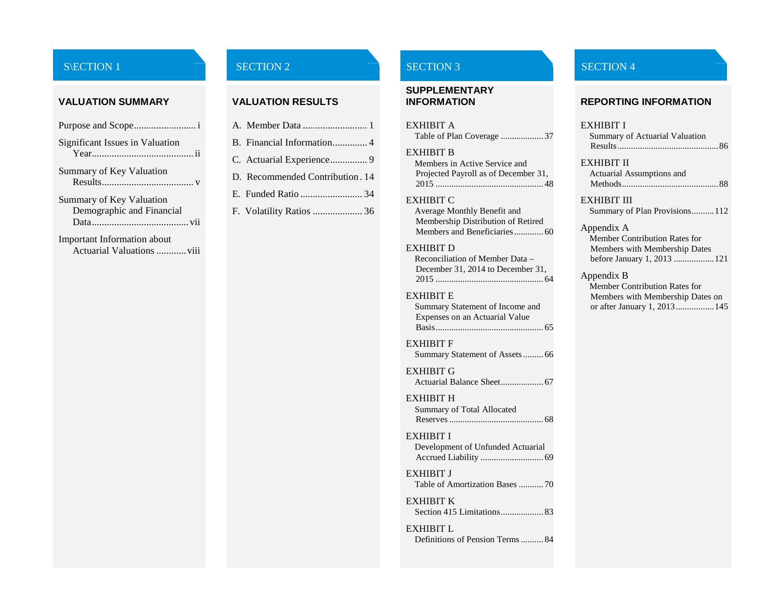#### **VALUATION SUMMARY VALUATION RESULTS**

| Significant Issues in Valuation           |
|-------------------------------------------|
| Summary of Key Valuation<br>$Results$ $V$ |
| Summary of Key Valuation                  |
| Demographic and Financial                 |
|                                           |

Important Information about Actuarial Valuations ............viii

| B. Financial Information 4      |
|---------------------------------|
| C. Actuarial Experience 9       |
| D. Recommended Contribution. 14 |
| E. Funded Ratio  34             |
| F. Volatility Ratios  36        |

# **SUPPLEMENTARY**

| <b>EXHIBIT A</b><br>Table of Plan Coverage  37                                                                                                                                    | EXHIBIT I<br>Summary o<br>Results                                                   |
|-----------------------------------------------------------------------------------------------------------------------------------------------------------------------------------|-------------------------------------------------------------------------------------|
| <b>EXHIBIT B</b><br>Members in Active Service and<br>Projected Payroll as of December 31,                                                                                         | <b>EXHIBIT II</b><br>Actuarial A<br>Methods                                         |
| <b>EXHIBIT C</b><br>Average Monthly Benefit and<br>Membership Distribution of Retired<br><b>EXHIBIT D</b><br>Reconciliation of Member Data –<br>December 31, 2014 to December 31, | <b>EXHIBIT II</b><br>Summary o<br>Appendix A<br>Member C<br>Members y<br>before Jan |
| <b>EXHIBIT E</b><br>Summary Statement of Income and<br>Expenses on an Actuarial Value<br><b>EXHIBIT F</b><br>Summary Statement of Assets 66                                       | Appendix B<br>Member C<br>Members y<br>or after Jar                                 |
| <b>EXHIBIT G</b>                                                                                                                                                                  |                                                                                     |
| <b>EXHIBIT H</b><br>Summary of Total Allocated                                                                                                                                    |                                                                                     |
| <b>EXHIBIT I</b><br>Development of Unfunded Actuarial                                                                                                                             |                                                                                     |
| <b>EXHIBIT J</b><br>Table of Amortization Bases 70                                                                                                                                |                                                                                     |
| <b>EXHIBIT K</b><br>Section 415 Limitations 83                                                                                                                                    |                                                                                     |

[EXHIBIT L](#page-95-0) [Definitions of Pension Terms..........](#page-95-1) 84

#### S\ECTION 1 SECTION 2 SECTION 2 SECTION 3

# **INFORMATION REPORTING INFORMATION**

#### [Summary of Actuarial Valuation](#page-97-1)  [Results.............................................86](#page-97-1) [EXHIBIT II](#page-99-0) [Actuarial Assumptions and](#page-99-1)  [Methods...........................................88](#page-99-1)

#### [EXHIBIT III](#page-123-0)

[Summary of Plan Provisions..........112](#page-123-1)

#### [Appendix A](#page-132-0)

[Member Contribution Rates for](#page-132-1)  [Members with Membership Dates](#page-132-1)  [before January 1, 2013](#page-132-1) ..................121

#### [Appendix B](#page-156-0)

[Member Contribution Rates for](#page-156-1)  [Members with Membership Dates on](#page-156-1)  [or after January 1, 2013.................145](#page-156-1)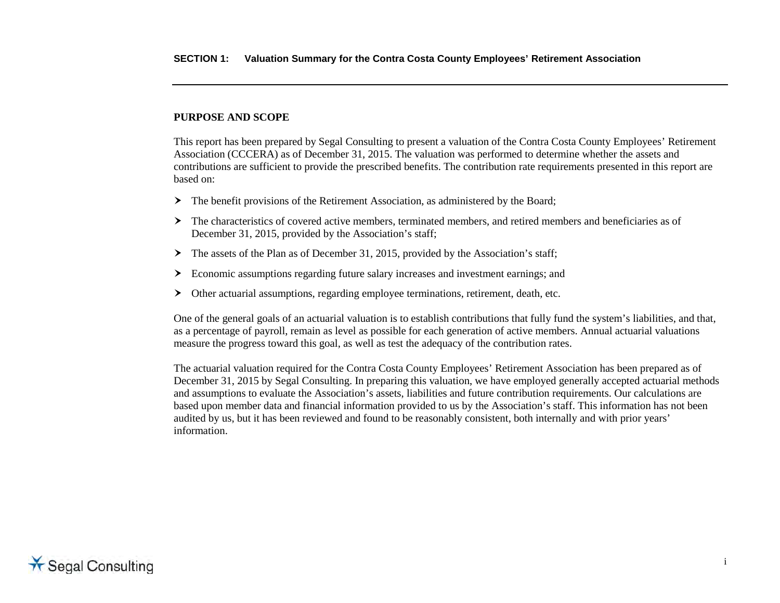#### <span id="page-3-0"></span>**PURPOSE AND SCOPE**

This report has been prepared by Segal Consulting to present a valuation of the Contra Costa County Employees' Retirement Association (CCCERA) as of December 31, 2015. The valuation was performed to determine whether the assets and contributions are sufficient to provide the prescribed benefits. The contribution rate requirements presented in this report are based on:

- The benefit provisions of the Retirement Association, as administered by the Board;
- The characteristics of covered active members, terminated members, and retired members and beneficiaries as of December 31, 2015, provided by the Association's staff;
- $\triangleright$  The assets of the Plan as of December 31, 2015, provided by the Association's staff;
- Economic assumptions regarding future salary increases and investment earnings; and
- Other actuarial assumptions, regarding employee terminations, retirement, death, etc.

One of the general goals of an actuarial valuation is to establish contributions that fully fund the system's liabilities, and that, as a percentage of payroll, remain as level as possible for each generation of active members. Annual actuarial valuations measure the progress toward this goal, as well as test the adequacy of the contribution rates.

The actuarial valuation required for the Contra Costa County Employees' Retirement Association has been prepared as of December 31, 2015 by Segal Consulting. In preparing this valuation, we have employed generally accepted actuarial methods and assumptions to evaluate the Association's assets, liabilities and future contribution requirements. Our calculations are based upon member data and financial information provided to us by the Association's staff. This information has not been audited by us, but it has been reviewed and found to be reasonably consistent, both internally and with prior years' information.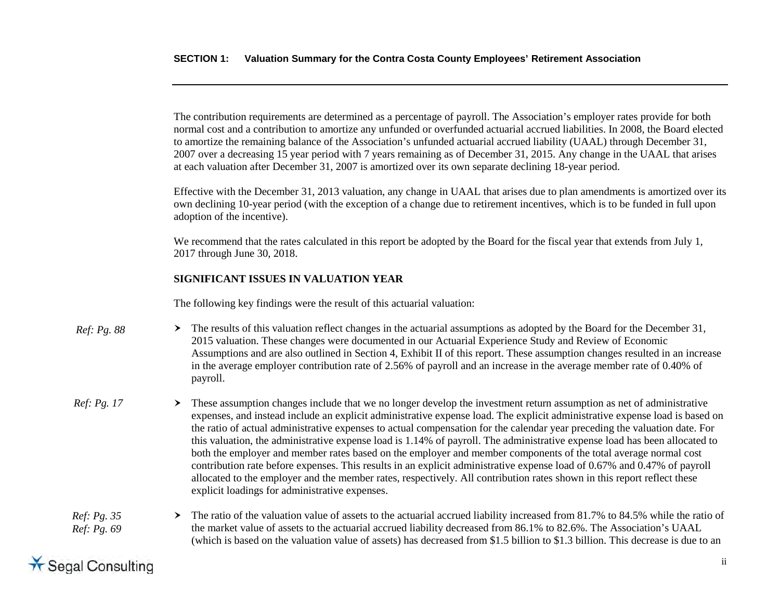The contribution requirements are determined as a percentage of payroll. The Association's employer rates provide for both normal cost and a contribution to amortize any unfunded or overfunded actuarial accrued liabilities. In 2008, the Board elected to amortize the remaining balance of the Association's unfunded actuarial accrued liability (UAAL) through December 31, 2007 over a decreasing 15 year period with 7 years remaining as of December 31, 2015. Any change in the UAAL that arises at each valuation after December 31, 2007 is amortized over its own separate declining 18-year period.

Effective with the December 31, 2013 valuation, any change in UAAL that arises due to plan amendments is amortized over its own declining 10-year period (with the exception of a change due to retirement incentives, which is to be funded in full upon adoption of the incentive).

We recommend that the rates calculated in this report be adopted by the Board for the fiscal year that extends from July 1, 2017 through June 30, 2018.

### <span id="page-4-0"></span>**SIGNIFICANT ISSUES IN VALUATION YEAR**

The following key findings were the result of this actuarial valuation:

- $\triangleright$  The results of this valuation reflect changes in the actuarial assumptions as adopted by the Board for the December 31, 2015 valuation. These changes were documented in our Actuarial Experience Study and Review of Economic Assumptions and are also outlined in Section 4, Exhibit II of this report. These assumption changes resulted in an increase in the average employer contribution rate of 2.56% of payroll and an increase in the average member rate of 0.40% of payroll. *Ref: Pg. 88*
- $\geq$  These assumption changes include that we no longer develop the investment return assumption as net of administrative expenses, and instead include an explicit administrative expense load. The explicit administrative expense load is based on the ratio of actual administrative expenses to actual compensation for the calendar year preceding the valuation date. For this valuation, the administrative expense load is 1.14% of payroll. The administrative expense load has been allocated to both the employer and member rates based on the employer and member components of the total average normal cost contribution rate before expenses. This results in an explicit administrative expense load of 0.67% and 0.47% of payroll allocated to the employer and the member rates, respectively. All contribution rates shown in this report reflect these explicit loadings for administrative expenses. *Ref: Pg. 17*

#### The ratio of the valuation value of assets to the actuarial accrued liability increased from 81.7% to 84.5% while the ratio of the market value of assets to the actuarial accrued liability decreased from 86.1% to 82.6%. The Association's UAAL (which is based on the valuation value of assets) has decreased from \$1.5 billion to \$1.3 billion. This decrease is due to an *Ref: Pg. 35 Ref: Pg. 69*

# **X** Segal Consulting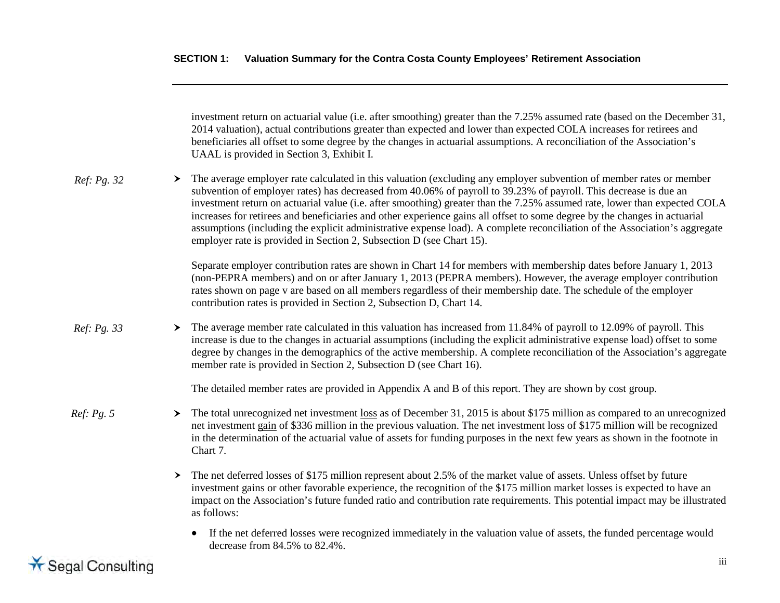|             |   | investment return on actuarial value (i.e. after smoothing) greater than the 7.25% assumed rate (based on the December 31,<br>2014 valuation), actual contributions greater than expected and lower than expected COLA increases for retirees and<br>beneficiaries all offset to some degree by the changes in actuarial assumptions. A reconciliation of the Association's<br>UAAL is provided in Section 3, Exhibit I.                                                                                                                                                                                                                                                                                |
|-------------|---|---------------------------------------------------------------------------------------------------------------------------------------------------------------------------------------------------------------------------------------------------------------------------------------------------------------------------------------------------------------------------------------------------------------------------------------------------------------------------------------------------------------------------------------------------------------------------------------------------------------------------------------------------------------------------------------------------------|
| Ref: Pg. 32 | ≻ | The average employer rate calculated in this valuation (excluding any employer subvention of member rates or member<br>subvention of employer rates) has decreased from 40.06% of payroll to 39.23% of payroll. This decrease is due an<br>investment return on actuarial value (i.e. after smoothing) greater than the 7.25% assumed rate, lower than expected COLA<br>increases for retirees and beneficiaries and other experience gains all offset to some degree by the changes in actuarial<br>assumptions (including the explicit administrative expense load). A complete reconciliation of the Association's aggregate<br>employer rate is provided in Section 2, Subsection D (see Chart 15). |
|             |   | Separate employer contribution rates are shown in Chart 14 for members with membership dates before January 1, 2013<br>(non-PEPRA members) and on or after January 1, 2013 (PEPRA members). However, the average employer contribution<br>rates shown on page v are based on all members regardless of their membership date. The schedule of the employer<br>contribution rates is provided in Section 2, Subsection D, Chart 14.                                                                                                                                                                                                                                                                      |
| Ref: Pg. 33 | ≻ | The average member rate calculated in this valuation has increased from 11.84% of payroll to 12.09% of payroll. This<br>increase is due to the changes in actuarial assumptions (including the explicit administrative expense load) offset to some<br>degree by changes in the demographics of the active membership. A complete reconciliation of the Association's aggregate<br>member rate is provided in Section 2, Subsection D (see Chart 16).                                                                                                                                                                                                                                                   |
|             |   | The detailed member rates are provided in Appendix A and B of this report. They are shown by cost group.                                                                                                                                                                                                                                                                                                                                                                                                                                                                                                                                                                                                |
| Ref: Pg. 5  | ≻ | The total unrecognized net investment loss as of December 31, 2015 is about \$175 million as compared to an unrecognized<br>net investment gain of \$336 million in the previous valuation. The net investment loss of \$175 million will be recognized<br>in the determination of the actuarial value of assets for funding purposes in the next few years as shown in the footnote in<br>Chart 7.                                                                                                                                                                                                                                                                                                     |
|             | ≻ | The net deferred losses of \$175 million represent about 2.5% of the market value of assets. Unless offset by future<br>investment gains or other favorable experience, the recognition of the \$175 million market losses is expected to have an<br>impact on the Association's future funded ratio and contribution rate requirements. This potential impact may be illustrated<br>as follows:                                                                                                                                                                                                                                                                                                        |
|             |   | If the net deferred losses were recognized immediately in the valuation value of assets, the funded percentage would<br>decrease from 84.5% to 82.4%.                                                                                                                                                                                                                                                                                                                                                                                                                                                                                                                                                   |

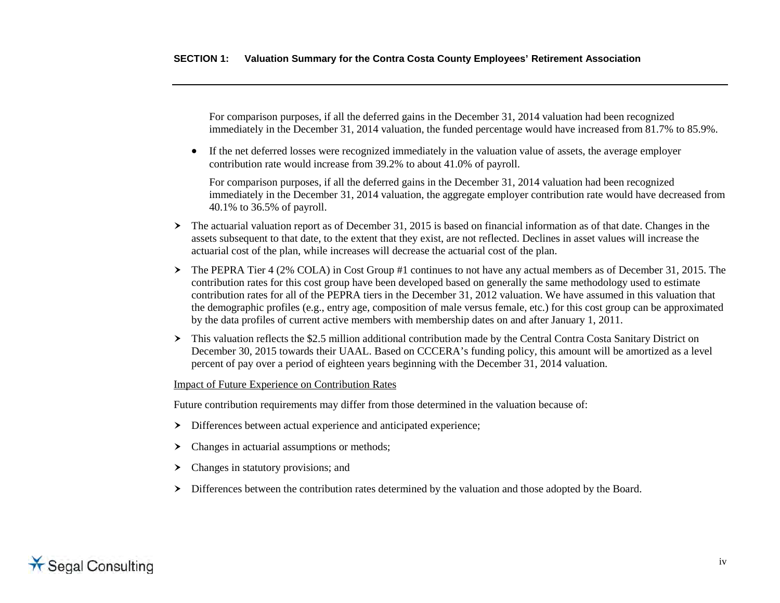For comparison purposes, if all the deferred gains in the December 31, 2014 valuation had been recognized immediately in the December 31, 2014 valuation, the funded percentage would have increased from 81.7% to 85.9%.

• If the net deferred losses were recognized immediately in the valuation value of assets, the average employer contribution rate would increase from 39.2% to about 41.0% of payroll.

For comparison purposes, if all the deferred gains in the December 31, 2014 valuation had been recognized immediately in the December 31, 2014 valuation, the aggregate employer contribution rate would have decreased from 40.1% to 36.5% of payroll.

- $\triangleright$  The actuarial valuation report as of December 31, 2015 is based on financial information as of that date. Changes in the assets subsequent to that date, to the extent that they exist, are not reflected. Declines in asset values will increase the actuarial cost of the plan, while increases will decrease the actuarial cost of the plan.
- The PEPRA Tier 4 (2% COLA) in Cost Group #1 continues to not have any actual members as of December 31, 2015. The contribution rates for this cost group have been developed based on generally the same methodology used to estimate contribution rates for all of the PEPRA tiers in the December 31, 2012 valuation. We have assumed in this valuation that the demographic profiles (e.g., entry age, composition of male versus female, etc.) for this cost group can be approximated by the data profiles of current active members with membership dates on and after January 1, 2011.
- > This valuation reflects the \$2.5 million additional contribution made by the Central Contra Costa Sanitary District on December 30, 2015 towards their UAAL. Based on CCCERA's funding policy, this amount will be amortized as a level percent of pay over a period of eighteen years beginning with the December 31, 2014 valuation.

#### Impact of Future Experience on Contribution Rates

Future contribution requirements may differ from those determined in the valuation because of:

- Differences between actual experience and anticipated experience;
- $\triangleright$  Changes in actuarial assumptions or methods;
- > Changes in statutory provisions; and
- $\triangleright$  Differences between the contribution rates determined by the valuation and those adopted by the Board.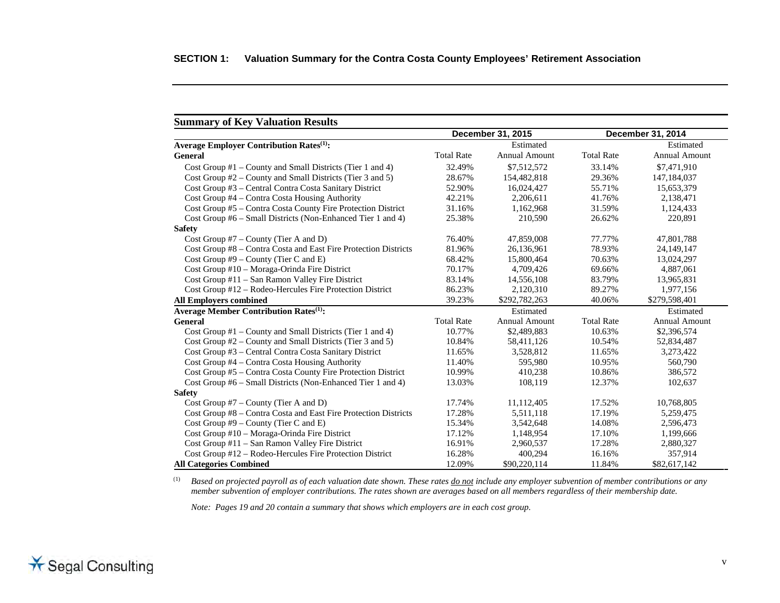<span id="page-7-0"></span>

| <b>Summary of Key Valuation Results</b>                         |                   |                      |                   |                      |
|-----------------------------------------------------------------|-------------------|----------------------|-------------------|----------------------|
|                                                                 |                   | December 31, 2015    | December 31, 2014 |                      |
| <b>Average Employer Contribution Rates</b> <sup>(1)</sup> :     |                   | Estimated            |                   | Estimated            |
| <b>General</b>                                                  | <b>Total Rate</b> | <b>Annual Amount</b> | <b>Total Rate</b> | <b>Annual Amount</b> |
| Cost Group $#1$ – County and Small Districts (Tier 1 and 4)     | 32.49%            | \$7,512,572          | 33.14%            | \$7,471,910          |
| Cost Group #2 - County and Small Districts (Tier 3 and 5)       | 28.67%            | 154,482,818          | 29.36%            | 147, 184, 037        |
| Cost Group #3 - Central Contra Costa Sanitary District          | 52.90%            | 16,024,427           | 55.71%            | 15,653,379           |
| Cost Group #4 – Contra Costa Housing Authority                  | 42.21%            | 2,206,611            | 41.76%            | 2,138,471            |
| Cost Group #5 - Contra Costa County Fire Protection District    | 31.16%            | 1,162,968            | 31.59%            | 1,124,433            |
| Cost Group #6 – Small Districts (Non-Enhanced Tier 1 and 4)     | 25.38%            | 210,590              | 26.62%            | 220,891              |
| <b>Safety</b>                                                   |                   |                      |                   |                      |
| Cost Group $#7$ – County (Tier A and D)                         | 76.40%            | 47,859,008           | 77.77%            | 47,801,788           |
| Cost Group #8 - Contra Costa and East Fire Protection Districts | 81.96%            | 26,136,961           | 78.93%            | 24,149,147           |
| Cost Group $#9$ – County (Tier C and E)                         | 68.42%            | 15,800,464           | 70.63%            | 13,024,297           |
| Cost Group #10 – Moraga-Orinda Fire District                    | 70.17%            | 4,709,426            | 69.66%            | 4,887,061            |
| Cost Group #11 – San Ramon Valley Fire District                 | 83.14%            | 14,556,108           | 83.79%            | 13,965,831           |
| Cost Group #12 – Rodeo-Hercules Fire Protection District        | 86.23%            | 2,120,310            | 89.27%            | 1,977,156            |
| <b>All Employers combined</b>                                   | 39.23%            | \$292,782,263        | 40.06%            | \$279,598,401        |
| <b>Average Member Contribution Rates</b> <sup>(1)</sup> :       |                   | Estimated            |                   | Estimated            |
| <b>General</b>                                                  | <b>Total Rate</b> | <b>Annual Amount</b> | <b>Total Rate</b> | <b>Annual Amount</b> |
| Cost Group $#1$ – County and Small Districts (Tier 1 and 4)     | 10.77%            | \$2,489,883          | 10.63%            | \$2,396,574          |
| Cost Group #2 – County and Small Districts (Tier 3 and 5)       | 10.84%            | 58,411,126           | 10.54%            | 52,834,487           |
| Cost Group #3 - Central Contra Costa Sanitary District          | 11.65%            | 3,528,812            | 11.65%            | 3,273,422            |
| Cost Group #4 – Contra Costa Housing Authority                  | 11.40%            | 595,980              | 10.95%            | 560,790              |
| Cost Group #5 – Contra Costa County Fire Protection District    | 10.99%            | 410,238              | 10.86%            | 386,572              |
| Cost Group #6 – Small Districts (Non-Enhanced Tier 1 and 4)     | 13.03%            | 108,119              | 12.37%            | 102,637              |
| <b>Safety</b>                                                   |                   |                      |                   |                      |
| Cost Group $#7$ – County (Tier A and D)                         | 17.74%            | 11,112,405           | 17.52%            | 10,768,805           |
| Cost Group #8 - Contra Costa and East Fire Protection Districts | 17.28%            | 5,511,118            | 17.19%            | 5,259,475            |
| Cost Group $#9$ – County (Tier C and E)                         | 15.34%            | 3,542,648            | 14.08%            | 2,596,473            |
| Cost Group #10 – Moraga-Orinda Fire District                    | 17.12%            | 1,148,954            | 17.10%            | 1,199,666            |
| Cost Group #11 - San Ramon Valley Fire District                 | 16.91%            | 2,960,537            | 17.28%            | 2,880,327            |
| Cost Group #12 – Rodeo-Hercules Fire Protection District        | 16.28%            | 400,294              | 16.16%            | 357,914              |
| <b>All Categories Combined</b>                                  | 12.09%            | \$90,220,114         | 11.84%            | \$82,617,142         |

(1) *Based on projected payroll as of each valuation date shown. These rates do not include any employer subvention of member contributions or any member subvention of employer contributions. The rates shown are averages based on all members regardless of their membership date.*

 *Note: Pages 19 and 20 contain a summary that shows which employers are in each cost group.*

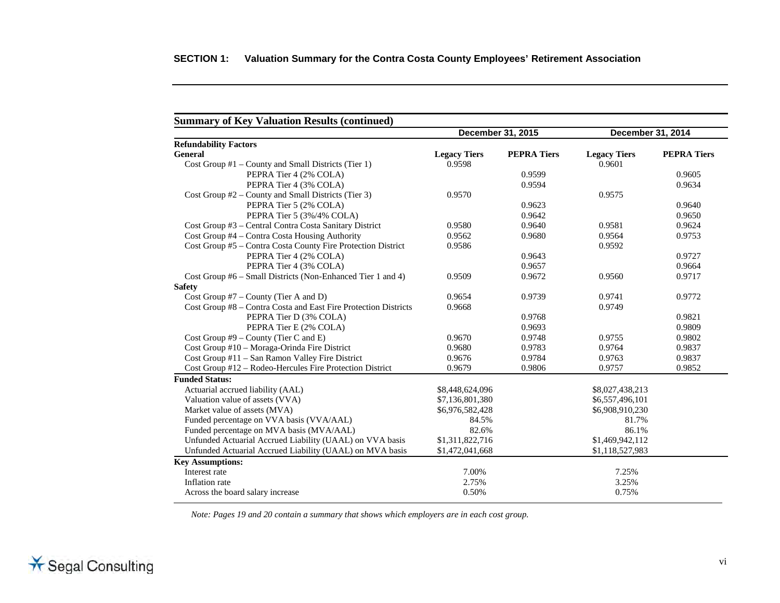|                                                                 |                     | December 31, 2015  |                     | December 31, 2014  |
|-----------------------------------------------------------------|---------------------|--------------------|---------------------|--------------------|
| <b>Refundability Factors</b>                                    |                     |                    |                     |                    |
| <b>General</b>                                                  | <b>Legacy Tiers</b> | <b>PEPRA Tiers</b> | <b>Legacy Tiers</b> | <b>PEPRA Tiers</b> |
| Cost Group #1 – County and Small Districts (Tier 1)             | 0.9598              |                    | 0.9601              |                    |
| PEPRA Tier 4 (2% COLA)                                          |                     | 0.9599             |                     | 0.9605             |
| PEPRA Tier 4 (3% COLA)                                          |                     | 0.9594             |                     | 0.9634             |
| Cost Group $#2$ – County and Small Districts (Tier 3)           | 0.9570              |                    | 0.9575              |                    |
| PEPRA Tier 5 (2% COLA)                                          |                     | 0.9623             |                     | 0.9640             |
| PEPRA Tier 5 (3%/4% COLA)                                       |                     | 0.9642             |                     | 0.9650             |
| Cost Group #3 - Central Contra Costa Sanitary District          | 0.9580              | 0.9640             | 0.9581              | 0.9624             |
| Cost Group #4 - Contra Costa Housing Authority                  | 0.9562              | 0.9680             | 0.9564              | 0.9753             |
| Cost Group #5 - Contra Costa County Fire Protection District    | 0.9586              |                    | 0.9592              |                    |
| PEPRA Tier 4 (2% COLA)                                          |                     | 0.9643             |                     | 0.9727             |
| PEPRA Tier 4 (3% COLA)                                          |                     | 0.9657             |                     | 0.9664             |
| Cost Group #6 – Small Districts (Non-Enhanced Tier 1 and 4)     | 0.9509              | 0.9672             | 0.9560              | 0.9717             |
| <b>Safety</b>                                                   |                     |                    |                     |                    |
| Cost Group #7 – County (Tier A and D)                           | 0.9654              | 0.9739             | 0.9741              | 0.9772             |
| Cost Group #8 – Contra Costa and East Fire Protection Districts | 0.9668              |                    | 0.9749              |                    |
| PEPRA Tier D (3% COLA)                                          |                     | 0.9768             |                     | 0.9821             |
| PEPRA Tier E (2% COLA)                                          |                     | 0.9693             |                     | 0.9809             |
| Cost Group $#9$ – County (Tier C and E)                         | 0.9670              | 0.9748             | 0.9755              | 0.9802             |
| Cost Group #10 - Moraga-Orinda Fire District                    | 0.9680              | 0.9783             | 0.9764              | 0.9837             |
| Cost Group #11 – San Ramon Valley Fire District                 | 0.9676              | 0.9784             | 0.9763              | 0.9837             |
| Cost Group #12 - Rodeo-Hercules Fire Protection District        | 0.9679              | 0.9806             | 0.9757              | 0.9852             |
| <b>Funded Status:</b>                                           |                     |                    |                     |                    |
| Actuarial accrued liability (AAL)                               | \$8,448,624,096     |                    | \$8,027,438,213     |                    |
| Valuation value of assets (VVA)                                 | \$7,136,801,380     |                    | \$6,557,496,101     |                    |
| Market value of assets (MVA)                                    | \$6,976,582,428     |                    | \$6,908,910,230     |                    |
| Funded percentage on VVA basis (VVA/AAL)                        | 84.5%               |                    | 81.7%               |                    |
| Funded percentage on MVA basis (MVA/AAL)                        | 82.6%               |                    | 86.1%               |                    |
| Unfunded Actuarial Accrued Liability (UAAL) on VVA basis        | \$1,311,822,716     |                    | \$1,469,942,112     |                    |
| Unfunded Actuarial Accrued Liability (UAAL) on MVA basis        | \$1,472,041,668     |                    | \$1,118,527,983     |                    |
| <b>Key Assumptions:</b>                                         |                     |                    |                     |                    |
| Interest rate                                                   | 7.00%               |                    | 7.25%               |                    |
| Inflation rate                                                  | 2.75%               |                    | 3.25%               |                    |
| Across the board salary increase                                | 0.50%               |                    | 0.75%               |                    |

*Note: Pages 19 and 20 contain a summary that shows which employers are in each cost group.*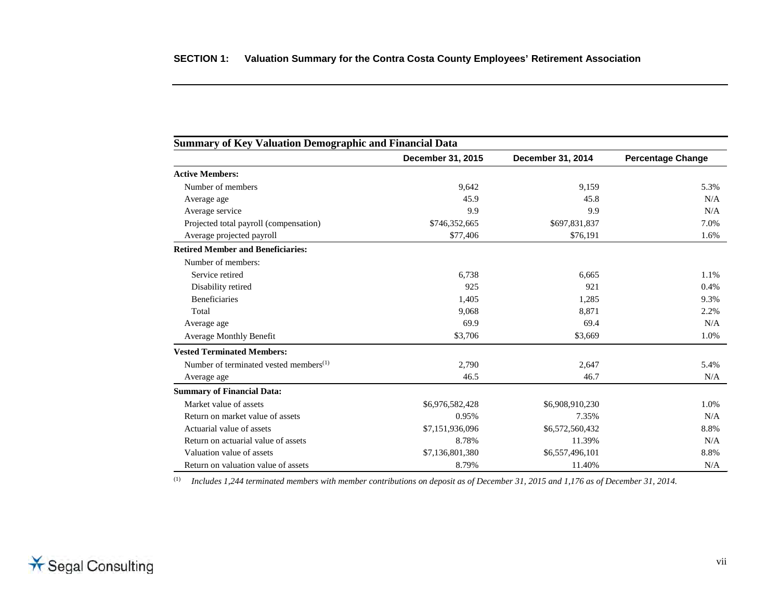<span id="page-9-0"></span>

| <b>Summary of Key Valuation Demographic and Financial Data</b> |                   |                   |                          |  |  |  |
|----------------------------------------------------------------|-------------------|-------------------|--------------------------|--|--|--|
|                                                                | December 31, 2015 | December 31, 2014 | <b>Percentage Change</b> |  |  |  |
| <b>Active Members:</b>                                         |                   |                   |                          |  |  |  |
| Number of members                                              | 9,642             | 9,159             | 5.3%                     |  |  |  |
| Average age                                                    | 45.9              | 45.8              | N/A                      |  |  |  |
| Average service                                                | 9.9               | 9.9               | N/A                      |  |  |  |
| Projected total payroll (compensation)                         | \$746,352,665     | \$697,831,837     | 7.0%                     |  |  |  |
| Average projected payroll                                      | \$77,406          | \$76,191          | 1.6%                     |  |  |  |
| <b>Retired Member and Beneficiaries:</b>                       |                   |                   |                          |  |  |  |
| Number of members:                                             |                   |                   |                          |  |  |  |
| Service retired                                                | 6,738             | 6.665             | 1.1%                     |  |  |  |
| Disability retired                                             | 925               | 921               | 0.4%                     |  |  |  |
| Beneficiaries                                                  | 1,405             | 1,285             | 9.3%                     |  |  |  |
| Total                                                          | 9.068             | 8,871             | 2.2%                     |  |  |  |
| Average age                                                    | 69.9              | 69.4              | N/A                      |  |  |  |
| <b>Average Monthly Benefit</b>                                 | \$3,706           | \$3,669           | 1.0%                     |  |  |  |
| <b>Vested Terminated Members:</b>                              |                   |                   |                          |  |  |  |
| Number of terminated vested members <sup>(1)</sup>             | 2,790             | 2,647             | 5.4%                     |  |  |  |
| Average age                                                    | 46.5              | 46.7              | N/A                      |  |  |  |
| <b>Summary of Financial Data:</b>                              |                   |                   |                          |  |  |  |
| Market value of assets                                         | \$6,976,582,428   | \$6,908,910,230   | 1.0%                     |  |  |  |
| Return on market value of assets                               | 0.95%             | 7.35%             | N/A                      |  |  |  |
| Actuarial value of assets                                      | \$7,151,936,096   | \$6,572,560,432   | 8.8%                     |  |  |  |
| Return on actuarial value of assets                            | 8.78%             | 11.39%            | N/A                      |  |  |  |
| Valuation value of assets                                      | \$7,136,801,380   | \$6,557,496,101   | 8.8%                     |  |  |  |
| Return on valuation value of assets                            | 8.79%             | 11.40%            | N/A                      |  |  |  |

(1) *Includes 1,244 terminated members with member contributions on deposit as of December 31, 2015 and 1,176 as of December 31, 2014.*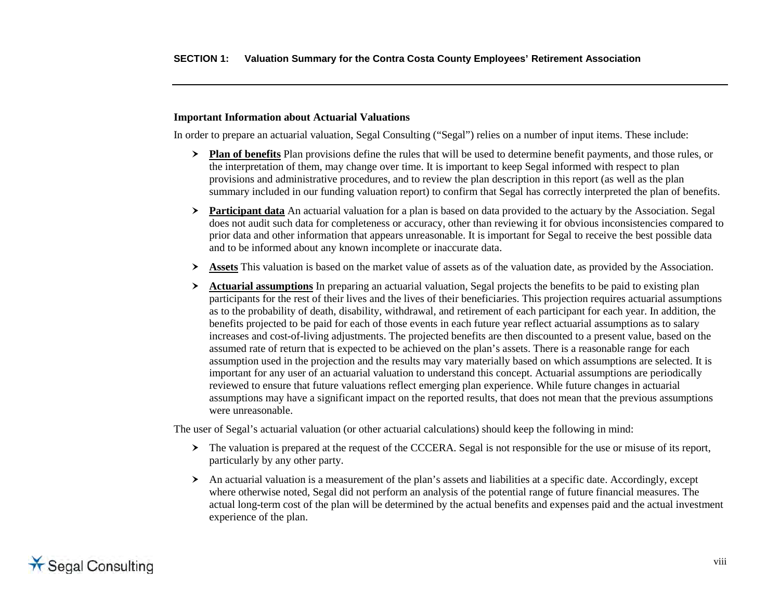#### **Important Information about Actuarial Valuations**

In order to prepare an actuarial valuation, Segal Consulting ("Segal") relies on a number of input items. These include:

- **Plan of benefits** Plan provisions define the rules that will be used to determine benefit payments, and those rules, or the interpretation of them, may change over time. It is important to keep Segal informed with respect to plan provisions and administrative procedures, and to review the plan description in this report (as well as the plan summary included in our funding valuation report) to confirm that Segal has correctly interpreted the plan of benefits.
- **Participant data** An actuarial valuation for a plan is based on data provided to the actuary by the Association. Segal does not audit such data for completeness or accuracy, other than reviewing it for obvious inconsistencies compared to prior data and other information that appears unreasonable. It is important for Segal to receive the best possible data and to be informed about any known incomplete or inaccurate data.
- **Assets** This valuation is based on the market value of assets as of the valuation date, as provided by the Association.
- **Actuarial assumptions** In preparing an actuarial valuation, Segal projects the benefits to be paid to existing plan participants for the rest of their lives and the lives of their beneficiaries. This projection requires actuarial assumptions as to the probability of death, disability, withdrawal, and retirement of each participant for each year. In addition, the benefits projected to be paid for each of those events in each future year reflect actuarial assumptions as to salary increases and cost-of-living adjustments. The projected benefits are then discounted to a present value, based on the assumed rate of return that is expected to be achieved on the plan's assets. There is a reasonable range for each assumption used in the projection and the results may vary materially based on which assumptions are selected. It is important for any user of an actuarial valuation to understand this concept. Actuarial assumptions are periodically reviewed to ensure that future valuations reflect emerging plan experience. While future changes in actuarial assumptions may have a significant impact on the reported results, that does not mean that the previous assumptions were unreasonable.

The user of Segal's actuarial valuation (or other actuarial calculations) should keep the following in mind:

- The valuation is prepared at the request of the CCCERA. Segal is not responsible for the use or misuse of its report, particularly by any other party.
- An actuarial valuation is a measurement of the plan's assets and liabilities at a specific date. Accordingly, except where otherwise noted, Segal did not perform an analysis of the potential range of future financial measures. The actual long-term cost of the plan will be determined by the actual benefits and expenses paid and the actual investment experience of the plan.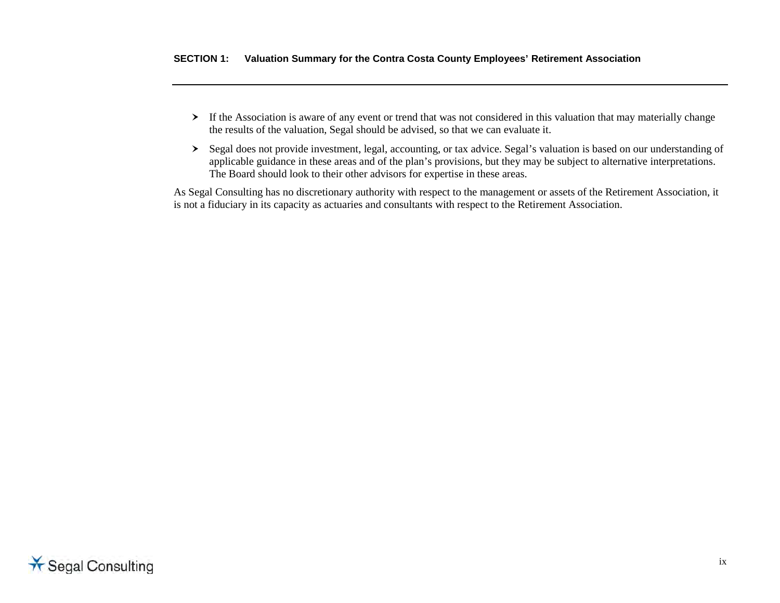- If the Association is aware of any event or trend that was not considered in this valuation that may materially change the results of the valuation, Segal should be advised, so that we can evaluate it.
- Segal does not provide investment, legal, accounting, or tax advice. Segal's valuation is based on our understanding of applicable guidance in these areas and of the plan's provisions, but they may be subject to alternative interpretations. The Board should look to their other advisors for expertise in these areas.

As Segal Consulting has no discretionary authority with respect to the management or assets of the Retirement Association, it is not a fiduciary in its capacity as actuaries and consultants with respect to the Retirement Association.

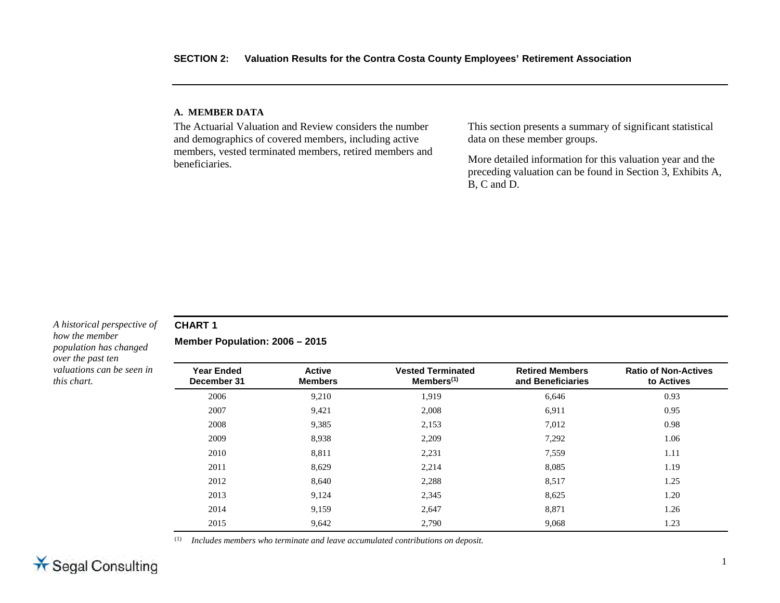#### <span id="page-12-0"></span>**A. MEMBER DATA**

The Actuarial Valuation and Review considers the number and demographics of covered members, including active members, vested terminated members, retired members and beneficiaries.

This section presents a summary of significant statistical data on these member groups.

More detailed information for this valuation year and the preceding valuation can be found in Section 3, Exhibits A, B, C and D.

#### *A historical perspective of how the member population has changed over the past ten valuations can be seen in this chart.*

### **CHART 1**

**Member Population: 2006 – 2015** 

| <b>Year Ended</b><br>December 31 | <b>Active</b><br><b>Members</b> | <b>Vested Terminated</b><br>$M$ embers $(1)$ | <b>Retired Members</b><br>and Beneficiaries | <b>Ratio of Non-Actives</b><br>to Actives |
|----------------------------------|---------------------------------|----------------------------------------------|---------------------------------------------|-------------------------------------------|
| 2006                             | 9,210                           | 1,919                                        | 6,646                                       | 0.93                                      |
| 2007                             | 9.421                           | 2.008                                        | 6,911                                       | 0.95                                      |
| 2008                             | 9,385                           | 2,153                                        | 7,012                                       | 0.98                                      |
| 2009                             | 8,938                           | 2,209                                        | 7,292                                       | 1.06                                      |
| 2010                             | 8,811                           | 2,231                                        | 7,559                                       | 1.11                                      |
| 2011                             | 8,629                           | 2,214                                        | 8,085                                       | 1.19                                      |
| 2012                             | 8,640                           | 2,288                                        | 8,517                                       | 1.25                                      |
| 2013                             | 9,124                           | 2,345                                        | 8,625                                       | 1.20                                      |
| 2014                             | 9,159                           | 2,647                                        | 8,871                                       | 1.26                                      |
| 2015                             | 9,642                           | 2.790                                        | 9,068                                       | 1.23                                      |

(1) *Includes members who terminate and leave accumulated contributions on deposit.*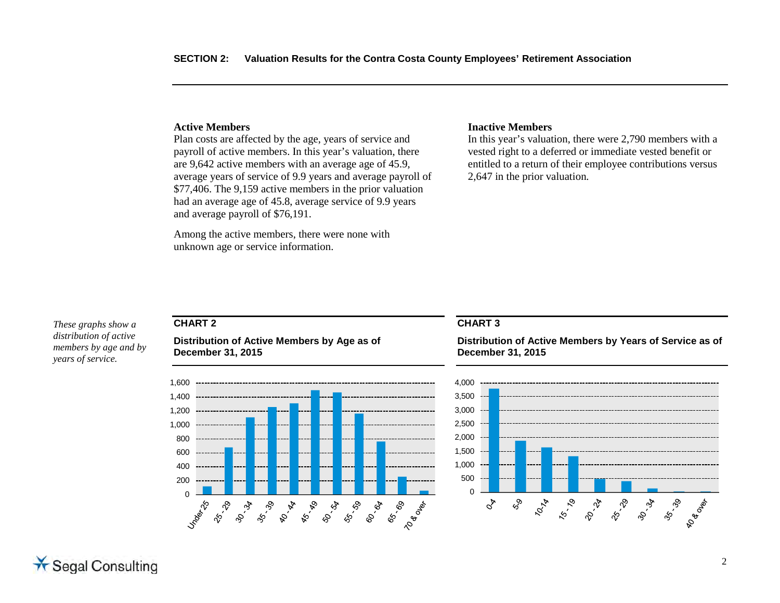#### **Active Members**

Plan costs are affected by the age, years of service and payroll of active members. In this year's valuation, there are 9,642 active members with an average age of 45.9, average years of service of 9.9 years and average payroll of \$77,406. The 9,159 active members in the prior valuation had an average age of 45.8, average service of 9.9 years and average payroll of \$76,191.

Among the active members, there were none with unknown age or service information.

#### **Inactive Members**

In this year's valuation, there were 2,790 members with a vested right to a deferred or immediate vested benefit or entitled to a return of their employee contributions versus 2,647 in the prior valuation.

#### *These graphs show a distribution of active members by age and by*

*years of service.*

# **CHART 2**

**Distribution of Active Members by Age as of December 31, 2015** 



#### **CHART 3**

**Distribution of Active Members by Years of Service as of December 31, 2015** 

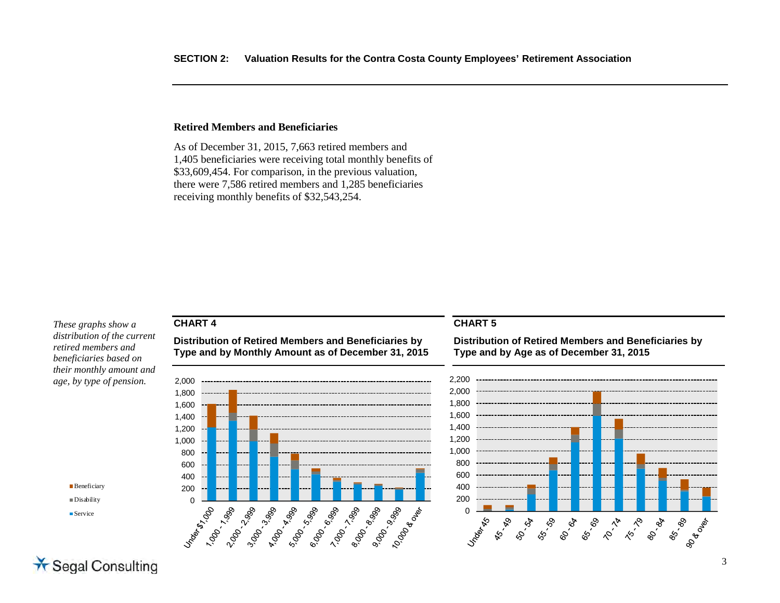#### **Retired Members and Beneficiaries**

As of December 31, 2015, 7,663 retired members and 1,405 beneficiaries were receiving total monthly benefits of \$33,609,454. For comparison, in the previous valuation, there were 7,586 retired members and 1,285 beneficiaries receiving monthly benefits of \$32,543,254.

*These graphs show a distribution of the current retired members and beneficiaries based on their monthly amount and age, by type of pension.*

## **CHART 4**

**Distribution of Retired Members and Beneficiaries by Type and by Monthly Amount as of December 31, 2015** 



### **CHART 5**

**Distribution of Retired Members and Beneficiaries by Type and by Age as of December 31, 2015** 



**Beneficiary** Disability

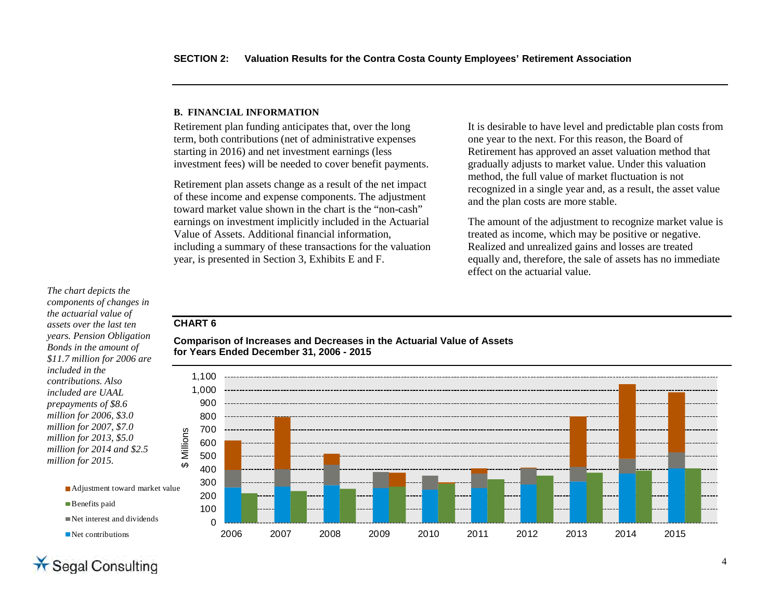#### <span id="page-15-0"></span>**B. FINANCIAL INFORMATION**

Retirement plan funding anticipates that, over the long term, both contributions (net of administrative expenses starting in 2016) and net investment earnings (less investment fees) will be needed to cover benefit payments.

Retirement plan assets change as a result of the net impact of these income and expense components. The adjustment toward market value shown in the chart is the "non-cash" earnings on investment implicitly included in the Actuarial Value of Assets. Additional financial information, including a summary of these transactions for the valuation year, is presented in Section 3, Exhibits E and F.

It is desirable to have level and predictable plan costs from one year to the next. For this reason, the Board of Retirement has approved an asset valuation method that gradually adjusts to market value. Under this valuation method, the full value of market fluctuation is not recognized in a single year and, as a result, the asset value and the plan costs are more stable.

The amount of the adjustment to recognize market value is treated as income, which may be positive or negative. Realized and unrealized gains and losses are treated equally and, therefore, the sale of assets has no immediate effect on the actuarial value.

## *The chart depicts the*

*components of changes in the actuarial value of assets over the last ten years. Pension Obligation Bonds in the amount of \$11.7 million for 2006 are included in the contributions. Also included are UAAL prepayments of \$8.6 million for 2006, \$3.0 million for 2007, \$7.0 million for 2013, \$5.0 million for 2014 and \$2.5 million for 2015.*

### **CHART 6**





Net contributions

**Benefits paid**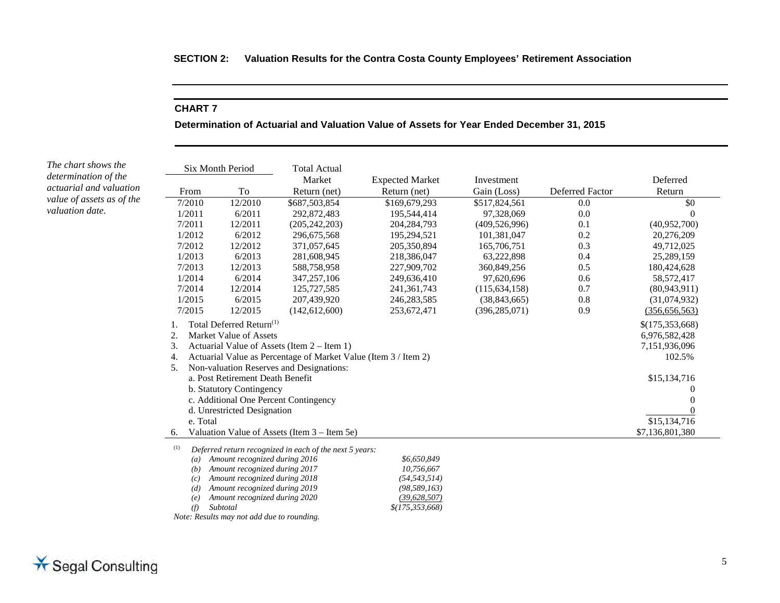### **CHART 7**

**Determination of Actuarial and Valuation Value of Assets for Year Ended December 31, 2015** 

| hart shows the<br>mination of the |                                                | Six Month Period                                                | <b>Total Actual</b>                                     |                        |                 |                 |                 |
|-----------------------------------|------------------------------------------------|-----------------------------------------------------------------|---------------------------------------------------------|------------------------|-----------------|-----------------|-----------------|
| rial and valuation                |                                                |                                                                 | Market                                                  | <b>Expected Market</b> | Investment      |                 | Deferred        |
|                                   | From                                           | To                                                              | Return (net)                                            | Return (net)           | Gain (Loss)     | Deferred Factor | Return          |
| of assets as of the               | 7/2010                                         | 12/2010                                                         | \$687,503,854                                           | \$169,679,293          | \$517,824,561   | 0.0             | \$0             |
| tion date.                        | 1/2011                                         | 6/2011                                                          | 292,872,483                                             | 195,544,414            | 97,328,069      | 0.0             |                 |
|                                   | 7/2011                                         | 12/2011                                                         | (205, 242, 203)                                         | 204, 284, 793          | (409, 526, 996) | 0.1             | (40,952,700)    |
|                                   | 1/2012                                         | 6/2012                                                          | 296, 675, 568                                           | 195,294,521            | 101,381,047     | 0.2             | 20,276,209      |
|                                   | 7/2012                                         | 12/2012                                                         | 371,057,645                                             | 205,350,894            | 165,706,751     | 0.3             | 49,712,025      |
|                                   | 1/2013                                         | 6/2013                                                          | 281,608,945                                             | 218,386,047            | 63,222,898      | 0.4             | 25,289,159      |
|                                   | 7/2013                                         | 12/2013                                                         | 588,758,958                                             | 227,909,702            | 360,849,256     | 0.5             | 180,424,628     |
|                                   | 1/2014                                         | 6/2014                                                          | 347, 257, 106                                           | 249,636,410            | 97,620,696      | 0.6             | 58,572,417      |
|                                   | 7/2014                                         | 12/2014                                                         | 125,727,585                                             | 241, 361, 743          | (115, 634, 158) | 0.7             | (80, 943, 911)  |
|                                   | 1/2015                                         | 6/2015                                                          | 207,439,920                                             | 246, 283, 585          | (38, 843, 665)  | 0.8             | (31,074,932)    |
|                                   | 7/2015                                         | 12/2015                                                         | (142, 612, 600)                                         | 253,672,471            | (396, 285, 071) | 0.9             | (356, 656, 563) |
|                                   | 1.                                             | Total Deferred Return <sup>(1)</sup>                            |                                                         |                        |                 |                 | \$(175,353,668) |
|                                   | 2.                                             | Market Value of Assets                                          |                                                         |                        |                 |                 | 6,976,582,428   |
|                                   | 3.                                             |                                                                 | Actuarial Value of Assets (Item 2 – Item 1)             |                        |                 |                 | 7,151,936,096   |
|                                   | 4.                                             | Actuarial Value as Percentage of Market Value (Item 3 / Item 2) |                                                         |                        | 102.5%          |                 |                 |
|                                   | Non-valuation Reserves and Designations:<br>5. |                                                                 |                                                         |                        |                 |                 |                 |
|                                   | a. Post Retirement Death Benefit               | \$15,134,716                                                    |                                                         |                        |                 |                 |                 |
|                                   | b. Statutory Contingency                       |                                                                 |                                                         |                        |                 |                 |                 |
|                                   |                                                |                                                                 | c. Additional One Percent Contingency                   |                        |                 |                 | $\Omega$        |
|                                   |                                                | d. Unrestricted Designation                                     |                                                         |                        |                 |                 |                 |
|                                   | e. Total                                       |                                                                 |                                                         |                        |                 |                 | \$15,134,716    |
|                                   | 6.                                             |                                                                 | Valuation Value of Assets (Item 3 – Item 5e)            |                        |                 |                 | \$7,136,801,380 |
|                                   | (1)                                            |                                                                 | Deferred return recognized in each of the next 5 years: |                        |                 |                 |                 |
|                                   | $\left( a\right)$                              | Amount recognized during 2016                                   |                                                         | \$6,650,849            |                 |                 |                 |
|                                   | (b)                                            | Amount recognized during 2017                                   |                                                         | 10,756,667             |                 |                 |                 |
|                                   | (c)                                            | Amount recognized during 2018                                   |                                                         | (54, 543, 514)         |                 |                 |                 |
|                                   | (d)                                            | Amount recognized during 2019                                   |                                                         | (98, 589, 163)         |                 |                 |                 |
|                                   | (e)                                            | Amount recognized during 2020                                   |                                                         | (39, 628, 507)         |                 |                 |                 |
|                                   | (f)                                            | Subtotal                                                        |                                                         | $$$ (175,353,668)      |                 |                 |                 |
|                                   |                                                | Note: Results may not add due to rounding.                      |                                                         |                        |                 |                 |                 |

*The cl determination of the actuarial and valuation value valuation date.*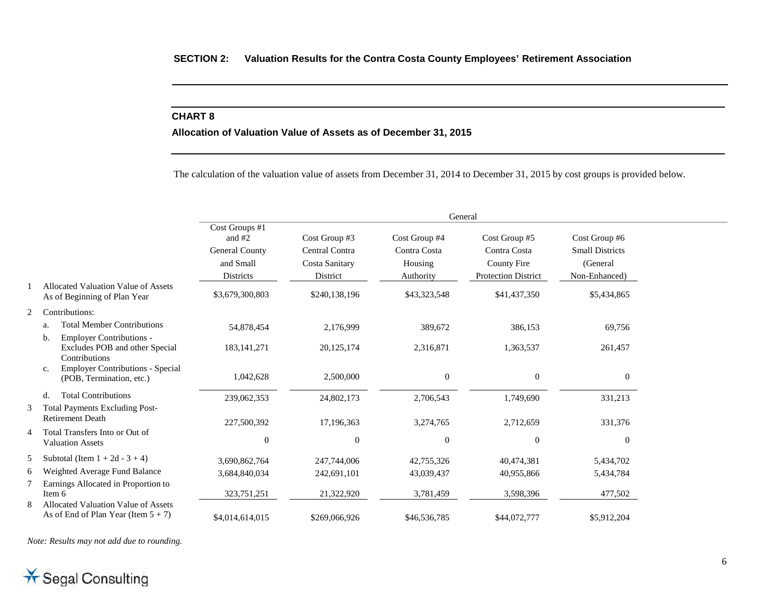### **CHART 8**

#### **Allocation of Valuation Value of Assets as of December 31, 2015**

The calculation of the valuation value of assets from December 31, 2014 to December 31, 2015 by cost groups is provided below.

|   |                                                                                          | General                                                                       |                                                               |                                                       |                                                                                   |                                                                      |  |
|---|------------------------------------------------------------------------------------------|-------------------------------------------------------------------------------|---------------------------------------------------------------|-------------------------------------------------------|-----------------------------------------------------------------------------------|----------------------------------------------------------------------|--|
|   |                                                                                          | Cost Groups #1<br>and $#2$<br>General County<br>and Small<br><b>Districts</b> | Cost Group #3<br>Central Contra<br>Costa Sanitary<br>District | Cost Group #4<br>Contra Costa<br>Housing<br>Authority | Cost Group #5<br>Contra Costa<br><b>County Fire</b><br><b>Protection District</b> | Cost Group #6<br><b>Small Districts</b><br>(General<br>Non-Enhanced) |  |
|   | Allocated Valuation Value of Assets<br>As of Beginning of Plan Year                      | \$3,679,300,803                                                               | \$240,138,196                                                 | \$43,323,548                                          | \$41,437,350                                                                      | \$5,434,865                                                          |  |
| 2 | Contributions:                                                                           |                                                                               |                                                               |                                                       |                                                                                   |                                                                      |  |
|   | <b>Total Member Contributions</b><br>a.                                                  | 54,878,454                                                                    | 2,176,999                                                     | 389,672                                               | 386,153                                                                           | 69,756                                                               |  |
|   | <b>Employer Contributions -</b><br>b.<br>Excludes POB and other Special<br>Contributions | 183, 141, 271                                                                 | 20,125,174                                                    | 2,316,871                                             | 1,363,537                                                                         | 261,457                                                              |  |
|   | Employer Contributions - Special<br>$\mathbf{c}$ .<br>(POB, Termination, etc.)           | 1,042,628                                                                     | 2,500,000                                                     | $\overline{0}$                                        | $\mathbf{0}$                                                                      | $\boldsymbol{0}$                                                     |  |
|   | <b>Total Contributions</b><br>d.                                                         | 239,062,353                                                                   | 24,802,173                                                    | 2,706,543                                             | 1,749,690                                                                         | 331,213                                                              |  |
| 3 | <b>Total Payments Excluding Post-</b><br><b>Retirement Death</b>                         | 227,500,392                                                                   | 17,196,363                                                    | 3,274,765                                             | 2,712,659                                                                         | 331,376                                                              |  |
| 4 | Total Transfers Into or Out of<br><b>Valuation Assets</b>                                | $\Omega$                                                                      | $\mathbf{0}$                                                  | $\Omega$                                              | $\Omega$                                                                          | $\mathbf{0}$                                                         |  |
| 5 | Subtotal (Item $1 + 2d - 3 + 4$ )                                                        | 3,690,862,764                                                                 | 247,744,006                                                   | 42,755,326                                            | 40,474,381                                                                        | 5,434,702                                                            |  |
| 6 | Weighted Average Fund Balance                                                            | 3,684,840,034                                                                 | 242,691,101                                                   | 43,039,437                                            | 40,955,866                                                                        | 5,434,784                                                            |  |
|   | Earnings Allocated in Proportion to<br>Item 6                                            | 323,751,251                                                                   | 21,322,920                                                    | 3,781,459                                             | 3,598,396                                                                         | 477,502                                                              |  |
| 8 | Allocated Valuation Value of Assets<br>As of End of Plan Year (Item $5 + 7$ )            | \$4,014,614,015                                                               | \$269,066,926                                                 | \$46,536,785                                          | \$44,072,777                                                                      | \$5,912,204                                                          |  |

*Note: Results may not add due to rounding.*

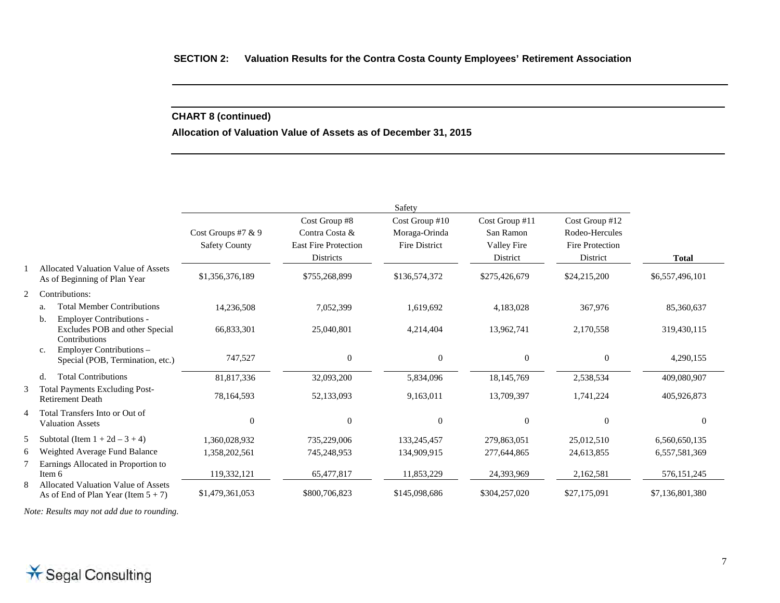# **CHART 8 (continued)**

**Allocation of Valuation Value of Assets as of December 31, 2015** 

|                |                                                                                          | Safety                                       |                                                                             |                                                         |                                                        |                                                                        |                 |
|----------------|------------------------------------------------------------------------------------------|----------------------------------------------|-----------------------------------------------------------------------------|---------------------------------------------------------|--------------------------------------------------------|------------------------------------------------------------------------|-----------------|
|                |                                                                                          | Cost Groups #7 $& 9$<br><b>Safety County</b> | Cost Group #8<br>Contra Costa &<br><b>East Fire Protection</b><br>Districts | Cost Group #10<br>Moraga-Orinda<br><b>Fire District</b> | Cost Group #11<br>San Ramon<br>Valley Fire<br>District | Cost Group #12<br>Rodeo-Hercules<br><b>Fire Protection</b><br>District | <b>Total</b>    |
|                | Allocated Valuation Value of Assets<br>As of Beginning of Plan Year                      | \$1,356,376,189                              | \$755,268,899                                                               | \$136,574,372                                           | \$275,426,679                                          | \$24,215,200                                                           | \$6,557,496,101 |
| 2              | Contributions:                                                                           |                                              |                                                                             |                                                         |                                                        |                                                                        |                 |
|                | <b>Total Member Contributions</b><br>a.                                                  | 14,236,508                                   | 7,052,399                                                                   | 1,619,692                                               | 4,183,028                                              | 367,976                                                                | 85,360,637      |
|                | <b>Employer Contributions -</b><br>b.<br>Excludes POB and other Special<br>Contributions | 66,833,301                                   | 25,040,801                                                                  | 4,214,404                                               | 13,962,741                                             | 2,170,558                                                              | 319,430,115     |
|                | Employer Contributions -<br>c.<br>Special (POB, Termination, etc.)                       | 747,527                                      | $\Omega$                                                                    | $\mathbf{0}$                                            | $\Omega$                                               | $\theta$                                                               | 4,290,155       |
|                | <b>Total Contributions</b><br>d.                                                         | 81,817,336                                   | 32,093,200                                                                  | 5,834,096                                               | 18,145,769                                             | 2,538,534                                                              | 409,080,907     |
| 3              | <b>Total Payments Excluding Post-</b><br><b>Retirement Death</b>                         | 78,164,593                                   | 52,133,093                                                                  | 9,163,011                                               | 13,709,397                                             | 1,741,224                                                              | 405,926,873     |
| $\overline{4}$ | Total Transfers Into or Out of<br><b>Valuation Assets</b>                                | $\overline{0}$                               | $\Omega$                                                                    | $\overline{0}$                                          | $\overline{0}$                                         | $\theta$                                                               | $\Omega$        |
| 5              | Subtotal (Item $1 + 2d - 3 + 4$ )                                                        | 1.360.028.932                                | 735,229,006                                                                 | 133,245,457                                             | 279,863,051                                            | 25,012,510                                                             | 6,560,650,135   |
| 6              | Weighted Average Fund Balance                                                            | 1,358,202,561                                | 745,248,953                                                                 | 134,909,915                                             | 277,644,865                                            | 24,613,855                                                             | 6,557,581,369   |
| 7<br>8         | Earnings Allocated in Proportion to<br>Item 6<br>Allocated Valuation Value of Assets     | 119,332,121                                  | 65,477,817                                                                  | 11,853,229                                              | 24,393,969                                             | 2,162,581                                                              | 576, 151, 245   |
|                | As of End of Plan Year (Item $5 + 7$ )                                                   | \$1,479,361,053                              | \$800,706,823                                                               | \$145,098,686                                           | \$304,257,020                                          | \$27,175,091                                                           | \$7,136,801,380 |

*Note: Results may not add due to rounding.*

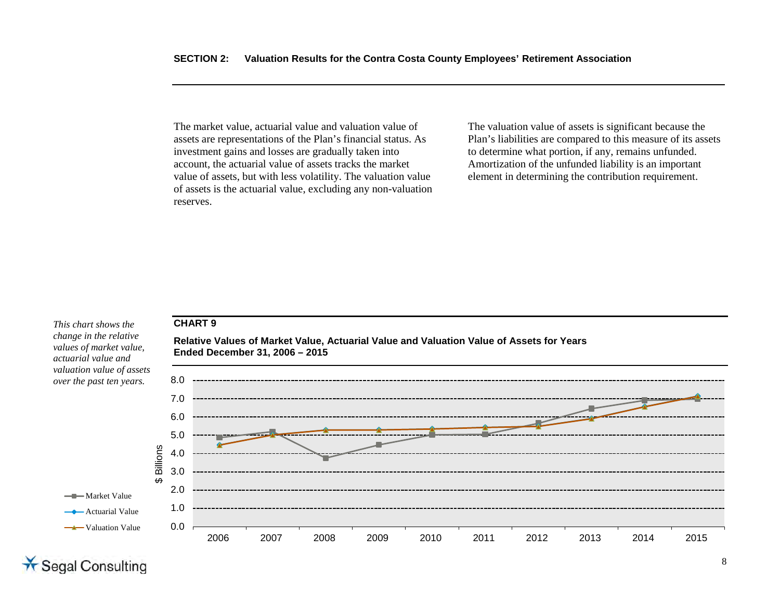The market value, actuarial value and valuation value of assets are representations of the Plan's financial status. As investment gains and losses are gradually taken into account, the actuarial value of assets tracks the market value of assets, but with less volatility. The valuation value of assets is the actuarial value, excluding any non-valuation reserves.

The valuation value of assets is significant because the Plan's liabilities are compared to this measure of its assets to determine what portion, if any, remains unfunded. Amortization of the unfunded liability is an important element in determining the contribution requirement.

#### **CHART 9**

**Ended December 31, 2006 – 2015** 

*change in the relative values of market value, actuarial value and valuation value of assets over the past ten years.*

*This chart shows the* 



**Relative Values of Market Value, Actuarial Value and Valuation Value of Assets for Years** 

# \* Segal Consulting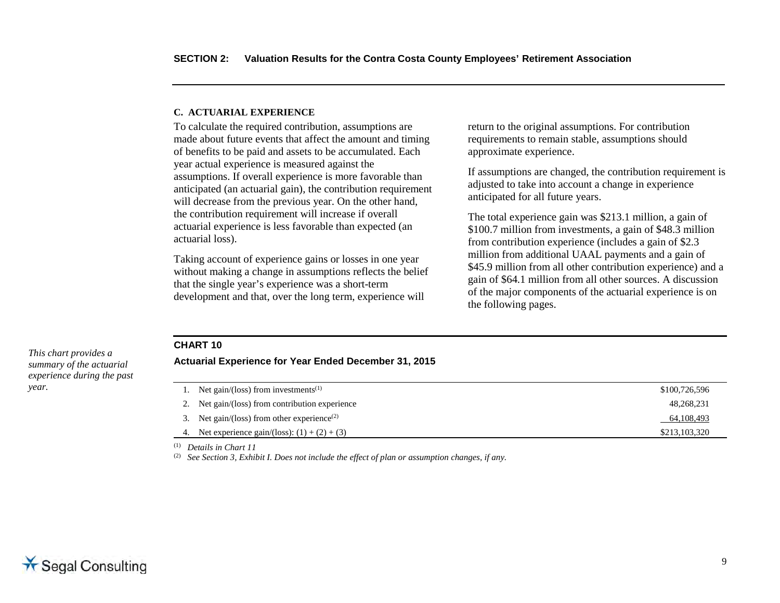#### <span id="page-20-0"></span>**C. ACTUARIAL EXPERIENCE**

To calculate the required contribution, assumptions are made about future events that affect the amount and timing of benefits to be paid and assets to be accumulated. Each year actual experience is measured against the assumptions. If overall experience is more favorable than anticipated (an actuarial gain), the contribution requirement will decrease from the previous year. On the other hand, the contribution requirement will increase if overall actuarial experience is less favorable than expected (an actuarial loss).

Taking account of experience gains or losses in one year without making a change in assumptions reflects the belief that the single year's experience was a short-term development and that, over the long term, experience will

return to the original assumptions. For contribution requirements to remain stable, assumptions should approximate experience.

If assumptions are changed, the contribution requirement is adjusted to take into account a change in experience anticipated for all future years.

The total experience gain was \$213.1 million, a gain of \$100.7 million from investments, a gain of \$48.3 million from contribution experience (includes a gain of \$2.3 million from additional UAAL payments and a gain of \$45.9 million from all other contribution experience) and a gain of \$64.1 million from all other sources. A discussion of the major components of the actuarial experience is on the following pages.

#### **CHART 10**

*This chart provides a summary of the actuarial experience during the past year.*

#### **Actuarial Experience for Year Ended December 31, 2015**

| 1. Net gain/(loss) from investments <sup>(1)</sup>      | \$100,726,596 |
|---------------------------------------------------------|---------------|
| 2. Net gain/(loss) from contribution experience         | 48,268,231    |
| 3. Net gain/(loss) from other experience <sup>(2)</sup> | 64,108,493    |
| 4. Net experience gain/(loss): $(1) + (2) + (3)$        | \$213,103,320 |
|                                                         |               |

(1) *Details in Chart 11* 

<sup>(2)</sup> See Section 3, Exhibit I. Does not include the effect of plan or assumption changes, if any.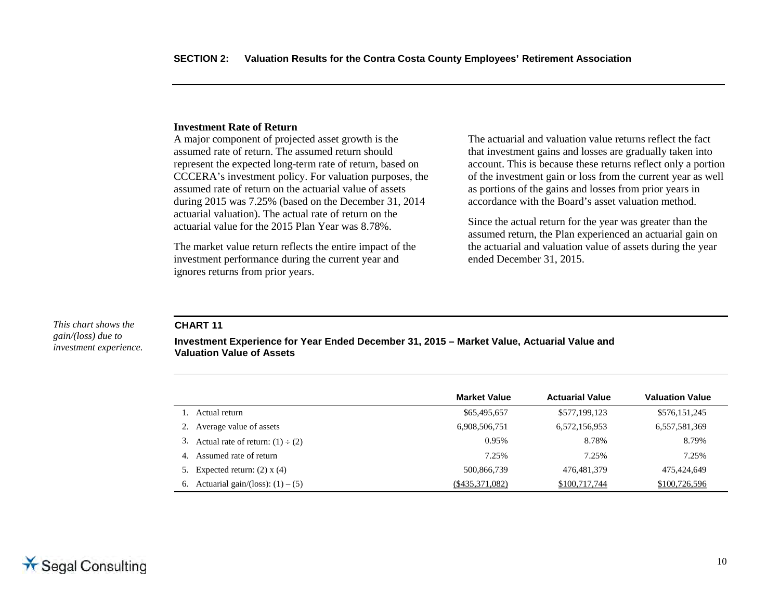#### **Investment Rate of Return**

A major component of projected asset growth is the assumed rate of return. The assumed return should represent the expected long-term rate of return, based on CCCERA's investment policy. For valuation purposes, the assumed rate of return on the actuarial value of assets during 2015 was 7.25% (based on the December 31, 2014 actuarial valuation). The actual rate of return on the actuarial value for the 2015 Plan Year was 8.78%.

The market value return reflects the entire impact of the investment performance during the current year and ignores returns from prior years.

The actuarial and valuation value returns reflect the fact that investment gains and losses are gradually taken into account. This is because these returns reflect only a portion of the investment gain or loss from the current year as well as portions of the gains and losses from prior years in accordance with the Board's asset valuation method.

Since the actual return for the year was greater than the assumed return, the Plan experienced an actuarial gain on the actuarial and valuation value of assets during the year ended December 31, 2015.

#### **CHART 11**

**Investment Experience for Year Ended December 31, 2015 – Market Value, Actuarial Value and Valuation Value of Assets**

|                                          | <b>Market Value</b> | <b>Actuarial Value</b> | <b>Valuation Value</b> |
|------------------------------------------|---------------------|------------------------|------------------------|
| Actual return                            | \$65,495,657        | \$577,199,123          | \$576,151,245          |
| 2. Average value of assets               | 6,908,506,751       | 6,572,156,953          | 6,557,581,369          |
| 3. Actual rate of return: $(1) \div (2)$ | 0.95%               | 8.78%                  | 8.79%                  |
| Assumed rate of return<br>4.             | 7.25%               | 7.25%                  | 7.25%                  |
| 5. Expected return: $(2)$ x $(4)$        | 500,866,739         | 476, 481, 379          | 475,424,649            |
| 6. Actuarial gain/(loss): $(1) - (5)$    | $(\$435,371,082)$   | \$100,717,744          | \$100,726,596          |

*This chart shows the gain/(loss) due to investment experience.*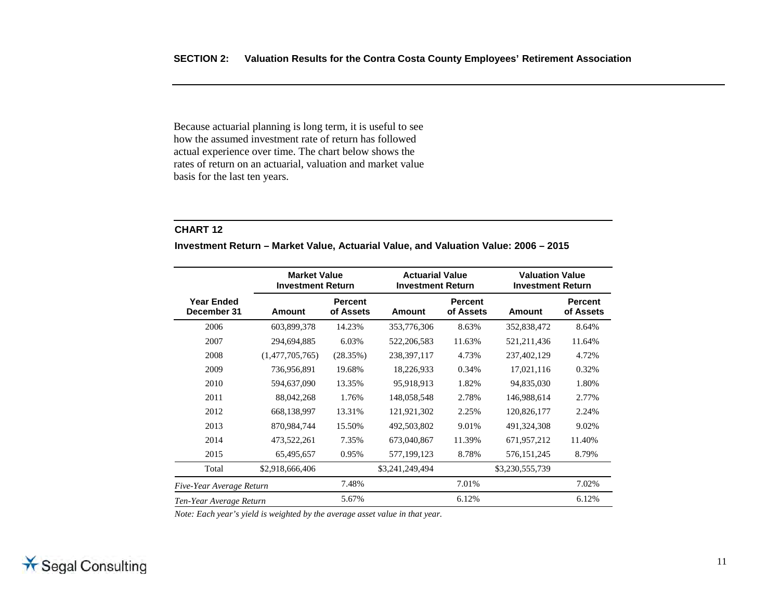Because actuarial planning is long term, it is useful to see how the assumed investment rate of return has followed actual experience over time. The chart below shows the rates of return on an actuarial, valuation and market value basis for the last ten years.

#### **CHART 12**

**Investment Return – Market Value, Actuarial Value, and Valuation Value: 2006 – 2015** 

|                                  | <b>Market Value</b><br><b>Investment Return</b> |                             |                 | <b>Actuarial Value</b><br><b>Investment Return</b> |                 | <b>Valuation Value</b><br><b>Investment Return</b> |
|----------------------------------|-------------------------------------------------|-----------------------------|-----------------|----------------------------------------------------|-----------------|----------------------------------------------------|
| <b>Year Ended</b><br>December 31 | Amount                                          | <b>Percent</b><br>of Assets | Amount          | <b>Percent</b><br>of Assets                        | Amount          | <b>Percent</b><br>of Assets                        |
| 2006                             | 603,899,378                                     | 14.23%                      | 353,776,306     | 8.63%                                              | 352,838,472     | 8.64%                                              |
| 2007                             | 294,694,885                                     | 6.03%                       | 522,206,583     | 11.63%                                             | 521, 211, 436   | 11.64%                                             |
| 2008                             | (1,477,705,765)                                 | (28.35%)                    | 238, 397, 117   | 4.73%                                              | 237,402,129     | 4.72%                                              |
| 2009                             | 736,956,891                                     | 19.68%                      | 18,226,933      | 0.34%                                              | 17,021,116      | 0.32%                                              |
| 2010                             | 594,637,090                                     | 13.35%                      | 95,918,913      | 1.82%                                              | 94,835,030      | 1.80%                                              |
| 2011                             | 88,042,268                                      | 1.76%                       | 148,058,548     | 2.78%                                              | 146,988,614     | 2.77%                                              |
| 2012                             | 668,138,997                                     | 13.31%                      | 121,921,302     | 2.25%                                              | 120,826,177     | 2.24%                                              |
| 2013                             | 870,984,744                                     | 15.50%                      | 492,503,802     | 9.01%                                              | 491,324,308     | 9.02%                                              |
| 2014                             | 473,522,261                                     | 7.35%                       | 673,040,867     | 11.39%                                             | 671,957,212     | 11.40%                                             |
| 2015                             | 65,495,657                                      | 0.95%                       | 577,199,123     | 8.78%                                              | 576, 151, 245   | 8.79%                                              |
| Total                            | \$2,918,666,406                                 |                             | \$3,241,249,494 |                                                    | \$3,230,555,739 |                                                    |
| Five-Year Average Return         |                                                 | 7.48%                       |                 | 7.01%                                              |                 | 7.02%                                              |
| Ten-Year Average Return          |                                                 | 5.67%                       |                 | 6.12%                                              |                 | 6.12%                                              |

Note: Each year's yield is weighted by the average asset value in that year.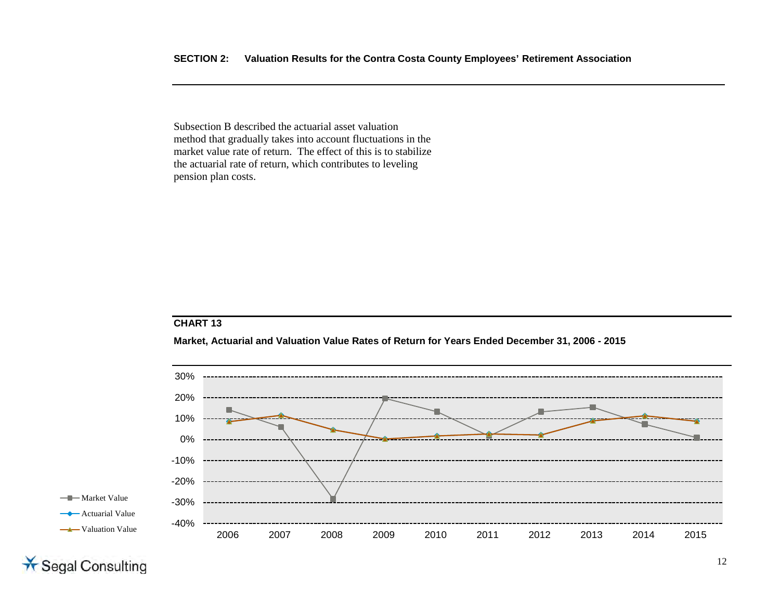Subsection B described the actuarial asset valuation method that gradually takes into account fluctuations in the market value rate of return. The effect of this is to stabilize the actuarial rate of return, which contributes to leveling pension plan costs.

# **CHART 13**

**Market, Actuarial and Valuation Value Rates of Return for Years Ended December 31, 2006 - 2015** 



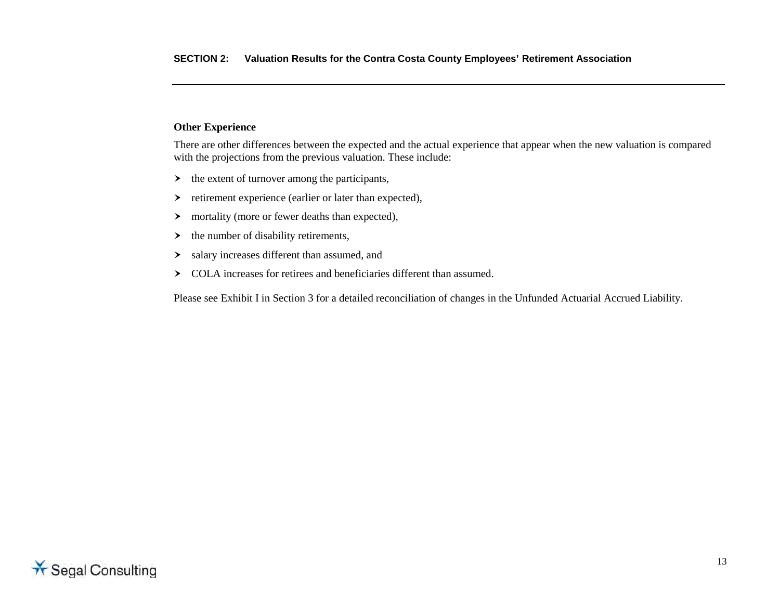### **Other Experience**

There are other differences between the expected and the actual experience that appear when the new valuation is compared with the projections from the previous valuation. These include:

- $\rightarrow$  the extent of turnover among the participants,
- $\triangleright$  retirement experience (earlier or later than expected),
- $\rightarrow$  mortality (more or fewer deaths than expected),
- $\rightarrow$  the number of disability retirements,
- salary increases different than assumed, and
- COLA increases for retirees and beneficiaries different than assumed.

Please see Exhibit I in Section 3 for a detailed reconciliation of changes in the Unfunded Actuarial Accrued Liability.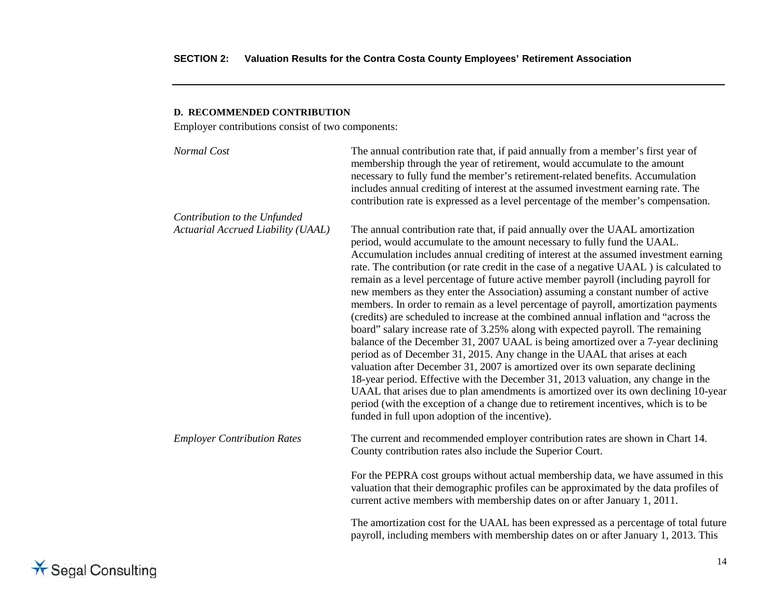#### <span id="page-25-0"></span>**D. RECOMMENDED CONTRIBUTION**

Employer contributions consist of two components:

| Normal Cost                               | The annual contribution rate that, if paid annually from a member's first year of<br>membership through the year of retirement, would accumulate to the amount<br>necessary to fully fund the member's retirement-related benefits. Accumulation<br>includes annual crediting of interest at the assumed investment earning rate. The<br>contribution rate is expressed as a level percentage of the member's compensation.                                                                                                                                                                                                                                                                                                                                                                                                                                                                                                                                                                                                                                                                                                                                                                                                                                                                                                                                         |
|-------------------------------------------|---------------------------------------------------------------------------------------------------------------------------------------------------------------------------------------------------------------------------------------------------------------------------------------------------------------------------------------------------------------------------------------------------------------------------------------------------------------------------------------------------------------------------------------------------------------------------------------------------------------------------------------------------------------------------------------------------------------------------------------------------------------------------------------------------------------------------------------------------------------------------------------------------------------------------------------------------------------------------------------------------------------------------------------------------------------------------------------------------------------------------------------------------------------------------------------------------------------------------------------------------------------------------------------------------------------------------------------------------------------------|
| Contribution to the Unfunded              |                                                                                                                                                                                                                                                                                                                                                                                                                                                                                                                                                                                                                                                                                                                                                                                                                                                                                                                                                                                                                                                                                                                                                                                                                                                                                                                                                                     |
| <b>Actuarial Accrued Liability (UAAL)</b> | The annual contribution rate that, if paid annually over the UAAL amortization<br>period, would accumulate to the amount necessary to fully fund the UAAL.<br>Accumulation includes annual crediting of interest at the assumed investment earning<br>rate. The contribution (or rate credit in the case of a negative UAAL) is calculated to<br>remain as a level percentage of future active member payroll (including payroll for<br>new members as they enter the Association) assuming a constant number of active<br>members. In order to remain as a level percentage of payroll, amortization payments<br>(credits) are scheduled to increase at the combined annual inflation and "across the<br>board" salary increase rate of 3.25% along with expected payroll. The remaining<br>balance of the December 31, 2007 UAAL is being amortized over a 7-year declining<br>period as of December 31, 2015. Any change in the UAAL that arises at each<br>valuation after December 31, 2007 is amortized over its own separate declining<br>18-year period. Effective with the December 31, 2013 valuation, any change in the<br>UAAL that arises due to plan amendments is amortized over its own declining 10-year<br>period (with the exception of a change due to retirement incentives, which is to be<br>funded in full upon adoption of the incentive). |
| <b>Employer Contribution Rates</b>        | The current and recommended employer contribution rates are shown in Chart 14.<br>County contribution rates also include the Superior Court.                                                                                                                                                                                                                                                                                                                                                                                                                                                                                                                                                                                                                                                                                                                                                                                                                                                                                                                                                                                                                                                                                                                                                                                                                        |
|                                           | For the PEPRA cost groups without actual membership data, we have assumed in this<br>valuation that their demographic profiles can be approximated by the data profiles of<br>current active members with membership dates on or after January 1, 2011.                                                                                                                                                                                                                                                                                                                                                                                                                                                                                                                                                                                                                                                                                                                                                                                                                                                                                                                                                                                                                                                                                                             |
|                                           | The amortization cost for the UAAL has been expressed as a percentage of total future<br>payroll, including members with membership dates on or after January 1, 2013. This                                                                                                                                                                                                                                                                                                                                                                                                                                                                                                                                                                                                                                                                                                                                                                                                                                                                                                                                                                                                                                                                                                                                                                                         |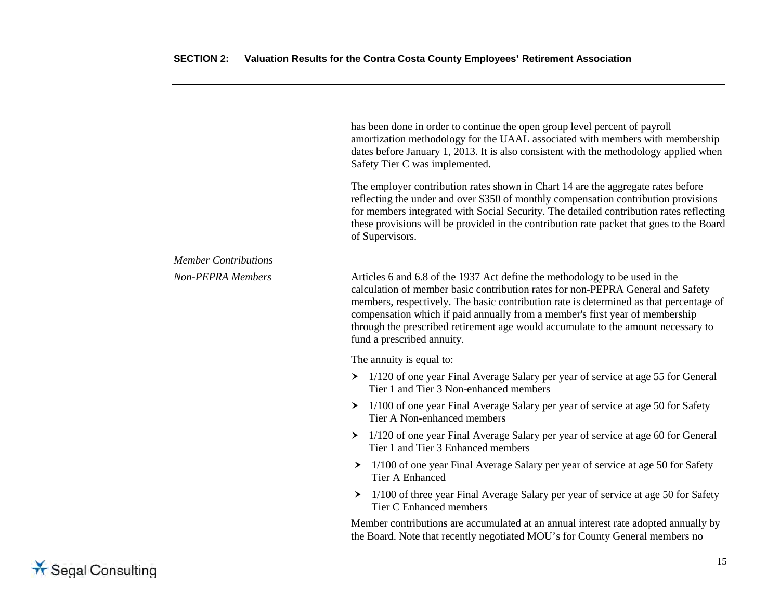has been done in order to continue the open group level percent of payroll amortization methodology for the UAAL associated with members with membership dates before January 1, 2013. It is also consistent with the methodology applied when Safety Tier C was implemented. The employer contribution rates shown in Chart 14 are the aggregate rates before reflecting the under and over \$350 of monthly compensation contribution provisions for members integrated with Social Security. The detailed contribution rates reflecting these provisions will be provided in the contribution rate packet that goes to the Board of Supervisors. *Member Contributions Non-PEPRA Members* Articles 6 and 6.8 of the 1937 Act define the methodology to be used in the calculation of member basic contribution rates for non-PEPRA General and Safety members, respectively. The basic contribution rate is determined as that percentage of compensation which if paid annually from a member's first year of membership through the prescribed retirement age would accumulate to the amount necessary to fund a prescribed annuity. The annuity is equal to: 1/120 of one year Final Average Salary per year of service at age 55 for General Tier 1 and Tier 3 Non-enhanced members  $\geq 1/100$  of one year Final Average Salary per year of service at age 50 for Safety Tier A Non-enhanced members > 1/120 of one year Final Average Salary per year of service at age 60 for General Tier 1 and Tier 3 Enhanced members > 1/100 of one year Final Average Salary per year of service at age 50 for Safety Tier A Enhanced 1/100 of three year Final Average Salary per year of service at age 50 for Safety Tier C Enhanced members Member contributions are accumulated at an annual interest rate adopted annually by the Board. Note that recently negotiated MOU's for County General members no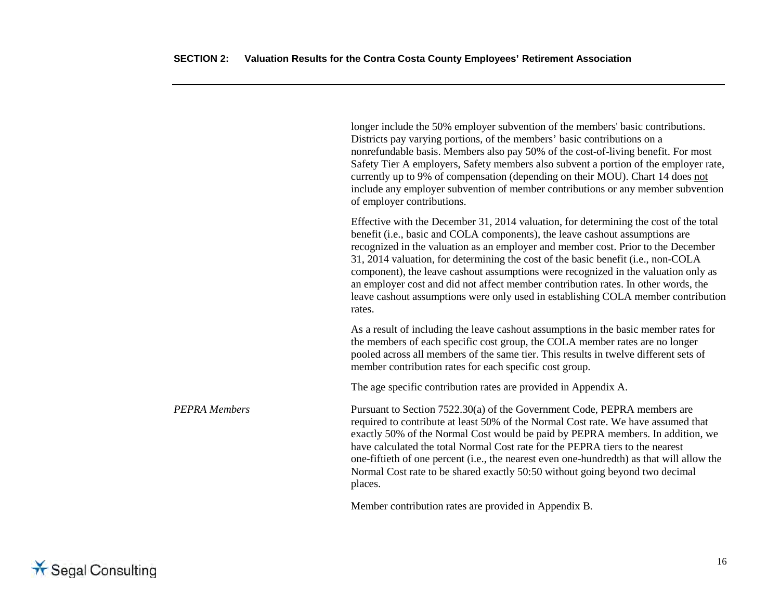|                      | longer include the 50% employer subvention of the members' basic contributions.<br>Districts pay varying portions, of the members' basic contributions on a<br>nonrefundable basis. Members also pay 50% of the cost-of-living benefit. For most<br>Safety Tier A employers, Safety members also subvent a portion of the employer rate,<br>currently up to 9% of compensation (depending on their MOU). Chart 14 does not<br>include any employer subvention of member contributions or any member subvention<br>of employer contributions.                                                                               |
|----------------------|----------------------------------------------------------------------------------------------------------------------------------------------------------------------------------------------------------------------------------------------------------------------------------------------------------------------------------------------------------------------------------------------------------------------------------------------------------------------------------------------------------------------------------------------------------------------------------------------------------------------------|
|                      | Effective with the December 31, 2014 valuation, for determining the cost of the total<br>benefit (i.e., basic and COLA components), the leave cashout assumptions are<br>recognized in the valuation as an employer and member cost. Prior to the December<br>31, 2014 valuation, for determining the cost of the basic benefit (i.e., non-COLA<br>component), the leave cashout assumptions were recognized in the valuation only as<br>an employer cost and did not affect member contribution rates. In other words, the<br>leave cashout assumptions were only used in establishing COLA member contribution<br>rates. |
|                      | As a result of including the leave cashout assumptions in the basic member rates for<br>the members of each specific cost group, the COLA member rates are no longer<br>pooled across all members of the same tier. This results in twelve different sets of<br>member contribution rates for each specific cost group.                                                                                                                                                                                                                                                                                                    |
|                      | The age specific contribution rates are provided in Appendix A.                                                                                                                                                                                                                                                                                                                                                                                                                                                                                                                                                            |
| <b>PEPRA Members</b> | Pursuant to Section 7522.30(a) of the Government Code, PEPRA members are<br>required to contribute at least 50% of the Normal Cost rate. We have assumed that<br>exactly 50% of the Normal Cost would be paid by PEPRA members. In addition, we<br>have calculated the total Normal Cost rate for the PEPRA tiers to the nearest<br>one-fiftieth of one percent (i.e., the nearest even one-hundredth) as that will allow the<br>Normal Cost rate to be shared exactly 50:50 without going beyond two decimal<br>places.                                                                                                   |
|                      |                                                                                                                                                                                                                                                                                                                                                                                                                                                                                                                                                                                                                            |

Member contribution rates are provided in Appendix B.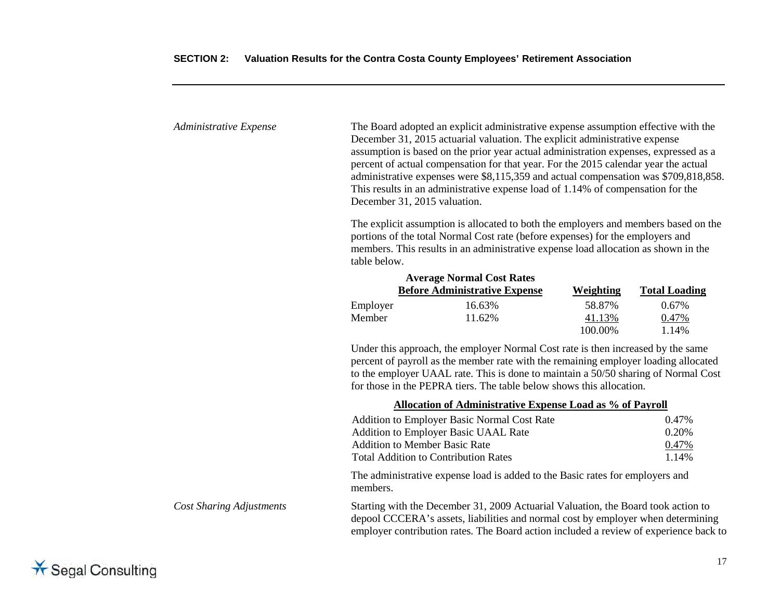| Administrative Expense | The Board adopted an explicit administrative expense assumption effective with the<br>December 31, 2015 actuarial valuation. The explicit administrative expense<br>assumption is based on the prior year actual administration expenses, expressed as a<br>percent of actual compensation for that year. For the 2015 calendar year the actual<br>administrative expenses were \$8,115,359 and actual compensation was \$709,818,858.<br>This results in an administrative expense load of 1.14% of compensation for the<br>December 31, 2015 valuation.<br>The explicit assumption is allocated to both the employers and members based on the<br>portions of the total Normal Cost rate (before expenses) for the employers and<br>members. This results in an administrative expense load allocation as shown in the |                                      |           |                      |  |
|------------------------|--------------------------------------------------------------------------------------------------------------------------------------------------------------------------------------------------------------------------------------------------------------------------------------------------------------------------------------------------------------------------------------------------------------------------------------------------------------------------------------------------------------------------------------------------------------------------------------------------------------------------------------------------------------------------------------------------------------------------------------------------------------------------------------------------------------------------|--------------------------------------|-----------|----------------------|--|
|                        |                                                                                                                                                                                                                                                                                                                                                                                                                                                                                                                                                                                                                                                                                                                                                                                                                          | <b>Average Normal Cost Rates</b>     |           |                      |  |
|                        |                                                                                                                                                                                                                                                                                                                                                                                                                                                                                                                                                                                                                                                                                                                                                                                                                          | <b>Before Administrative Expense</b> | Weighting | <b>Total Loading</b> |  |
|                        | Employer                                                                                                                                                                                                                                                                                                                                                                                                                                                                                                                                                                                                                                                                                                                                                                                                                 | 16.63%                               | 58.87%    | 0.67%                |  |
|                        | Member                                                                                                                                                                                                                                                                                                                                                                                                                                                                                                                                                                                                                                                                                                                                                                                                                   | 11.62%                               | 41.13%    | 0.47%                |  |
|                        |                                                                                                                                                                                                                                                                                                                                                                                                                                                                                                                                                                                                                                                                                                                                                                                                                          |                                      | 100.00%   | 1.14%                |  |
|                        | Under this approach, the employer Normal Cost rate is then increased by the same                                                                                                                                                                                                                                                                                                                                                                                                                                                                                                                                                                                                                                                                                                                                         |                                      |           |                      |  |

percent of payroll as the member rate with the remaining employer loading allocated to the employer UAAL rate. This is done to maintain a 50/50 sharing of Normal Cost for those in the PEPRA tiers. The table below shows this allocation.

|                                 | Allocation of Administrative Expense Load as % of Payroll                                                                                                                                                                                                      |       |  |  |  |
|---------------------------------|----------------------------------------------------------------------------------------------------------------------------------------------------------------------------------------------------------------------------------------------------------------|-------|--|--|--|
|                                 | Addition to Employer Basic Normal Cost Rate                                                                                                                                                                                                                    | 0.47% |  |  |  |
|                                 | Addition to Employer Basic UAAL Rate                                                                                                                                                                                                                           | 0.20% |  |  |  |
|                                 | <b>Addition to Member Basic Rate</b>                                                                                                                                                                                                                           | 0.47% |  |  |  |
|                                 | <b>Total Addition to Contribution Rates</b>                                                                                                                                                                                                                    | 1.14% |  |  |  |
|                                 | The administrative expense load is added to the Basic rates for employers and<br>members.                                                                                                                                                                      |       |  |  |  |
| <b>Cost Sharing Adjustments</b> | Starting with the December 31, 2009 Actuarial Valuation, the Board took action to<br>depool CCCERA's assets, liabilities and normal cost by employer when determining<br>employer contribution rates. The Board action included a review of experience back to |       |  |  |  |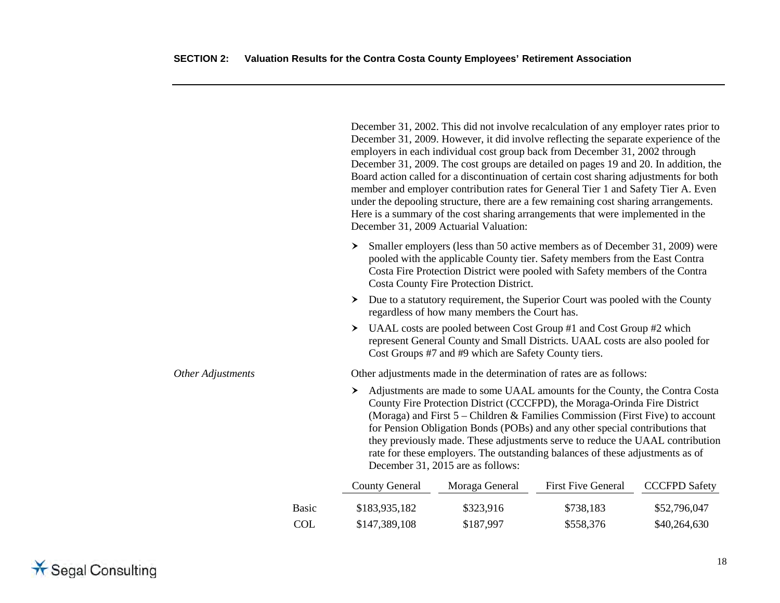|                   |              | December 31, 2002. This did not involve recalculation of any employer rates prior to<br>December 31, 2009. However, it did involve reflecting the separate experience of the<br>employers in each individual cost group back from December 31, 2002 through<br>December 31, 2009. The cost groups are detailed on pages 19 and 20. In addition, the<br>Board action called for a discontinuation of certain cost sharing adjustments for both<br>member and employer contribution rates for General Tier 1 and Safety Tier A. Even<br>under the depooling structure, there are a few remaining cost sharing arrangements.<br>Here is a summary of the cost sharing arrangements that were implemented in the<br>December 31, 2009 Actuarial Valuation: |                                                                                                                                                                                                                                                                                                                                                                                                                                                                                                                                 |                           |                      |  |
|-------------------|--------------|--------------------------------------------------------------------------------------------------------------------------------------------------------------------------------------------------------------------------------------------------------------------------------------------------------------------------------------------------------------------------------------------------------------------------------------------------------------------------------------------------------------------------------------------------------------------------------------------------------------------------------------------------------------------------------------------------------------------------------------------------------|---------------------------------------------------------------------------------------------------------------------------------------------------------------------------------------------------------------------------------------------------------------------------------------------------------------------------------------------------------------------------------------------------------------------------------------------------------------------------------------------------------------------------------|---------------------------|----------------------|--|
|                   |              | ≻                                                                                                                                                                                                                                                                                                                                                                                                                                                                                                                                                                                                                                                                                                                                                      | Smaller employers (less than 50 active members as of December 31, 2009) were<br>pooled with the applicable County tier. Safety members from the East Contra<br>Costa Fire Protection District were pooled with Safety members of the Contra<br>Costa County Fire Protection District.                                                                                                                                                                                                                                           |                           |                      |  |
|                   |              | ≻                                                                                                                                                                                                                                                                                                                                                                                                                                                                                                                                                                                                                                                                                                                                                      | Due to a statutory requirement, the Superior Court was pooled with the County<br>regardless of how many members the Court has.                                                                                                                                                                                                                                                                                                                                                                                                  |                           |                      |  |
|                   |              | ≻                                                                                                                                                                                                                                                                                                                                                                                                                                                                                                                                                                                                                                                                                                                                                      | UAAL costs are pooled between Cost Group #1 and Cost Group #2 which<br>represent General County and Small Districts. UAAL costs are also pooled for<br>Cost Groups #7 and #9 which are Safety County tiers.                                                                                                                                                                                                                                                                                                                     |                           |                      |  |
| Other Adjustments |              |                                                                                                                                                                                                                                                                                                                                                                                                                                                                                                                                                                                                                                                                                                                                                        | Other adjustments made in the determination of rates are as follows:                                                                                                                                                                                                                                                                                                                                                                                                                                                            |                           |                      |  |
|                   |              | ≻                                                                                                                                                                                                                                                                                                                                                                                                                                                                                                                                                                                                                                                                                                                                                      | Adjustments are made to some UAAL amounts for the County, the Contra Costa<br>County Fire Protection District (CCCFPD), the Moraga-Orinda Fire District<br>(Moraga) and First 5 - Children & Families Commission (First Five) to account<br>for Pension Obligation Bonds (POBs) and any other special contributions that<br>they previously made. These adjustments serve to reduce the UAAL contribution<br>rate for these employers. The outstanding balances of these adjustments as of<br>December 31, 2015 are as follows: |                           |                      |  |
|                   |              | <b>County General</b>                                                                                                                                                                                                                                                                                                                                                                                                                                                                                                                                                                                                                                                                                                                                  | Moraga General                                                                                                                                                                                                                                                                                                                                                                                                                                                                                                                  | <b>First Five General</b> | <b>CCCFPD Safety</b> |  |
|                   | <b>Basic</b> | \$183,935,182                                                                                                                                                                                                                                                                                                                                                                                                                                                                                                                                                                                                                                                                                                                                          | \$323,916                                                                                                                                                                                                                                                                                                                                                                                                                                                                                                                       | \$738,183                 | \$52,796,047         |  |
|                   | <b>COL</b>   | \$147,389,108                                                                                                                                                                                                                                                                                                                                                                                                                                                                                                                                                                                                                                                                                                                                          | \$187,997                                                                                                                                                                                                                                                                                                                                                                                                                                                                                                                       | \$558,376                 | \$40,264,630         |  |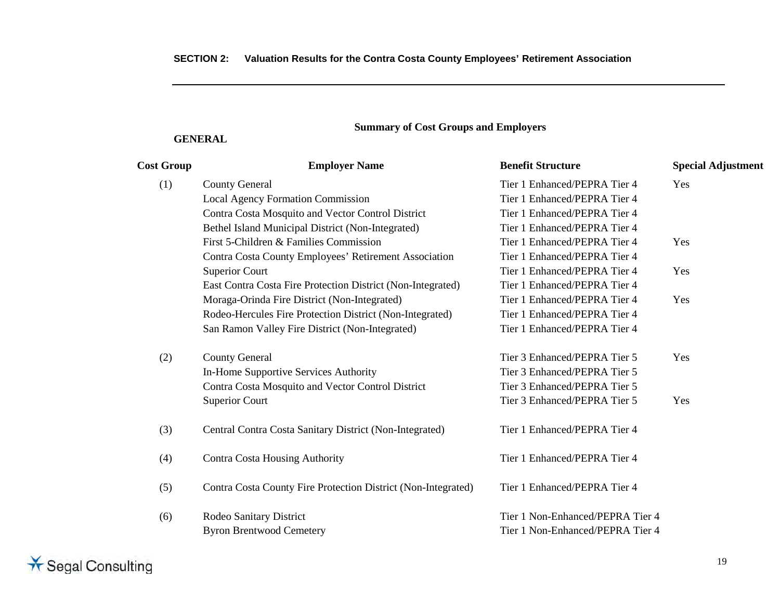# **Summary of Cost Groups and Employers**

# **GENERAL**

| <b>Cost Group</b> | <b>Employer Name</b>                                          | <b>Benefit Structure</b>         | <b>Special Adjustment</b> |
|-------------------|---------------------------------------------------------------|----------------------------------|---------------------------|
| (1)               | <b>County General</b>                                         | Tier 1 Enhanced/PEPRA Tier 4     | Yes                       |
|                   | <b>Local Agency Formation Commission</b>                      | Tier 1 Enhanced/PEPRA Tier 4     |                           |
|                   | Contra Costa Mosquito and Vector Control District             | Tier 1 Enhanced/PEPRA Tier 4     |                           |
|                   | Bethel Island Municipal District (Non-Integrated)             | Tier 1 Enhanced/PEPRA Tier 4     |                           |
|                   | First 5-Children & Families Commission                        | Tier 1 Enhanced/PEPRA Tier 4     | Yes                       |
|                   | Contra Costa County Employees' Retirement Association         | Tier 1 Enhanced/PEPRA Tier 4     |                           |
|                   | <b>Superior Court</b>                                         | Tier 1 Enhanced/PEPRA Tier 4     | Yes                       |
|                   | East Contra Costa Fire Protection District (Non-Integrated)   | Tier 1 Enhanced/PEPRA Tier 4     |                           |
|                   | Moraga-Orinda Fire District (Non-Integrated)                  | Tier 1 Enhanced/PEPRA Tier 4     | Yes                       |
|                   | Rodeo-Hercules Fire Protection District (Non-Integrated)      | Tier 1 Enhanced/PEPRA Tier 4     |                           |
|                   | San Ramon Valley Fire District (Non-Integrated)               | Tier 1 Enhanced/PEPRA Tier 4     |                           |
| (2)               | <b>County General</b>                                         | Tier 3 Enhanced/PEPRA Tier 5     | Yes                       |
|                   | In-Home Supportive Services Authority                         | Tier 3 Enhanced/PEPRA Tier 5     |                           |
|                   | Contra Costa Mosquito and Vector Control District             | Tier 3 Enhanced/PEPRA Tier 5     |                           |
|                   | <b>Superior Court</b>                                         | Tier 3 Enhanced/PEPRA Tier 5     | Yes                       |
| (3)               | Central Contra Costa Sanitary District (Non-Integrated)       | Tier 1 Enhanced/PEPRA Tier 4     |                           |
| (4)               | <b>Contra Costa Housing Authority</b>                         | Tier 1 Enhanced/PEPRA Tier 4     |                           |
| (5)               | Contra Costa County Fire Protection District (Non-Integrated) | Tier 1 Enhanced/PEPRA Tier 4     |                           |
| (6)               | Rodeo Sanitary District                                       | Tier 1 Non-Enhanced/PEPRA Tier 4 |                           |
|                   | <b>Byron Brentwood Cemetery</b>                               | Tier 1 Non-Enhanced/PEPRA Tier 4 |                           |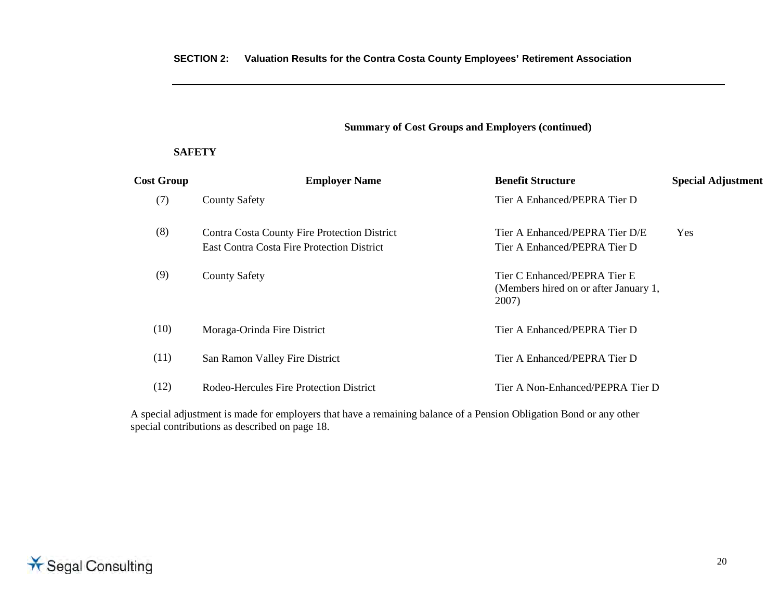## **Summary of Cost Groups and Employers (continued)**

#### **SAFETY**

| <b>Cost Group</b> | <b>Employer Name</b>                                                                              | <b>Benefit Structure</b>                                                       | <b>Special Adjustment</b> |
|-------------------|---------------------------------------------------------------------------------------------------|--------------------------------------------------------------------------------|---------------------------|
| (7)               | <b>County Safety</b>                                                                              | Tier A Enhanced/PEPRA Tier D                                                   |                           |
| (8)               | Contra Costa County Fire Protection District<br><b>East Contra Costa Fire Protection District</b> | Tier A Enhanced/PEPRA Tier D/E<br>Tier A Enhanced/PEPRA Tier D                 | Yes                       |
| (9)               | <b>County Safety</b>                                                                              | Tier C Enhanced/PEPRA Tier E<br>(Members hired on or after January 1,<br>2007) |                           |
| (10)              | Moraga-Orinda Fire District                                                                       | Tier A Enhanced/PEPRA Tier D                                                   |                           |
| (11)              | San Ramon Valley Fire District                                                                    | Tier A Enhanced/PEPRA Tier D                                                   |                           |
| (12)              | Rodeo-Hercules Fire Protection District                                                           | Tier A Non-Enhanced/PEPRA Tier D                                               |                           |
|                   |                                                                                                   |                                                                                |                           |

A special adjustment is made for employers that have a remaining balance of a Pension Obligation Bond or any other special contributions as described on page 18.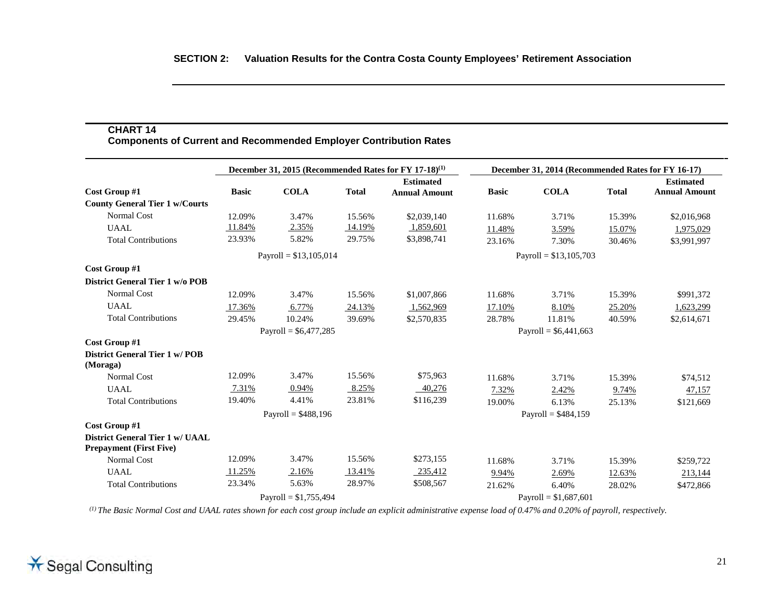# **CHART 14**

**Components of Current and Recommended Employer Contribution Rates** 

|                                                  | December 31, 2015 (Recommended Rates for FY 17-18) <sup>(1)</sup> |                         |              |                      |                        | December 31, 2014 (Recommended Rates for FY 16-17) |              |                      |
|--------------------------------------------------|-------------------------------------------------------------------|-------------------------|--------------|----------------------|------------------------|----------------------------------------------------|--------------|----------------------|
|                                                  |                                                                   |                         |              | <b>Estimated</b>     |                        |                                                    |              | <b>Estimated</b>     |
| Cost Group #1                                    | <b>Basic</b>                                                      | <b>COLA</b>             | <b>Total</b> | <b>Annual Amount</b> | <b>Basic</b>           | <b>COLA</b>                                        | <b>Total</b> | <b>Annual Amount</b> |
| <b>County General Tier 1 w/Courts</b>            |                                                                   |                         |              |                      |                        |                                                    |              |                      |
| <b>Normal Cost</b>                               | 12.09%                                                            | 3.47%                   | 15.56%       | \$2,039,140          | 11.68%                 | 3.71%                                              | 15.39%       | \$2,016,968          |
| <b>UAAL</b>                                      | 11.84%                                                            | 2.35%                   | 14.19%       | 1,859,601            | 11.48%                 | 3.59%                                              | 15.07%       | 1,975,029            |
| <b>Total Contributions</b>                       | 23.93%                                                            | 5.82%                   | 29.75%       | \$3,898,741          | 23.16%                 | 7.30%                                              | 30.46%       | \$3,991,997          |
|                                                  |                                                                   | Payroll = $$13,105,014$ |              |                      |                        | Payroll = $$13,105,703$                            |              |                      |
| Cost Group #1                                    |                                                                   |                         |              |                      |                        |                                                    |              |                      |
| District General Tier 1 w/o POB                  |                                                                   |                         |              |                      |                        |                                                    |              |                      |
| <b>Normal Cost</b>                               | 12.09%                                                            | 3.47%                   | 15.56%       | \$1,007,866          | 11.68%                 | 3.71%                                              | 15.39%       | \$991,372            |
| <b>UAAL</b>                                      | 17.36%                                                            | 6.77%                   | 24.13%       | 1,562,969            | 17.10%                 | 8.10%                                              | 25.20%       | 1,623,299            |
| <b>Total Contributions</b>                       | 29.45%                                                            | 10.24%                  | 39.69%       | \$2,570,835          | 28.78%                 | 11.81%                                             | 40.59%       | \$2,614,671          |
|                                                  |                                                                   | Payroll = $$6,477,285$  |              |                      | Payroll = $$6,441,663$ |                                                    |              |                      |
| Cost Group #1                                    |                                                                   |                         |              |                      |                        |                                                    |              |                      |
| <b>District General Tier 1 w/POB</b><br>(Moraga) |                                                                   |                         |              |                      |                        |                                                    |              |                      |
| <b>Normal Cost</b>                               | 12.09%                                                            | 3.47%                   | 15.56%       | \$75,963             | 11.68%                 | 3.71%                                              | 15.39%       | \$74,512             |
| UAAL                                             | 7.31%                                                             | 0.94%                   | 8.25%        | 40,276               | 7.32%                  | 2.42%                                              | 9.74%        | 47,157               |
| <b>Total Contributions</b>                       | 19.40%                                                            | 4.41%                   | 23.81%       | \$116,239            | 19.00%                 | 6.13%                                              | 25.13%       | \$121,669            |
|                                                  |                                                                   | Payroll = $$488,196$    |              |                      | Payroll = $$484,159$   |                                                    |              |                      |
| Cost Group #1                                    |                                                                   |                         |              |                      |                        |                                                    |              |                      |
| <b>District General Tier 1 w/ UAAL</b>           |                                                                   |                         |              |                      |                        |                                                    |              |                      |
| <b>Prepayment (First Five)</b>                   |                                                                   |                         |              |                      |                        |                                                    |              |                      |
| <b>Normal Cost</b>                               | 12.09%                                                            | 3.47%                   | 15.56%       | \$273,155            | 11.68%                 | 3.71%                                              | 15.39%       | \$259,722            |
| <b>UAAL</b>                                      | 11.25%                                                            | 2.16%                   | 13.41%       | 235,412              | 9.94%                  | 2.69%                                              | 12.63%       | 213,144              |
| <b>Total Contributions</b>                       | 23.34%                                                            | 5.63%                   | 28.97%       | \$508,567            | 21.62%                 | 6.40%                                              | 28.02%       | \$472,866            |
|                                                  | Payroll = $$1,755,494$                                            |                         |              |                      | Payroll = $$1,687,601$ |                                                    |              |                      |

*(1) The Basic Normal Cost and UAAL rates shown for each cost group include an explicit administrative expense load of 0.47% and 0.20% of payroll, respectively.*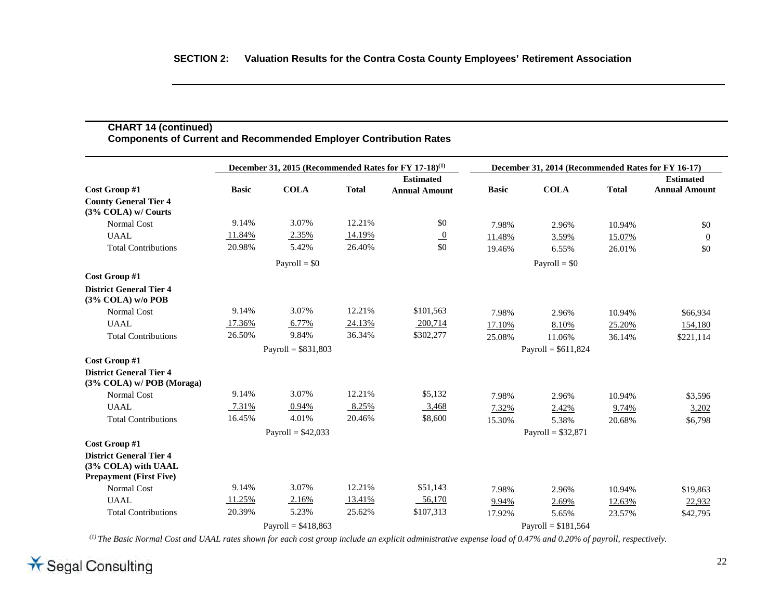| <b>Components of Current and Recommended Employer Contribution Rates</b>                |              |                      |              |                                                                   |                      |                                                    |              |                                          |
|-----------------------------------------------------------------------------------------|--------------|----------------------|--------------|-------------------------------------------------------------------|----------------------|----------------------------------------------------|--------------|------------------------------------------|
|                                                                                         |              |                      |              | December 31, 2015 (Recommended Rates for FY 17-18) <sup>(1)</sup> |                      | December 31, 2014 (Recommended Rates for FY 16-17) |              |                                          |
| Cost Group #1                                                                           | <b>Basic</b> | <b>COLA</b>          | <b>Total</b> | <b>Estimated</b><br><b>Annual Amount</b>                          | <b>Basic</b>         | <b>COLA</b>                                        | <b>Total</b> | <b>Estimated</b><br><b>Annual Amount</b> |
| <b>County General Tier 4</b><br>(3% COLA) w/ Courts                                     |              |                      |              |                                                                   |                      |                                                    |              |                                          |
| <b>Normal Cost</b>                                                                      | 9.14%        | 3.07%                | 12.21%       | \$0                                                               | 7.98%                | 2.96%                                              | 10.94%       | \$0                                      |
| <b>UAAL</b>                                                                             | 11.84%       | 2.35%                | 14.19%       | $\overline{0}$                                                    | 11.48%               | 3.59%                                              | 15.07%       | $\overline{0}$                           |
| <b>Total Contributions</b>                                                              | 20.98%       | 5.42%                | 26.40%       | \$0                                                               | 19.46%               | 6.55%                                              | 26.01%       | \$0                                      |
|                                                                                         |              | Payroll = $$0$       |              |                                                                   |                      | $Payroll = $0$                                     |              |                                          |
| Cost Group #1                                                                           |              |                      |              |                                                                   |                      |                                                    |              |                                          |
| <b>District General Tier 4</b><br>$(3\%$ COLA) w/o POB                                  |              |                      |              |                                                                   |                      |                                                    |              |                                          |
| <b>Normal Cost</b>                                                                      | 9.14%        | 3.07%                | 12.21%       | \$101,563                                                         | 7.98%                | 2.96%                                              | 10.94%       | \$66,934                                 |
| <b>UAAL</b>                                                                             | 17.36%       | 6.77%                | 24.13%       | 200,714                                                           | 17.10%               | 8.10%                                              | 25.20%       | 154,180                                  |
| <b>Total Contributions</b>                                                              | 26.50%       | 9.84%                | 36.34%       | \$302,277                                                         | 25.08%               | 11.06%                                             | 36.14%       | \$221,114                                |
|                                                                                         |              | Payroll = $$831,803$ |              |                                                                   | Payroll = $$611,824$ |                                                    |              |                                          |
| Cost Group #1                                                                           |              |                      |              |                                                                   |                      |                                                    |              |                                          |
| <b>District General Tier 4</b><br>(3% COLA) w/POB (Moraga)                              |              |                      |              |                                                                   |                      |                                                    |              |                                          |
| <b>Normal Cost</b>                                                                      | 9.14%        | 3.07%                | 12.21%       | \$5,132                                                           | 7.98%                | 2.96%                                              | 10.94%       | \$3,596                                  |
| <b>UAAL</b>                                                                             | 7.31%        | 0.94%                | 8.25%        | 3,468                                                             | 7.32%                | 2.42%                                              | 9.74%        | 3,202                                    |
| <b>Total Contributions</b>                                                              | 16.45%       | 4.01%                | 20.46%       | \$8,600                                                           | 15.30%               | 5.38%                                              | 20.68%       | \$6,798                                  |
|                                                                                         |              | Payroll = $$42,033$  |              |                                                                   |                      | Payroll = $$32,871$                                |              |                                          |
| Cost Group #1                                                                           |              |                      |              |                                                                   |                      |                                                    |              |                                          |
| <b>District General Tier 4</b><br>(3% COLA) with UAAL<br><b>Prepayment (First Five)</b> |              |                      |              |                                                                   |                      |                                                    |              |                                          |
| Normal Cost                                                                             | 9.14%        | 3.07%                | 12.21%       | \$51,143                                                          | 7.98%                | 2.96%                                              | 10.94%       | \$19,863                                 |
| <b>UAAL</b>                                                                             | 11.25%       | 2.16%                | 13.41%       | 56,170                                                            | 9.94%                | 2.69%                                              | 12.63%       | 22,932                                   |
| <b>Total Contributions</b>                                                              | 20.39%       | 5.23%                | 25.62%       | \$107,313                                                         | 17.92%               | 5.65%                                              | 23.57%       | \$42,795                                 |
|                                                                                         |              | Payroll = $$418,863$ |              |                                                                   |                      | Payroll = $$181,564$                               |              |                                          |

*(1) The Basic Normal Cost and UAAL rates shown for each cost group include an explicit administrative expense load of 0.47% and 0.20% of payroll, respectively.*

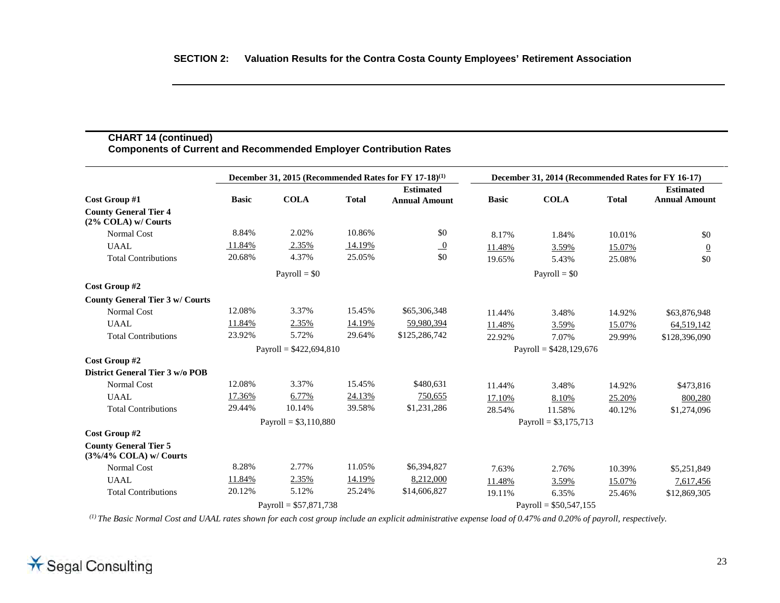#### **CHART 14 (continued) Components of Current and Recommended Employer Contribution Rates**

|                                                            | December 31, 2015 (Recommended Rates for FY 17-18) <sup>(1)</sup> |                          |              |                      |                          | December 31, 2014 (Recommended Rates for FY 16-17) |              |                      |
|------------------------------------------------------------|-------------------------------------------------------------------|--------------------------|--------------|----------------------|--------------------------|----------------------------------------------------|--------------|----------------------|
|                                                            |                                                                   |                          |              | <b>Estimated</b>     |                          |                                                    |              | <b>Estimated</b>     |
| Cost Group #1                                              | <b>Basic</b>                                                      | <b>COLA</b>              | <b>Total</b> | <b>Annual Amount</b> | <b>Basic</b>             | <b>COLA</b>                                        | <b>Total</b> | <b>Annual Amount</b> |
| <b>County General Tier 4</b><br>$(2\%$ COLA) w/ Courts     |                                                                   |                          |              |                      |                          |                                                    |              |                      |
| <b>Normal Cost</b>                                         | 8.84%                                                             | 2.02%                    | 10.86%       | \$0                  | 8.17%                    | 1.84%                                              | 10.01%       | \$0                  |
| <b>UAAL</b>                                                | 11.84%                                                            | 2.35%                    | 14.19%       | $\overline{0}$       | 11.48%                   | 3.59%                                              | 15.07%       | $\overline{0}$       |
| <b>Total Contributions</b>                                 | 20.68%                                                            | 4.37%                    | 25.05%       | \$0                  | 19.65%                   | 5.43%                                              | 25.08%       | \$0                  |
|                                                            |                                                                   | Payroll = $$0$           |              |                      |                          | $Payroll = $0$                                     |              |                      |
| Cost Group #2                                              |                                                                   |                          |              |                      |                          |                                                    |              |                      |
| <b>County General Tier 3 w/ Courts</b>                     |                                                                   |                          |              |                      |                          |                                                    |              |                      |
| <b>Normal Cost</b>                                         | 12.08%                                                            | 3.37%                    | 15.45%       | \$65,306,348         | 11.44%                   | 3.48%                                              | 14.92%       | \$63,876,948         |
| <b>UAAL</b>                                                | 11.84%                                                            | 2.35%                    | 14.19%       | 59,980,394           | 11.48%                   | 3.59%                                              | 15.07%       | 64,519,142           |
| <b>Total Contributions</b>                                 | 23.92%                                                            | 5.72%                    | 29.64%       | \$125,286,742        | 22.92%                   | 7.07%                                              | 29.99%       | \$128,396,090        |
|                                                            |                                                                   | Payroll = $$422,694,810$ |              |                      | Payroll = $$428,129,676$ |                                                    |              |                      |
| Cost Group #2                                              |                                                                   |                          |              |                      |                          |                                                    |              |                      |
| District General Tier 3 w/o POB                            |                                                                   |                          |              |                      |                          |                                                    |              |                      |
| <b>Normal Cost</b>                                         | 12.08%                                                            | 3.37%                    | 15.45%       | \$480,631            | 11.44%                   | 3.48%                                              | 14.92%       | \$473,816            |
| <b>UAAL</b>                                                | 17.36%                                                            | 6.77%                    | 24.13%       | 750,655              | 17.10%                   | 8.10%                                              | 25.20%       | 800,280              |
| <b>Total Contributions</b>                                 | 29.44%                                                            | 10.14%                   | 39.58%       | \$1,231,286          | 28.54%                   | 11.58%                                             | 40.12%       | \$1,274,096          |
|                                                            |                                                                   | Payroll = $$3,110,880$   |              |                      |                          | Payroll = $$3,175,713$                             |              |                      |
| Cost Group #2                                              |                                                                   |                          |              |                      |                          |                                                    |              |                      |
| <b>County General Tier 5</b><br>$(3\%/4\%$ COLA) w/ Courts |                                                                   |                          |              |                      |                          |                                                    |              |                      |
| <b>Normal Cost</b>                                         | 8.28%                                                             | 2.77%                    | 11.05%       | \$6,394,827          | 7.63%                    | 2.76%                                              | 10.39%       | \$5,251,849          |
| <b>UAAL</b>                                                | 11.84%                                                            | 2.35%                    | 14.19%       | 8,212,000            | 11.48%                   | 3.59%                                              | 15.07%       | 7,617,456            |
| <b>Total Contributions</b>                                 | 20.12%                                                            | 5.12%                    | 25.24%       | \$14,606,827         | 19.11%                   | 6.35%                                              | 25.46%       | \$12,869,305         |
|                                                            |                                                                   | Payroll = $$57,871,738$  |              |                      |                          | Payroll = $$50,547,155$                            |              |                      |

*(1) The Basic Normal Cost and UAAL rates shown for each cost group include an explicit administrative expense load of 0.47% and 0.20% of payroll, respectively.*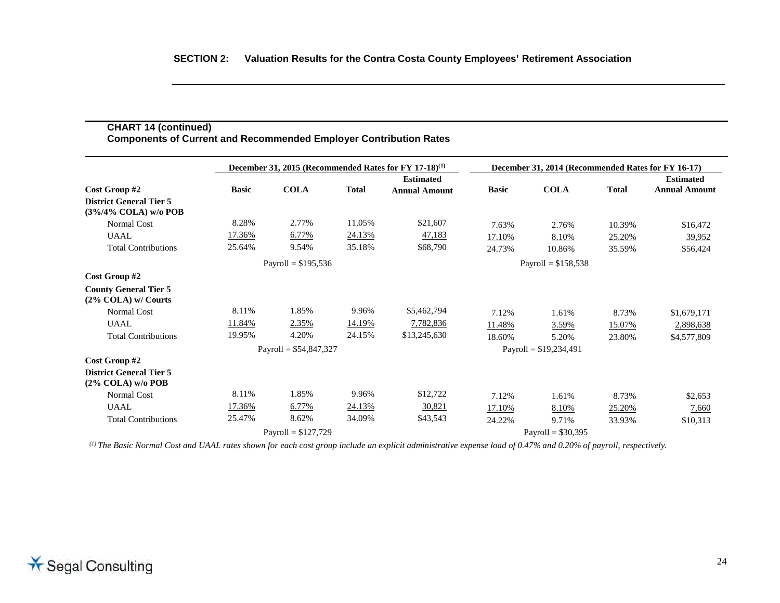| Cost Group #2                                          | December 31, 2015 (Recommended Rates for FY 17-18) <sup>(1)</sup> |             |               |                                          | December 31, 2014 (Recommended Rates for FY 16-17) |             |              |                                          |
|--------------------------------------------------------|-------------------------------------------------------------------|-------------|---------------|------------------------------------------|----------------------------------------------------|-------------|--------------|------------------------------------------|
|                                                        | <b>Basic</b>                                                      | <b>COLA</b> | <b>Total</b>  | <b>Estimated</b><br><b>Annual Amount</b> | <b>Basic</b>                                       | <b>COLA</b> | <b>Total</b> | <b>Estimated</b><br><b>Annual Amount</b> |
| <b>District General Tier 5</b><br>(3%/4% COLA) w/o POB |                                                                   |             |               |                                          |                                                    |             |              |                                          |
| Normal Cost                                            | 8.28%                                                             | 2.77%       | 11.05%        | \$21,607                                 | 7.63%                                              | 2.76%       | 10.39%       | \$16,472                                 |
| <b>UAAL</b>                                            | 17.36%                                                            | 6.77%       | <u>24.13%</u> | 47,183                                   | 17.10%                                             | 8.10%       | 25.20%       | 39,952                                   |
| <b>Total Contributions</b>                             | 25.64%                                                            | 9.54%       | 35.18%        | \$68,790                                 | 24.73%                                             | 10.86%      | 35.59%       | \$56,424                                 |
|                                                        | Payroll = $$195,536$                                              |             |               | Payroll = $$158,538$                     |                                                    |             |              |                                          |
| Cost Group #2                                          |                                                                   |             |               |                                          |                                                    |             |              |                                          |
| <b>County General Tier 5</b><br>$(2\%$ COLA) w/ Courts |                                                                   |             |               |                                          |                                                    |             |              |                                          |
| <b>Normal Cost</b>                                     | 8.11%                                                             | 1.85%       | 9.96%         | \$5,462,794                              | 7.12%                                              | 1.61%       | 8.73%        | \$1,679,171                              |
| <b>UAAL</b>                                            | 11.84%                                                            | 2.35%       | 14.19%        | 7,782,836                                | 11.48%                                             | 3.59%       | 15.07%       | 2,898,638                                |
| <b>Total Contributions</b>                             | 19.95%                                                            | 4.20%       | 24.15%        | \$13,245,630                             | 18.60%                                             | 5.20%       | 23.80%       | \$4,577,809                              |
|                                                        | Payroll = $$54,847,327$                                           |             |               |                                          | Payroll = $$19,234,491$                            |             |              |                                          |
| Cost Group #2                                          |                                                                   |             |               |                                          |                                                    |             |              |                                          |
| <b>District General Tier 5</b><br>$(2\%$ COLA) w/o POB |                                                                   |             |               |                                          |                                                    |             |              |                                          |
| <b>Normal Cost</b>                                     | 8.11%                                                             | 1.85%       | 9.96%         | \$12,722                                 | 7.12%                                              | 1.61%       | 8.73%        | \$2,653                                  |
| <b>UAAL</b>                                            | 17.36%                                                            | 6.77%       | 24.13%        | 30,821                                   | 17.10%                                             | 8.10%       | 25.20%       | 7,660                                    |
| <b>Total Contributions</b>                             | 25.47%                                                            | 8.62%       | 34.09%        | \$43,543                                 | 24.22%                                             | 9.71%       | 33.93%       | \$10,313                                 |
|                                                        | Payroll = $$127,729$                                              |             |               |                                          | Payroll = $$30,395$                                |             |              |                                          |

*(1) The Basic Normal Cost and UAAL rates shown for each cost group include an explicit administrative expense load of 0.47% and 0.20% of payroll, respectively.*

**CHART 14 (continued)**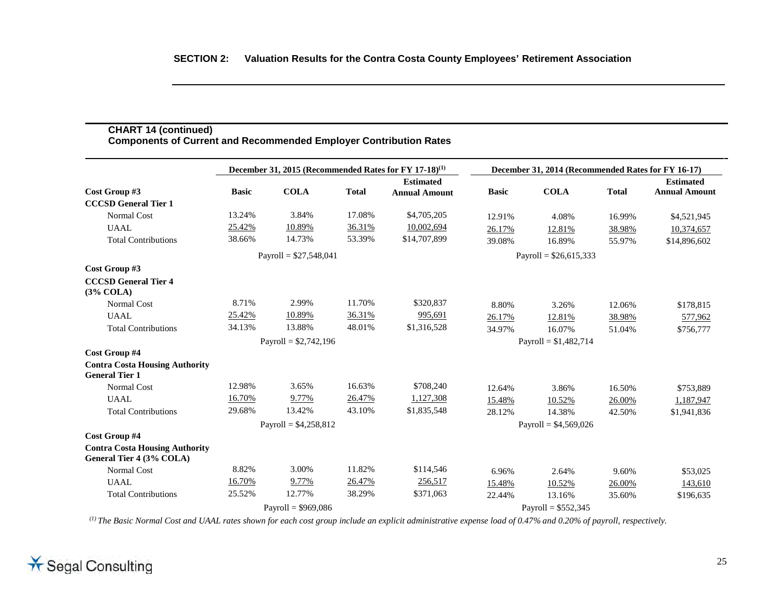|                                                                   |              |                        |                         | December 31, 2015 (Recommended Rates for FY 17-18) <sup>(1)</sup> |                        | December 31, 2014 (Recommended Rates for FY 16-17) |              |                      |
|-------------------------------------------------------------------|--------------|------------------------|-------------------------|-------------------------------------------------------------------|------------------------|----------------------------------------------------|--------------|----------------------|
|                                                                   |              |                        |                         | <b>Estimated</b>                                                  |                        |                                                    |              | <b>Estimated</b>     |
| Cost Group #3                                                     | <b>Basic</b> | <b>COLA</b>            | <b>Total</b>            | <b>Annual Amount</b>                                              | <b>Basic</b>           | <b>COLA</b>                                        | <b>Total</b> | <b>Annual Amount</b> |
| <b>CCCSD General Tier 1</b>                                       |              |                        |                         |                                                                   |                        |                                                    |              |                      |
| <b>Normal Cost</b>                                                | 13.24%       | 3.84%                  | 17.08%                  | \$4,705,205                                                       | 12.91%                 | 4.08%                                              | 16.99%       | \$4,521,945          |
| <b>UAAL</b>                                                       | 25.42%       | 10.89%                 | 36.31%                  | 10,002,694                                                        | 26.17%                 | 12.81%                                             | 38.98%       | 10,374,657           |
| <b>Total Contributions</b>                                        | 38.66%       | 14.73%                 | 53.39%                  | \$14,707,899                                                      | 39.08%                 | 16.89%                                             | 55.97%       | \$14,896,602         |
| Payroll = $$27,548,041$                                           |              |                        | Payroll = $$26,615,333$ |                                                                   |                        |                                                    |              |                      |
| Cost Group #3                                                     |              |                        |                         |                                                                   |                        |                                                    |              |                      |
| <b>CCCSD General Tier 4</b><br>(3% COLA)                          |              |                        |                         |                                                                   |                        |                                                    |              |                      |
| <b>Normal Cost</b>                                                | 8.71%        | 2.99%                  | 11.70%                  | \$320,837                                                         | 8.80%                  | 3.26%                                              | 12.06%       | \$178,815            |
| <b>UAAL</b>                                                       | 25.42%       | 10.89%                 | 36.31%                  | 995,691                                                           | 26.17%                 | 12.81%                                             | 38.98%       | 577,962              |
| <b>Total Contributions</b>                                        | 34.13%       | 13.88%                 | 48.01%                  | \$1,316,528                                                       | 34.97%                 | 16.07%                                             | 51.04%       | \$756,777            |
|                                                                   |              | Payroll = $$2,742,196$ |                         |                                                                   |                        | Payroll = $$1,482,714$                             |              |                      |
| Cost Group #4                                                     |              |                        |                         |                                                                   |                        |                                                    |              |                      |
| <b>Contra Costa Housing Authority</b><br><b>General Tier 1</b>    |              |                        |                         |                                                                   |                        |                                                    |              |                      |
| <b>Normal Cost</b>                                                | 12.98%       | 3.65%                  | 16.63%                  | \$708,240                                                         | 12.64%                 | 3.86%                                              | 16.50%       | \$753,889            |
| <b>UAAL</b>                                                       | 16.70%       | 9.77%                  | 26.47%                  | 1,127,308                                                         | 15.48%                 | 10.52%                                             | 26.00%       | 1,187,947            |
| <b>Total Contributions</b>                                        | 29.68%       | 13.42%                 | 43.10%                  | \$1,835,548                                                       | 28.12%                 | 14.38%                                             | 42.50%       | \$1,941,836          |
|                                                                   |              | Payroll = $$4,258,812$ |                         |                                                                   | Payroll = $$4,569,026$ |                                                    |              |                      |
| Cost Group #4                                                     |              |                        |                         |                                                                   |                        |                                                    |              |                      |
| <b>Contra Costa Housing Authority</b><br>General Tier 4 (3% COLA) |              |                        |                         |                                                                   |                        |                                                    |              |                      |
| Normal Cost                                                       | 8.82%        | 3.00%                  | 11.82%                  | \$114,546                                                         | 6.96%                  | 2.64%                                              | 9.60%        | \$53,025             |
| <b>UAAL</b>                                                       | 16.70%       | 9.77%                  | 26.47%                  | 256,517                                                           | 15.48%                 | 10.52%                                             | 26.00%       | 143,610              |
| <b>Total Contributions</b>                                        | 25.52%       | 12.77%                 | 38.29%                  | \$371,063                                                         | 22.44%                 | 13.16%                                             | 35.60%       | \$196,635            |
|                                                                   |              | Payroll = $$969,086$   |                         |                                                                   |                        | Payroll = $$552,345$                               |              |                      |

**CHART 14 (continued)**

Щ,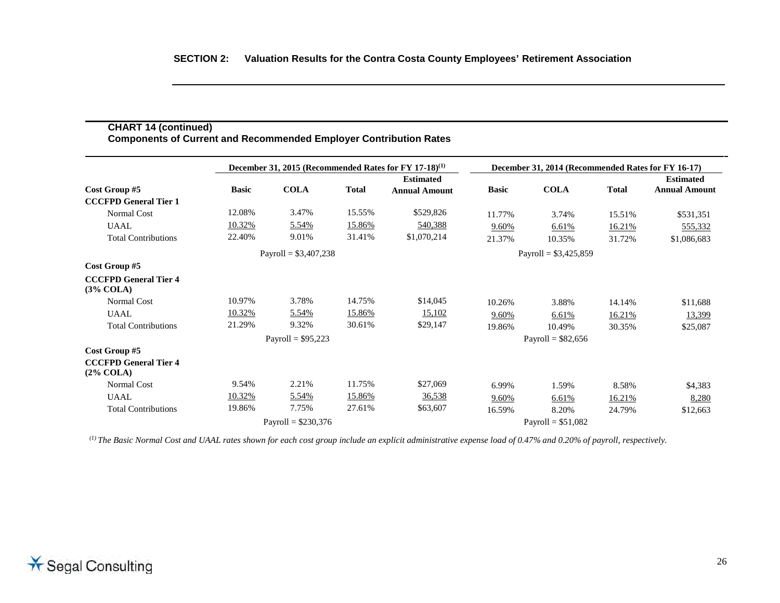|                                              |                        |                      |              | December 31, 2015 (Recommended Rates for FY 17-18) <sup>(1)</sup> | December 31, 2014 (Recommended Rates for FY 16-17) |                        |              |                                          |
|----------------------------------------------|------------------------|----------------------|--------------|-------------------------------------------------------------------|----------------------------------------------------|------------------------|--------------|------------------------------------------|
| Cost Group #5                                | <b>Basic</b>           | <b>COLA</b>          | <b>Total</b> | <b>Estimated</b><br><b>Annual Amount</b>                          | <b>Basic</b>                                       | <b>COLA</b>            | <b>Total</b> | <b>Estimated</b><br><b>Annual Amount</b> |
| <b>CCCFPD General Tier 1</b>                 | 12.08%                 | 3.47%                | 15.55%       | \$529,826                                                         |                                                    |                        |              |                                          |
| <b>Normal Cost</b>                           |                        |                      |              |                                                                   | 11.77%                                             | 3.74%                  | 15.51%       | \$531,351                                |
| <b>UAAL</b>                                  | 10.32%                 | 5.54%                | 15.86%       | 540,388                                                           | 9.60%                                              | 6.61%                  | 16.21%       | 555,332                                  |
| <b>Total Contributions</b>                   | 22.40%                 | 9.01%                | 31.41%       | \$1,070,214                                                       | 21.37%                                             | 10.35%                 | 31.72%       | \$1,086,683                              |
|                                              | Payroll = $$3,407,238$ |                      |              |                                                                   |                                                    | Payroll = $$3,425,859$ |              |                                          |
| Cost Group #5                                |                        |                      |              |                                                                   |                                                    |                        |              |                                          |
| <b>CCCFPD General Tier 4</b><br>$(3\%$ COLA) |                        |                      |              |                                                                   |                                                    |                        |              |                                          |
| <b>Normal Cost</b>                           | 10.97%                 | 3.78%                | 14.75%       | \$14,045                                                          | 10.26%                                             | 3.88%                  | 14.14%       | \$11,688                                 |
| <b>UAAL</b>                                  | 10.32%                 | 5.54%                | 15.86%       | 15,102                                                            | 9.60%                                              | 6.61%                  | 16.21%       | 13,399                                   |
| <b>Total Contributions</b>                   | 21.29%                 | 9.32%                | 30.61%       | \$29,147                                                          | 19.86%                                             | 10.49%                 | 30.35%       | \$25,087                                 |
|                                              |                        | Payroll = $$95,223$  |              |                                                                   |                                                    | Payroll = $$82,656$    |              |                                          |
| Cost Group #5                                |                        |                      |              |                                                                   |                                                    |                        |              |                                          |
| <b>CCCFPD General Tier 4</b><br>$(2\%$ COLA) |                        |                      |              |                                                                   |                                                    |                        |              |                                          |
| Normal Cost                                  | 9.54%                  | 2.21%                | 11.75%       | \$27,069                                                          | 6.99%                                              | 1.59%                  | 8.58%        | \$4,383                                  |
| <b>UAAL</b>                                  | 10.32%                 | 5.54%                | 15.86%       | 36,538                                                            | 9.60%                                              | 6.61%                  | 16.21%       | 8,280                                    |
| <b>Total Contributions</b>                   | 19.86%                 | 7.75%                | 27.61%       | \$63,607                                                          | 16.59%                                             | 8.20%                  | 24.79%       | \$12,663                                 |
|                                              |                        | Payroll = $$230,376$ |              |                                                                   |                                                    | Payroll = $$51,082$    |              |                                          |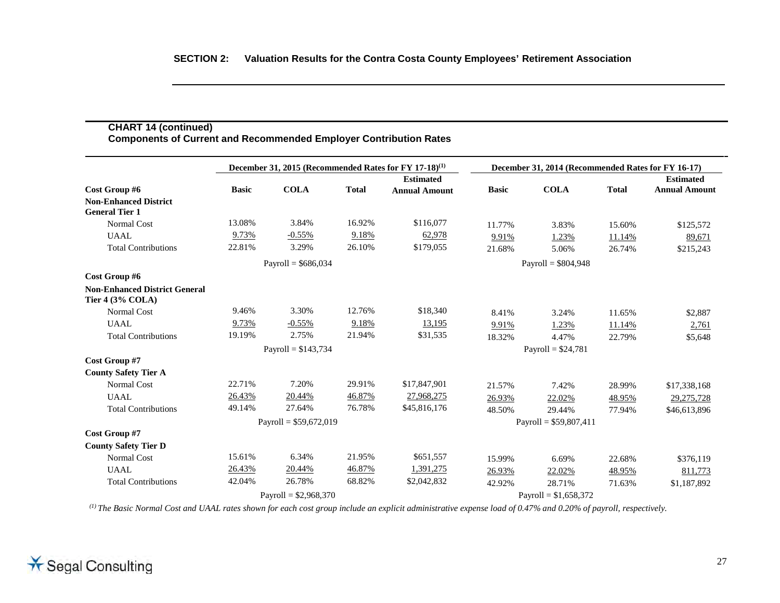|                                                                 |              |                         |              | December 31, 2015 (Recommended Rates for FY 17-18) <sup>(1)</sup> |                      | December 31, 2014 (Recommended Rates for FY 16-17) |              |                                          |
|-----------------------------------------------------------------|--------------|-------------------------|--------------|-------------------------------------------------------------------|----------------------|----------------------------------------------------|--------------|------------------------------------------|
| Cost Group #6                                                   | <b>Basic</b> | <b>COLA</b>             | <b>Total</b> | <b>Estimated</b><br><b>Annual Amount</b>                          | <b>Basic</b>         | <b>COLA</b>                                        | <b>Total</b> | <b>Estimated</b><br><b>Annual Amount</b> |
| <b>Non-Enhanced District</b><br><b>General Tier 1</b>           |              |                         |              |                                                                   |                      |                                                    |              |                                          |
| Normal Cost                                                     | 13.08%       | 3.84%                   | 16.92%       | \$116,077                                                         | 11.77%               | 3.83%                                              | 15.60%       | \$125,572                                |
| <b>UAAL</b>                                                     | 9.73%        | $-0.55%$                | 9.18%        | 62,978                                                            | 9.91%                | 1.23%                                              | 11.14%       | 89,671                                   |
| <b>Total Contributions</b>                                      | 22.81%       | 3.29%                   | 26.10%       | \$179,055                                                         | 21.68%               | 5.06%                                              | 26.74%       | \$215,243                                |
|                                                                 |              | Payroll = $$686,034$    |              |                                                                   | Payroll = $$804,948$ |                                                    |              |                                          |
| Cost Group #6                                                   |              |                         |              |                                                                   |                      |                                                    |              |                                          |
| <b>Non-Enhanced District General</b><br><b>Tier 4 (3% COLA)</b> |              |                         |              |                                                                   |                      |                                                    |              |                                          |
| <b>Normal Cost</b>                                              | 9.46%        | 3.30%                   | 12.76%       | \$18,340                                                          | 8.41%                | 3.24%                                              | 11.65%       | \$2,887                                  |
| <b>UAAL</b>                                                     | 9.73%        | $-0.55%$                | 9.18%        | 13,195                                                            | 9.91%                | 1.23%                                              | 11.14%       | 2,761                                    |
| <b>Total Contributions</b>                                      | 19.19%       | 2.75%                   | 21.94%       | \$31,535                                                          | 18.32%               | 4.47%                                              | 22.79%       | \$5,648                                  |
|                                                                 |              | Payroll = $$143,734$    |              |                                                                   | Payroll = $$24,781$  |                                                    |              |                                          |
| Cost Group #7                                                   |              |                         |              |                                                                   |                      |                                                    |              |                                          |
| <b>County Safety Tier A</b>                                     |              |                         |              |                                                                   |                      |                                                    |              |                                          |
| <b>Normal Cost</b>                                              | 22.71%       | 7.20%                   | 29.91%       | \$17,847,901                                                      | 21.57%               | 7.42%                                              | 28.99%       | \$17,338,168                             |
| <b>UAAL</b>                                                     | 26.43%       | 20.44%                  | 46.87%       | 27,968,275                                                        | 26.93%               | 22.02%                                             | 48.95%       | 29,275,728                               |
| <b>Total Contributions</b>                                      | 49.14%       | 27.64%                  | 76.78%       | \$45,816,176                                                      | 48.50%               | 29.44%                                             | 77.94%       | \$46,613,896                             |
|                                                                 |              | Payroll = $$59,672,019$ |              |                                                                   |                      | Payroll = $$59,807,411$                            |              |                                          |
| Cost Group #7                                                   |              |                         |              |                                                                   |                      |                                                    |              |                                          |
| <b>County Safety Tier D</b>                                     |              |                         |              |                                                                   |                      |                                                    |              |                                          |
| <b>Normal Cost</b>                                              | 15.61%       | 6.34%                   | 21.95%       | \$651,557                                                         | 15.99%               | 6.69%                                              | 22.68%       | \$376,119                                |
| <b>UAAL</b>                                                     | 26.43%       | 20.44%                  | 46.87%       | 1,391,275                                                         | 26.93%               | 22.02%                                             | 48.95%       | 811,773                                  |
| <b>Total Contributions</b>                                      | 42.04%       | 26.78%                  | 68.82%       | \$2,042,832                                                       | 42.92%               | 28.71%                                             | 71.63%       | \$1,187,892                              |
|                                                                 |              | Payroll = $$2,968,370$  |              |                                                                   |                      | Payroll = $$1,658,372$                             |              |                                          |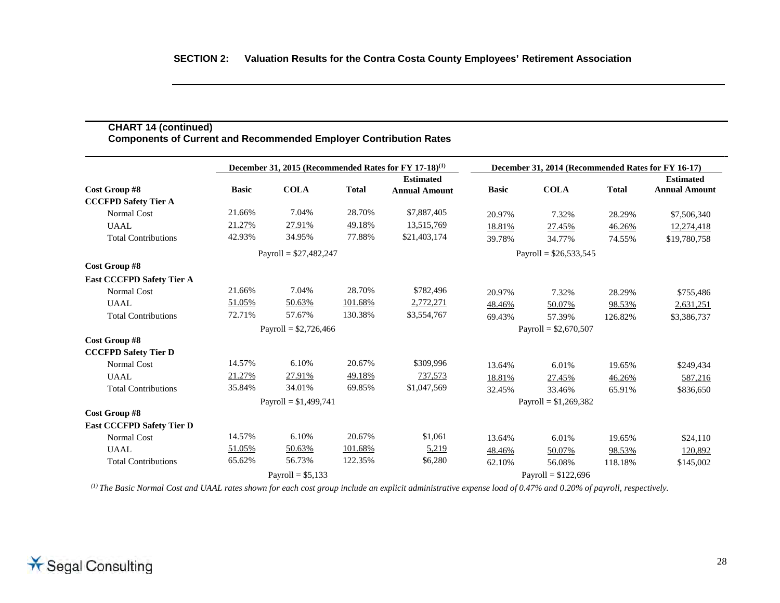|                                  |                         |                        |              | December 31, 2015 (Recommended Rates for FY 17-18) <sup>(1)</sup> | December 31, 2014 (Recommended Rates for FY 16-17) |                         |              |                                          |
|----------------------------------|-------------------------|------------------------|--------------|-------------------------------------------------------------------|----------------------------------------------------|-------------------------|--------------|------------------------------------------|
| Cost Group #8                    | <b>Basic</b>            | <b>COLA</b>            | <b>Total</b> | <b>Estimated</b><br><b>Annual Amount</b>                          | <b>Basic</b>                                       | <b>COLA</b>             | <b>Total</b> | <b>Estimated</b><br><b>Annual Amount</b> |
| <b>CCCFPD Safety Tier A</b>      |                         |                        |              |                                                                   |                                                    |                         |              |                                          |
| <b>Normal Cost</b>               | 21.66%                  | 7.04%                  | 28.70%       | \$7,887,405                                                       | 20.97%                                             | 7.32%                   | 28.29%       | \$7,506,340                              |
| <b>UAAL</b>                      | 21.27%                  | 27.91%                 | 49.18%       | 13,515,769                                                        | 18.81%                                             | 27.45%                  | 46.26%       | 12,274,418                               |
| <b>Total Contributions</b>       | 42.93%                  | 34.95%                 | 77.88%       | \$21,403,174                                                      | 39.78%                                             | 34.77%                  | 74.55%       | \$19,780,758                             |
|                                  | Payroll = $$27,482,247$ |                        |              |                                                                   |                                                    | Payroll = $$26,533,545$ |              |                                          |
| Cost Group #8                    |                         |                        |              |                                                                   |                                                    |                         |              |                                          |
| <b>East CCCFPD Safety Tier A</b> |                         |                        |              |                                                                   |                                                    |                         |              |                                          |
| <b>Normal Cost</b>               | 21.66%                  | 7.04%                  | 28.70%       | \$782,496                                                         | 20.97%                                             | 7.32%                   | 28.29%       | \$755,486                                |
| <b>UAAL</b>                      | 51.05%                  | 50.63%                 | 101.68%      | 2,772,271                                                         | 48.46%                                             | 50.07%                  | 98.53%       | 2,631,251                                |
| <b>Total Contributions</b>       | 72.71%                  | 57.67%                 | 130.38%      | \$3,554,767                                                       | 69.43%                                             | 57.39%                  | 126.82%      | \$3,386,737                              |
|                                  |                         | Payroll = $$2,726,466$ |              |                                                                   | Payroll = $$2,670,507$                             |                         |              |                                          |
| Cost Group #8                    |                         |                        |              |                                                                   |                                                    |                         |              |                                          |
| <b>CCCFPD Safety Tier D</b>      |                         |                        |              |                                                                   |                                                    |                         |              |                                          |
| <b>Normal Cost</b>               | 14.57%                  | 6.10%                  | 20.67%       | \$309,996                                                         | 13.64%                                             | 6.01%                   | 19.65%       | \$249,434                                |
| UAAL                             | 21.27%                  | 27.91%                 | 49.18%       | 737,573                                                           | 18.81%                                             | 27.45%                  | 46.26%       | 587,216                                  |
| <b>Total Contributions</b>       | 35.84%                  | 34.01%                 | 69.85%       | \$1,047,569                                                       | 32.45%                                             | 33.46%                  | 65.91%       | \$836,650                                |
|                                  |                         | Payroll = $$1,499,741$ |              |                                                                   |                                                    | Payroll = $$1,269,382$  |              |                                          |
| Cost Group #8                    |                         |                        |              |                                                                   |                                                    |                         |              |                                          |
| <b>East CCCFPD Safety Tier D</b> |                         |                        |              |                                                                   |                                                    |                         |              |                                          |
| Normal Cost                      | 14.57%                  | 6.10%                  | 20.67%       | \$1,061                                                           | 13.64%                                             | 6.01%                   | 19.65%       | \$24,110                                 |
| <b>UAAL</b>                      | 51.05%                  | 50.63%                 | 101.68%      | 5,219                                                             | 48.46%                                             | 50.07%                  | 98.53%       | 120,892                                  |
| <b>Total Contributions</b>       | 65.62%                  | 56.73%                 | 122.35%      | \$6,280                                                           | 62.10%                                             | 56.08%                  | 118.18%      | \$145,002                                |
|                                  |                         | Payroll = $$5,133$     |              |                                                                   |                                                    | Payroll = $$122,696$    |              |                                          |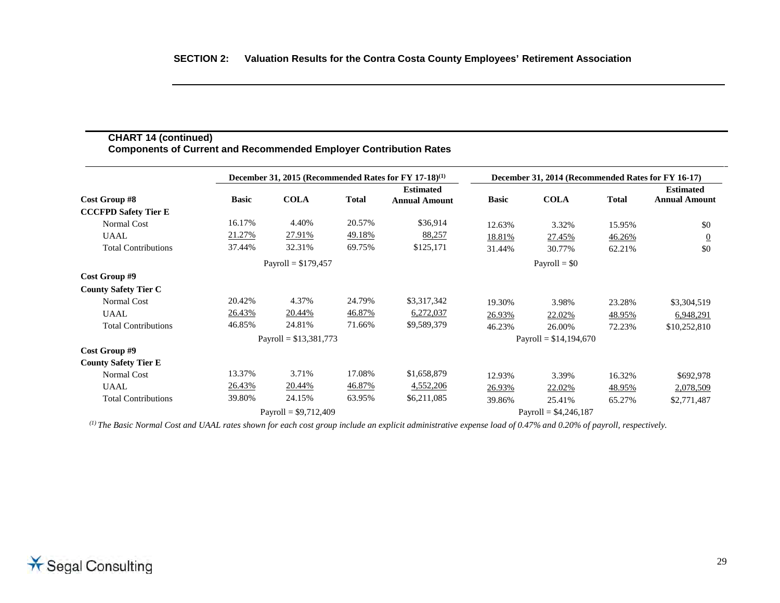## **CHART 14 (continued) Components of Current and Recommended Employer Contribution Rates**

|                             |              | December 31, 2015 (Recommended Rates for FY 17-18) <sup>(1)</sup> |              |                      |                         | December 31, 2014 (Recommended Rates for FY 16-17) |              |                      |
|-----------------------------|--------------|-------------------------------------------------------------------|--------------|----------------------|-------------------------|----------------------------------------------------|--------------|----------------------|
|                             |              |                                                                   |              | <b>Estimated</b>     |                         |                                                    |              | <b>Estimated</b>     |
| Cost Group #8               | <b>Basic</b> | <b>COLA</b>                                                       | <b>Total</b> | <b>Annual Amount</b> | <b>Basic</b>            | <b>COLA</b>                                        | <b>Total</b> | <b>Annual Amount</b> |
| <b>CCCFPD Safety Tier E</b> |              |                                                                   |              |                      |                         |                                                    |              |                      |
| Normal Cost                 | 16.17%       | 4.40%                                                             | 20.57%       | \$36,914             | 12.63%                  | 3.32%                                              | 15.95%       | \$0                  |
| <b>UAAL</b>                 | 21.27%       | 27.91%                                                            | 49.18%       | 88,257               | 18.81%                  | 27.45%                                             | 46.26%       | $\overline{0}$       |
| <b>Total Contributions</b>  | 37.44%       | 32.31%                                                            | 69.75%       | \$125,171            | 31.44%                  | 30.77%                                             | 62.21%       | \$0                  |
|                             |              | Payroll = $$179,457$                                              |              |                      | Payroll = $$0$          |                                                    |              |                      |
| Cost Group #9               |              |                                                                   |              |                      |                         |                                                    |              |                      |
| <b>County Safety Tier C</b> |              |                                                                   |              |                      |                         |                                                    |              |                      |
| Normal Cost                 | 20.42%       | 4.37%                                                             | 24.79%       | \$3,317,342          | 19.30%                  | 3.98%                                              | 23.28%       | \$3,304,519          |
| <b>UAAL</b>                 | 26.43%       | 20.44 <sup>%</sup>                                                | 46.87%       | 6,272,037            | 26.93%                  | 22.02%                                             | 48.95%       | 6,948,291            |
| <b>Total Contributions</b>  | 46.85%       | 24.81%                                                            | 71.66%       | \$9,589,379          | 46.23%                  | 26.00%                                             | 72.23%       | \$10,252,810         |
|                             |              | Payroll = $$13,381,773$                                           |              |                      | Payroll = $$14,194,670$ |                                                    |              |                      |
| Cost Group #9               |              |                                                                   |              |                      |                         |                                                    |              |                      |
| <b>County Safety Tier E</b> |              |                                                                   |              |                      |                         |                                                    |              |                      |
| Normal Cost                 | 13.37%       | 3.71%                                                             | 17.08%       | \$1,658,879          | 12.93%                  | 3.39%                                              | 16.32%       | \$692,978            |
| <b>UAAL</b>                 | 26.43%       | 20.44%                                                            | 46.87%       | 4,552,206            | 26.93%                  | 22.02%                                             | 48.95%       | 2,078,509            |
| <b>Total Contributions</b>  | 39.80%       | 24.15%                                                            | 63.95%       | \$6,211,085          | 39.86%                  | 25.41%                                             | 65.27%       | \$2,771,487          |
|                             |              | Payroll = $$9,712,409$                                            |              |                      |                         | Payroll = $$4,246,187$                             |              |                      |

*(1) The Basic Normal Cost and UAAL rates shown for each cost group include an explicit administrative expense load of 0.47% and 0.20% of payroll, respectively.*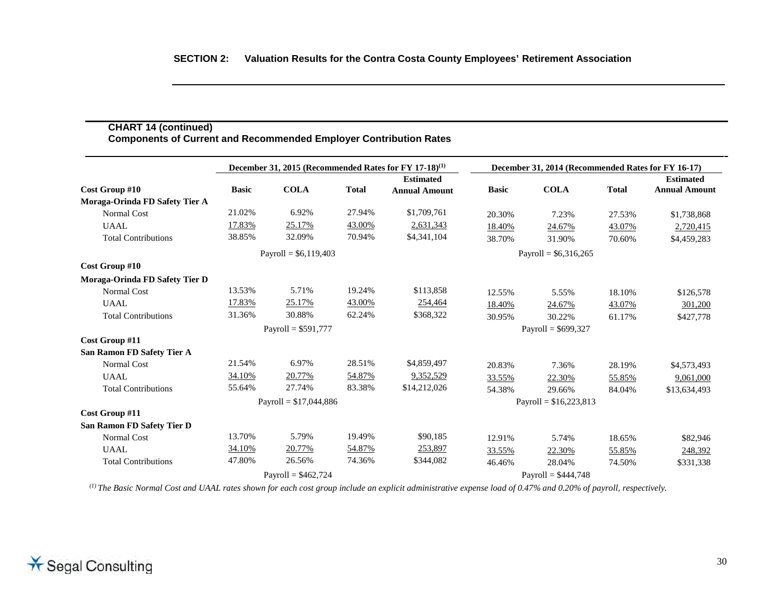|                                   |                      |                         |              | December 31, 2015 (Recommended Rates for FY 17-18) <sup>(1)</sup> |                         | December 31, 2014 (Recommended Rates for FY 16-17) |              |                                          |  |
|-----------------------------------|----------------------|-------------------------|--------------|-------------------------------------------------------------------|-------------------------|----------------------------------------------------|--------------|------------------------------------------|--|
| Cost Group #10                    | <b>Basic</b>         | <b>COLA</b>             | <b>Total</b> | <b>Estimated</b><br><b>Annual Amount</b>                          | <b>Basic</b>            | <b>COLA</b>                                        | <b>Total</b> | <b>Estimated</b><br><b>Annual Amount</b> |  |
| Moraga-Orinda FD Safety Tier A    |                      |                         |              |                                                                   |                         |                                                    |              |                                          |  |
| <b>Normal Cost</b>                | 21.02%               | 6.92%                   | 27.94%       | \$1,709,761                                                       | 20.30%                  | 7.23%                                              | 27.53%       | \$1,738,868                              |  |
| <b>UAAL</b>                       | 17.83%               | 25.17%                  | 43.00%       | 2,631,343                                                         | 18.40%                  | 24.67%                                             | 43.07%       | 2,720,415                                |  |
| <b>Total Contributions</b>        | 38.85%               | 32.09%                  | 70.94%       | \$4,341,104                                                       | 38.70%                  | 31.90%                                             | 70.60%       | \$4,459,283                              |  |
|                                   |                      | Payroll = $$6,119,403$  |              |                                                                   |                         | Payroll = $$6,316,265$                             |              |                                          |  |
| Cost Group #10                    |                      |                         |              |                                                                   |                         |                                                    |              |                                          |  |
| Moraga-Orinda FD Safety Tier D    |                      |                         |              |                                                                   |                         |                                                    |              |                                          |  |
| <b>Normal Cost</b>                | 13.53%               | 5.71%                   | 19.24%       | \$113,858                                                         | 12.55%                  | 5.55%                                              | 18.10%       | \$126,578                                |  |
| <b>UAAL</b>                       | 17.83%               | 25.17%                  | 43.00%       | 254,464                                                           | 18.40%                  | 24.67%                                             | 43.07%       | 301,200                                  |  |
| <b>Total Contributions</b>        | 31.36%               | 30.88%                  | 62.24%       | \$368,322                                                         | 30.95%                  | 30.22%                                             | 61.17%       | \$427,778                                |  |
|                                   | Payroll = $$591,777$ |                         |              |                                                                   | Payroll = $$699,327$    |                                                    |              |                                          |  |
| Cost Group #11                    |                      |                         |              |                                                                   |                         |                                                    |              |                                          |  |
| <b>San Ramon FD Safety Tier A</b> |                      |                         |              |                                                                   |                         |                                                    |              |                                          |  |
| <b>Normal Cost</b>                | 21.54%               | 6.97%                   | 28.51%       | \$4,859,497                                                       | 20.83%                  | 7.36%                                              | 28.19%       | \$4,573,493                              |  |
| <b>UAAL</b>                       | 34.10%               | 20.77%                  | 54.87%       | 9,352,529                                                         | 33.55%                  | 22.30%                                             | 55.85%       | 9,061,000                                |  |
| <b>Total Contributions</b>        | 55.64%               | 27.74%                  | 83.38%       | \$14,212,026                                                      | 54.38%                  | 29.66%                                             | 84.04%       | \$13,634,493                             |  |
|                                   |                      | Payroll = $$17,044,886$ |              |                                                                   | Payroll = $$16,223,813$ |                                                    |              |                                          |  |
| Cost Group #11                    |                      |                         |              |                                                                   |                         |                                                    |              |                                          |  |
| <b>San Ramon FD Safety Tier D</b> |                      |                         |              |                                                                   |                         |                                                    |              |                                          |  |
| <b>Normal Cost</b>                | 13.70%               | 5.79%                   | 19.49%       | \$90,185                                                          | 12.91%                  | 5.74%                                              | 18.65%       | \$82,946                                 |  |
| <b>UAAL</b>                       | 34.10%               | 20.77%                  | 54.87%       | 253,897                                                           | 33.55%                  | 22.30%                                             | 55.85%       | 248,392                                  |  |
| <b>Total Contributions</b>        | 47.80%               | 26.56%                  | 74.36%       | \$344,082                                                         | 46.46%                  | 28.04%                                             | 74.50%       | \$331,338                                |  |
|                                   |                      | Payroll = $$462,724$    |              |                                                                   |                         | Payroll = $$444,748$                               |              |                                          |  |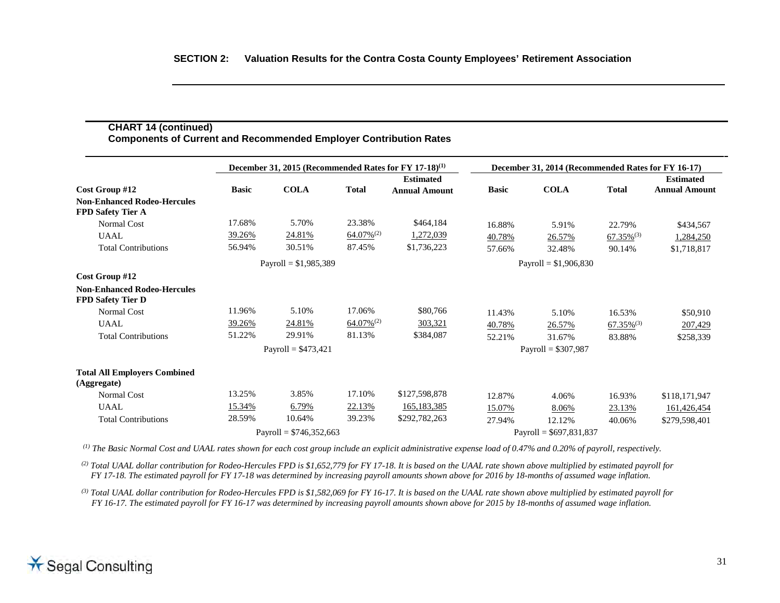# **CHART 14 (continued) Components of Current and Recommended Employer Contribution Rates**

|                                                                | December 31, 2015 (Recommended Rates for FY 17-18) <sup>(1)</sup> |                          |                 | December 31, 2014 (Recommended Rates for FY 16-17) |              |                          |                          |                                          |
|----------------------------------------------------------------|-------------------------------------------------------------------|--------------------------|-----------------|----------------------------------------------------|--------------|--------------------------|--------------------------|------------------------------------------|
| Cost Group #12                                                 | <b>Basic</b>                                                      | <b>COLA</b>              | <b>Total</b>    | <b>Estimated</b><br><b>Annual Amount</b>           | <b>Basic</b> | <b>COLA</b>              | <b>Total</b>             | <b>Estimated</b><br><b>Annual Amount</b> |
| <b>Non-Enhanced Rodeo-Hercules</b><br><b>FPD Safety Tier A</b> |                                                                   |                          |                 |                                                    |              |                          |                          |                                          |
| <b>Normal Cost</b>                                             | 17.68%                                                            | 5.70%                    | 23.38%          | \$464,184                                          | 16.88%       | 5.91%                    | 22.79%                   | \$434,567                                |
| <b>UAAL</b>                                                    | 39.26%                                                            | 24.81%                   | $64.07\%^{(2)}$ | 1,272,039                                          | 40.78%       | 26.57%                   | $67.35\%$ <sup>(3)</sup> | 1,284,250                                |
| <b>Total Contributions</b>                                     | 56.94%                                                            | 30.51%                   | 87.45%          | \$1,736,223                                        | 57.66%       | 32.48%                   | 90.14%                   | \$1,718,817                              |
|                                                                |                                                                   | Payroll = $$1,985,389$   |                 |                                                    |              | Payroll = $$1,906,830$   |                          |                                          |
| Cost Group #12                                                 |                                                                   |                          |                 |                                                    |              |                          |                          |                                          |
| <b>Non-Enhanced Rodeo-Hercules</b><br><b>FPD Safety Tier D</b> |                                                                   |                          |                 |                                                    |              |                          |                          |                                          |
| <b>Normal Cost</b>                                             | 11.96%                                                            | 5.10%                    | 17.06%          | \$80,766                                           | 11.43%       | 5.10%                    | 16.53%                   | \$50,910                                 |
| <b>UAAL</b>                                                    | 39.26%                                                            | 24.81%                   | $64.07\%^{(2)}$ | 303,321                                            | 40.78%       | 26.57%                   | $67.35\%$ <sup>(3)</sup> | 207,429                                  |
| <b>Total Contributions</b>                                     | 51.22%                                                            | 29.91%                   | 81.13%          | \$384,087                                          | 52.21%       | 31.67%                   | 83.88%                   | \$258,339                                |
|                                                                |                                                                   | Payroll = $$473,421$     |                 |                                                    |              | Payroll = $$307,987$     |                          |                                          |
| <b>Total All Employers Combined</b><br>(Aggregate)             |                                                                   |                          |                 |                                                    |              |                          |                          |                                          |
| Normal Cost                                                    | 13.25%                                                            | 3.85%                    | 17.10%          | \$127,598,878                                      | 12.87%       | 4.06%                    | 16.93%                   | \$118,171,947                            |
| UAAL                                                           | 15.34%                                                            | 6.79%                    | 22.13%          | 165, 183, 385                                      | 15.07%       | 8.06%                    | 23.13%                   | 161,426,454                              |
| <b>Total Contributions</b>                                     | 28.59%                                                            | 10.64%                   | 39.23%          | \$292,782,263                                      | 27.94%       | 12.12%                   | 40.06%                   | \$279,598,401                            |
|                                                                |                                                                   | Payroll = $$746,352,663$ |                 |                                                    |              | Payroll = $$697,831,837$ |                          |                                          |

 *(1) The Basic Normal Cost and UAAL rates shown for each cost group include an explicit administrative expense load of 0.47% and 0.20% of payroll, respectively.*

<sup>(2)</sup> *Total UAAL dollar contribution for Rodeo-Hercules FPD is \$1,652,779 for FY 17-18. It is based on the UAAL rate shown above multiplied by estimated payroll for FY 17-18. The estimated payroll for FY 17-18 was determined by increasing payroll amounts shown above for 2016 by 18-months of assumed wage inflation.* 

*(3) Total UAAL dollar contribution for Rodeo-Hercules FPD is \$1,582,069 for FY 16-17. It is based on the UAAL rate shown above multiplied by estimated payroll for FY 16-17. The estimated payroll for FY 16-17 was determined by increasing payroll amounts shown above for 2015 by 18-months of assumed wage inflation.*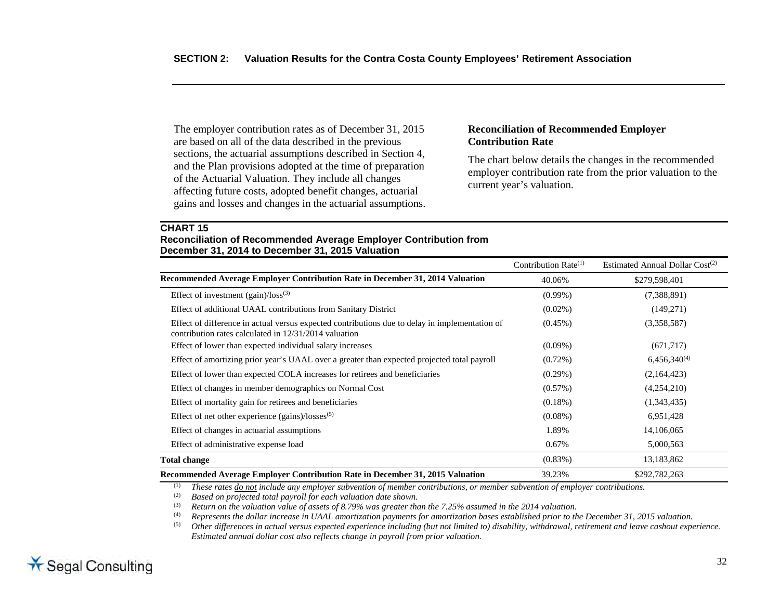The employer contribution rates as of December 31, 2015 are based on all of the data described in the previous sections, the actuarial assumptions described in Section 4, and the Plan provisions adopted at the time of preparation of the Actuarial Valuation. They include all changes affecting future costs, adopted benefit changes, actuarial gains and losses and changes in the actuarial assumptions.

## **Reconciliation of Recommended Employer Contribution Rate**

The chart below details the changes in the recommended employer contribution rate from the prior valuation to the current year's valuation.

## **CHART 15 Reconciliation of Recommended Average Employer Contribution from December 31, 2014 to December 31, 2015 Valuation**

|                                                                                                                                                         | Contribution Rate $(1)$ | Estimated Annual Dollar Cost <sup>(2)</sup> |
|---------------------------------------------------------------------------------------------------------------------------------------------------------|-------------------------|---------------------------------------------|
| Recommended Average Employer Contribution Rate in December 31, 2014 Valuation                                                                           | 40.06%                  | \$279,598,401                               |
| Effect of investment $(gain)/loss^{(3)}$                                                                                                                | $(0.99\%)$              | (7,388,891)                                 |
| Effect of additional UAAL contributions from Sanitary District                                                                                          | $(0.02\%)$              | (149,271)                                   |
| Effect of difference in actual versus expected contributions due to delay in implementation of<br>contribution rates calculated in 12/31/2014 valuation | $(0.45\%)$              | (3,358,587)                                 |
| Effect of lower than expected individual salary increases                                                                                               | $(0.09\%)$              | (671, 717)                                  |
| Effect of amortizing prior year's UAAL over a greater than expected projected total payroll                                                             | $(0.72\%)$              | $6,456,340^{(4)}$                           |
| Effect of lower than expected COLA increases for retirees and beneficiaries                                                                             | $(0.29\%)$              | (2,164,423)                                 |
| Effect of changes in member demographics on Normal Cost                                                                                                 | $(0.57\%)$              | (4,254,210)                                 |
| Effect of mortality gain for retirees and beneficiaries                                                                                                 | $(0.18\%)$              | (1,343,435)                                 |
| Effect of net other experience $(gains)/losses^{(5)}$                                                                                                   | $(0.08\%)$              | 6,951,428                                   |
| Effect of changes in actuarial assumptions                                                                                                              | 1.89%                   | 14,106,065                                  |
| Effect of administrative expense load                                                                                                                   | 0.67%                   | 5,000,563                                   |
| <b>Total change</b>                                                                                                                                     | $(0.83\%)$              | 13,183,862                                  |
| Recommended Average Employer Contribution Rate in December 31, 2015 Valuation                                                                           | 39.23%                  | \$292,782,263                               |

(1) *These rates do not include any employer subvention of member contributions, or member subvention of employer contributions.* 

(2) *Based on projected total payroll for each valuation date shown.*<br>(3) **Beturn on the valuation value of assets of 8.79% was greater the** 

(3) Return on the valuation value of assets of 8.79% was greater than the 7.25% assumed in the 2014 valuation.<br>(4) Represents the dollar increase in UAAL amortization payments for amortization bases established prior to t

(4) *Represents the dollar increase in UAAL amortization payments for amortization bases established prior to the December 31, 2015 valuation.*

(5) *Other differences in actual versus expected experience including (but not limited to) disability, withdrawal, retirement and leave cashout experience. Estimated annual dollar cost also reflects change in payroll from prior valuation.*

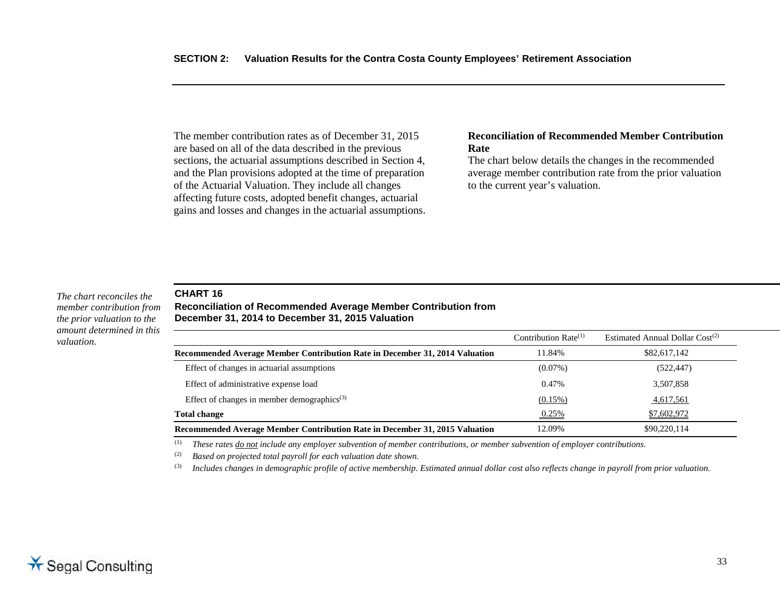The member contribution rates as of December 31, 2015 are based on all of the data described in the previous sections, the actuarial assumptions described in Section 4, and the Plan provisions adopted at the time of preparation of the Actuarial Valuation. They include all changes affecting future costs, adopted benefit changes, actuarial gains and losses and changes in the actuarial assumptions.

#### **Reconciliation of Recommended Member Contribution Rate**

The chart below details the changes in the recommended average member contribution rate from the prior valuation to the current year's valuation.

*The chart reconciles the member contribution from the prior valuation to the amount determined in this valuation.*

## **CHART 16**

**Reconciliation of Recommended Average Member Contribution from December 31, 2014 to December 31, 2015 Valuation**

|                                                                             | Contribution Rate $(1)$ | Estimated Annual Dollar $Cost(2)$ |
|-----------------------------------------------------------------------------|-------------------------|-----------------------------------|
| Recommended Average Member Contribution Rate in December 31, 2014 Valuation | 11.84%                  | \$82,617,142                      |
| Effect of changes in actuarial assumptions                                  | $(0.07\%)$              | (522, 447)                        |
| Effect of administrative expense load                                       | 0.47%                   | 3,507,858                         |
| Effect of changes in member demographics <sup>(3)</sup>                     | $(0.15\%)$              | 4,617,561                         |
| <b>Total change</b>                                                         | 0.25%                   | \$7,602,972                       |
| Recommended Average Member Contribution Rate in December 31, 2015 Valuation | 12.09%                  | \$90,220,114                      |

(1) *These rates do not include any employer subvention of member contributions, or member subvention of employer contributions.*

(2) *Based on projected total payroll for each valuation date shown.*

(3) *Includes changes in demographic profile of active membership. Estimated annual dollar cost also reflects change in payroll from prior valuation.*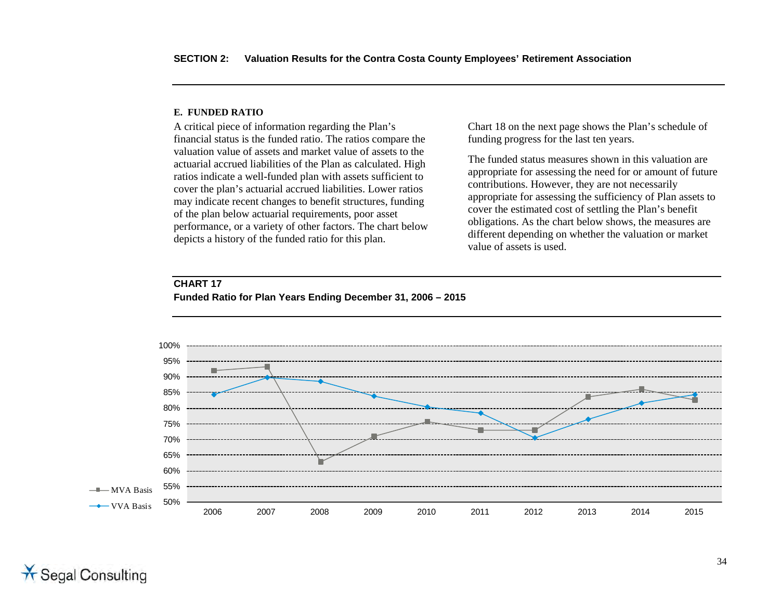#### **E. FUNDED RATIO**

**CHART 17**

A critical piece of information regarding the Plan's financial status is the funded ratio. The ratios compare the valuation value of assets and market value of assets to the actuarial accrued liabilities of the Plan as calculated. High ratios indicate a well-funded plan with assets sufficient to cover the plan's actuarial accrued liabilities. Lower ratios may indicate recent changes to benefit structures, funding of the plan below actuarial requirements, poor asset performance, or a variety of other factors. The chart below depicts a history of the funded ratio for this plan.

Chart 18 on the next page shows the Plan's schedule of funding progress for the last ten years.

The funded status measures shown in this valuation are appropriate for assessing the need for or amount of future contributions. However, they are not necessarily appropriate for assessing the sufficiency of Plan assets to cover the estimated cost of settling the Plan's benefit obligations. As the chart below shows, the measures are different depending on whether the valuation or market value of assets is used.



# **Funded Ratio for Plan Years Ending December 31, 2006 – 2015**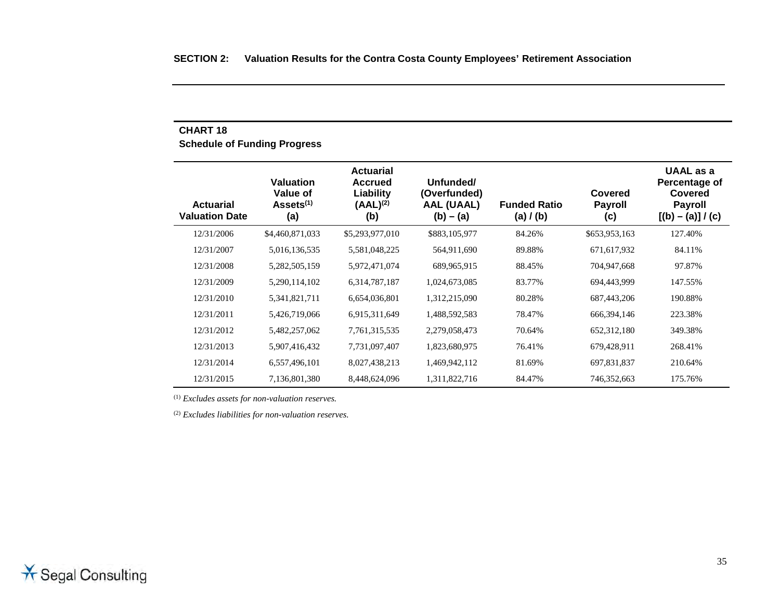# **CHART 18 Schedule of Funding Progress**

| Actuarial<br><b>Valuation Date</b> | Valuation<br>Value of<br>Assets <sup>(1)</sup><br>(a) | <b>Actuarial</b><br><b>Accrued</b><br>Liability<br>$(AAL)^{(2)}$<br>(b) | Unfunded/<br>(Overfunded)<br><b>AAL (UAAL)</b><br>$(b) - (a)$ | <b>Funded Ratio</b><br>(a) / (b) | Covered<br><b>Payroll</b><br>(c) | UAAL as a<br>Percentage of<br>Covered<br><b>Payroll</b><br>$[(b) - (a)] / (c)$ |
|------------------------------------|-------------------------------------------------------|-------------------------------------------------------------------------|---------------------------------------------------------------|----------------------------------|----------------------------------|--------------------------------------------------------------------------------|
| 12/31/2006                         | \$4,460,871,033                                       | \$5,293,977,010                                                         | \$883,105,977                                                 | 84.26%                           | \$653,953,163                    | 127.40%                                                                        |
| 12/31/2007                         | 5,016,136,535                                         | 5,581,048,225                                                           | 564,911,690                                                   | 89.88%                           | 671,617,932                      | 84.11%                                                                         |
| 12/31/2008                         | 5,282,505,159                                         | 5,972,471,074                                                           | 689,965,915                                                   | 88.45%                           | 704,947,668                      | 97.87%                                                                         |
| 12/31/2009                         | 5,290,114,102                                         | 6,314,787,187                                                           | 1,024,673,085                                                 | 83.77%                           | 694,443,999                      | 147.55%                                                                        |
| 12/31/2010                         | 5,341,821,711                                         | 6,654,036,801                                                           | 1,312,215,090                                                 | 80.28%                           | 687,443,206                      | 190.88%                                                                        |
| 12/31/2011                         | 5,426,719,066                                         | 6,915,311,649                                                           | 1,488,592,583                                                 | 78.47%                           | 666, 394, 146                    | 223.38%                                                                        |
| 12/31/2012                         | 5,482,257,062                                         | 7,761,315,535                                                           | 2,279,058,473                                                 | 70.64%                           | 652, 312, 180                    | 349.38%                                                                        |
| 12/31/2013                         | 5,907,416,432                                         | 7,731,097,407                                                           | 1,823,680,975                                                 | 76.41%                           | 679,428,911                      | 268.41%                                                                        |
| 12/31/2014                         | 6,557,496,101                                         | 8,027,438,213                                                           | 1,469,942,112                                                 | 81.69%                           | 697,831,837                      | 210.64%                                                                        |
| 12/31/2015                         | 7,136,801,380                                         | 8,448,624,096                                                           | 1,311,822,716                                                 | 84.47%                           | 746,352,663                      | 175.76%                                                                        |

(1) *Excludes assets for non-valuation reserves.*

(2) *Excludes liabilities for non-valuation reserves.*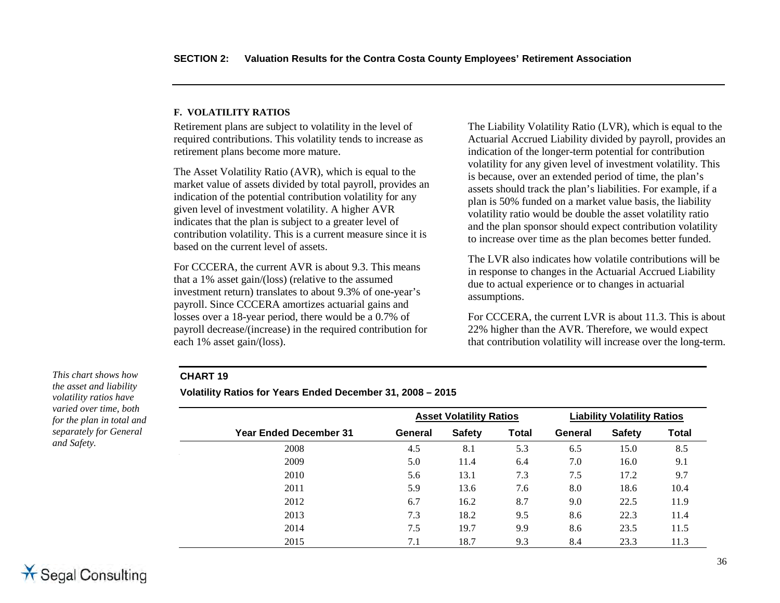#### **F. VOLATILITY RATIOS**

Retirement plans are subject to volatility in the level of required contributions. This volatility tends to increase as retirement plans become more mature.

The Asset Volatility Ratio (AVR), which is equal to the market value of assets divided by total payroll, provides an indication of the potential contribution volatility for any given level of investment volatility. A higher AVR indicates that the plan is subject to a greater level of contribution volatility. This is a current measure since it is based on the current level of assets.

For CCCERA, the current AVR is about 9.3. This means that a 1% asset gain/(loss) (relative to the assumed investment return) translates to about 9.3% of one-year's payroll. Since CCCERA amortizes actuarial gains and losses over a 18-year period, there would be a 0.7% of payroll decrease/(increase) in the required contribution for each 1% asset gain/(loss).

The Liability Volatility Ratio (LVR), which is equal to the Actuarial Accrued Liability divided by payroll, provides an indication of the longer-term potential for contribution volatility for any given level of investment volatility. This is because, over an extended period of time, the plan's assets should track the plan's liabilities. For example, if a plan is 50% funded on a market value basis, the liability volatility ratio would be double the asset volatility ratio and the plan sponsor should expect contribution volatility to increase over time as the plan becomes better funded.

The LVR also indicates how volatile contributions will be in response to changes in the Actuarial Accrued Liability due to actual experience or to changes in actuarial assumptions.

For CCCERA, the current LVR is about 11.3. This is about 22% higher than the AVR. Therefore, we would expect that contribution volatility will increase over the long-term.

## **CHART 19**

*the asset and liability volatility ratios have varied over time, both for the plan in total and separately for General* 

*This chart shows how* 

*and Safety.*

**Volatility Ratios for Years Ended December 31, 2008 – 2015** 

|                               | <b>Asset Volatility Ratios</b> |               |              | <b>Liability Volatility Ratios</b> |               |              |  |
|-------------------------------|--------------------------------|---------------|--------------|------------------------------------|---------------|--------------|--|
| <b>Year Ended December 31</b> | General                        | <b>Safety</b> | <b>Total</b> | General                            | <b>Safety</b> | <b>Total</b> |  |
| 2008                          | 4.5                            | 8.1           | 5.3          | 6.5                                | 15.0          | 8.5          |  |
| 2009                          | 5.0                            | 11.4          | 6.4          | 7.0                                | 16.0          | 9.1          |  |
| 2010                          | 5.6                            | 13.1          | 7.3          | 7.5                                | 17.2          | 9.7          |  |
| 2011                          | 5.9                            | 13.6          | 7.6          | 8.0                                | 18.6          | 10.4         |  |
| 2012                          | 6.7                            | 16.2          | 8.7          | 9.0                                | 22.5          | 11.9         |  |
| 2013                          | 7.3                            | 18.2          | 9.5          | 8.6                                | 22.3          | 11.4         |  |
| 2014                          | 7.5                            | 19.7          | 9.9          | 8.6                                | 23.5          | 11.5         |  |
| 2015                          | 7.1                            | 18.7          | 9.3          | 8.4                                | 23.3          | 11.3         |  |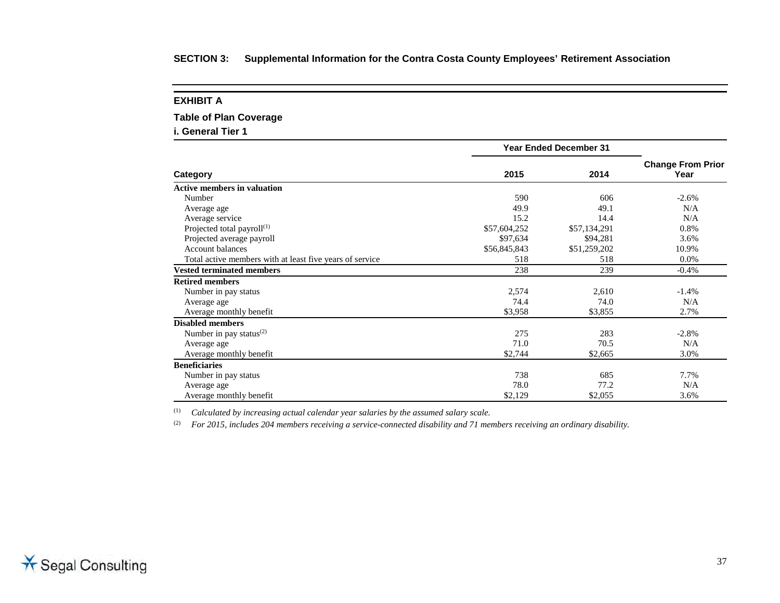| <b>Table of Plan Coverage</b>                            |                               |              |                                  |
|----------------------------------------------------------|-------------------------------|--------------|----------------------------------|
| i. General Tier 1                                        |                               |              |                                  |
|                                                          | <b>Year Ended December 31</b> |              |                                  |
| Category                                                 | 2015                          | 2014         | <b>Change From Prior</b><br>Year |
| <b>Active members in valuation</b>                       |                               |              |                                  |
| Number                                                   | 590                           | 606          | $-2.6%$                          |
| Average age                                              | 49.9                          | 49.1         | N/A                              |
| Average service                                          | 15.2                          | 14.4         | N/A                              |
| Projected total payroll $(1)$                            | \$57,604,252                  | \$57,134,291 | 0.8%                             |
| Projected average payroll                                | \$97,634                      | \$94,281     | 3.6%                             |
| <b>Account balances</b>                                  | \$56,845,843                  | \$51,259,202 | 10.9%                            |
| Total active members with at least five years of service | 518                           | 518          | 0.0%                             |
| <b>Vested terminated members</b>                         | 238                           | 239          | $-0.4%$                          |
| <b>Retired members</b>                                   |                               |              |                                  |
| Number in pay status                                     | 2,574                         | 2,610        | $-1.4%$                          |
| Average age                                              | 74.4                          | 74.0         | N/A                              |
| Average monthly benefit                                  | \$3,958                       | \$3,855      | 2.7%                             |
| <b>Disabled members</b>                                  |                               |              |                                  |
| Number in pay status <sup>(2)</sup>                      | 275                           | 283          | $-2.8%$                          |
| Average age                                              | 71.0                          | 70.5         | N/A                              |
| Average monthly benefit                                  | \$2,744                       | \$2,665      | 3.0%                             |
| <b>Beneficiaries</b>                                     |                               |              |                                  |
| Number in pay status                                     | 738                           | 685          | 7.7%                             |
| Average age                                              | 78.0                          | 77.2         | N/A                              |
| Average monthly benefit                                  | \$2,129                       | \$2,055      | 3.6%                             |

(1) *Calculated by increasing actual calendar year salaries by the assumed salary scale.*

**EXHIBIT A**

(2) *For 2015, includes 204 members receiving a service-connected disability and 71 members receiving an ordinary disability.*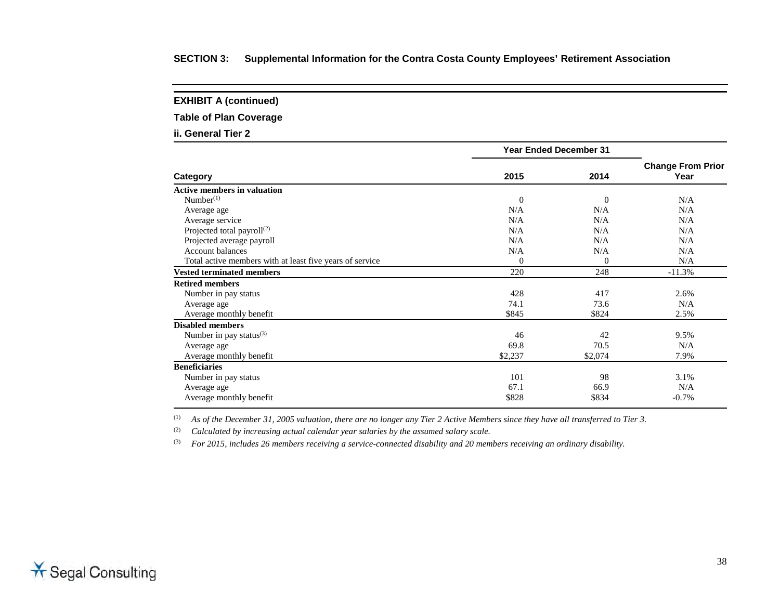**EXHIBIT A (continued)**

**Table of Plan Coverage**

**ii. General Tier 2**

|                                                          | <b>Year Ended December 31</b> |              |                                  |
|----------------------------------------------------------|-------------------------------|--------------|----------------------------------|
| Category                                                 | 2015                          | 2014         | <b>Change From Prior</b><br>Year |
| <b>Active members in valuation</b>                       |                               |              |                                  |
| Number <sup>(1)</sup>                                    | $\theta$                      | $\mathbf{0}$ | N/A                              |
| Average age                                              | N/A                           | N/A          | N/A                              |
| Average service                                          | N/A                           | N/A          | N/A                              |
| Projected total payroll $^{(2)}$                         | N/A                           | N/A          | N/A                              |
| Projected average payroll                                | N/A                           | N/A          | N/A                              |
| <b>Account balances</b>                                  | N/A                           | N/A          | N/A                              |
| Total active members with at least five years of service | $\theta$                      | $\theta$     | N/A                              |
| <b>Vested terminated members</b>                         | 220                           | 248          | $-11.3%$                         |
| <b>Retired members</b>                                   |                               |              |                                  |
| Number in pay status                                     | 428                           | 417          | 2.6%                             |
| Average age                                              | 74.1                          | 73.6         | N/A                              |
| Average monthly benefit                                  | \$845                         | \$824        | 2.5%                             |
| <b>Disabled members</b>                                  |                               |              |                                  |
| Number in pay status $^{(3)}$                            | 46                            | 42           | 9.5%                             |
| Average age                                              | 69.8                          | 70.5         | N/A                              |
| Average monthly benefit                                  | \$2,237                       | \$2,074      | 7.9%                             |
| <b>Beneficiaries</b>                                     |                               |              |                                  |
| Number in pay status                                     | 101                           | 98           | 3.1%                             |
| Average age                                              | 67.1                          | 66.9         | N/A                              |
| Average monthly benefit                                  | \$828                         | \$834        | $-0.7%$                          |

(1) *As of the December 31, 2005 valuation, there are no longer any Tier 2 Active Members since they have all transferred to Tier 3.*

(2) *Calculated by increasing actual calendar year salaries by the assumed salary scale.*

(3) *For 2015, includes 26 members receiving a service-connected disability and 20 members receiving an ordinary disability.*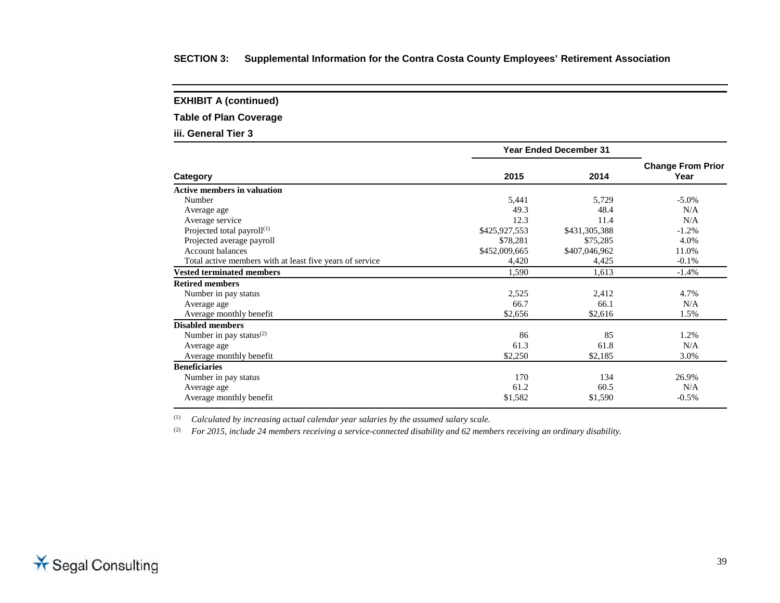**EXHIBIT A (continued)**

**Table of Plan Coverage**

**iii. General Tier 3**

|                                                          | <b>Year Ended December 31</b> |               |                                  |
|----------------------------------------------------------|-------------------------------|---------------|----------------------------------|
| Category                                                 | 2015                          | 2014          | <b>Change From Prior</b><br>Year |
| <b>Active members in valuation</b>                       |                               |               |                                  |
| Number                                                   | 5,441                         | 5,729         | $-5.0\%$                         |
| Average age                                              | 49.3                          | 48.4          | N/A                              |
| Average service                                          | 12.3                          | 11.4          | N/A                              |
| Projected total payroll $(1)$                            | \$425,927,553                 | \$431,305,388 | $-1.2%$                          |
| Projected average payroll                                | \$78,281                      | \$75,285      | 4.0%                             |
| <b>Account balances</b>                                  | \$452,009,665                 | \$407,046,962 | 11.0%                            |
| Total active members with at least five years of service | 4,420                         | 4,425         | $-0.1%$                          |
| <b>Vested terminated members</b>                         | 1,590                         | 1,613         | $-1.4%$                          |
| <b>Retired members</b>                                   |                               |               |                                  |
| Number in pay status                                     | 2,525                         | 2,412         | 4.7%                             |
| Average age                                              | 66.7                          | 66.1          | N/A                              |
| Average monthly benefit                                  | \$2,656                       | \$2,616       | 1.5%                             |
| <b>Disabled members</b>                                  |                               |               |                                  |
| Number in pay status $^{(2)}$                            | 86                            | 85            | 1.2%                             |
| Average age                                              | 61.3                          | 61.8          | N/A                              |
| Average monthly benefit                                  | \$2,250                       | \$2,185       | 3.0%                             |
| <b>Beneficiaries</b>                                     |                               |               |                                  |
| Number in pay status                                     | 170                           | 134           | 26.9%                            |
| Average age                                              | 61.2                          | 60.5          | N/A                              |
| Average monthly benefit                                  | \$1,582                       | \$1,590       | $-0.5%$                          |

(1) *Calculated by increasing actual calendar year salaries by the assumed salary scale.*

(2) *For 2015, include 24 members receiving a service-connected disability and 62 members receiving an ordinary disability.*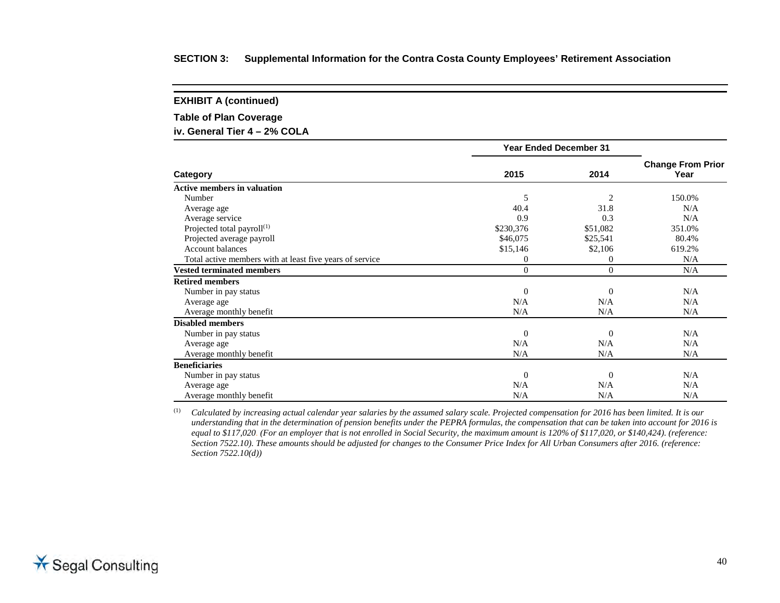**EXHIBIT A (continued)**

**Table of Plan Coverage**

**iv. General Tier 4 – 2% COLA**

|                                                          | <b>Year Ended December 31</b> |                  |                                  |
|----------------------------------------------------------|-------------------------------|------------------|----------------------------------|
| Category                                                 | 2015                          | 2014             | <b>Change From Prior</b><br>Year |
| <b>Active members in valuation</b>                       |                               |                  |                                  |
| Number                                                   | 5                             | $\overline{2}$   | 150.0%                           |
| Average age                                              | 40.4                          | 31.8             | N/A                              |
| Average service                                          | 0.9                           | 0.3              | N/A                              |
| Projected total payroll $(1)$                            | \$230,376                     | \$51,082         | 351.0%                           |
| Projected average payroll                                | \$46,075                      | \$25,541         | 80.4%                            |
| <b>Account balances</b>                                  | \$15,146                      | \$2,106          | 619.2%                           |
| Total active members with at least five years of service | $\mathbf{0}$                  | $\boldsymbol{0}$ | N/A                              |
| <b>Vested terminated members</b>                         | $\Omega$                      | $\Omega$         | N/A                              |
| <b>Retired members</b>                                   |                               |                  |                                  |
| Number in pay status                                     | $\Omega$                      | $\mathbf{0}$     | N/A                              |
| Average age                                              | N/A                           | N/A              | N/A                              |
| Average monthly benefit                                  | N/A                           | N/A              | N/A                              |
| <b>Disabled members</b>                                  |                               |                  |                                  |
| Number in pay status                                     | $\Omega$                      | $\mathbf{0}$     | N/A                              |
| Average age                                              | N/A                           | N/A              | N/A                              |
| Average monthly benefit                                  | N/A                           | N/A              | N/A                              |
| <b>Beneficiaries</b>                                     |                               |                  |                                  |
| Number in pay status                                     | $\theta$                      | $\mathbf{0}$     | N/A                              |
| Average age                                              | N/A                           | N/A              | N/A                              |
| Average monthly benefit                                  | N/A                           | N/A              | N/A                              |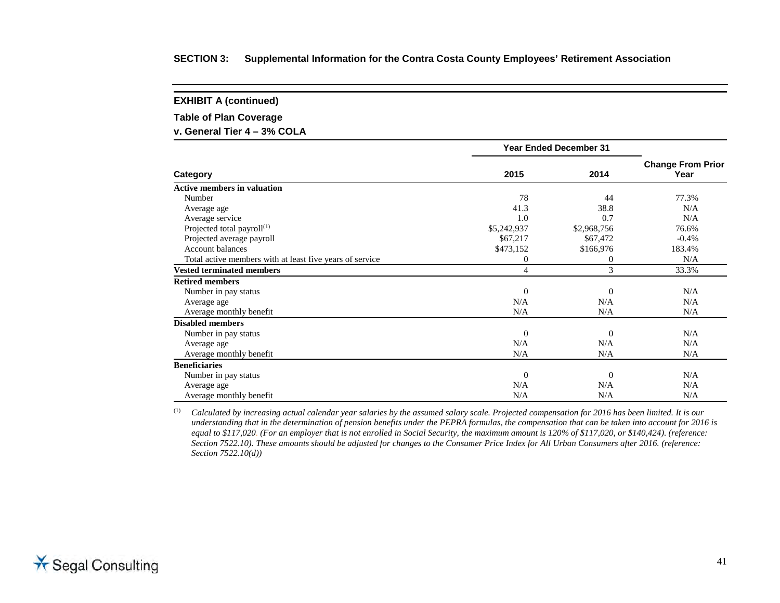**EXHIBIT A (continued)**

**Table of Plan Coverage**

**v. General Tier 4 – 3% COLA**

|                                                          | <b>Year Ended December 31</b> |                |                                  |
|----------------------------------------------------------|-------------------------------|----------------|----------------------------------|
| Category                                                 | 2015                          | 2014           | <b>Change From Prior</b><br>Year |
| <b>Active members in valuation</b>                       |                               |                |                                  |
| Number                                                   | 78                            | 44             | 77.3%                            |
| Average age                                              | 41.3                          | 38.8           | N/A                              |
| Average service                                          | 1.0                           | 0.7            | N/A                              |
| Projected total payroll <sup>(1)</sup>                   | \$5,242,937                   | \$2,968,756    | 76.6%                            |
| Projected average payroll                                | \$67,217                      | \$67,472       | $-0.4%$                          |
| <b>Account balances</b>                                  | \$473,152                     | \$166,976      | 183.4%                           |
| Total active members with at least five years of service | $\overline{0}$                | 0              | N/A                              |
| <b>Vested terminated members</b>                         | 4                             | 3              | 33.3%                            |
| <b>Retired members</b>                                   |                               |                |                                  |
| Number in pay status                                     | $\theta$                      | $\mathbf{0}$   | N/A                              |
| Average age                                              | N/A                           | N/A            | N/A                              |
| Average monthly benefit                                  | N/A                           | N/A            | N/A                              |
| <b>Disabled members</b>                                  |                               |                |                                  |
| Number in pay status                                     | $\Omega$                      | $\Omega$       | N/A                              |
| Average age                                              | N/A                           | N/A            | N/A                              |
| Average monthly benefit                                  | N/A                           | N/A            | N/A                              |
| <b>Beneficiaries</b>                                     |                               |                |                                  |
| Number in pay status                                     | $\theta$                      | $\overline{0}$ | N/A                              |
| Average age                                              | N/A                           | N/A            | N/A                              |
| Average monthly benefit                                  | N/A                           | N/A            | N/A                              |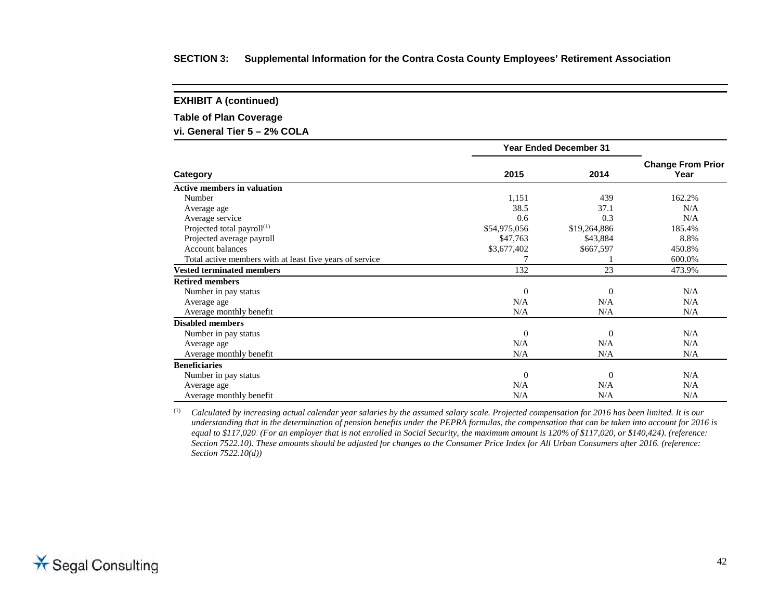**EXHIBIT A (continued)**

**Table of Plan Coverage**

**vi. General Tier 5 – 2% COLA**

|                                                          | <b>Year Ended December 31</b> |              |                                  |
|----------------------------------------------------------|-------------------------------|--------------|----------------------------------|
| Category                                                 | 2015                          | 2014         | <b>Change From Prior</b><br>Year |
| <b>Active members in valuation</b>                       |                               |              |                                  |
| Number                                                   | 1,151                         | 439          | 162.2%                           |
| Average age                                              | 38.5                          | 37.1         | N/A                              |
| Average service                                          | 0.6                           | 0.3          | N/A                              |
| Projected total payroll $(1)$                            | \$54,975,056                  | \$19,264,886 | 185.4%                           |
| Projected average payroll                                | \$47,763                      | \$43,884     | 8.8%                             |
| <b>Account balances</b>                                  | \$3,677,402                   | \$667,597    | 450.8%                           |
| Total active members with at least five years of service |                               |              | 600.0%                           |
| <b>Vested terminated members</b>                         | 132                           | 23           | 473.9%                           |
| <b>Retired members</b>                                   |                               |              |                                  |
| Number in pay status                                     | $\Omega$                      | $\mathbf{0}$ | N/A                              |
| Average age                                              | N/A                           | N/A          | N/A                              |
| Average monthly benefit                                  | N/A                           | N/A          | N/A                              |
| <b>Disabled members</b>                                  |                               |              |                                  |
| Number in pay status                                     | $\Omega$                      | $\mathbf{0}$ | N/A                              |
| Average age                                              | N/A                           | N/A          | N/A                              |
| Average monthly benefit                                  | N/A                           | N/A          | N/A                              |
| <b>Beneficiaries</b>                                     |                               |              |                                  |
| Number in pay status                                     | $\theta$                      | $\mathbf{0}$ | N/A                              |
| Average age                                              | N/A                           | N/A          | N/A                              |
| Average monthly benefit                                  | N/A                           | N/A          | N/A                              |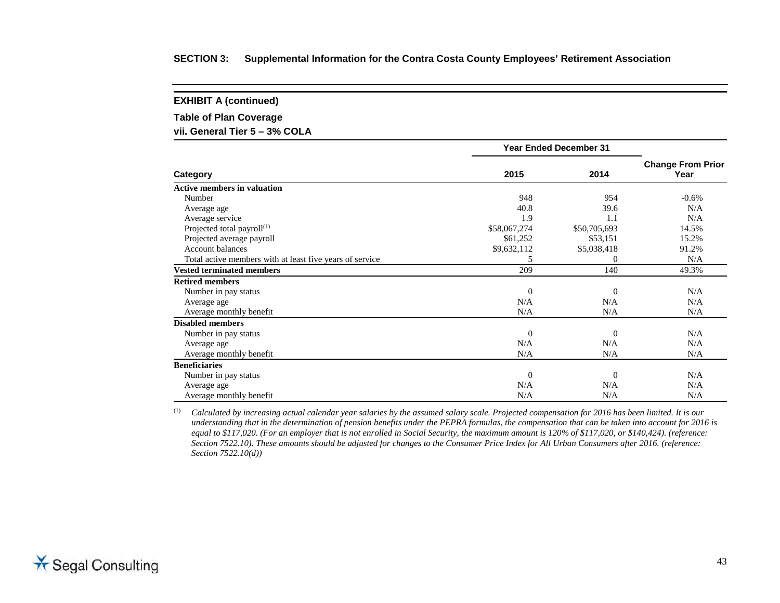**EXHIBIT A (continued)**

**Table of Plan Coverage**

**vii. General Tier 5 – 3% COLA**

|                                                          | <b>Year Ended December 31</b> |              |                                  |
|----------------------------------------------------------|-------------------------------|--------------|----------------------------------|
| Category                                                 | 2015                          | 2014         | <b>Change From Prior</b><br>Year |
| <b>Active members in valuation</b>                       |                               |              |                                  |
| Number                                                   | 948                           | 954          | $-0.6%$                          |
| Average age                                              | 40.8                          | 39.6         | N/A                              |
| Average service                                          | 1.9                           | 1.1          | N/A                              |
| Projected total payroll <sup>(1)</sup>                   | \$58,067,274                  | \$50,705,693 | 14.5%                            |
| Projected average payroll                                | \$61,252                      | \$53,151     | 15.2%                            |
| <b>Account balances</b>                                  | \$9,632,112                   | \$5,038,418  | 91.2%                            |
| Total active members with at least five years of service | 5                             | $\Omega$     | N/A                              |
| <b>Vested terminated members</b>                         | 209                           | 140          | 49.3%                            |
| <b>Retired members</b>                                   |                               |              |                                  |
| Number in pay status                                     | $\theta$                      | $\Omega$     | N/A                              |
| Average age                                              | N/A                           | N/A          | N/A                              |
| Average monthly benefit                                  | N/A                           | N/A          | N/A                              |
| <b>Disabled members</b>                                  |                               |              |                                  |
| Number in pay status                                     | $\theta$                      | $\Omega$     | N/A                              |
| Average age                                              | N/A                           | N/A          | N/A                              |
| Average monthly benefit                                  | N/A                           | N/A          | N/A                              |
| <b>Beneficiaries</b>                                     |                               |              |                                  |
| Number in pay status                                     | $\theta$                      | $\Omega$     | N/A                              |
| Average age                                              | N/A                           | N/A          | N/A                              |
| Average monthly benefit                                  | N/A                           | N/A          | N/A                              |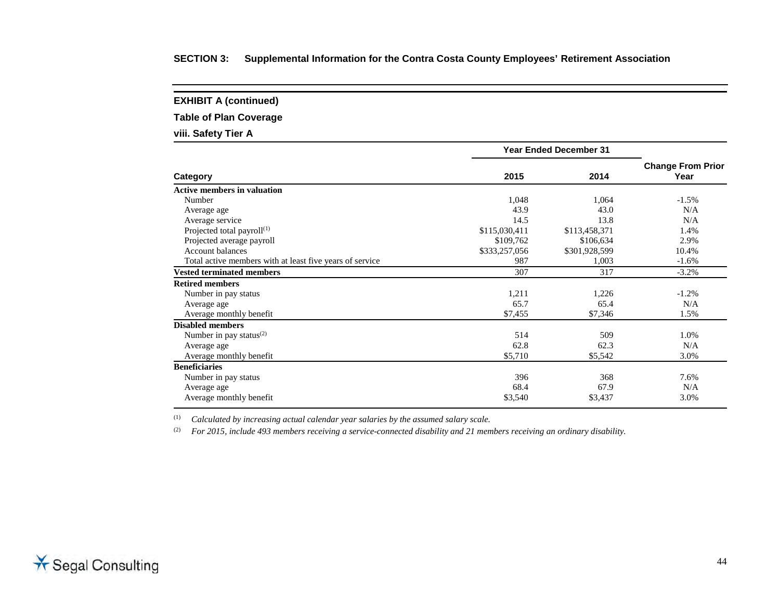**EXHIBIT A (continued)**

**Table of Plan Coverage**

**viii. Safety Tier A**

|                                                          | <b>Year Ended December 31</b> |               |                                  |
|----------------------------------------------------------|-------------------------------|---------------|----------------------------------|
| Category                                                 | 2015                          | 2014          | <b>Change From Prior</b><br>Year |
| <b>Active members in valuation</b>                       |                               |               |                                  |
| Number                                                   | 1,048                         | 1,064         | $-1.5%$                          |
| Average age                                              | 43.9                          | 43.0          | N/A                              |
| Average service                                          | 14.5                          | 13.8          | N/A                              |
| Projected total payroll $(1)$                            | \$115,030,411                 | \$113,458,371 | 1.4%                             |
| Projected average payroll                                | \$109,762                     | \$106,634     | 2.9%                             |
| Account balances                                         | \$333,257,056                 | \$301,928,599 | 10.4%                            |
| Total active members with at least five years of service | 987                           | 1,003         | $-1.6%$                          |
| <b>Vested terminated members</b>                         | 307                           | 317           | $-3.2%$                          |
| <b>Retired members</b>                                   |                               |               |                                  |
| Number in pay status                                     | 1,211                         | 1,226         | $-1.2\%$                         |
| Average age                                              | 65.7                          | 65.4          | N/A                              |
| Average monthly benefit                                  | \$7,455                       | \$7,346       | 1.5%                             |
| <b>Disabled members</b>                                  |                               |               |                                  |
| Number in pay status $^{(2)}$                            | 514                           | 509           | 1.0%                             |
| Average age                                              | 62.8                          | 62.3          | N/A                              |
| Average monthly benefit                                  | \$5,710                       | \$5,542       | 3.0%                             |
| <b>Beneficiaries</b>                                     |                               |               |                                  |
| Number in pay status                                     | 396                           | 368           | 7.6%                             |
| Average age                                              | 68.4                          | 67.9          | N/A                              |
| Average monthly benefit                                  | \$3,540                       | \$3,437       | 3.0%                             |

(1) *Calculated by increasing actual calendar year salaries by the assumed salary scale.*

(2) *For 2015, include 493 members receiving a service-connected disability and 21 members receiving an ordinary disability.*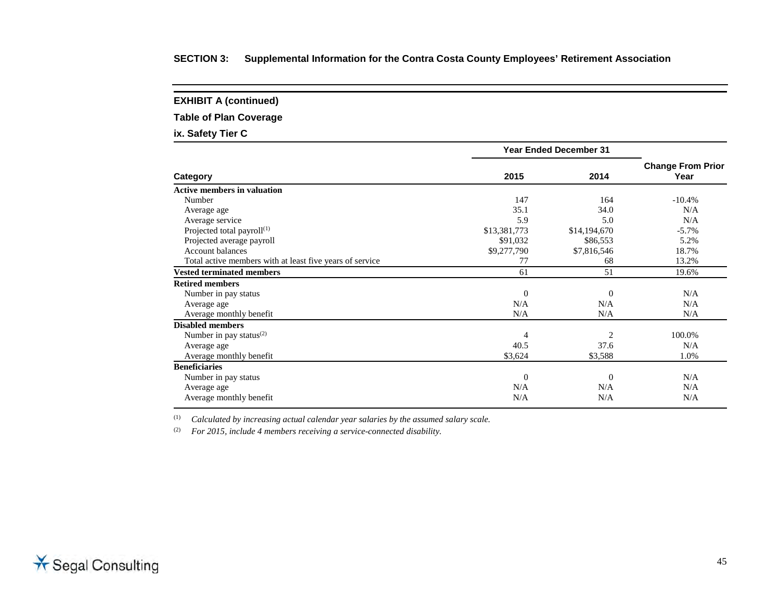**EXHIBIT A (continued)**

**Table of Plan Coverage**

**ix. Safety Tier C**

|                                                                                                                                                                                                                                                                                                                                                                                                                                             | <b>Year Ended December 31</b> |                |          |  |  |
|---------------------------------------------------------------------------------------------------------------------------------------------------------------------------------------------------------------------------------------------------------------------------------------------------------------------------------------------------------------------------------------------------------------------------------------------|-------------------------------|----------------|----------|--|--|
| Category<br><b>Active members in valuation</b><br>Number<br>Average age<br>Average service<br>Projected total payroll $(1)$<br>Projected average payroll<br><b>Account balances</b><br>Total active members with at least five years of service<br><b>Vested terminated members</b><br><b>Retired members</b><br>Number in pay status<br>Average age<br>Average monthly benefit<br><b>Disabled members</b><br>Number in pay status $^{(2)}$ | 2015<br>2014                  |                |          |  |  |
|                                                                                                                                                                                                                                                                                                                                                                                                                                             |                               |                |          |  |  |
|                                                                                                                                                                                                                                                                                                                                                                                                                                             | 147                           | 164            | $-10.4%$ |  |  |
|                                                                                                                                                                                                                                                                                                                                                                                                                                             | 35.1                          | 34.0           | N/A      |  |  |
|                                                                                                                                                                                                                                                                                                                                                                                                                                             | 5.9                           | 5.0            | N/A      |  |  |
|                                                                                                                                                                                                                                                                                                                                                                                                                                             | \$13,381,773                  | \$14,194,670   | $-5.7\%$ |  |  |
|                                                                                                                                                                                                                                                                                                                                                                                                                                             | \$91,032                      | \$86,553       | 5.2%     |  |  |
|                                                                                                                                                                                                                                                                                                                                                                                                                                             | \$9,277,790                   | \$7,816,546    | 18.7%    |  |  |
|                                                                                                                                                                                                                                                                                                                                                                                                                                             | 77                            | 68             | 13.2%    |  |  |
|                                                                                                                                                                                                                                                                                                                                                                                                                                             | 61                            | 51             | 19.6%    |  |  |
|                                                                                                                                                                                                                                                                                                                                                                                                                                             |                               |                |          |  |  |
|                                                                                                                                                                                                                                                                                                                                                                                                                                             | $\Omega$                      | $\theta$       | N/A      |  |  |
|                                                                                                                                                                                                                                                                                                                                                                                                                                             | N/A                           | N/A            | N/A      |  |  |
|                                                                                                                                                                                                                                                                                                                                                                                                                                             | N/A                           | N/A            | N/A      |  |  |
|                                                                                                                                                                                                                                                                                                                                                                                                                                             |                               |                |          |  |  |
|                                                                                                                                                                                                                                                                                                                                                                                                                                             | 4                             | $\overline{2}$ | 100.0%   |  |  |
| Average age                                                                                                                                                                                                                                                                                                                                                                                                                                 | 40.5                          | 37.6           | N/A      |  |  |
| Average monthly benefit                                                                                                                                                                                                                                                                                                                                                                                                                     | \$3,624                       | \$3,588        | 1.0%     |  |  |
| <b>Beneficiaries</b>                                                                                                                                                                                                                                                                                                                                                                                                                        |                               |                |          |  |  |
| Number in pay status                                                                                                                                                                                                                                                                                                                                                                                                                        | $\Omega$                      | $\Omega$       | N/A      |  |  |
| Average age                                                                                                                                                                                                                                                                                                                                                                                                                                 | N/A                           | N/A            | N/A      |  |  |
| Average monthly benefit                                                                                                                                                                                                                                                                                                                                                                                                                     | N/A                           | N/A            | N/A      |  |  |
|                                                                                                                                                                                                                                                                                                                                                                                                                                             |                               |                |          |  |  |

(1) *Calculated by increasing actual calendar year salaries by the assumed salary scale.*

(2) *For 2015, include 4 members receiving a service-connected disability.*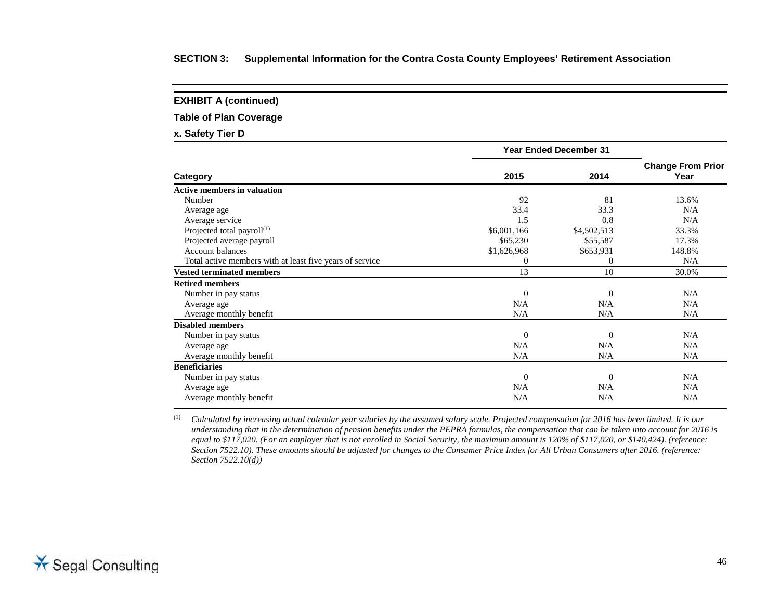**EXHIBIT A (continued)**

**Table of Plan Coverage**

**x. Safety Tier D**

|                                                          | <b>Year Ended December 31</b> |                |                                  |
|----------------------------------------------------------|-------------------------------|----------------|----------------------------------|
| Category                                                 | 2015                          | 2014           | <b>Change From Prior</b><br>Year |
| <b>Active members in valuation</b>                       |                               |                |                                  |
| Number                                                   | 92                            | 81             | 13.6%                            |
| Average age                                              | 33.4                          | 33.3           | N/A                              |
| Average service                                          | 1.5                           | 0.8            | N/A                              |
| Projected total payroll $(1)$                            | \$6,001,166                   | \$4,502,513    | 33.3%                            |
| Projected average payroll                                | \$65,230                      | \$55,587       | 17.3%                            |
| <b>Account balances</b>                                  | \$1,626,968                   | \$653,931      | 148.8%                           |
| Total active members with at least five years of service | $\Omega$                      | $\theta$       | N/A                              |
| <b>Vested terminated members</b>                         | 13                            | 10             | 30.0%                            |
| <b>Retired members</b>                                   |                               |                |                                  |
| Number in pay status                                     | $\Omega$                      | $\Omega$       | N/A                              |
| Average age                                              | N/A                           | N/A            | N/A                              |
| Average monthly benefit                                  | N/A                           | N/A            | N/A                              |
| <b>Disabled members</b>                                  |                               |                |                                  |
| Number in pay status                                     | $\Omega$                      | $\Omega$       | N/A                              |
| Average age                                              | N/A                           | N/A            | N/A                              |
| Average monthly benefit                                  | N/A                           | N/A            | N/A                              |
| <b>Beneficiaries</b>                                     |                               |                |                                  |
| Number in pay status                                     | $\theta$                      | $\overline{0}$ | N/A                              |
| Average age                                              | N/A                           | N/A            | N/A                              |
| Average monthly benefit                                  | N/A                           | N/A            | N/A                              |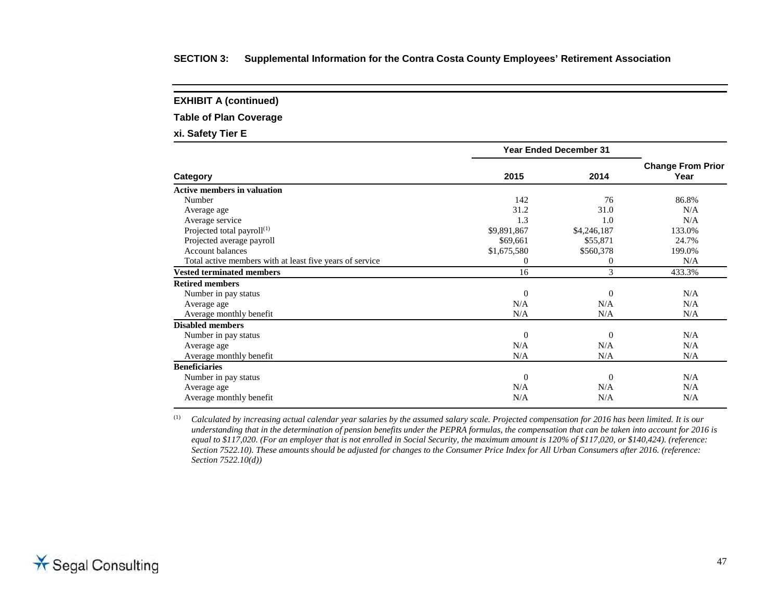**EXHIBIT A (continued)**

**Table of Plan Coverage**

**xi. Safety Tier E**

|                                                          | <b>Year Ended December 31</b> |                |                                  |
|----------------------------------------------------------|-------------------------------|----------------|----------------------------------|
| Category                                                 | 2015                          | 2014           | <b>Change From Prior</b><br>Year |
| <b>Active members in valuation</b>                       |                               |                |                                  |
| Number                                                   | 142                           | 76             | 86.8%                            |
| Average age                                              | 31.2                          | 31.0           | N/A                              |
| Average service                                          | 1.3                           | 1.0            | N/A                              |
| Projected total payroll <sup>(1)</sup>                   | \$9,891,867                   | \$4,246,187    | 133.0%                           |
| Projected average payroll                                | \$69,661                      | \$55,871       | 24.7%                            |
| <b>Account balances</b>                                  | \$1,675,580                   | \$560,378      | 199.0%                           |
| Total active members with at least five years of service | $\Omega$                      | $\overline{0}$ | N/A                              |
| <b>Vested terminated members</b>                         | 16                            | 3              | 433.3%                           |
| <b>Retired members</b>                                   |                               |                |                                  |
| Number in pay status                                     | $\Omega$                      | $\Omega$       | N/A                              |
| Average age                                              | N/A                           | N/A            | N/A                              |
| Average monthly benefit                                  | N/A                           | N/A            | N/A                              |
| <b>Disabled members</b>                                  |                               |                |                                  |
| Number in pay status                                     | $\Omega$                      | $\overline{0}$ | N/A                              |
| Average age                                              | N/A                           | N/A            | N/A                              |
| Average monthly benefit                                  | N/A                           | N/A            | N/A                              |
| <b>Beneficiaries</b>                                     |                               |                |                                  |
| Number in pay status                                     | $\theta$                      | $\overline{0}$ | N/A                              |
| Average age                                              | N/A                           | N/A            | N/A                              |
| Average monthly benefit                                  | N/A                           | N/A            | N/A                              |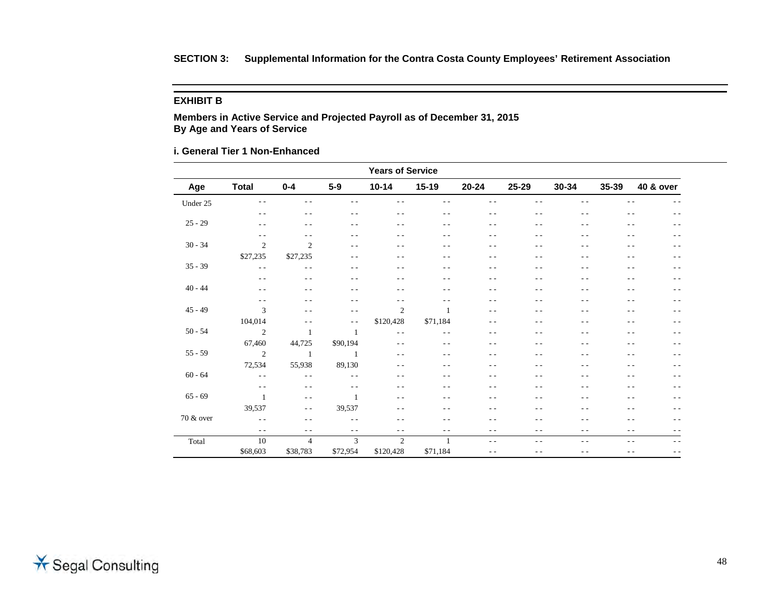#### **EXHIBIT B**

**Members in Active Service and Projected Payroll as of December 31, 2015 By Age and Years of Service**

**i. General Tier 1 Non-Enhanced**

| <b>Years of Service</b> |                |                |                |                |          |               |       |               |       |                      |
|-------------------------|----------------|----------------|----------------|----------------|----------|---------------|-------|---------------|-------|----------------------|
| Age                     | <b>Total</b>   | $0 - 4$        | $5-9$          | $10 - 14$      | $15-19$  | $20 - 24$     | 25-29 | 30-34         | 35-39 | <b>40 &amp; over</b> |
| Under 25                | $ -$           | $ -$           | - -            | $ -$           |          | $ -$          |       | $ -$          |       |                      |
|                         | $\sim$ $\sim$  | $ -$           | $ -$           | $ -$           | $ -$     | $ -$          | $ -$  | $ -$          | $ -$  | $- -$                |
| $25 - 29$               | $ -$           | $ -$           | $ -$           | $- -$          | $ -$     | $ -$          | $ -$  | $ -$          | - -   | $ -$                 |
|                         | $\sim$ $\sim$  | $- -$          | $- -$          | $- -$          | $ -$     | $- -$         | $ -$  | $- -$         | $ -$  | $- -$                |
| $30 - 34$               | $\mathfrak{2}$ | $\overline{2}$ | - -            | $ -$           | - -      | $ -$          | $ -$  | $ -$          | - -   | $ -$                 |
|                         | \$27,235       | \$27,235       | - -            | $- -$          |          | $ -$          | - -   | - -           |       | $- -$                |
| $35 - 39$               | $\sim$ $\sim$  | $ -$           | $ -$           | $ -$           | $ -$     | $ -$          | $ -$  | $ -$          | $ -$  | $\frac{1}{2}$        |
|                         | $\sim$ $\sim$  | $ -$           | - -            | $- -$          | $ -$     | $ -$          | - -   | $ -$          | $ -$  | $\frac{1}{2}$        |
| $40 - 44$               | $\sim$ $\sim$  | $ -$           | $ -$           | $- -$          | $ -$     | $ -$          | $ -$  | $ -$          | $ -$  | $\frac{1}{2}$        |
|                         | $\sim$ $\sim$  | $ -$           | - -            | $- -$          | $ -$     | $- -$         | - -   | $ -$          | $ -$  | $- -$                |
| $45 - 49$               | 3              | $\sim$ $\sim$  | $ -$           | $\overline{2}$ |          | $ -$          | $ -$  | $ -$          |       | $ -$                 |
|                         | 104,014        | $\frac{1}{2}$  | $ -$           | \$120,428      | \$71,184 | $- -$         | $ -$  | $ -$          | - -   | $ -$                 |
| $50 - 54$               | $\overline{2}$ | 1              | $\mathbf{1}$   | $\sim$ $\sim$  | $ -$     | $ -$          | $ -$  | $ -$          | $ -$  | $\frac{1}{2}$        |
|                         | 67,460         | 44,725         | \$90,194       | $\sim$ $\sim$  | $ -$     | $\sim$ $\sim$ | $ -$  | $\sim$ $\sim$ | $ -$  | $ -$                 |
| $55 - 59$               | 2              | -1             | $\overline{1}$ | $- -$          | $ -$     | $ -$          | $ -$  | $ -$          | $ -$  | $\frac{1}{2}$        |
|                         | 72,534         | 55,938         | 89,130         | $ -$           |          | $ -$          | - -   | $ -$          |       | $ -$                 |
| $60 - 64$               | $\sim$ $\sim$  | $\frac{1}{2}$  | $ -$           | $\sim$ $\sim$  | $ -$     | $\sim$ $\sim$ | $ -$  | $\sim$ $\sim$ | $ -$  | $ -$                 |
|                         | $- -$          | $ -$           | $ -$           | $ -$           |          | $ -$          | - -   | $ -$          |       | $ -$                 |
| $65 - 69$               | $\mathbf{1}$   | $\sim$ $\sim$  | 1              | $- -$          |          | $\sim$ $\sim$ | - -   | $ -$          | $ -$  | - -                  |
|                         | 39,537         | $\frac{1}{2}$  | 39,537         | $\sim$ $\sim$  | $ -$     | $ -$          | $ -$  | $\sim$ $\sim$ | $ -$  | $ -$                 |
| 70 & over               | $\sim$ $\sim$  | $ -$           | $ -$           | $ -$           | - -      | $ -$          | - -   | $ -$          | - -   | $- -$                |
|                         | $\sim$ $\sim$  | $ -$           | $- -$          | $\sim$ $\sim$  | $- -$    | $ -$          | $ -$  | $ -$          | $ -$  | $- -$                |
| Total                   | 10             | $\overline{4}$ | 3              | $\overline{c}$ | 1        | $\sim$ $-$    | $ -$  | $ -$          | $ -$  | $- -$                |
|                         | \$68,603       | \$38,783       | \$72,954       | \$120,428      | \$71,184 | $\frac{1}{2}$ | $ -$  | $ -$          | $ -$  | $- -$                |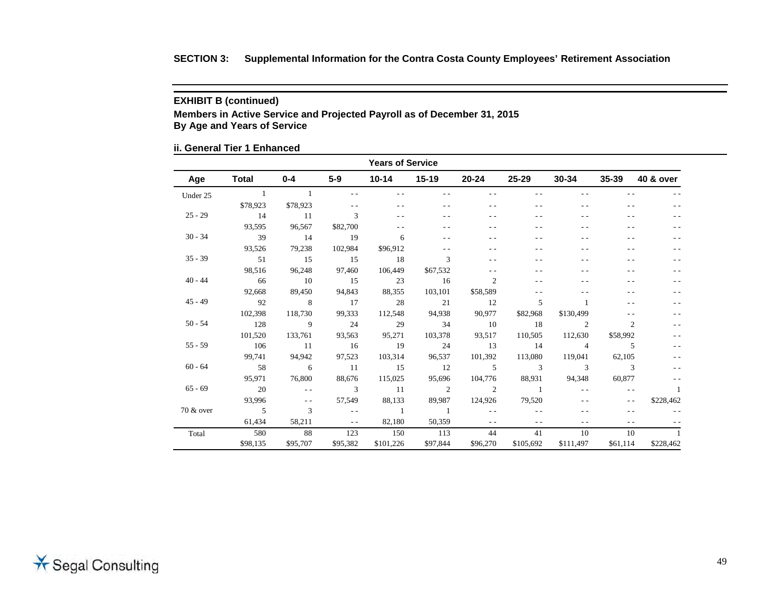## **EXHIBIT B (continued)**

**Members in Active Service and Projected Payroll as of December 31, 2015 By Age and Years of Service**

## **ii. General Tier 1 Enhanced**

| <b>Years of Service</b> |                |                            |                   |               |                          |                |                |                |                |           |
|-------------------------|----------------|----------------------------|-------------------|---------------|--------------------------|----------------|----------------|----------------|----------------|-----------|
| Age                     | <b>Total</b>   | $0 - 4$                    | $5-9$             | 10-14         | $15-19$                  | $20 - 24$      | 25-29          | $30 - 34$      | $35 - 39$      | 40 & over |
| Under 25                |                |                            | $ -$              | $ -$          |                          | - -            |                | - -            |                |           |
|                         | \$78,923       | \$78,923                   |                   | - -           |                          | $ -$           |                |                |                |           |
| $25 - 29$               | 14             | 11                         | 3                 |               |                          |                |                |                |                |           |
|                         | 93,595         | 96,567                     | \$82,700          |               |                          |                |                |                |                |           |
| $30 - 34$               | 39             | 14                         | 19                | 6             |                          |                |                |                |                |           |
|                         | 93,526         | 79,238                     | 102,984           | \$96,912      |                          |                |                |                |                |           |
| $35 - 39$               | 51             | 15                         | 15                | 18            | 3                        | $ -$           |                |                |                |           |
|                         | 98,516         | 96,248                     | 97,460            | 106,449       | \$67,532                 | $ -$           |                |                |                |           |
| $40 - 44$               | 66             | $\overline{10}$            | 15                | 23            | 16                       | $\overline{2}$ |                |                |                |           |
|                         | 92,668         | 89,450                     | 94,843            | 88,355        | 103,101                  | \$58,589       |                |                |                | - -       |
| $45 - 49$               | 92             | $\overline{\phantom{0}}$ 8 | 17                | 28            | 21                       | 12             | 5              |                |                |           |
|                         | 102,398        | 118,730                    | 99,333            | 112,548       | 94,938                   | 90,977         | \$82,968       | \$130,499      |                |           |
| $50 - 54$               | 128            | $\overline{9}$             | 24                | 29            | 34                       | 10             | 18             | 2              | $\overline{c}$ | $ -$      |
|                         | 101,520        | 133,761                    | 93,563            | 95,271        | 103,378                  | 93,517         | 110,505        | 112,630        | \$58,992       |           |
| $55 - 59$               | 106            | - 11                       | 16                | 19            | 24                       | 13             | 14             | $\overline{4}$ | 5              | $ -$      |
|                         | 99,741         | 94,942                     | 97,523            | 103,314       | 96,537                   | 101,392        | 113,080        | 119,041        | 62,105         |           |
| $60 - 64$               | 58             | $6\overline{6}$            | $\overline{11}$   | 15            | 12                       | $5^{\circ}$    | 3              | 3              | 3              |           |
|                         | 95,971         | 76,800                     | 88,676            | 115,025       | 95,696                   | 104,776        | 88,931         | 94,348         | 60,877         | $- -$     |
| $65 - 69$               | 20             | $\sim$ $\sim$              | 3                 | <sup>11</sup> | $\overline{\phantom{a}}$ | $\overline{2}$ | $\overline{1}$ | $\sim$ $\sim$  | $\sim$ $\sim$  | 1         |
|                         | 93.996         | $\sim$ $\sim$              | 57,549            | 88,133        | 89,987                   | 124,926        | 79,520         |                | $\sim$ $\sim$  | \$228,462 |
| 70 & over               | $\overline{5}$ | 3                          | $\sim$ 100 $\pm$  | $\sim$ 1      | $\sim$ 1                 | $\sim$ $\sim$  |                |                |                |           |
|                         | 61,434         | 58,211                     | <b>Contractor</b> | 82,180        | 50,359                   | $\frac{1}{2}$  | $ -$           | $\overline{a}$ | - -            |           |
| Total                   | 580            | 88                         | 123               | 150           | 113                      | 44             | 41             | 10             | 10             |           |
|                         | \$98,135       | \$95,707                   | \$95,382          | \$101,226     | \$97,844                 | \$96,270       | \$105,692      | \$111,497      | \$61,114       | \$228,462 |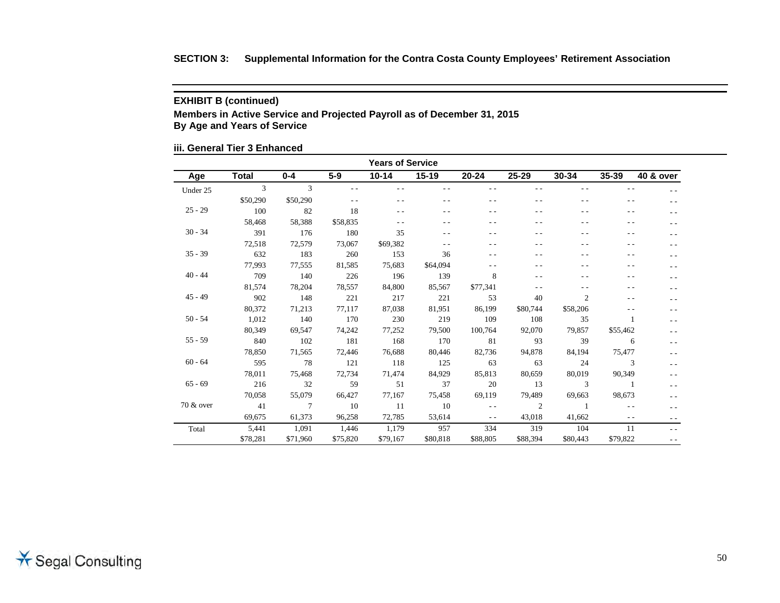## **EXHIBIT B (continued)**

**Members in Active Service and Projected Payroll as of December 31, 2015 By Age and Years of Service**

## **iii. General Tier 3 Enhanced**

| <b>Years of Service</b> |              |                 |          |           |           |               |                |                |               |                |
|-------------------------|--------------|-----------------|----------|-----------|-----------|---------------|----------------|----------------|---------------|----------------|
| Age                     | <b>Total</b> | $0 - 4$         | $5-9$    | $10 - 14$ | $15 - 19$ | $20 - 24$     | $25 - 29$      | $30 - 34$      | $35 - 39$     | 40 & over      |
| Under 25                | 3            | 3               | $ -$     |           |           |               |                |                | $ -$          |                |
|                         | \$50,290     | \$50,290        |          | - -       |           |               |                | - -            | - -           | $ -$           |
| $25 - 29$               | 100          | 82              | 18       | $ -$      |           | . .           |                | $ -$           |               | $ -$           |
|                         | 58,468       | 58,388          | \$58,835 | $ -$      |           | $ -$          |                | - -            | - -           |                |
| $30 - 34$               | 391          | 176             | 180      | 35        |           | - -           |                | $ -$           |               |                |
|                         | 72,518       | 72,579          | 73,067   | \$69,382  | $-$       | - -           | $ -$           | $ -$           | - -           |                |
| $35 - 39$               | 632          | 183             | 260      | 153       | 36        | - -           | $ -$           | - -            | - -           |                |
|                         | 77,993       | 77,555          | 81,585   | 75,683    | \$64,094  | - -           |                | $ -$           |               |                |
| $40 - 44$               | 709          | 140             | 226      | 196       | 139       | 8             |                |                |               |                |
|                         | 81,574       | 78,204          | 78,557   | 84,800    | 85,567    | \$77,341      |                |                |               |                |
| $45 - 49$               | 902          | 148             | 221      | 217       | 221       | 53            | 40             | $\overline{2}$ | - -           | - -            |
|                         | 80,372       | 71,213          | 77,117   | 87,038    | 81,951    | 86,199        | \$80,744       | \$58,206       |               | $ -$           |
| $50 - 54$               | 1,012        | 140             | 170      | 230       | 219       | 109           | 108            | 35             |               | $ -$           |
|                         | 80,349       | 69,547          | 74,242   | 77,252    | 79,500    | 100,764       | 92,070         | 79,857         | \$55,462      |                |
| $55 - 59$               | 840          | 102             | 181      | 168       | 170       | 81            | 93             | 39             | 6             | $-$            |
|                         | 78,850       | 71,565          | 72,446   | 76,688    | 80,446    | 82,736        | 94,878         | 84,194         | 75,477        |                |
| $60 - 64$               | 595          | 78              | 121      | 118       | 125       | 63            | 63             | 24             | 3             | $\overline{a}$ |
|                         | 78,011       | 75,468          | 72,734   | 71,474    | 84,929    | 85,813        | 80,659         | 80,019         | 90,349        | $ -$           |
| $65 - 69$               | 216          | 32              | 59       | 51        | 37        | 20            | 13             | 3              |               | $\overline{a}$ |
|                         | 70,058       | 55,079          | 66,427   | 77,167    | 75,458    | 69,119        | 79,489         | 69,663         | 98,673        |                |
| 70 & over               | 41           | $7\phantom{.0}$ | 10       | 11        | 10        | $\sim$ $\sim$ | $\overline{2}$ | $\overline{1}$ | $\sim$ $\sim$ |                |
|                         | 69.675       | 61,373          | 96,258   | 72,785    | 53,614    | $\sim$ $\sim$ | 43,018         | 41,662         | $\frac{1}{2}$ |                |
| Total                   | 5,441        | 1,091           | 1,446    | 1,179     | 957       | 334           | 319            | 104            | 11            | $ -$           |
|                         | \$78,281     | \$71,960        | \$75,820 | \$79,167  | \$80,818  | \$88,805      | \$88,394       | \$80,443       | \$79,822      | $ -$           |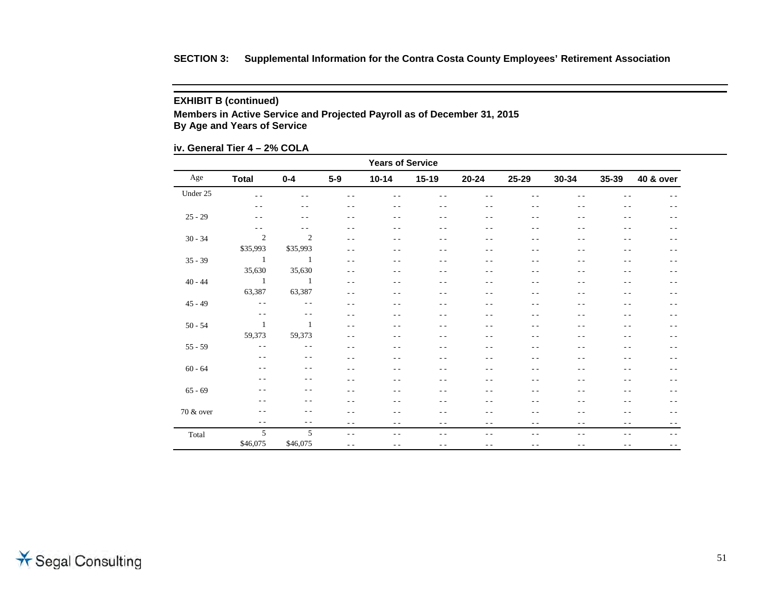## **EXHIBIT B (continued)**

**Members in Active Service and Projected Payroll as of December 31, 2015 By Age and Years of Service**

**iv. General Tier 4 – 2% COLA**

| <b>Years of Service</b> |                |               |               |               |               |                                                                                                                                                                                                                                                                                                                                                                                              |       |               |               |                      |
|-------------------------|----------------|---------------|---------------|---------------|---------------|----------------------------------------------------------------------------------------------------------------------------------------------------------------------------------------------------------------------------------------------------------------------------------------------------------------------------------------------------------------------------------------------|-------|---------------|---------------|----------------------|
| Age                     | <b>Total</b>   | $0 - 4$       | $5-9$         | $10 - 14$     | $15-19$       | $20 - 24$                                                                                                                                                                                                                                                                                                                                                                                    | 25-29 | $30 - 34$     | 35-39         | <b>40 &amp; over</b> |
| Under 25                | $\sim$ $\sim$  | ٠.            | $ -$          | ٠.            |               | ٠.                                                                                                                                                                                                                                                                                                                                                                                           |       | Ξ.            |               | - -                  |
|                         | $ -$           | $ -$          | $ -$          | $ -$          | $ -$          | - -                                                                                                                                                                                                                                                                                                                                                                                          | $ -$  | $ -$          | $ -$          | $ -$                 |
| $25 - 29$               | $ -$           | $ -$          | $ -$          | $ -$          | $ -$          | $ -$                                                                                                                                                                                                                                                                                                                                                                                         | $ -$  | $ -$          | $ -$          | $ -$                 |
|                         | $ -$           | $ -$          | - -           | $ -$          | $ -$          | ٠.                                                                                                                                                                                                                                                                                                                                                                                           | $ -$  | $ -$          | $ -$          | $ -$                 |
| $30 - 34$               | 2              | 2             | $ -$          | - -           | $ -$          | - -                                                                                                                                                                                                                                                                                                                                                                                          | $ -$  | $ -$          | $ -$          | - -                  |
|                         | \$35,993       | \$35,993      | $ -$          | $ -$          | $- -$         | - -                                                                                                                                                                                                                                                                                                                                                                                          | - -   | $ -$          | $- -$         | $- -$                |
| $35 - 39$               | $\overline{1}$ | - 1           | $\sim$ $\sim$ | $ -$          | $- -$         | - -                                                                                                                                                                                                                                                                                                                                                                                          | $ -$  | $- -$         | - -           | - -                  |
|                         | 35,630         | 35,630        | $ -$          | $ -$          | $ -$          | - -                                                                                                                                                                                                                                                                                                                                                                                          | $ -$  | - -           | - -           | - -                  |
| $40 - 44$               | $\overline{1}$ | -1            | $ -$          | $ -$          | $ -$          | $ -$                                                                                                                                                                                                                                                                                                                                                                                         | $ -$  | $ -$          | $ -$          | $ -$                 |
|                         | 63,387         | 63,387        | $ -$          | $ -$          | $ -$          | $ -$                                                                                                                                                                                                                                                                                                                                                                                         | $ -$  | $ -$          | $ -$          | $ -$                 |
| $45 - 49$               | $\sim$ $-$     | $\sim$ $\sim$ | $ -$          | $ -$          | $ -$          | $ -$                                                                                                                                                                                                                                                                                                                                                                                         | $ -$  | $ -$          | $ -$          | $ -$                 |
|                         | $\sim$ $\sim$  | $\sim$ $\sim$ | . .           | $ -$          | $ -$          | - -                                                                                                                                                                                                                                                                                                                                                                                          | $ -$  | $ -$          | - -           | $ -$                 |
| $50 - 54$               | 1              | 1             | $ -$          | $ -$          | $ -$          | - -                                                                                                                                                                                                                                                                                                                                                                                          | $ -$  | $ -$          | $ -$          | $ -$                 |
|                         | 59,373         | 59,373        | $ -$          | $ -$          | $- -$         | - -                                                                                                                                                                                                                                                                                                                                                                                          | - -   | $ -$          | $- -$         | $- -$                |
| $55 - 59$               | $\sim$ $\sim$  | $\sim$ $\sim$ | $ -$          | $ -$          | $ -$          | $ -$                                                                                                                                                                                                                                                                                                                                                                                         | $ -$  | $ -$          | $ -$          | $ -$                 |
|                         | $- -$          | $ -$          | $ -$          | $ -$          | - -           | - -                                                                                                                                                                                                                                                                                                                                                                                          | $ -$  | - -           | $ -$          | $- -$                |
| $60 - 64$               | $ -$           | $- -$         | $ -$          | $ -$          | $ -$          | $ -$                                                                                                                                                                                                                                                                                                                                                                                         | $ -$  | $ -$          | $ -$          | $ -$                 |
|                         | $- -$          | $ -$          | $ -$          | $ -$          | $ -$          | - -                                                                                                                                                                                                                                                                                                                                                                                          | $ -$  | $ -$          | $ -$          | $ -$                 |
| $65 - 69$               | $ -$           | $ -$          | $ -$          | $ -$          | $ -$          | - -                                                                                                                                                                                                                                                                                                                                                                                          | $ -$  | - -           | $ -$          | $ -$                 |
|                         | $ -$           | $ -$          | - -           | - -           | - -           | - -                                                                                                                                                                                                                                                                                                                                                                                          | - -   | - -           | - -           | - -                  |
| 70 & over               | $ -$           | $ -$          | $ -$          | $ -$          | $ -$          | $ -$                                                                                                                                                                                                                                                                                                                                                                                         | $ -$  | $ -$          | $ -$          | $- -$                |
|                         | $\frac{1}{2}$  | $ -$          | $ -$          | $\frac{1}{2}$ | $- -$         | $\frac{1}{2} \frac{1}{2} \frac{1}{2} \frac{1}{2} \frac{1}{2} \frac{1}{2} \frac{1}{2} \frac{1}{2} \frac{1}{2} \frac{1}{2} \frac{1}{2} \frac{1}{2} \frac{1}{2} \frac{1}{2} \frac{1}{2} \frac{1}{2} \frac{1}{2} \frac{1}{2} \frac{1}{2} \frac{1}{2} \frac{1}{2} \frac{1}{2} \frac{1}{2} \frac{1}{2} \frac{1}{2} \frac{1}{2} \frac{1}{2} \frac{1}{2} \frac{1}{2} \frac{1}{2} \frac{1}{2} \frac{$ | $- -$ | $\frac{1}{2}$ | $\frac{1}{2}$ | $- -$                |
| Total                   | 5              | 5             | $\frac{1}{2}$ | $ -$          | $ -$          | $ -$                                                                                                                                                                                                                                                                                                                                                                                         | $ -$  | $ -$          | $ -$          | $- -$                |
|                         | \$46,075       | \$46,075      | $ -$          | $ -$          | $\sim$ $\sim$ | $ -$                                                                                                                                                                                                                                                                                                                                                                                         | $- -$ | $ -$          | $ -$          | $ -$                 |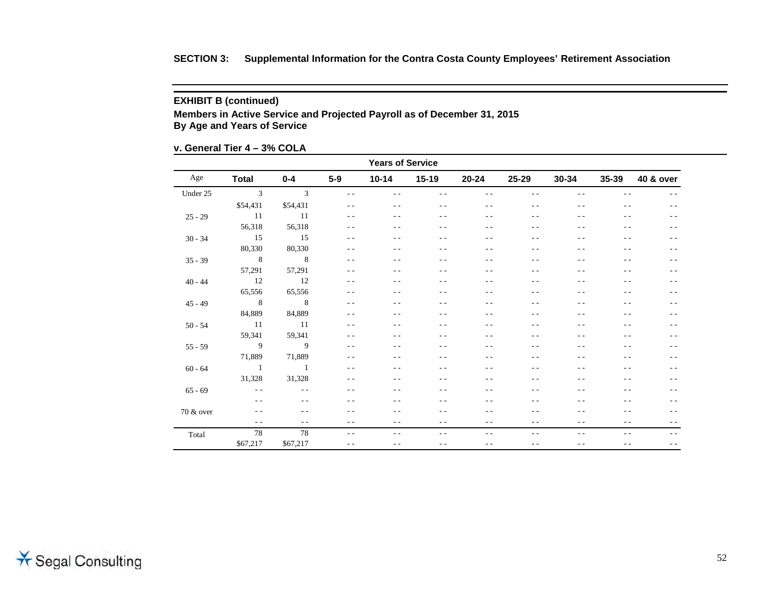## **EXHIBIT B (continued)**

**Members in Active Service and Projected Payroll as of December 31, 2015 By Age and Years of Service**

**v. General Tier 4 – 3% COLA**

| <b>Years of Service</b> |                 |                |               |           |                |               |               |           |       |                      |
|-------------------------|-----------------|----------------|---------------|-----------|----------------|---------------|---------------|-----------|-------|----------------------|
| Age                     | <b>Total</b>    | $0 - 4$        | $5-9$         | $10 - 14$ | $15-19$        | $20 - 24$     | $25 - 29$     | $30 - 34$ | 35-39 | <b>40 &amp; over</b> |
| Under 25                | $\overline{3}$  | $\mathbf{3}$   | $\frac{1}{2}$ | $ -$      | $ -$           | $\sim$ $\sim$ | $ -$          | $ -$      | $ -$  | $ -$                 |
|                         | \$54,431        | \$54,431       | $\frac{1}{2}$ | $ -$      | $- -$          | $ -$          | $ -$          | $ -$      | $- -$ | $ -$                 |
| $25 - 29$               | $\overline{11}$ | -11            | $ -$          | - -       | $- -$          | - -           | $ -$          | $ -$      | $ -$  | $ -$                 |
|                         | 56,318          | 56,318         | $\sim$ $\sim$ | $ -$      | $ -$           | - -           | $\sim$ $\sim$ | $ -$      | $ -$  | $ -$                 |
| $30 - 34$               | 15              | 15             | $ -$          | $ -$      | $ -$           | - -           | $ -$          | $ -$      | $ -$  | $ -$                 |
|                         | 80,330          | 80,330         | $ -$          | - -       | $- -$          | - -           | $ -$          | $ -$      | $ -$  | $ -$                 |
| $35 - 39$               | 8 <sup>8</sup>  | $\sim$ 8       | $ -$          | $ -$      | $ -$           | - -           | $ -$          | $ -$      | $- -$ | $ -$                 |
|                         | 57,291          | 57,291         | $ -$          | - -       | $ -$           | - -           | $ -$          | $ -$      | $ -$  | $ -$                 |
| $40 - 44$               | 12              | 12             | $\sim$ $\sim$ | $ -$      | $ -$           | - -           | $\sim$ $\sim$ | $ -$      | $ -$  | $ -$                 |
|                         | 65,556          | 65,556         | $ -$          | $ -$      | $ -$           | - -           | $ -$          | $ -$      | $ -$  | $ -$                 |
| $45 - 49$               |                 |                | $ -$          | - -       | $ -$           | - -           | $ -$          | $ -$      | $ -$  | $ -$                 |
|                         | 84,889          | 84,889         | $\sim$ $\sim$ | - -       | - -            | - -           | $ -$          | $ -$      | $ -$  | $ -$                 |
| $50 - 54$               | 11              | - 11           | $ -$          | $ -$      | $ -$           | - -           | $ -$          | $ -$      | $ -$  | $ -$                 |
|                         | 59,341          | 59,341         | $ -$          | $ -$      | $- -$          | - -           | $ -$          | $ -$      | $ -$  | $ -$                 |
| $55 - 59$               | $\overline{9}$  | $\overline{9}$ | $ -$          | $ -$      | $\overline{a}$ | - -           | $\sim$ $\sim$ | $ -$      | $ -$  | $ -$                 |
|                         | 71,889          | 71,889         | $ -$          | - -       | $ -$           |               | $ -$          |           | - -   | $ -$                 |
| $60 - 64$               | $\overline{1}$  | $\sim$ 1       | $ -$          | - -       | $ -$           | - -           | $ -$          | $ -$      | $ -$  | $ -$                 |
|                         | 31,328          | 31,328         | $ -$          | - -       | $ -$           | - -           | $ -$          | $ -$      | $ -$  | $ -$                 |
| $65 - 69$               | $\sim$ $\sim$   | $- -$          | $ -$          | - -       | $ -$           | - -           | $ -$          | $ -$      | $ -$  | $ -$                 |
|                         | $ -$            | $- -$          | $\sim$ $\sim$ | - -       | $ -$           | - -           | $\sim$ $\sim$ | $ -$      | $ -$  | $ -$                 |
| 70 & over               | $\frac{1}{2}$   | $ -$           | $ -$          | - -       | $ -$           | - -           | $ -$          | $ -$      | $ -$  | $ -$                 |
|                         | $\frac{1}{2}$   | $ -$           | $ -$          | $ -$      | $- -$          | $ -$          | $ -$          | $ -$      | $- -$ | $ -$                 |
| Total                   | 78              | 78             | $\sim$ $\sim$ | $ -$      | $ -$           | $ -$          | $\sim$ $\sim$ | $ -$      | $ -$  | $- -$                |
|                         | \$67,217        | \$67,217       | $\sim$ $-$    | $ -$      | $ -$           | $\sim$ $\sim$ | $ -$          | $ -$      | $ -$  | $- -$                |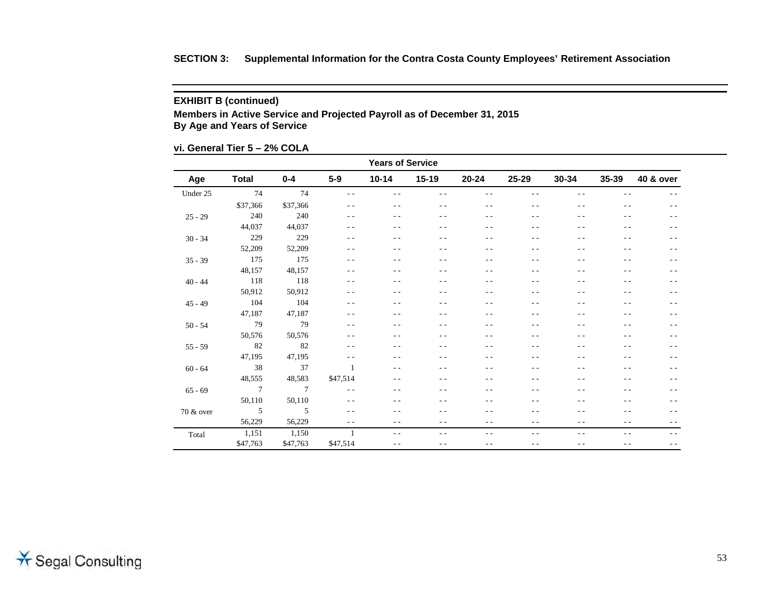## **EXHIBIT B (continued)**

**Members in Active Service and Projected Payroll as of December 31, 2015 By Age and Years of Service**

## **vi. General Tier 5 – 2% COLA**

| <b>Years of Service</b> |              |          |                |               |                |               |       |           |               |           |  |
|-------------------------|--------------|----------|----------------|---------------|----------------|---------------|-------|-----------|---------------|-----------|--|
| Age                     | <b>Total</b> | $0 - 4$  | $5-9$          | $10 - 14$     | $15-19$        | $20 - 24$     | 25-29 | $30 - 34$ | 35-39         | 40 & over |  |
| Under 25                | 74           | 74       | $ -$           | $ -$          | $ -$           | $ -$          | $ -$  | $ -$      | $ -$          | $ -$      |  |
|                         | \$37,366     | \$37,366 | $ -$           | $ -$          | - -            | $- -$         | $ -$  | $ -$      | $ -$          | $ -$      |  |
| $25 - 29$               | 240          | 240      | $ -$           | $ -$          | $ -$           | $ -$          | $ -$  | $ -$      | $ -$          | $ -$      |  |
|                         | 44,037       | 44,037   | $\sim$ $\sim$  | $ -$          | $ -$           | $ -$          | $ -$  | $ -$      | - -           | $ -$      |  |
| $30 - 34$               | 229          | 229      | $\frac{1}{2}$  | $ -$          | $ -$           | $ -$          | $ -$  | $ -$      | - -           | $ -$      |  |
|                         | 52,209       | 52,209   | $ -$           | - -           | $ -$           | $ -$          | - -   | $ -$      | - -           | $ -$      |  |
| $35 - 39$               | 175          | 175      | - -            | $ -$          | $ -$           | $ -$          | $ -$  | $ -$      | $ -$          | $ -$      |  |
|                         | 48,157       | 48,157   | $ -$           | $ -$          | - -            | - -           | - -   | $ -$      | - -           | $ -$      |  |
| $40 - 44$               | 118          | 118      | - -            | $ -$          | $ -$           | $ -$          | $ -$  | $ -$      | - -           | $ -$      |  |
|                         | 50,912       | 50,912   | $ -$           | $ -$          | $ -$           | $ -$          | - -   | $ -$      | - -           | $ -$      |  |
| $45 - 49$               | 104          | 104      | $ -$           | $ -$          | $ -$           | $ -$          | $ -$  | $ -$      | - -           | $ -$      |  |
|                         | 47,187       | 47,187   | $\sim$ $\sim$  | $ -$          | - -            | - -           | - -   | - -       | - -           | $ -$      |  |
| $50 - 54$               | 79           | 79       | $ -$           | $ -$          | - -            | $ -$          | - -   | $ -$      | - -           | $ -$      |  |
|                         | 50,576       | 50,576   | $ -$           | $ -$          | $ -$           | $ -$          | $ -$  | $ -$      | $ -$          | $ -$      |  |
| $55 - 59$               | 82           | 82       | $\sim$ $\sim$  | $ -$          | $\overline{a}$ | $ -$          | $ -$  | $ -$      | - -           | $ -$      |  |
|                         | 47,195       | 47,195   | $ -$           | $ -$          | - -            | - -           | - -   | $ -$      | - -           | $ -$      |  |
| $60 - 64$               | 38           | 37       | $\mathbf{1}$   | $ -$          | $ -$           | $ -$          | $ -$  | $ -$      | $ -$          | $ -$      |  |
|                         | 48,555       | 48,583   | \$47,514       | $ -$          | - -            | $ -$          | $ -$  | $ -$      | - -           | $ -$      |  |
| $65 - 69$               | $\tau$       | $\tau$   | $\frac{1}{2}$  | $ -$          | $ -$           | $ -$          | - -   | $ -$      | - -           | $ -$      |  |
|                         | 50,110       | 50,110   | $\frac{1}{2}$  | $ -$          | $ -$           | - -           | $ -$  | $ -$      | - -           | $ -$      |  |
| 70 & over               | 5            | 5        | $\frac{1}{2}$  | $ -$          | $ -$           | $ -$          | - -   | $ -$      | - -           | $ -$      |  |
|                         | 56,229       | 56,229   | $\frac{1}{2}$  | $ -$          | - -            | $ -$          | $ -$  | $ -$      | $\frac{1}{2}$ | $ -$      |  |
| Total                   | 1,151        | 1,150    | $\overline{1}$ | $\frac{1}{2}$ | - -            | $\sim$ $\sim$ | $ -$  | $- -$     | $\sim$ $\sim$ | $ -$      |  |
|                         | \$47,763     | \$47,763 | \$47,514       | $ -$          | - -            | $ -$          | - -   | $ -$      | $ -$          | $ -$      |  |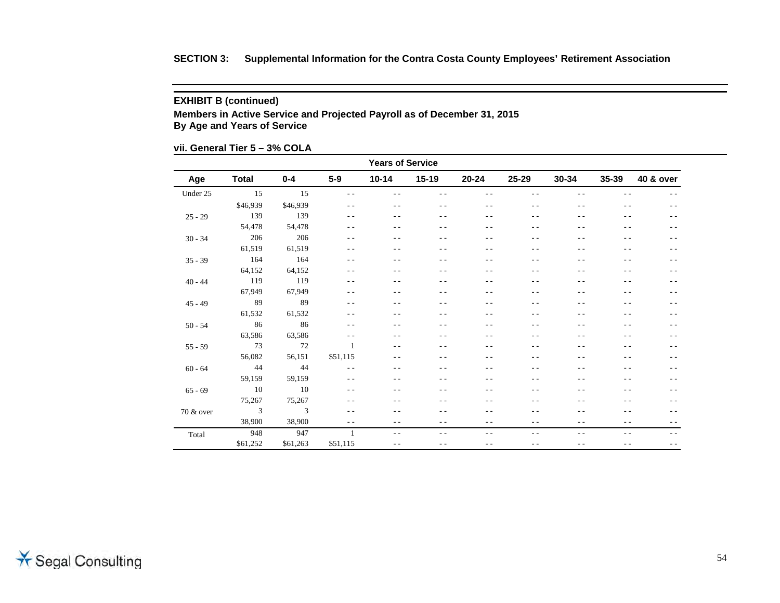## **EXHIBIT B (continued)**

**Members in Active Service and Projected Payroll as of December 31, 2015 By Age and Years of Service**

**vii. General Tier 5 – 3% COLA**

| <b>Years of Service</b> |                |          |               |               |                |           |               |               |               |           |
|-------------------------|----------------|----------|---------------|---------------|----------------|-----------|---------------|---------------|---------------|-----------|
| Age                     | <b>Total</b>   | $0 - 4$  | $5-9$         | $10 - 14$     | $15-19$        | $20 - 24$ | 25-29         | $30 - 34$     | 35-39         | 40 & over |
| Under 25                | 15             | 15       | $\sim$ $\sim$ | $\sim$ $\sim$ | - -            | $ -$      | $ -$          | $- -$         | $- -$         | $- -$     |
|                         | \$46,939       | \$46,939 | $\frac{1}{2}$ | $\frac{1}{2}$ | - -            | $ -$      | $\sim$ $\sim$ | $ -$          | $- -$         | $ -$      |
| $25 - 29$               | 139            | 139      | $ -$          | $ -$          | - -            | $ -$      | $ -$          | $ -$          | $- -$         | $ -$      |
|                         | 54,478         | 54,478   | $ -$          | $ -$          | - -            | $ -$      | $ -$          | $ -$          | $ -$          | $ -$      |
| $30 - 34$               | 206            | 206      | $ -$          | $ -$          | $ -$           | $ -$      | $ -$          | $ -$          | - -           | $ -$      |
|                         | 61,519         | 61,519   | $ -$          | $ -$          | $ -$           | $ -$      | $ -$          | $ -$          | - -           | $ -$      |
| $35 - 39$               | 164            | 164      | $ -$          | $ -$          | - -            | $- -$     | $- -$         | $- -$         | $\frac{1}{2}$ | $ -$      |
|                         | 64,152         | 64,152   | $ -$          | - -           | - -            | - -       | $ -$          | $ -$          | - -           | $ -$      |
| $40 - 44$               | 119            | 119      | $\sim$ $\sim$ | $ -$          | $ -$           | $ -$      | $\sim$ $\sim$ | $ -$          | $ -$          | - -       |
|                         | 67,949         | 67,949   | $ -$          | $ -$          | $ -$           | $ -$      | $ -$          | $ -$          | $ -$          | $ -$      |
| $45 - 49$               | 89             | 89       | $ -$          | $ -$          | $ -$           | $ -$      | $ -$          | $ -$          | $\sim$ $\sim$ | $ -$      |
|                         | 61,532         | 61,532   | $ -$          | $ -$          | $ -$           | $ -$      | $\sim$ $\sim$ | $ -$          | $\sim$ $\sim$ | $ -$      |
| $50 - 54$               | 86             | 86       | $\frac{1}{2}$ | $ -$          | $ -$           | $ -$      | $ -$          | $ -$          | $ -$          | $ -$      |
|                         | 63,586         | 63,586   | $ -$          | $ -$          | - -            | $- -$     | $ -$          | $ -$          | - -           | $ -$      |
| $55 - 59$               | 73             | 72       | 1             | $ -$          | $\overline{a}$ | $ -$      | $- -$         | $ -$          | $ -$          | $ -$      |
|                         | 56,082         | 56,151   | \$51,115      | $ -$          | $ -$           | $ -$      | $ -$          | $ -$          | $ -$          | $ -$      |
| $60 - 64$               | 44             | 44       | $\frac{1}{2}$ | $ -$          | $\overline{a}$ | - -       | $ -$          | $ -$          | $\sim$ $\sim$ | - -       |
|                         | 59,159         | 59,159   | $\frac{1}{2}$ | $ -$          | $ -$           | $ -$      | $ -$          | $ -$          | - -           | $ -$      |
| $65 - 69$               | 10             | 10       | $\frac{1}{2}$ | $ -$          | - -            | $ -$      | $ -$          | $ -$          | $\frac{1}{2}$ | $ -$      |
|                         | 75,267         | 75,267   | $ -$          | $ -$          | - -            | $ -$      | $ -$          | $ -$          | $ -$          | $ -$      |
| 70 & over               | $\mathfrak{Z}$ | 3        | $\frac{1}{2}$ | $ -$          | $ -$           | $ -$      | $ -$          | $ -$          | $ -$          | $ -$      |
|                         | 38,900         | 38,900   | $\frac{1}{2}$ | $ -$          | - -            | $ -$      | $- -$         | $\sim$ $\sim$ | $\sim$ $\sim$ | $ -$      |
| Total                   | 948            | 947      | 1             | $ -$          | $ -$           | $ -$      | $- -$         | $ -$          | $ -$          | $ -$      |
|                         | \$61,252       | \$61,263 | \$51,115      | $\frac{1}{2}$ | $ -$           | $ -$      | $ -$          | $- -$         | $\frac{1}{2}$ | $- -$     |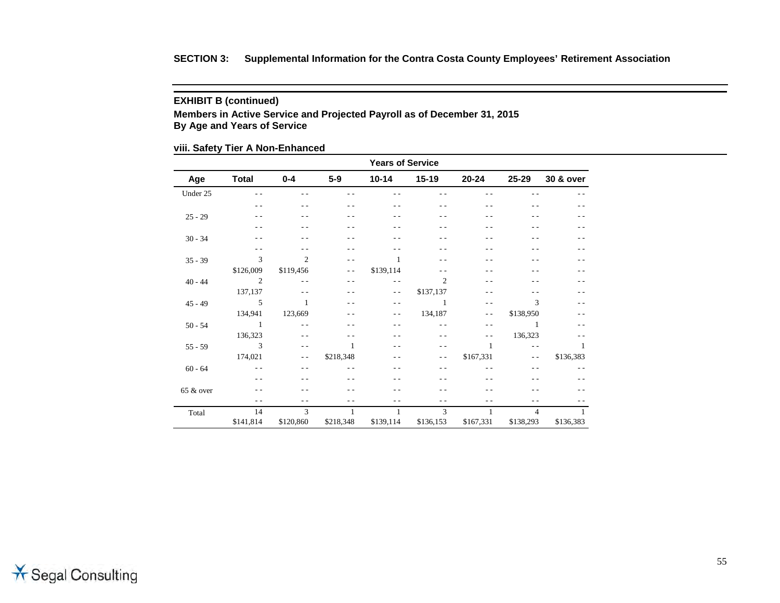## **EXHIBIT B (continued)**

**Members in Active Service and Projected Payroll as of December 31, 2015 By Age and Years of Service**

## **viii. Safety Tier A Non-Enhanced**

|           | <b>Years of Service</b> |                |               |               |                |                |                |                |  |  |  |  |  |
|-----------|-------------------------|----------------|---------------|---------------|----------------|----------------|----------------|----------------|--|--|--|--|--|
| Age       | <b>Total</b>            | $0 - 4$        | $5-9$         | $10 - 14$     | $15 - 19$      | 20-24          | 25-29          | 30 & over      |  |  |  |  |  |
| Under 25  | $\sim$ $\sim$           | - -            |               |               |                |                |                |                |  |  |  |  |  |
|           | $ -$                    | - -            |               | - -           | - -            | $ -$           | - -            |                |  |  |  |  |  |
| $25 - 29$ | - -                     | $ -$           | $ -$          | - -           | $ -$           | $ -$           | - -            |                |  |  |  |  |  |
|           | - -                     | - -            |               |               | - -            | - -            |                |                |  |  |  |  |  |
| $30 - 34$ | - -                     | $ -$           | $ -$          | - -           | - -            | - -            | - -            |                |  |  |  |  |  |
|           | $\sim$ $\sim$           | - -            | $ -$          |               | - -            |                |                |                |  |  |  |  |  |
| $35 - 39$ | 3                       | $\overline{2}$ | $ -$          | 1             | $\sim$ $\sim$  | - -            |                |                |  |  |  |  |  |
|           | \$126,009               | \$119,456      | $ -$          | \$139,114     | - -            | - -            |                |                |  |  |  |  |  |
| $40 - 44$ | $\overline{2}$          | $\sim$ $\sim$  | $ -$          | $\sim$ $\sim$ | $\overline{2}$ | - -            |                |                |  |  |  |  |  |
|           | 137,137                 | $ -$           | - -           | $ -$          | \$137,137      | - -            |                |                |  |  |  |  |  |
| $45 - 49$ | 5                       | $\mathbf{1}$   | $ -$          | - -           | $\overline{1}$ | $\sim$ $\sim$  | 3              |                |  |  |  |  |  |
|           | 134,941                 | 123,669        | - -           | $ -$          | 134,187        | $ -$           | \$138,950      |                |  |  |  |  |  |
| $50 - 54$ | -1                      | $\sim$ $\sim$  |               | - -           | $\sim$ $\sim$  | $\sim$ $\sim$  | -1             |                |  |  |  |  |  |
|           | 136,323                 | $- -$          | - -           | - -           | $\sim$ $\sim$  | $ -$           | 136,323        |                |  |  |  |  |  |
| $55 - 59$ | $\mathcal{E}$           | $ -$           | $\mathbf{1}$  | - -           | - -            | $\overline{1}$ | $\sim$ $\sim$  | 1              |  |  |  |  |  |
|           | 174,021                 | $ -$           | \$218,348     | - -           | $ -$           | \$167,331      | $ -$           | \$136,383      |  |  |  |  |  |
| $60 - 64$ | $\sim$ $\sim$           | $ -$           |               | . .           | $ -$           |                | $ -$           |                |  |  |  |  |  |
|           | $\sim$ $\sim$           |                |               |               | - -            |                |                |                |  |  |  |  |  |
| 65 & over |                         |                |               |               | - -            |                |                |                |  |  |  |  |  |
|           | $\sim$ $\sim$           | $ -$           | $\sim$ $\sim$ | - -           | $\sim$ $\sim$  | $ -$           | $ -$           |                |  |  |  |  |  |
| Total     | 14                      | 3              | $\mathbf{1}$  | 1             | 3              | -1             | $\overline{4}$ | $\overline{1}$ |  |  |  |  |  |
|           | \$141,814               | \$120,860      | \$218,348     | \$139,114     | \$136,153      | \$167,331      | \$138,293      | \$136,383      |  |  |  |  |  |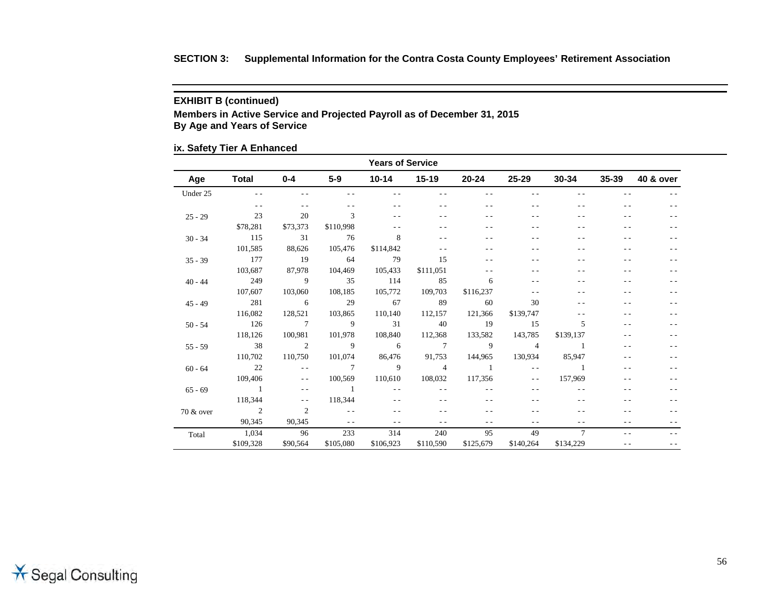## **EXHIBIT B (continued)**

**Members in Active Service and Projected Payroll as of December 31, 2015 By Age and Years of Service**

## **ix. Safety Tier A Enhanced**

| <b>Years of Service</b> |                          |                          |                          |                 |                |                |                |           |           |           |  |
|-------------------------|--------------------------|--------------------------|--------------------------|-----------------|----------------|----------------|----------------|-----------|-----------|-----------|--|
| Age                     | Total                    | $0 - 4$                  | $5-9$                    |                 | 10-14 15-19    | 20-24          | 25-29          | 30-34     | $35 - 39$ | 40 & over |  |
| Under 25                | $ -$                     |                          |                          |                 | $ -$           | $ -$           | $ -$           |           |           |           |  |
|                         | $ -$                     | $ -$                     | $ -$                     |                 | $ -$           | - -            | $ -$           |           | - -       | $ -$      |  |
| $25 - 29$               | 23                       | 20                       | $\mathcal{R}$            |                 | - -            |                | $ -$           |           |           |           |  |
|                         | \$78,281                 | \$73,373                 | \$110,998                |                 | $ -$           |                | - -            |           | - -       |           |  |
| $30 - 34$               | 115                      | 31                       | 76                       | 8               | $ -$           |                | - -            |           |           |           |  |
|                         | 101,585                  | 88,626                   | 105,476                  | \$114,842       | $ -$           |                |                |           |           | $ -$      |  |
| $35 - 39$               | 177                      | 19                       | 64                       | 79              | 15             |                | $ -$           |           | - -       |           |  |
|                         | 103,687                  | 87,978                   | 104,469                  | 105,433         | \$111,051      |                |                |           |           |           |  |
| $40 - 44$               | 249                      | $\overline{9}$           | 35                       | 114             | 85             | 6              |                |           |           |           |  |
|                         | 107,607                  | 103,060                  | 108,185                  | 105,772         | 109,703        | \$116,237      | $ -$           |           |           |           |  |
| $45 - 49$               | 281                      | $6\overline{6}$          | 29                       | 67              | 89             | 60             | 30             |           |           |           |  |
|                         | 116,082                  | 128,521                  | 103,865                  | 110,140         | 112.157        | 121,366        | \$139,747      |           | - -       |           |  |
| $50 - 54$               | 126                      | $\overline{7}$           | $\overline{9}$           | 31              | 40             | 19             | 15             | 5         |           |           |  |
|                         | 118,126                  | 100,981                  | 101,978                  | 108,840         | 112,368        | 133,582        | 143,785        | \$139,137 | - -       |           |  |
| $55 - 59$               | 38                       | $\overline{\phantom{a}}$ | $\overline{9}$           | $6\overline{6}$ | $\overline{7}$ | $\overline{9}$ | $\overline{4}$ | $\sim$ 1  | - -       |           |  |
|                         | 110,702                  | 110,750                  | 101,074                  | 86.476          | 91,753         | 144,965        | 130,934        | 85.947    |           |           |  |
| $60 - 64$               | 22                       | $\sim$ $\sim$            | $\overline{7}$           | $\overline{9}$  | $\sim$ 4       | $\sim$ 1       | $\sim$ $\sim$  | $\sim$ 1  | - -       |           |  |
|                         | 109,406                  | $\sim$ $\sim$            | 100,569                  | 110,610         | 108,032        | 117,356        | $ -$           | 157,969   |           |           |  |
| $65 - 69$               | $\overline{1}$           | $ -$                     | $\sim$ 1                 | $ -$            | $\sim$ $\sim$  |                | $ -$           |           |           |           |  |
|                         | 118,344                  | $\sim$ $\sim$            | 118,344                  | $\sim$ $\sim$   | $ -$           |                |                |           | - -       |           |  |
| 70 & over               | $\overline{\phantom{a}}$ | 2                        | $\sim$ $\sim$            |                 |                |                |                |           |           |           |  |
|                         | 90.345                   | 90,345                   | <b>Contract Contract</b> | $\frac{1}{2}$   | $ -$           | $ -$           | $ -$           | $ -$      | $ -$      |           |  |
| Total                   | 1,034                    | 96                       | 233                      | 314             | 240            | 95             | 49             | $\tau$    | $ -$      |           |  |
|                         | \$109,328                | \$90,564                 | \$105,080                | \$106,923       | \$110,590      | \$125,679      | \$140,264      | \$134,229 | $ -$      |           |  |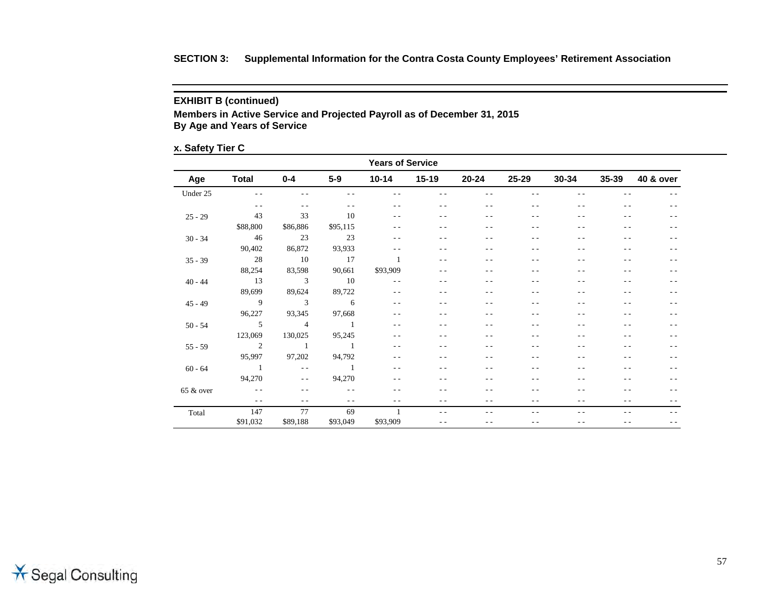## **EXHIBIT B (continued)**

**Members in Active Service and Projected Payroll as of December 31, 2015 By Age and Years of Service**

## **x. Safety Tier C**

| <b>Years of Service</b> |                          |                          |                 |           |         |           |           |           |           |           |
|-------------------------|--------------------------|--------------------------|-----------------|-----------|---------|-----------|-----------|-----------|-----------|-----------|
| Age                     | <b>Total</b>             | $0 - 4$                  | $5-9$           | $10 - 14$ | $15-19$ | $20 - 24$ | $25 - 29$ | $30 - 34$ | $35 - 39$ | 40 & over |
| Under 25                | $ -$                     | $ -$                     | $ -$            | $ -$      | $ -$    | $ -$      | $ -$      | $ -$      | - -       | $ -$      |
|                         | $\frac{1}{2}$            | $- -$                    | $ -$            | $ -$      | $- -$   | $ -$      | $ -$      | $ -$      | $ -$      | $ -$      |
| $25 - 29$               | 43                       | 33                       | 10              | $ -$      | $ -$    | - -       | - -       | $ -$      | - -       | - -       |
|                         | \$88,800                 | \$86,886                 | \$95,115        | $ -$      | - -     | - -       | $ -$      | $ -$      | - -       | $ -$      |
| $30 - 34$               | 46                       | 23                       | 23              | $ -$      | - -     | - -       | - -       | $ -$      | - -       | - -       |
|                         | 90,402                   | 86,872                   | 93,933          | $ -$      | - -     | $ -$      | $ -$      | $ -$      | - -       | $ -$      |
| $35 - 39$               | 28                       | 10                       | 17              |           | $ -$    | $ -$      | - -       | $ -$      | - -       | - -       |
|                         | 88,254                   | 83,598                   | 90,661          | \$93,909  | $ -$    | $ -$      | $ -$      | $ -$      | - -       | $ -$      |
| $40 - 44$               | 13                       | $\overline{\phantom{a}}$ | $\overline{10}$ | $ -$      | $ -$    | - -       | - -       | $ -$      | - -       | - -       |
|                         | 89,699                   | 89,624                   | 89,722          | $ -$      | $ -$    | $ -$      | $ -$      | $ -$      | - -       | - -       |
| $45 - 49$               | $\overline{9}$           | $\overline{\phantom{a}}$ | $6\overline{6}$ | $ -$      | $ -$    | $ -$      | $ -$      | $ -$      | - -       | - -       |
|                         | 96,227                   | 93,345                   | 97,668          | $ -$      | $ -$    | $ -$      | $ -$      | $ -$      | - -       | $- -$     |
| $50 - 54$               | $5\overline{)}$          | $\overline{4}$           | $\sim$ 1        | $ -$      | - -     | - -       | - -       | - -       | - -       | $ -$      |
|                         | 123,069                  | 130,025                  | 95,245          | $ -$      | - -     | $ -$      | $ -$      | $ -$      | - -       | - -       |
| $55 - 59$               | $\overline{\phantom{a}}$ | $\overline{1}$           | $\sim$ 1        | $ -$      | $ -$    | $ -$      | $ -$      | $ -$      | $ -$      | $ -$      |
|                         | 95,997                   | 97,202                   | 94,792          | $ -$      | $ -$    | $ -$      | $ -$      | $ -$      | $ -$      | $ -$      |
| $60 - 64$               | $\sim$ 1                 | $\sim$ $-$               | $\sim$ 1        | $ -$      | $ -$    | $ -$      | $ -$      | - -       | $ -$      | $ -$      |
|                         | 94,270                   | $\sim$ $-$               | 94,270          | $ -$      | $ -$    | - -       | $ -$      | $ -$      | $ -$      | $ -$      |
| $65 &$ over             | $\sim 100$ km s $^{-1}$  | $\qquad \qquad -$        | $ -$            | $ -$      | $ -$    | - -       | - -       | - -       | - -       | $ -$      |
|                         | $\sim$ $\sim$            | $ -$                     | $ -$            | $ -$      | - -     | $ -$      | $ -$      | $ -$      | - -       | - -       |
| Total                   | 147                      | 77                       | 69              |           | $- -$   | $ -$      | $ -$      | $ -$      | $- -$     | $ -$      |
|                         | \$91,032                 | \$89,188                 | \$93,049        | \$93,909  | $ -$    | $ -$      | $ -$      | $ -$      | $ -$      | $ -$      |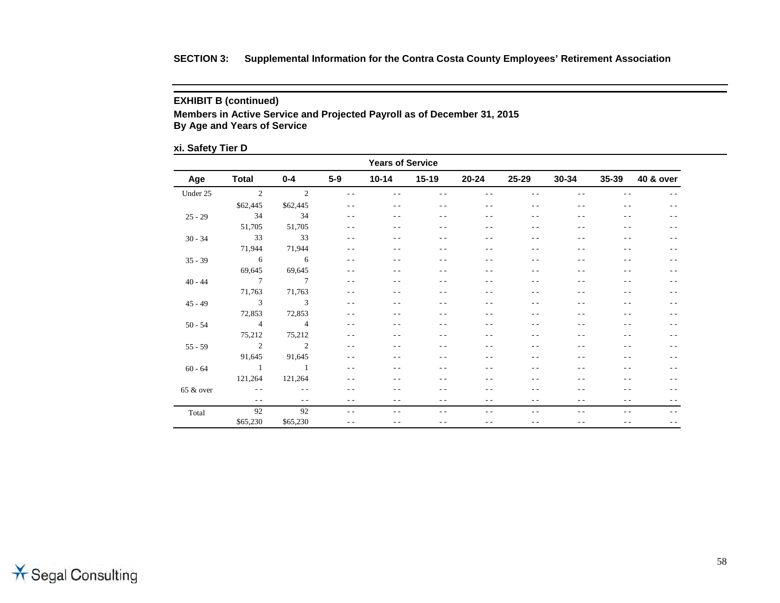## **EXHIBIT B (continued)**

**Members in Active Service and Projected Payroll as of December 31, 2015 By Age and Years of Service**

## **xi. Safety Tier D**

| <b>Years of Service</b> |                          |                          |               |               |               |       |       |               |       |           |  |
|-------------------------|--------------------------|--------------------------|---------------|---------------|---------------|-------|-------|---------------|-------|-----------|--|
| Age                     | <b>Total</b>             | $0 - 4$                  | $5-9$         | $10 - 14$     | $15 - 19$     | 20-24 | 25-29 | $30 - 34$     | 35-39 | 40 & over |  |
| Under 25                | $\overline{\phantom{a}}$ | $\overline{\phantom{a}}$ | $\sim$ $\sim$ | $ -$          |               | $ -$  |       | $ -$          |       | $ -$      |  |
|                         | \$62,445                 | \$62,445                 | $ -$          | $ -$          | $ -$          | $ -$  | $ -$  | $ -$          | $ -$  | $ -$      |  |
| $25 - 29$               | 34                       | 34                       | $ -$          | $ -$          | $ -$          | $ -$  | $ -$  | $ -$          | $ -$  | $ -$      |  |
|                         | 51,705                   | 51,705                   | $ -$          | $ -$          | $ -$          | $ -$  | $ -$  | $ -$          | $ -$  | $- -$     |  |
| $30 - 34$               | 33                       | 33                       | $\sim$ $\sim$ | $ -$          | $ -$          | $ -$  | $ -$  | $ -$          | $ -$  | $ -$      |  |
|                         | 71,944                   | 71,944                   | $ -$          | $ -$          | $ -$          | $ -$  | $ -$  | $ -$          | $ -$  | $- -$     |  |
| $35 - 39$               | $6\overline{6}$          | $6\overline{6}$          | $ -$          | $ -$          | $ -$          | $ -$  | - -   | $ -$          | $ -$  | $ -$      |  |
|                         | 69,645                   | 69,645                   | $ -$          | $ -$          | - -           | $ -$  | - -   | $ -$          | $ -$  | $ -$      |  |
| $40 - 44$               | $\overline{7}$           | $\overline{7}$           | $ -$          | $ -$          | $ -$          | $ -$  | - -   | $ -$          | $ -$  | $ -$      |  |
|                         | 71,763                   | 71,763                   | $ -$          | $ -$          | - -           | $ -$  | - -   | $ -$          | $ -$  | $ -$      |  |
| $45 - 49$               | $\overline{\mathbf{3}}$  | $\overline{\mathbf{3}}$  | $ -$          | $ -$          | $ -$          | $ -$  | - -   | $ -$          | $ -$  | $ -$      |  |
|                         | 72,853                   | 72,853                   | $\sim$ $\sim$ | $ -$          | - -           | $ -$  | - -   | $ -$          | $ -$  | $ -$      |  |
| $50 - 54$               | $\sim$ 4                 | $\overline{4}$           | $ -$          | $ -$          | - -           | $ -$  | - -   | $ -$          | $ -$  | $ -$      |  |
|                         | 75,212                   | 75,212                   | $\sim$ $\sim$ | $ -$          | - -           | $ -$  | - -   | $ -$          | $ -$  | $ -$      |  |
| $55 - 59$               | $\overline{\phantom{a}}$ | $\overline{\phantom{a}}$ | $\sim$ $\sim$ | $ -$          | - -           | $ -$  | - -   | $ -$          | $ -$  | $ -$      |  |
|                         | 91,645                   | 91,645                   | $ -$          | $ -$          | $ -$          | $ -$  | $ -$  | $ -$          | $ -$  | $ -$      |  |
| $60 - 64$               | $\sim$ 1                 | $\sim$ 1                 | $ -$          | $ -$          | - -           | $ -$  | - -   | $ -$          | $ -$  | $ -$      |  |
|                         | 121,264                  | 121,264                  | $ -$          | $ -$          | $ -$          | $ -$  | $ -$  | $ -$          | $ -$  | $ -$      |  |
| 65 & over               | <b>Contractor</b>        | $\sim$ $\sim$            | $ -$          | $\sim$ $\sim$ | - -           | $ -$  | - -   | $\sim$ $\sim$ | $ -$  | $ -$      |  |
|                         | $\frac{1}{2}$            | $\frac{1}{2}$            | $ -$          | $ -$          | $ -$          | $ -$  | $ -$  | $ -$          | $ -$  | $ -$      |  |
| Total                   | 92                       | 92                       | $\sim$ $\sim$ | $\sim$ $\sim$ | $\sim$ $\sim$ | $ -$  | - -   | $\sim$ $\sim$ | $ -$  | $ -$      |  |
|                         | \$65,230                 | \$65,230                 | $ -$          | $ -$          | - -           | $ -$  | $ -$  | $ -$          | $ -$  | $ -$      |  |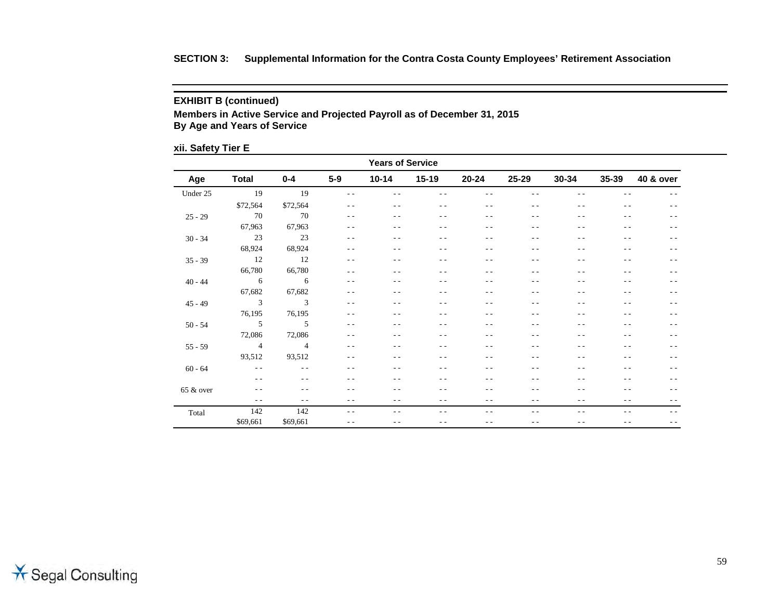## **EXHIBIT B (continued)**

**Members in Active Service and Projected Payroll as of December 31, 2015 By Age and Years of Service**

## **xii. Safety Tier E**

| <b>Years of Service</b> |                          |                          |               |           |         |           |           |           |                |           |  |
|-------------------------|--------------------------|--------------------------|---------------|-----------|---------|-----------|-----------|-----------|----------------|-----------|--|
| Age                     | <b>Total</b>             | $0 - 4$                  | $5-9$         | $10 - 14$ | $15-19$ | $20 - 24$ | $25 - 29$ | $30 - 34$ | $35 - 39$      | 40 & over |  |
| Under 25                | 19                       | 19                       | $\sim$ $\sim$ | $ -$      | $ -$    | $ -$      | - -       | $ -$      | - -            | $ -$      |  |
|                         | \$72,564                 | \$72,564                 | $ -$          | $ -$      | $ -$    | $ -$      | $ -$      | $ -$      | $ -$           | $ -$      |  |
| $25 - 29$               | 70                       | 70                       | $ -$          | $ -$      | $- -$   | $- -$     | $ -$      | $ -$      | $- -$          | $ -$      |  |
|                         | 67,963                   | 67,963                   | $\sim$ $\sim$ | $ -$      | $ -$    | - -       | - -       | $ -$      | - -            | $ -$      |  |
| $30 - 34$               | 23                       | 23                       | $ -$          | $ -$      | $- -$   | $ -$      | $ -$      | $ -$      | $ -$           | $ -$      |  |
|                         | 68,924                   | 68,924                   | $\sim$ $\sim$ | $ -$      | $ -$    | $ -$      | $ -$      | $ -$      | - -            | $ -$      |  |
| $35 - 39$               | 12                       | 12                       | $ -$          | $ -$      | $ -$    | $ -$      | $ -$      | $ -$      | $ -$           | $ -$      |  |
|                         | 66,780                   | 66,780                   | $ -$          | $ -$      | $ -$    | $ -$      | $ -$      | $ -$      | $ -$           | $ -$      |  |
| $40 - 44$               | $6\overline{6}$          | $6\overline{6}$          | $\sim$ $\sim$ | - -       | $ -$    | $ -$      | $ -$      | $ -$      | $ -$           | $ -$      |  |
|                         | 67,682                   | 67,682                   | $ -$          | $ -$      | $ -$    | - -       | - -       | $ -$      | - -            | $ -$      |  |
| $45 - 49$               | $\overline{\phantom{a}}$ | $\overline{\phantom{a}}$ | $\sim$ $\sim$ | $ -$      | $ -$    | $ -$      | $ -$      | $ -$      | $ -$           | $ -$      |  |
|                         | 76,195                   | 76,195                   | $ -$          | $ -$      | $ -$    | $ -$      | $ -$      | $ -$      | - -            | $ -$      |  |
| $50 - 54$               | $\overline{5}$           | $5\overline{)}$          | $ -$          | $ -$      | $- -$   | $ -$      | $ -$      | $ -$      | $\frac{1}{2}$  | $ -$      |  |
|                         | 72,086                   | 72,086                   | $ -$          | $ -$      | $ -$    | $ -$      | $ -$      | $ -$      | $ -$           | $ -$      |  |
| $55 - 59$               | $\overline{4}$           | $\overline{4}$           | $\sim$ $\sim$ | $ -$      | $ -$    | $ -$      | $ -$      | $ -$      | $ -$           | $ -$      |  |
|                         | 93,512                   | 93,512                   | $ -$          | $ -$      | $ -$    | $ -$      | $ -$      | $ -$      | $ -$           | $ -$      |  |
| $60 - 64$               | $ -$                     | $\frac{1}{2}$            | $ -$          | - -       | $ -$    | $ -$      | $ -$      | $ -$      | - -            | $ -$      |  |
|                         | $ -$                     | $- -$                    | $ -$          | $ -$      | $ -$    | $ -$      | $ -$      | $ -$      | $ -$           | $ -$      |  |
| 65 & over               | $\frac{1}{2}$            | $ -$                     | - -           | $ -$      | $ -$    | - -       | $ -$      | $ -$      | - -            | $ -$      |  |
|                         | $ -$                     | $ -$                     | $ -$          | $ -$      | $ -$    | $ -$      | $ -$      | $ -$      | $ -$           | $ -$      |  |
| Total                   | 142                      | 142                      | $ -$          | $ -$      | $ -$    | $ -$      | $ -$      | $ -$      | $\overline{a}$ | $ -$      |  |
|                         | \$69,661                 | \$69,661                 | $ -$          | $ -$      | $ -$    | $ -$      | $ -$      | $- -$     | - -            | $- -$     |  |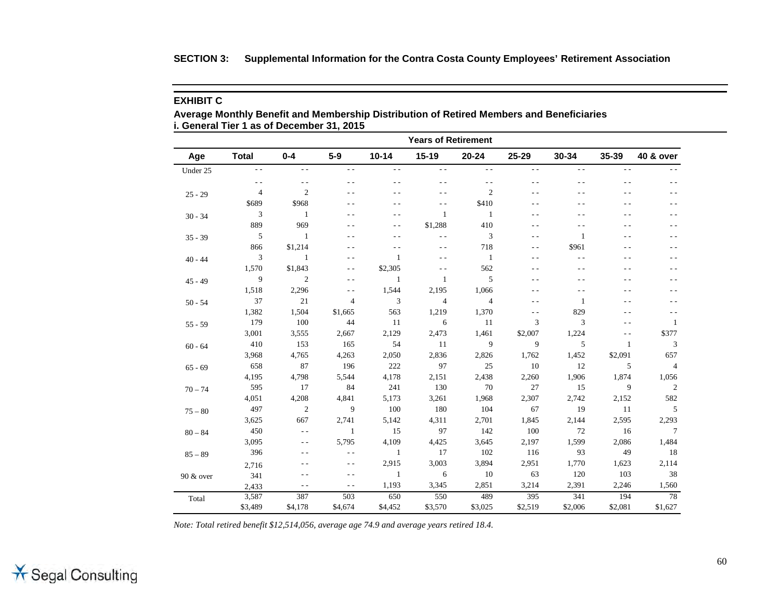|  | SECTION 3: Supplemental Information for the Contra Costa County Employees' Retirement Association |  |  |  |  |  |  |  |
|--|---------------------------------------------------------------------------------------------------|--|--|--|--|--|--|--|
|--|---------------------------------------------------------------------------------------------------|--|--|--|--|--|--|--|

## **EXHIBIT C**

**Average Monthly Benefit and Membership Distribution of Retired Members and Beneficiaries i. General Tier 1 as of December 31, 2015**

| Age       | <b>Total</b>   | $0 - 4$        | $5-9$          | $10 - 14$     | $15 - 19$               | $20 - 24$      | 25-29         | 30-34         | 35-39          | <b>40 &amp; over</b> |
|-----------|----------------|----------------|----------------|---------------|-------------------------|----------------|---------------|---------------|----------------|----------------------|
| Under 25  | $\sim$ $\sim$  | $\sim$ $\sim$  | $\sim$ $\sim$  | $\sim$ $\sim$ | $\sim$ $\sim$           | $ -$           | $\sim$ $\sim$ | $\sim$ $\sim$ | $\sim$ $\sim$  |                      |
|           | $\frac{1}{2}$  | $ -$           | $\sim$ $\sim$  | $ -$          | $ -$                    | $\sim$ $\sim$  | $ -$          | $ -$          | - -            | $ -$                 |
| $25 - 29$ | $\overline{4}$ | $\overline{c}$ | $\sim$ $\sim$  | $ -$          | $\sim$ $\sim$           | $\overline{c}$ | $\sim$ $\sim$ | $\sim$ $\sim$ | $\overline{a}$ | $\sim$ $\sim$        |
|           | \$689          | \$968          | $\sim$ $\sim$  | $\sim$ $\sim$ | $\sim$ $\sim$           | \$410          | $\sim$ $\sim$ | . .           | $ -$           | $\sim$ $\sim$        |
| $30 - 34$ | $\mathfrak{Z}$ | $\mathbf{1}$   | $\sim$ $\sim$  | $\sim$ $\sim$ | $\mathbf{1}$            | $\mathbf{1}$   | $\sim$ $\sim$ | $\sim$ $\sim$ | $ -$           | $\sim$ $\sim$        |
|           | 889            | 969            | $\sim$ $\sim$  | $\sim$ $\sim$ | \$1,288                 | 410            | $\sim$ $\sim$ | $ -$          | $ -$           | $ -$                 |
| $35 - 39$ | $\sqrt{5}$     | -1             | $\sim$ $\sim$  | $\sim$ $\sim$ | $ -$                    | 3              | $ -$          | 1             | - -            | $ -$                 |
|           | 866            | \$1,214        | $\sim$ $\sim$  | $ -$          | $ -$                    | 718            | $- -$         | \$961         | - -            | $ -$                 |
| $40 - 44$ | 3              | 1              | - -            | 1             | $ -$                    | 1              | $ -$          | $ -$          | - -            | $ -$                 |
|           | 1,570          | \$1,843        | $ -$           | \$2,305       | $ -$                    | 562            | $ -$          | $ -$          | - -            | $ -$                 |
| $45 - 49$ | 9              | $\overline{2}$ | $\sim$ $\sim$  | 1             | $\mathbf{1}$            | 5              | $-$           |               | - -            |                      |
|           | 1,518          | 2,296          | $\sim$ $\sim$  | 1,544         | 2,195                   | 1,066          | $\sim$ $\sim$ | $\sim$ $\sim$ | $\sim$ $\sim$  | $ -$                 |
| $50 - 54$ | 37             | 21             | $\overline{4}$ | 3             | $\overline{\mathbf{4}}$ | $\overline{4}$ | $ -$          | 1             | $ -$           | $ -$                 |
|           | 1,382          | 1,504          | \$1,665        | 563           | 1,219                   | 1,370          | $ -$          | 829           | . .            | $ -$                 |
| $55 - 59$ | 179            | 100            | 44             | 11            | 6                       | 11             | 3             | 3             | . .            | 1                    |
|           | 3,001          | 3,555          | 2,667          | 2,129         | 2,473                   | 1,461          | \$2,007       | 1,224         | $ -$           | \$377                |
| $60 - 64$ | 410            | 153            | 165            | 54            | 11                      | 9              | 9             | 5             | 1              | 3                    |
|           | 3,968          | 4,765          | 4,263          | 2,050         | 2,836                   | 2,826          | 1,762         | 1,452         | \$2,091        | 657                  |
| $65 - 69$ | 658            | 87             | 196            | 222           | 97                      | 25             | 10            | 12            | 5              | $\overline{4}$       |
|           | 4,195          | 4,798          | 5,544          | 4,178         | 2,151                   | 2,438          | 2,260         | 1,906         | 1,874          | 1,056                |
| $70 - 74$ | 595            | 17             | 84             | 241           | 130                     | 70             | 27            | 15            | 9              | $\overline{c}$       |
|           | 4,051          | 4,208          | 4,841          | 5,173         | 3,261                   | 1,968          | 2,307         | 2,742         | 2,152          | 582                  |
| $75 - 80$ | 497            | $\overline{2}$ | 9              | 100           | 180                     | 104            | 67            | 19            | 11             | 5                    |
|           | 3,625          | 667            | 2,741          | 5,142         | 4,311                   | 2,701          | 1,845         | 2,144         | 2,595          | 2,293                |
| $80 - 84$ | 450            | $\sim$ $\sim$  | 1              | 15            | 97                      | 142            | 100           | 72            | 16             | $\tau$               |
|           | 3,095          | $\sim$ $\sim$  | 5,795          | 4,109         | 4,425                   | 3,645          | 2,197         | 1,599         | 2,086          | 1,484                |
| $85 - 89$ | 396            | ٠.             | $ -$           | $\mathbf{1}$  | 17                      | 102            | 116           | 93            | 49             | 18                   |
|           | 2,716          |                | $ -$           | 2,915         | 3,003                   | 3,894          | 2,951         | 1,770         | 1,623          | 2,114                |
| 90 & over | 341            | $ -$           | $\sim$ $\sim$  | 1             | 6                       | 10             | 63            | 120           | 103            | 38                   |
|           | 2,433          | $\sim$ $\sim$  | $\sim$ $\sim$  | 1,193         | 3,345                   | 2,851          | 3,214         | 2,391         | 2,246          | 1,560                |
| Total     | 3,587          | 387            | 503            | 650           | 550                     | 489            | 395           | 341           | 194            | 78                   |
|           | \$3,489        | \$4,178        | \$4,674        | \$4,452       | \$3,570                 | \$3,025        | \$2,519       | \$2,006       | \$2,081        | \$1,627              |

*Note: Total retired benefit \$12,514,056, average age 74.9 and average years retired 18.4.*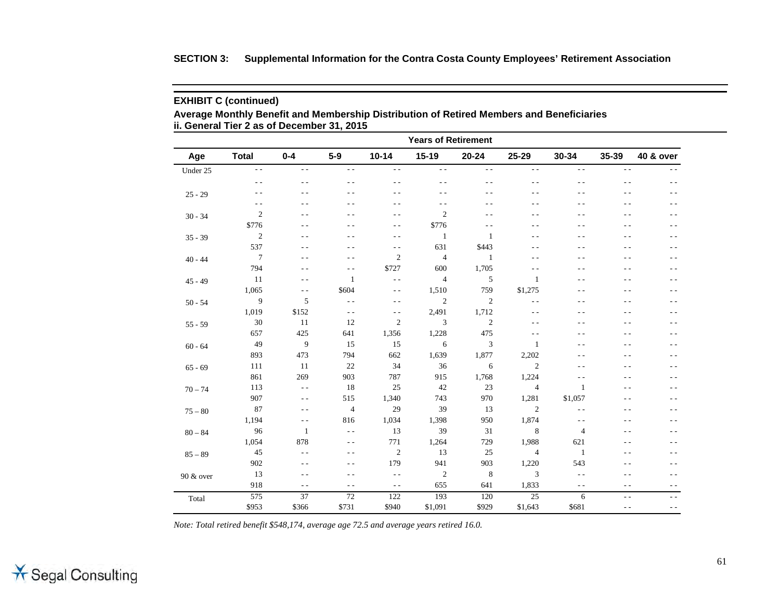### **SECTION 3: Supplemental Information for the Contra Costa County Employees' Retirement Association**

### **EXHIBIT C (continued)**

**Average Monthly Benefit and Membership Distribution of Retired Members and Beneficiaries ii. General Tier 2 as of December 31, 2015**

| <b>Years of Retirement</b> |                  |                 |                 |               |                          |                |                 |                |                |                      |
|----------------------------|------------------|-----------------|-----------------|---------------|--------------------------|----------------|-----------------|----------------|----------------|----------------------|
| Age                        | <b>Total</b>     | $0 - 4$         | $5-9$           | $10 - 14$     | $15 - 19$                | $20 - 24$      | 25-29           | 30-34          | 35-39          | <b>40 &amp; over</b> |
| Under 25                   | $\sim$ $\sim$    | $\sim$ $-$      | $\sim$ $\sim$   | $\sim$ $-$    | $\sim$ $\sim$            | $\sim$ $\sim$  | $\sim$ $\sim$   | $\sim$ $\sim$  | $\sim$ $-$     | $-$                  |
|                            | $ -$             | $- -$           | $\sim$ $\sim$   | $ -$          | $ -$                     | $ -$           | $ -$            | $\sim$ $\sim$  | $\sim$ $\sim$  | $ -$                 |
| $25 - 29$                  | $ -$             | $ -$            | $ -$            | $ -$          | $ -$                     | $ -$           | $ -$            | - -            | - -            | - -                  |
|                            | $ -$             | $ -$            | $ -$            | $\sim$ $\sim$ | $ -$                     | $ -$           | $ -$            | . .            | - -            | - -                  |
| $30 - 34$                  | $\sqrt{2}$       | $ -$            | $\sim$ $\sim$   | $\sim$ $\sim$ | $\mathbf{2}$             | $ -$           | - -             | . .            | $\sim$ $\sim$  | $\overline{a}$       |
|                            | \$776            | $\sim$ $\sim$   | $\sim$ $\sim$   | $\sim$ $\sim$ | \$776                    | $\sim$ $\sim$  | $\sim$ $\sim$   | $\sim$ $\sim$  | $\overline{a}$ | $ -$                 |
| $35 - 39$                  | $\sqrt{2}$       | $ -$            | $ -$            | $ -$          | $\mathbf{1}$             | 1              | $\sim$ $\sim$   | $ -$           | - -            | $ -$                 |
|                            | 537              | $ -$            | $\sim$ $\sim$   | $ -$          | 631                      | \$443          | $ -$            | . .            | $\sim$ $\sim$  | $ -$                 |
| $40 - 44$                  | $\boldsymbol{7}$ | $ -$            | $ -$            | $\sqrt{2}$    | $\overline{4}$           | $\mathbf{1}$   | $ -$            | . .            | - -            | $ -$                 |
|                            | 794              | $ -$            | $\frac{1}{2}$   | \$727         | 600                      | 1,705          | $ -$            | - -            | - -            | - -                  |
| $45 - 49$                  | 11               | $\sim$ $\sim$   | 1               | $\sim$ $\sim$ | $\overline{\mathcal{A}}$ | 5              | 1               | . .            | . .            | $ -$                 |
|                            | 1,065            | $\sim$ $\sim$   | \$604           | $\sim$ $-$    | 1,510                    | 759            | \$1,275         | $\sim$ $\sim$  | $\sim$ $\sim$  | $\overline{a}$       |
| $50 - 54$                  | 9                | 5               | $\sim$ $-$      | $ -$          | $\boldsymbol{2}$         | $\overline{c}$ | $\sim$ $\sim$   | - -            | - -            | - -                  |
|                            | 1,019            | \$152           | $\sim$ $-$      | $\sim$ $\sim$ | 2,491                    | 1,712          | $\sim$ $\sim$   | $\sim$ $\sim$  | - -            | $\overline{a}$       |
| $55 - 59$                  | 30               | 11              | 12              | $\sqrt{2}$    | 3                        | $\overline{c}$ | $ -$            | - -            | - -            | - -                  |
|                            | 657              | 425             | 641             | 1,356         | 1,228                    | 475            | $\sim$ $\sim$   | - -            | - -            | - -                  |
| $60 - 64$                  | 49               | 9               | 15              | 15            | 6                        | 3              | 1               | - -            | - -            | - -                  |
|                            | 893              | 473             | 794             | 662           | 1,639                    | 1,877          | 2,202           | $ -$           | $- -$          | - -                  |
| $65 - 69$                  | 111              | 11              | 22              | 34            | 36                       | 6              | $\mathbf{2}$    | $ -$           | - -            | - -                  |
|                            | 861              | 269             | 903             | 787           | 915                      | 1,768          | 1,224           | $\sim$ $\sim$  | - -            | - -                  |
| $70 - 74$                  | 113              | $\sim$ $\sim$   | 18              | 25            | 42                       | 23             | $\overline{4}$  | 1              | $\sim$ $\sim$  | $ -$                 |
|                            | 907              | $\sim$ $-$      | 515             | 1,340         | 743                      | 970            | 1,281           | \$1,057        | - -            | $ -$                 |
| $75 - 80$                  | 87               | $\sim$ $\sim$   | $\overline{4}$  | 29            | 39                       | 13             | $\mathbf{2}$    | $\sim$ $\sim$  | - -            | - -                  |
|                            | 1,194            | $ -$            | 816             | 1,034         | 1,398                    | 950            | 1,874           | $ -$           | - -            | $\overline{a}$       |
| $80 - 84$                  | 96               | 1               | $\sim$ $\sim$   | 13            | 39                       | 31             | 8               | $\overline{4}$ | $ -$           | $ -$                 |
|                            | 1,054            | 878             | $\sim$ $\sim$   | 771           | 1,264                    | 729            | 1,988           | 621            | $\sim$ $\sim$  | $\overline{a}$       |
| $85 - 89$                  | $45\,$           | $\sim$ $-$      | $\sim$ $\sim$   | $\sqrt{2}$    | 13                       | 25             | $\overline{4}$  | $\mathbf{1}$   | . .            | - -                  |
|                            | 902              | $\sim$ $\sim$   | $\sim$ $\sim$   | 179           | 941                      | 903            | 1,220           | 543            | . .            | $\overline{a}$       |
| 90 & over                  | 13               | $ -$            | $ -$            | $ -$          | $\boldsymbol{2}$         | 8              | 3               | $\sim$ $\sim$  | - -            | $\overline{a}$       |
|                            | 918              | $\sim$ $\sim$   | $ -$            | $\sim$ $\sim$ | 655                      | 641            | 1,833           | $\sim$ $\sim$  | $\sim$ $\sim$  | $ -$                 |
| Total                      | 575              | $\overline{37}$ | $\overline{72}$ | 122           | 193                      | 120            | $\overline{25}$ | 6              | $\sim$ $\sim$  | $ -$                 |
|                            | \$953            | \$366           | \$731           | \$940         | \$1,091                  | \$929          | \$1,643         | \$681          | $\sim$ $\sim$  | $ -$                 |

*Note: Total retired benefit \$548,174, average age 72.5 and average years retired 16.0.*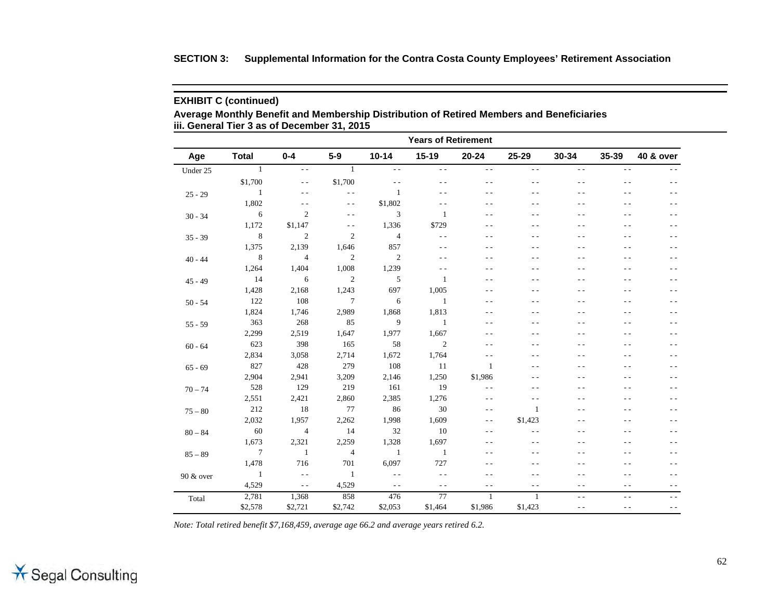|  | SECTION 3: Supplemental Information for the Contra Costa County Employees' Retirement Association |  |  |  |
|--|---------------------------------------------------------------------------------------------------|--|--|--|
|--|---------------------------------------------------------------------------------------------------|--|--|--|

**Average Monthly Benefit and Membership Distribution of Retired Members and Beneficiaries iii. General Tier 3 as of December 31, 2015**

|           | <b>Years of Retirement</b> |                |                |                |                |               |               |               |               |                      |
|-----------|----------------------------|----------------|----------------|----------------|----------------|---------------|---------------|---------------|---------------|----------------------|
| Age       | <b>Total</b>               | $0 - 4$        | $5-9$          | $10 - 14$      | $15 - 19$      | $20 - 24$     | 25-29         | 30-34         | 35-39         | <b>40 &amp; over</b> |
| Under 25  | $\mathbf{1}$               | $\sim$ $\sim$  | $\mathbf{1}$   | $\sim$ $\sim$  | $\sim$ $\sim$  | $\sim$ $\sim$ | $\sim$ $\sim$ | $\sim$ $\sim$ | $\sim$ $\sim$ |                      |
|           | \$1,700                    | $ -$           | \$1,700        | $ -$           | $ -$           | $\sim$ $\sim$ | $ -$          | $ -$          | - -           | - -                  |
| $25 - 29$ | $\mathbf{1}$               | $ -$           | $\overline{a}$ | $\mathbf{1}$   | $ -$           | $ -$          | - -           | $ -$          | $ -$          | $ -$                 |
|           | 1,802                      | $ -$           | $\sim$ $\sim$  | \$1,802        | $ -$           | $\frac{1}{2}$ | - -           | $ -$          | $- -$         | $- -$                |
| $30 - 34$ | 6                          | $\mathfrak{2}$ | $\sim$ $-$     | 3              | $\mathbf{1}$   | $\sim$ $\sim$ | $ -$          | $ -$          | $ -$          | $ -$                 |
|           | 1,172                      | \$1,147        | $\sim$ $-$     | 1,336          | \$729          | $\sim$ $\sim$ | $\sim$ $\sim$ | $\sim$ $\sim$ | $\sim$ $\sim$ | $\sim$ $\sim$        |
| $35 - 39$ | $\,8\,$                    | $\mathfrak{2}$ | $\mathfrak{2}$ | $\overline{4}$ | $- -$          | $\sim$ $\sim$ | $ -$          | $\sim$ $\sim$ | $ -$          | $ -$                 |
|           | 1,375                      | 2,139          | 1,646          | 857            | $ -$           | $ -$          | - -           | $\sim$ $\sim$ | $ -$          | $\sim$ $\sim$        |
| $40 - 44$ | 8                          | $\overline{4}$ | $\mathfrak{2}$ | $\mathfrak{2}$ | $ -$           | $- -$         | - -           | $ -$          | $- -$         | $- -$                |
|           | 1,264                      | 1,404          | 1,008          | 1,239          | $\sim$ $\sim$  | $ -$          | - -           | $ -$          | $ -$          | $ -$                 |
| $45 - 49$ | 14                         | 6              | $\mathfrak{2}$ | 5              | 1              | $ -$          | - -           | $ -$          | $ -$          | $ -$                 |
|           | 1,428                      | 2,168          | 1,243          | 697            | 1,005          | $ -$          | - -           | $ -$          | $ -$          | $ -$                 |
| $50 - 54$ | 122                        | 108            | $\overline{7}$ | 6              | $\mathbf{1}$   | $ -$          | - -           | - -           | $ -$          | - -                  |
|           | 1,824                      | 1,746          | 2,989          | 1,868          | 1,813          | - -           | - -           | $\sim$ $\sim$ | $ -$          | $ -$                 |
| $55 - 59$ | 363                        | 268            | 85             | 9              | $\mathbf{1}$   | $ -$          | ٠.            | $ -$          | $ -$          | $ -$                 |
|           | 2,299                      | 2,519          | 1,647          | 1,977          | 1,667          | $ -$          | - -           | $ -$          | - -           | $ -$                 |
| $60 - 64$ | 623                        | 398            | 165            | 58             | $\overline{2}$ | $ -$          | - -           | $ -$          | $ -$          | $ -$                 |
|           | 2,834                      | 3,058          | 2,714          | 1,672          | 1,764          | $\sim$ $\sim$ | - -           | $ -$          | - -           | $ -$                 |
| $65 - 69$ | 827                        | 428            | 279            | 108            | 11             | $\mathbf{1}$  | $ -$          | $ -$          | $ -$          | $ -$                 |
|           | 2,904                      | 2,941          | 3,209          | 2,146          | 1,250          | \$1,986       | $ -$          | $ -$          | $ -$          | $ -$                 |
| $70 - 74$ | 528                        | 129            | 219            | 161            | 19             | $\sim$ $\sim$ | $\sim$ $-$    | $ -$          | $ -$          | $ -$                 |
|           | 2,551                      | 2,421          | 2,860          | 2,385          | 1,276          | $\sim$ $\sim$ | $ -$          | $\sim$ $\sim$ | $ -$          | $ -$                 |
| $75 - 80$ | 212                        | 18             | 77             | 86             | 30             | $\sim$ $\sim$ | $\mathbf{1}$  | $\sim$ $\sim$ | - -           | $ -$                 |
|           | 2,032                      | 1,957          | 2,262          | 1,998          | 1,609          | $ -$          | \$1,423       | - -           | - -           | $-$                  |
| $80 - 84$ | 60                         | $\overline{4}$ | 14             | 32             | 10             | $\sim$ $\sim$ | $-$           | - -           | $- -$         | - -                  |
|           | 1,673                      | 2,321          | 2,259          | 1,328          | 1,697          | $- -$         | $ -$          | $ -$          | $- -$         | - -                  |
| $85 - 89$ | $\tau$                     | $\mathbf{1}$   | $\overline{4}$ | $\mathbf{1}$   | $\mathbf{1}$   | $ -$          | $\sim$ $\sim$ | $\sim$ $\sim$ | $ -$          | $ -$                 |
|           | 1,478                      | 716            | 701            | 6,097          | 727            | $ -$          | - -           | $\sim$ $\sim$ | $ -$          | $\sim$ $\sim$        |
| 90 & over | 1                          | $ -$           | 1              | $-$            | $\sim$ $\sim$  | $\sim$ $\sim$ | ٠.            | $\sim$ $\sim$ | $\sim$ $\sim$ | $ -$                 |
|           | 4,529                      | $\sim$ $\sim$  | 4,529          | $-$            | $\sim$ $\sim$  | $ -$          | $ -$          | $\sim$ $\sim$ | $ -$          | $ -$                 |
| Total     | 2,781                      | 1,368          | 858            | 476            | 77             | $\mathbf{1}$  | $\mathbf{1}$  | $\sim$ $\sim$ | $\sim$ $\sim$ | $- -$                |
|           | \$2,578                    | \$2,721        | \$2,742        | \$2,053        | \$1,464        | \$1,986       | \$1,423       | $ -$          | $\sim$ $-$    | $\sim$ $-$           |

*Note: Total retired benefit \$7,168,459, average age 66.2 and average years retired 6.2.*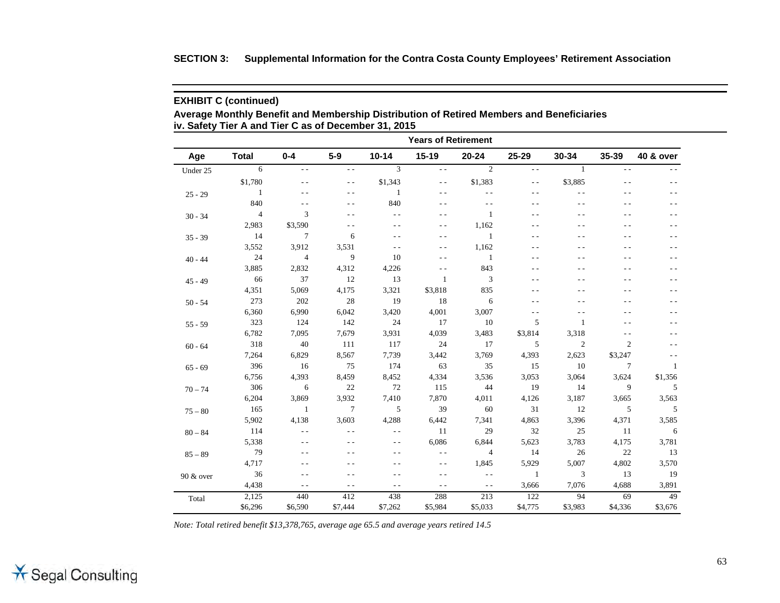|  | SECTION 3: Supplemental Information for the Contra Costa County Employees' Retirement Association |  |  |  |
|--|---------------------------------------------------------------------------------------------------|--|--|--|
|--|---------------------------------------------------------------------------------------------------|--|--|--|

**Average Monthly Benefit and Membership Distribution of Retired Members and Beneficiaries iv. Safety Tier A and Tier C as of December 31, 2015**

| <b>Years of Retirement</b> |                |                |                 |                |               |                |               |                |                |                      |
|----------------------------|----------------|----------------|-----------------|----------------|---------------|----------------|---------------|----------------|----------------|----------------------|
| Age                        | <b>Total</b>   | $0 - 4$        | $5-9$           | $10 - 14$      | $15 - 19$     | $20 - 24$      | 25-29         | 30-34          | 35-39          | <b>40 &amp; over</b> |
| Under 25                   | 6              | $\sim$ $\sim$  | $\sim$ $\sim$   | $\overline{3}$ | $\sim$ $\sim$ | 2              | $ -$          | $\mathbf{1}$   | $ -$           | $-$                  |
|                            | \$1,780        | $ -$           | $\sim$ $\sim$   | \$1,343        | $ -$          | \$1,383        | $\frac{1}{2}$ | \$3,885        | $ -$           | - -                  |
| $25 - 29$                  | 1              |                | $\sim$ $\sim$   | $\overline{1}$ | $ -$          | $\sim$ $\sim$  | $ -$          | $\sim$ $\sim$  | $ -$           | $\sim$ $\sim$        |
|                            | 840            | $\sim$ $\sim$  | $\sim$ $\sim$   | 840            | $ -$          | $\sim$ $\sim$  | $ -$          | $\sim$ $\sim$  | $ -$           | $\sim$ $\sim$        |
| $30 - 34$                  | $\overline{4}$ | 3              | $\sim$ $\sim$   | $\sim$ $\sim$  | $ -$          | 1              | - -           | $\sim$ $\sim$  | $\sim$ $\sim$  | $\sim$ $\sim$        |
|                            | 2,983          | \$3,590        | $\sim$ $\sim$   | $ -$           | $ -$          | 1,162          | - -           | $\sim$ $\sim$  | $ -$           | $ -$                 |
| $35 - 39$                  | 14             | 7              | 6               | $\sim$ $\sim$  | $\sim$ $\sim$ | 1              | $\sim$ $\sim$ | $\sim$ $\sim$  | $ -$           | $\sim$ $\sim$        |
|                            | 3,552          | 3,912          | 3,531           | $\sim$ $\sim$  | $ -$          | 1,162          | - -           | $ -$           | $ -$           | $\sim$ $\sim$        |
| $40 - 44$                  | 24             | $\overline{4}$ | 9               | 10             | - -           | $\mathbf{1}$   | - -           | ٠.             | $ -$           | $ -$                 |
|                            | 3,885          | 2,832          | 4,312           | 4,226          | $ -$          | 843            |               | $\sim$ $\sim$  | $ -$           | $ -$                 |
| $45 - 49$                  | 66             | 37             | 12              | 13             | $\mathbf{1}$  | 3              |               | $\sim$ $\sim$  | $\sim$ $\sim$  | $\sim$ $\sim$        |
|                            | 4,351          | 5,069          | 4,175           | 3,321          | \$3,818       | 835            | - -           | $\sim$ $\sim$  | $ -$           | $ -$                 |
| $50 - 54$                  | 273            | 202            | 28              | 19             | 18            | 6              | - -           | ٠.             | $ -$           | - -                  |
|                            | 6,360          | 6,990          | 6,042           | 3,420          | 4,001         | 3,007          | $ -$          | $ -$           | $ -$           | - -                  |
| $55 - 59$                  | 323            | 124            | 142             | 24             | 17            | 10             | 5             | $\overline{1}$ | $ -$           | - -                  |
|                            | 6,782          | 7,095          | 7,679           | 3,931          | 4,039         | 3,483          | \$3,814       | 3,318          | $ -$           | - -                  |
| $60 - 64$                  | 318            | 40             | 111             | 117            | 24            | 17             | 5             | $\overline{2}$ | $\overline{2}$ | $ -$                 |
|                            | 7,264          | 6,829          | 8,567           | 7,739          | 3,442         | 3,769          | 4,393         | 2,623          | \$3,247        | $\sim$ $\sim$        |
| $65 - 69$                  | 396            | 16             | 75              | 174            | 63            | 35             | 15            | 10             | $\tau$         | -1                   |
|                            | 6,756          | 4,393          | 8,459           | 8,452          | 4,334         | 3,536          | 3,053         | 3,064          | 3,624          | \$1,356              |
| $70 - 74$                  | 306            | 6              | 22              | 72             | 115           | 44             | 19            | 14             | 9              | 5                    |
|                            | 6,204          | 3,869          | 3,932           | 7,410          | 7,870         | 4,011          | 4,126         | 3,187          | 3,665          | 3,563                |
| $75 - 80$                  | 165            | 1              | $7\phantom{.0}$ | 5              | 39            | 60             | 31            | 12             | 5              | 5                    |
|                            | 5,902          | 4,138          | 3,603           | 4,288          | 6,442         | 7,341          | 4,863         | 3,396          | 4,371          | 3,585                |
| $80 - 84$                  | 114            | $\sim$ $\sim$  | $\sim$          | $\sim$ $\sim$  | 11            | 29             | 32            | 25             | 11             | 6                    |
|                            | 5,338          | $ -$           | $ -$            | $ -$           | 6,086         | 6,844          | 5,623         | 3,783          | 4,175          | 3,781                |
| $85 - 89$                  | 79             |                | $\sim$ $\sim$   | $\sim$ $\sim$  | $ -$          | $\overline{4}$ | 14            | 26             | 22             | 13                   |
|                            | 4,717          |                | - -             | - -            | $ -$          | 1,845          | 5,929         | 5,007          | 4,802          | 3,570                |
| 90 & over                  | 36             | $ -$           | - -             | - -            | $ -$          | $ -$           | 1             | 3              | 13             | 19                   |
|                            | 4,438          | $\sim$ $\sim$  | $\sim$ $\sim$   | $\sim$ $\sim$  | $ -$          | $\sim$ $\sim$  | 3,666         | 7,076          | 4,688          | 3,891                |
| Total                      | 2,125          | 440            | 412             | 438            | 288           | 213            | 122           | 94             | 69             | 49                   |
|                            | \$6,296        | \$6,590        | \$7,444         | \$7,262        | \$5,984       | \$5,033        | \$4,775       | \$3,983        | \$4,336        | \$3,676              |

*Note: Total retired benefit \$13,378,765, average age 65.5 and average years retired 14.5*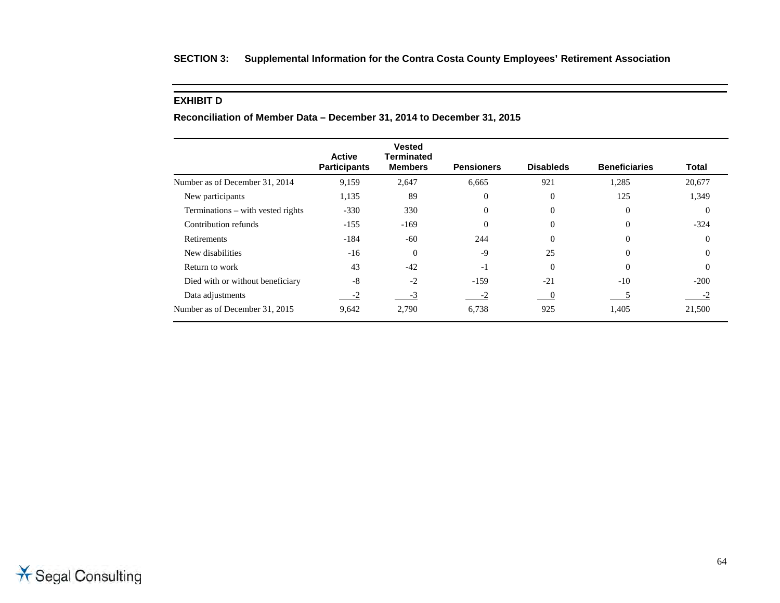## **SECTION 3: Supplemental Information for the Contra Costa County Employees' Retirement Association**

### **EXHIBIT D**

|                                   | <b>Active</b>       | <b>Vested</b><br><b>Terminated</b> |                   |                  |                      |              |
|-----------------------------------|---------------------|------------------------------------|-------------------|------------------|----------------------|--------------|
|                                   | <b>Participants</b> | <b>Members</b>                     | <b>Pensioners</b> | <b>Disableds</b> | <b>Beneficiaries</b> | <b>Total</b> |
| Number as of December 31, 2014    | 9,159               | 2,647                              | 6,665             | 921              | 1,285                | 20,677       |
| New participants                  | 1,135               | 89                                 | $\overline{0}$    | $\Omega$         | 125                  | 1,349        |
| Terminations – with vested rights | $-330$              | 330                                | $\overline{0}$    | $\Omega$         | $\theta$             | $\Omega$     |
| Contribution refunds              | $-155$              | $-169$                             | $\overline{0}$    | $\Omega$         | $\Omega$             | $-324$       |
| Retirements                       | $-184$              | $-60$                              | 244               | $\Omega$         | $\Omega$             | $\Omega$     |
| New disabilities                  | $-16$               | $\theta$                           | $-9$              | 25               | $\Omega$             | $\Omega$     |
| Return to work                    | 43                  | $-42$                              | $-1$              | $\Omega$         | $\Omega$             | $\Omega$     |
| Died with or without beneficiary  | $-8$                | $-2$                               | $-159$            | $-21$            | $-10$                | $-200$       |
| Data adjustments                  | $-2$                | $-3$                               | $-2$              |                  |                      | $-2$         |
| Number as of December 31, 2015    | 9,642               | 2,790                              | 6,738             | 925              | 1,405                | 21,500       |

**Reconciliation of Member Data – December 31, 2014 to December 31, 2015**

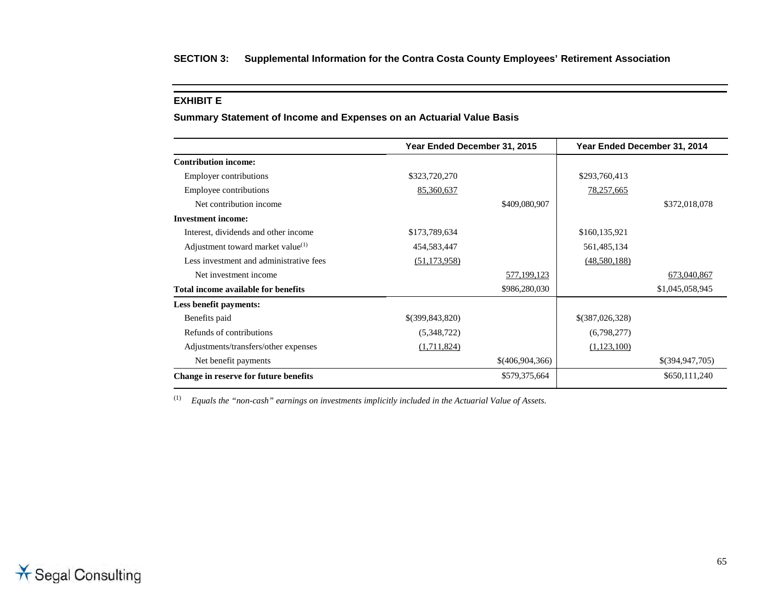#### **EXHIBIT E**

**Summary Statement of Income and Expenses on an Actuarial Value Basis**

|                                         | Year Ended December 31, 2015 |                 | Year Ended December 31, 2014 |                 |
|-----------------------------------------|------------------------------|-----------------|------------------------------|-----------------|
| <b>Contribution income:</b>             |                              |                 |                              |                 |
| Employer contributions                  | \$323,720,270                |                 | \$293,760,413                |                 |
| Employee contributions                  | 85,360,637                   |                 | 78,257,665                   |                 |
| Net contribution income                 |                              | \$409,080,907   |                              | \$372,018,078   |
| <b>Investment income:</b>               |                              |                 |                              |                 |
| Interest, dividends and other income    | \$173,789,634                |                 | \$160,135,921                |                 |
| Adjustment toward market value $(1)$    | 454,583,447                  |                 | 561,485,134                  |                 |
| Less investment and administrative fees | (51, 173, 958)               |                 | (48,580,188)                 |                 |
| Net investment income                   |                              | 577,199,123     |                              | 673,040,867     |
| Total income available for benefits     |                              | \$986,280,030   |                              | \$1,045,058,945 |
| Less benefit payments:                  |                              |                 |                              |                 |
| Benefits paid                           | \$(399, 843, 820)            |                 | \$(387,026,328)              |                 |
| Refunds of contributions                | (5,348,722)                  |                 | (6,798,277)                  |                 |
| Adjustments/transfers/other expenses    | (1,711,824)                  |                 | (1,123,100)                  |                 |
| Net benefit payments                    |                              | \$(406,904,366) |                              | \$(394,947,705) |
| Change in reserve for future benefits   |                              | \$579,375,664   |                              | \$650,111,240   |

(1) *Equals the "non-cash" earnings on investments implicitly included in the Actuarial Value of Assets.*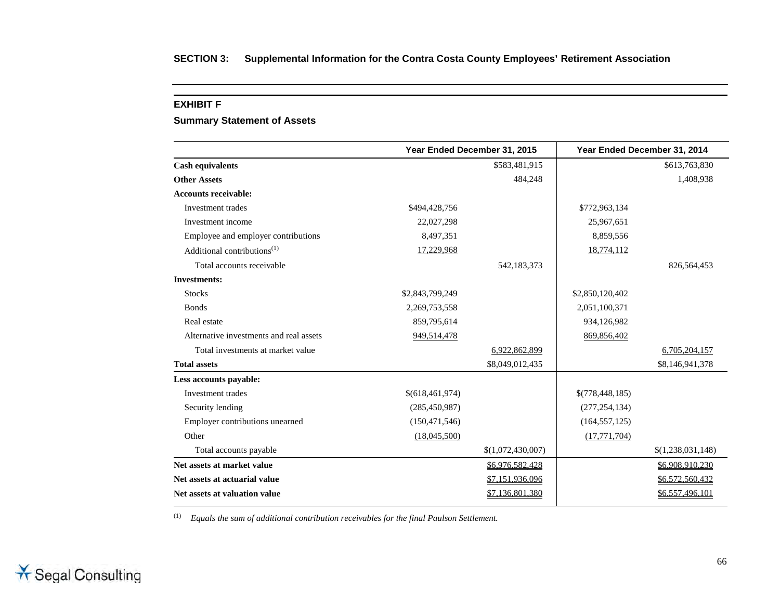#### **EXHIBIT F**

## **Summary Statement of Assets**

|                                                      | Year Ended December 31, 2015 |                   |                 | Year Ended December 31, 2014 |
|------------------------------------------------------|------------------------------|-------------------|-----------------|------------------------------|
| <b>Cash equivalents</b>                              |                              | \$583,481,915     |                 | \$613,763,830                |
| <b>Other Assets</b>                                  |                              | 484,248           |                 | 1,408,938                    |
| <b>Accounts receivable:</b>                          |                              |                   |                 |                              |
| Investment trades                                    | \$494,428,756                |                   | \$772,963,134   |                              |
| Investment income                                    | 22,027,298                   |                   | 25,967,651      |                              |
| Employee and employer contributions                  | 8,497,351                    |                   | 8,859,556       |                              |
| Additional contributions <sup><math>(1)</math></sup> | 17,229,968                   |                   | 18,774,112      |                              |
| Total accounts receivable                            |                              | 542,183,373       |                 | 826,564,453                  |
| <b>Investments:</b>                                  |                              |                   |                 |                              |
| <b>Stocks</b>                                        | \$2,843,799,249              |                   | \$2,850,120,402 |                              |
| <b>Bonds</b>                                         | 2,269,753,558                |                   | 2,051,100,371   |                              |
| Real estate                                          | 859,795,614                  |                   | 934,126,982     |                              |
| Alternative investments and real assets              | 949,514,478                  |                   | 869,856,402     |                              |
| Total investments at market value                    |                              | 6,922,862,899     |                 | 6,705,204,157                |
| <b>Total assets</b>                                  |                              | \$8,049,012,435   |                 | \$8,146,941,378              |
| Less accounts payable:                               |                              |                   |                 |                              |
| Investment trades                                    | \$(618,461,974)              |                   | \$(778,448,185) |                              |
| Security lending                                     | (285, 450, 987)              |                   | (277, 254, 134) |                              |
| Employer contributions unearned                      | (150, 471, 546)              |                   | (164, 557, 125) |                              |
| Other                                                | (18,045,500)                 |                   | (17,771,704)    |                              |
| Total accounts payable                               |                              | \$(1,072,430,007) |                 | \$(1,238,031,148)            |
| Net assets at market value                           |                              | \$6,976,582,428   |                 | \$6,908,910,230              |
| Net assets at actuarial value                        |                              | \$7,151,936,096   |                 | \$6,572,560,432              |
| Net assets at valuation value                        |                              | \$7,136,801,380   |                 | \$6,557,496,101              |

(1) *Equals the sum of additional contribution receivables for the final Paulson Settlement.*

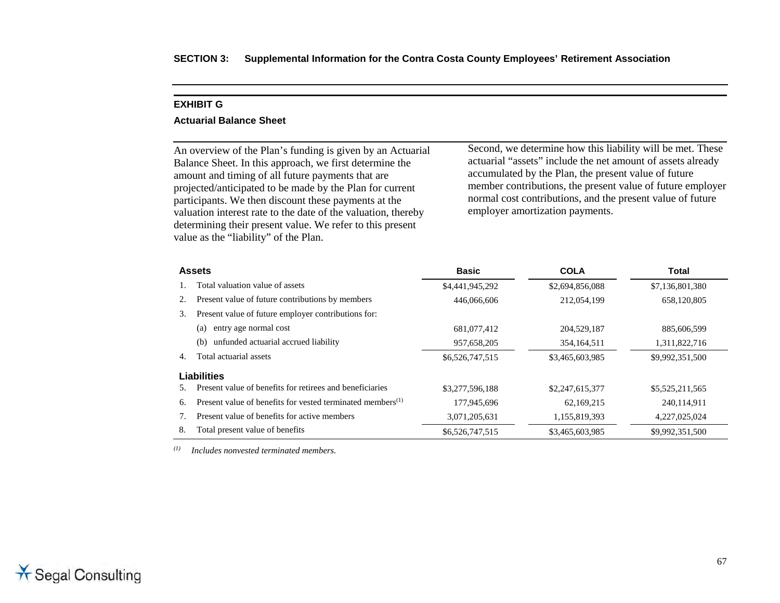#### **EXHIBIT G**

#### **Actuarial Balance Sheet**

An overview of the Plan's funding is given by an Actuarial Balance Sheet. In this approach, we first determine the amount and timing of all future payments that are projected/anticipated to be made by the Plan for current participants. We then discount these payments at the valuation interest rate to the date of the valuation, thereby determining their present value. We refer to this present value as the "liability" of the Plan.

Second, we determine how this liability will be met. These actuarial "assets" include the net amount of assets already accumulated by the Plan, the present value of future member contributions, the present value of future employer normal cost contributions, and the present value of future employer amortization payments.

|    | <b>Assets</b>                                                          | <b>Basic</b>    | <b>COLA</b>     | <b>Total</b>    |
|----|------------------------------------------------------------------------|-----------------|-----------------|-----------------|
|    | Total valuation value of assets                                        | \$4,441,945,292 | \$2,694,856,088 | \$7,136,801,380 |
| 2. | Present value of future contributions by members                       | 446,066,606     | 212,054,199     | 658,120,805     |
| 3. | Present value of future employer contributions for:                    |                 |                 |                 |
|    | entry age normal cost<br>(a)                                           | 681,077,412     | 204,529,187     | 885,606,599     |
|    | unfunded actuarial accrued liability<br>(b)                            | 957,658,205     | 354, 164, 511   | 1,311,822,716   |
| 4. | Total actuarial assets                                                 | \$6,526,747,515 | \$3,465,603,985 | \$9,992,351,500 |
|    | Liabilities                                                            |                 |                 |                 |
| 5. | Present value of benefits for retirees and beneficiaries               | \$3,277,596,188 | \$2,247,615,377 | \$5,525,211,565 |
| 6. | Present value of benefits for vested terminated members <sup>(1)</sup> | 177,945,696     | 62,169,215      | 240,114,911     |
|    | Present value of benefits for active members                           | 3,071,205,631   | 1,155,819,393   | 4,227,025,024   |
| 8. | Total present value of benefits                                        | \$6,526,747,515 | \$3,465,603,985 | \$9,992,351,500 |

*(1) Includes nonvested terminated members.*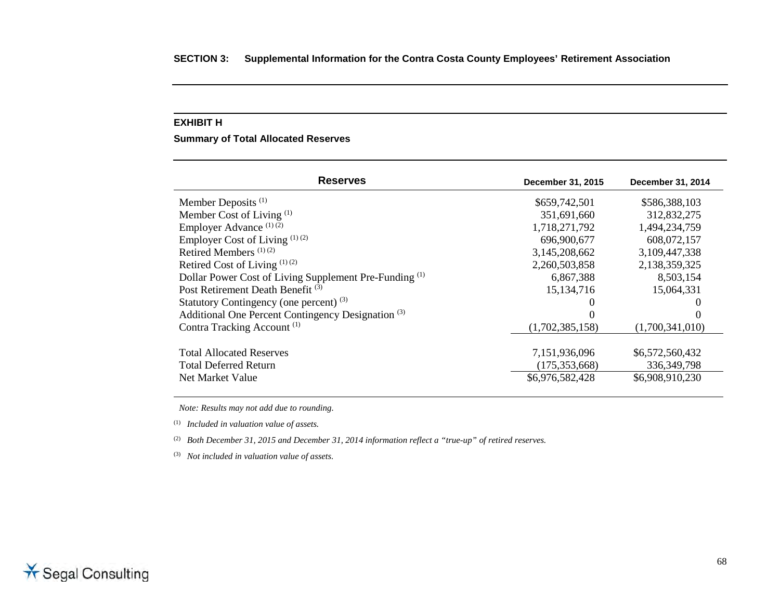#### **EXHIBIT H**

**Summary of Total Allocated Reserves**

| <b>Reserves</b>                                                   | December 31, 2015 | December 31, 2014 |
|-------------------------------------------------------------------|-------------------|-------------------|
| Member Deposits <sup>(1)</sup>                                    | \$659,742,501     | \$586,388,103     |
| Member Cost of Living (1)                                         | 351,691,660       | 312,832,275       |
| Employer Advance (1)(2)                                           | 1,718,271,792     | 1,494,234,759     |
| Employer Cost of Living $(1)(2)$                                  | 696,900,677       | 608,072,157       |
| Retired Members <sup>(1)(2)</sup>                                 | 3,145,208,662     | 3,109,447,338     |
| Retired Cost of Living $(1)(2)$                                   | 2,260,503,858     | 2,138,359,325     |
| Dollar Power Cost of Living Supplement Pre-Funding <sup>(1)</sup> | 6,867,388         | 8,503,154         |
| Post Retirement Death Benefit <sup>(3)</sup>                      | 15, 134, 716      | 15,064,331        |
| Statutory Contingency (one percent) <sup>(3)</sup>                |                   |                   |
| Additional One Percent Contingency Designation <sup>(3)</sup>     |                   |                   |
| Contra Tracking Account <sup>(1)</sup>                            | (1,702,385,158)   | (1,700,341,010)   |
|                                                                   |                   |                   |
| <b>Total Allocated Reserves</b>                                   | 7,151,936,096     | \$6,572,560,432   |
| <b>Total Deferred Return</b>                                      | (175, 353, 668)   | 336, 349, 798     |
| Net Market Value                                                  | \$6,976,582,428   | \$6,908,910,230   |

*Note: Results may not add due to rounding.*

(1) *Included in valuation value of assets.*

(2) *Both December 31, 2015 and December 31, 2014 information reflect a "true-up" of retired reserves.*

(3) *Not included in valuation value of assets.*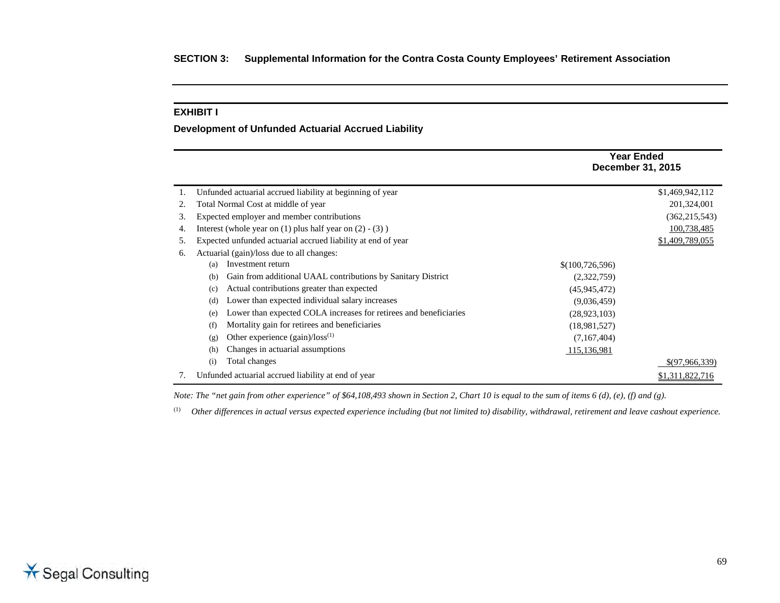### **EXHIBIT I**

### **Development of Unfunded Actuarial Accrued Liability**

|    |                                                                          | <b>Year Ended</b><br><b>December 31, 2015</b> |
|----|--------------------------------------------------------------------------|-----------------------------------------------|
|    | Unfunded actuarial accrued liability at beginning of year                | \$1,469,942,112                               |
| 2. | Total Normal Cost at middle of year                                      | 201,324,001                                   |
| 3. | Expected employer and member contributions                               | (362, 215, 543)                               |
| 4. | Interest (whole year on $(1)$ plus half year on $(2)$ - $(3)$ )          | 100,738,485                                   |
| 5. | Expected unfunded actuarial accrued liability at end of year             | \$1,409,789,055                               |
| 6. | Actuarial (gain)/loss due to all changes:                                |                                               |
|    | Investment return<br>(a)                                                 | \$(100, 726, 596)                             |
|    | Gain from additional UAAL contributions by Sanitary District<br>(b)      | (2,322,759)                                   |
|    | Actual contributions greater than expected<br>(c)                        | (45,945,472)                                  |
|    | Lower than expected individual salary increases<br>(d)                   | (9,036,459)                                   |
|    | Lower than expected COLA increases for retirees and beneficiaries<br>(e) | (28, 923, 103)                                |
|    | Mortality gain for retirees and beneficiaries<br>(f)                     | (18,981,527)                                  |
|    | Other experience $(gain)/loss^{(1)}$<br>(g)                              | (7,167,404)                                   |
|    | Changes in actuarial assumptions<br>(h)                                  | 115,136,981                                   |
|    | Total changes<br>(i)                                                     | \$(97,966,339)                                |
|    | Unfunded actuarial accrued liability at end of year                      | \$1,311,822,716                               |

*Note: The "net gain from other experience" of \$64,108,493 shown in Section 2, Chart 10 is equal to the sum of items 6 (d), (e), (f) and (g).* 

(1) *Other differences in actual versus expected experience including (but not limited to) disability, withdrawal, retirement and leave cashout experience.*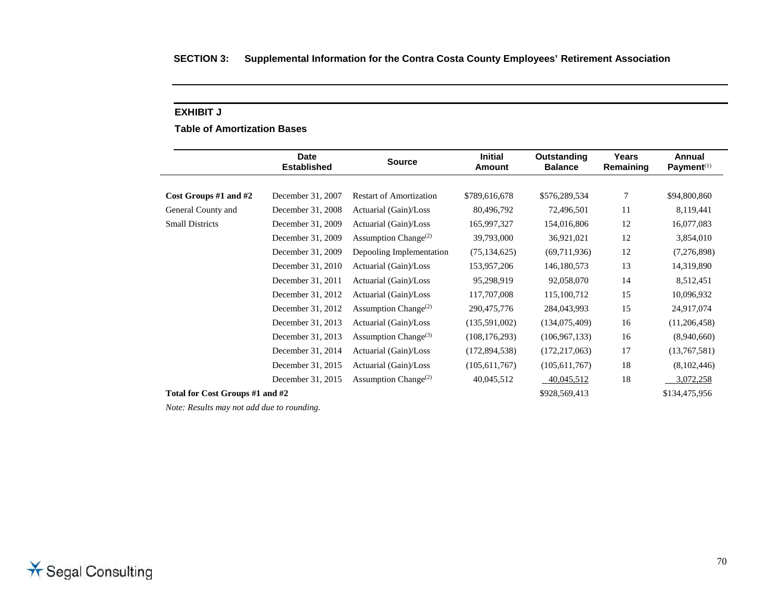### **EXHIBIT J**

**Table of Amortization Bases** 

|                                 | <b>Date</b><br><b>Established</b> | <b>Source</b>                                 | <b>Initial</b><br><b>Amount</b> | Outstanding<br><b>Balance</b> | Years<br>Remaining | Annual<br>Payment $(1)$ |
|---------------------------------|-----------------------------------|-----------------------------------------------|---------------------------------|-------------------------------|--------------------|-------------------------|
|                                 |                                   |                                               |                                 |                               |                    |                         |
| Cost Groups #1 and #2           | December 31, 2007                 | <b>Restart of Amortization</b>                | \$789,616,678                   | \$576,289,534                 | 7                  | \$94,800,860            |
| General County and              | December 31, 2008                 | Actuarial (Gain)/Loss                         | 80,496,792                      | 72,496,501                    | 11                 | 8,119,441               |
| <b>Small Districts</b>          | December 31, 2009                 | Actuarial (Gain)/Loss                         | 165,997,327                     | 154,016,806                   | 12                 | 16,077,083              |
|                                 | December 31, 2009                 | Assumption Change <sup><math>(2)</math></sup> | 39,793,000                      | 36,921,021                    | 12                 | 3,854,010               |
|                                 | December 31, 2009                 | Depooling Implementation                      | (75, 134, 625)                  | (69,711,936)                  | 12                 | (7,276,898)             |
|                                 | December 31, 2010                 | Actuarial (Gain)/Loss                         | 153,957,206                     | 146,180,573                   | 13                 | 14,319,890              |
|                                 | December 31, 2011                 | Actuarial (Gain)/Loss                         | 95,298,919                      | 92,058,070                    | 14                 | 8,512,451               |
|                                 | December 31, 2012                 | Actuarial (Gain)/Loss                         | 117,707,008                     | 115,100,712                   | 15                 | 10,096,932              |
|                                 | December 31, 2012                 | Assumption Change <sup><math>(2)</math></sup> | 290,475,776                     | 284,043,993                   | 15                 | 24,917,074              |
|                                 | December 31, 2013                 | Actuarial (Gain)/Loss                         | (135,591,002)                   | (134,075,409)                 | 16                 | (11,206,458)            |
|                                 | December 31, 2013                 | Assumption Change <sup>(3)</sup>              | (108, 176, 293)                 | (106, 967, 133)               | 16                 | (8,940,660)             |
|                                 | December 31, 2014                 | Actuarial (Gain)/Loss                         | (172, 894, 538)                 | (172, 217, 063)               | 17                 | (13,767,581)            |
|                                 | December 31, 2015                 | Actuarial (Gain)/Loss                         | (105, 611, 767)                 | (105, 611, 767)               | 18                 | (8,102,446)             |
|                                 | December 31, 2015                 | Assumption Change <sup><math>(2)</math></sup> | 40,045,512                      | 40,045,512                    | 18                 | 3,072,258               |
| Total for Cost Groups #1 and #2 |                                   |                                               |                                 | \$928,569,413                 |                    | \$134,475,956           |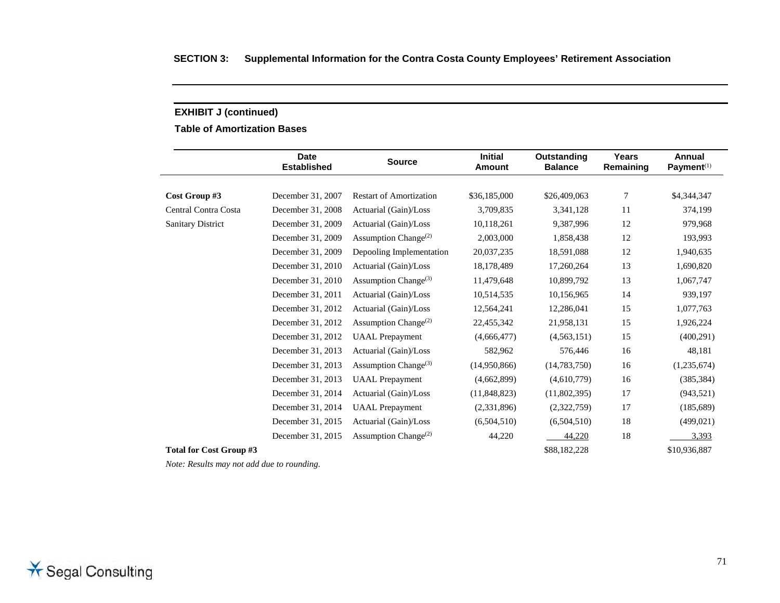**Table of Amortization Bases** 

|                          | <b>Date</b><br><b>Established</b> | <b>Source</b>                                 | <b>Initial</b><br>Amount | Outstanding<br><b>Balance</b> | Years<br>Remaining | Annual<br>Payment <sup>(1)</sup> |
|--------------------------|-----------------------------------|-----------------------------------------------|--------------------------|-------------------------------|--------------------|----------------------------------|
| Cost Group #3            | December 31, 2007                 | <b>Restart of Amortization</b>                | \$36,185,000             | \$26,409,063                  | 7                  | \$4,344,347                      |
|                          |                                   |                                               |                          |                               |                    |                                  |
| Central Contra Costa     | December 31, 2008                 | Actuarial (Gain)/Loss                         | 3,709,835                | 3,341,128                     | 11                 | 374,199                          |
| <b>Sanitary District</b> | December 31, 2009                 | Actuarial (Gain)/Loss                         | 10,118,261               | 9,387,996                     | 12                 | 979,968                          |
|                          | December 31, 2009                 | Assumption Change <sup><math>(2)</math></sup> | 2,003,000                | 1,858,438                     | 12                 | 193,993                          |
|                          | December 31, 2009                 | Depooling Implementation                      | 20,037,235               | 18,591,088                    | 12                 | 1,940,635                        |
|                          | December 31, 2010                 | Actuarial (Gain)/Loss                         | 18,178,489               | 17,260,264                    | 13                 | 1,690,820                        |
|                          | December 31, 2010                 | Assumption Change <sup>(3)</sup>              | 11,479,648               | 10,899,792                    | 13                 | 1,067,747                        |
|                          | December 31, 2011                 | Actuarial (Gain)/Loss                         | 10,514,535               | 10,156,965                    | 14                 | 939,197                          |
|                          | December 31, 2012                 | Actuarial (Gain)/Loss                         | 12,564,241               | 12,286,041                    | 15                 | 1,077,763                        |
|                          | December 31, 2012                 | Assumption Change <sup>(2)</sup>              | 22,455,342               | 21,958,131                    | 15                 | 1,926,224                        |
|                          | December 31, 2012                 | <b>UAAL</b> Prepayment                        | (4,666,477)              | (4,563,151)                   | 15                 | (400, 291)                       |
|                          | December 31, 2013                 | Actuarial (Gain)/Loss                         | 582,962                  | 576,446                       | 16                 | 48,181                           |
|                          | December 31, 2013                 | Assumption Change <sup>(3)</sup>              | (14,950,866)             | (14, 783, 750)                | 16                 | (1,235,674)                      |
|                          | December 31, 2013                 | <b>UAAL</b> Prepayment                        | (4,662,899)              | (4,610,779)                   | 16                 | (385, 384)                       |
|                          | December 31, 2014                 | Actuarial (Gain)/Loss                         | (11,848,823)             | (11,802,395)                  | 17                 | (943, 521)                       |
|                          | December 31, 2014                 | <b>UAAL</b> Prepayment                        | (2,331,896)              | (2,322,759)                   | 17                 | (185,689)                        |
|                          | December 31, 2015                 | Actuarial (Gain)/Loss                         | (6,504,510)              | (6,504,510)                   | 18                 | (499, 021)                       |
|                          | December 31, 2015                 | Assumption Change <sup><math>(2)</math></sup> | 44,220                   | 44,220                        | 18                 | 3,393                            |
| Total for Cost Group #3  |                                   |                                               |                          | \$88,182,228                  |                    | \$10,936,887                     |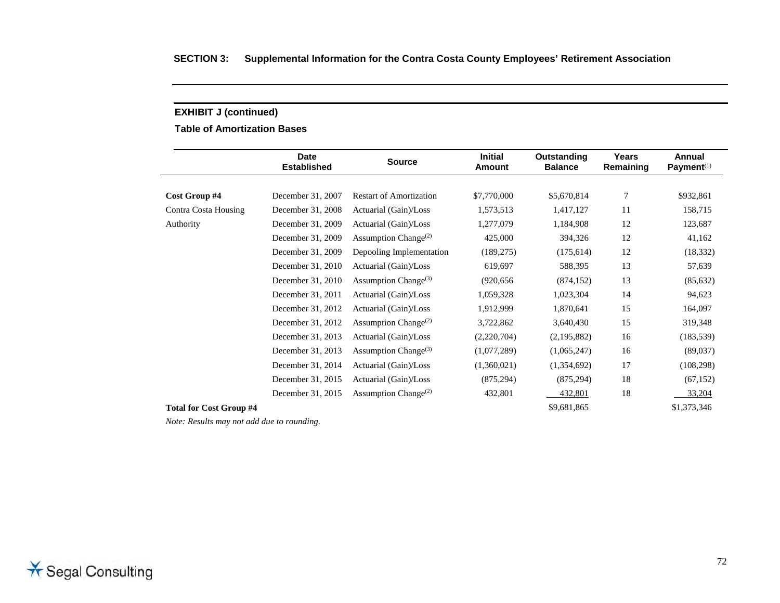**Table of Amortization Bases** 

|                                | <b>Date</b><br><b>Established</b> | <b>Source</b>                    | <b>Initial</b><br><b>Amount</b> | Outstanding<br><b>Balance</b> | Years<br>Remaining | Annual<br>Payment <sup>(1)</sup> |
|--------------------------------|-----------------------------------|----------------------------------|---------------------------------|-------------------------------|--------------------|----------------------------------|
|                                |                                   |                                  |                                 |                               |                    |                                  |
| Cost Group #4                  | December 31, 2007                 | <b>Restart of Amortization</b>   | \$7,770,000                     | \$5,670,814                   | 7                  | \$932,861                        |
| Contra Costa Housing           | December 31, 2008                 | Actuarial (Gain)/Loss            | 1,573,513                       | 1,417,127                     | 11                 | 158,715                          |
| Authority                      | December 31, 2009                 | Actuarial (Gain)/Loss            | 1,277,079                       | 1,184,908                     | 12                 | 123,687                          |
|                                | December 31, 2009                 | Assumption Change <sup>(2)</sup> | 425,000                         | 394,326                       | 12                 | 41,162                           |
|                                | December 31, 2009                 | Depooling Implementation         | (189, 275)                      | (175, 614)                    | 12                 | (18, 332)                        |
|                                | December 31, 2010                 | Actuarial (Gain)/Loss            | 619,697                         | 588,395                       | 13                 | 57,639                           |
|                                | December 31, 2010                 | Assumption Change <sup>(3)</sup> | (920, 656)                      | (874, 152)                    | 13                 | (85, 632)                        |
|                                | December 31, 2011                 | Actuarial (Gain)/Loss            | 1,059,328                       | 1,023,304                     | 14                 | 94,623                           |
|                                | December 31, 2012                 | Actuarial (Gain)/Loss            | 1,912,999                       | 1,870,641                     | 15                 | 164,097                          |
|                                | December 31, 2012                 | Assumption Change <sup>(2)</sup> | 3,722,862                       | 3,640,430                     | 15                 | 319,348                          |
|                                | December 31, 2013                 | Actuarial (Gain)/Loss            | (2,220,704)                     | (2,195,882)                   | 16                 | (183, 539)                       |
|                                | December 31, 2013                 | Assumption Change <sup>(3)</sup> | (1,077,289)                     | (1,065,247)                   | 16                 | (89,037)                         |
|                                | December 31, 2014                 | Actuarial (Gain)/Loss            | (1,360,021)                     | (1,354,692)                   | 17                 | (108, 298)                       |
|                                | December 31, 2015                 | Actuarial (Gain)/Loss            | (875, 294)                      | (875, 294)                    | 18                 | (67, 152)                        |
|                                | December 31, 2015                 | Assumption Change <sup>(2)</sup> | 432,801                         | 432,801                       | 18                 | 33,204                           |
| <b>Total for Cost Group #4</b> |                                   |                                  |                                 | \$9,681,865                   |                    | \$1,373,346                      |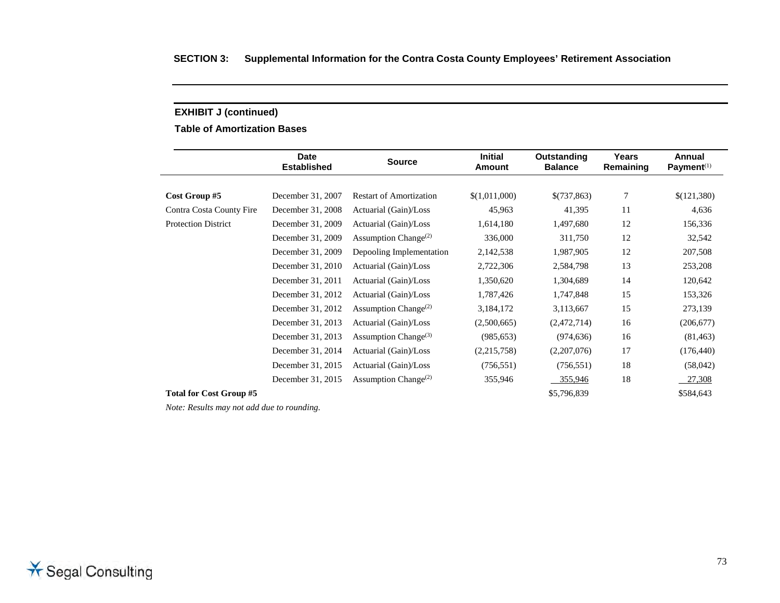**Table of Amortization Bases** 

|                                | <b>Date</b><br><b>Established</b> | <b>Source</b>                                 | <b>Initial</b><br><b>Amount</b> | Outstanding<br><b>Balance</b> | Years<br>Remaining | Annual<br>Payment $(1)$ |
|--------------------------------|-----------------------------------|-----------------------------------------------|---------------------------------|-------------------------------|--------------------|-------------------------|
|                                |                                   |                                               |                                 |                               |                    |                         |
| Cost Group #5                  | December 31, 2007                 | <b>Restart of Amortization</b>                | \$(1,011,000)                   | \$(737,863)                   | 7                  | \$(121,380)             |
| Contra Costa County Fire       | December 31, 2008                 | Actuarial (Gain)/Loss                         | 45,963                          | 41,395                        | 11                 | 4,636                   |
| <b>Protection District</b>     | December 31, 2009                 | Actuarial (Gain)/Loss                         | 1,614,180                       | 1,497,680                     | 12                 | 156,336                 |
|                                | December 31, 2009                 | Assumption Change <sup><math>(2)</math></sup> | 336,000                         | 311,750                       | 12                 | 32,542                  |
|                                | December 31, 2009                 | Depooling Implementation                      | 2,142,538                       | 1,987,905                     | 12                 | 207,508                 |
|                                | December 31, 2010                 | Actuarial (Gain)/Loss                         | 2,722,306                       | 2,584,798                     | 13                 | 253,208                 |
|                                | December 31, 2011                 | Actuarial (Gain)/Loss                         | 1,350,620                       | 1,304,689                     | 14                 | 120,642                 |
|                                | December 31, 2012                 | Actuarial (Gain)/Loss                         | 1,787,426                       | 1,747,848                     | 15                 | 153,326                 |
|                                | December 31, 2012                 | Assumption Change <sup><math>(2)</math></sup> | 3,184,172                       | 3,113,667                     | 15                 | 273,139                 |
|                                | December 31, 2013                 | Actuarial (Gain)/Loss                         | (2,500,665)                     | (2,472,714)                   | 16                 | (206, 677)              |
|                                | December 31, 2013                 | Assumption Change <sup>(3)</sup>              | (985, 653)                      | (974, 636)                    | 16                 | (81, 463)               |
|                                | December 31, 2014                 | Actuarial (Gain)/Loss                         | (2,215,758)                     | (2,207,076)                   | 17                 | (176, 440)              |
|                                | December 31, 2015                 | Actuarial (Gain)/Loss                         | (756, 551)                      | (756, 551)                    | 18                 | (58,042)                |
|                                | December 31, 2015                 | Assumption Change <sup><math>(2)</math></sup> | 355,946                         | 355,946                       | 18                 | 27,308                  |
| <b>Total for Cost Group #5</b> |                                   |                                               |                                 | \$5,796,839                   |                    | \$584,643               |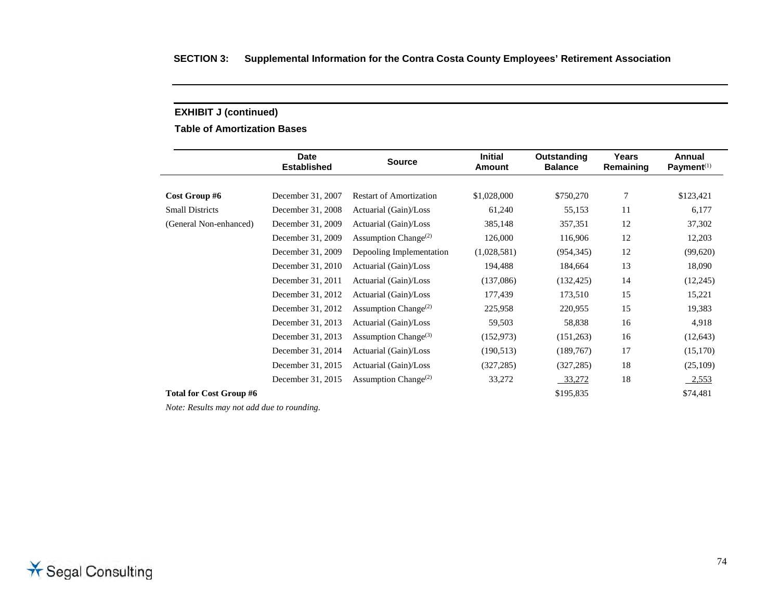**Table of Amortization Bases** 

|                                | <b>Date</b><br><b>Established</b> | <b>Source</b>                                 | <b>Initial</b><br><b>Amount</b> | Outstanding<br><b>Balance</b> | Years<br>Remaining | Annual<br>Payment $(1)$ |
|--------------------------------|-----------------------------------|-----------------------------------------------|---------------------------------|-------------------------------|--------------------|-------------------------|
|                                |                                   |                                               |                                 |                               |                    |                         |
| Cost Group #6                  | December 31, 2007                 | <b>Restart of Amortization</b>                | \$1,028,000                     | \$750,270                     | 7                  | \$123,421               |
| <b>Small Districts</b>         | December 31, 2008                 | Actuarial (Gain)/Loss                         | 61,240                          | 55,153                        | 11                 | 6,177                   |
| (General Non-enhanced)         | December 31, 2009                 | Actuarial (Gain)/Loss                         | 385,148                         | 357,351                       | 12                 | 37,302                  |
|                                | December 31, 2009                 | Assumption Change <sup><math>(2)</math></sup> | 126,000                         | 116,906                       | 12                 | 12,203                  |
|                                | December 31, 2009                 | Depooling Implementation                      | (1,028,581)                     | (954, 345)                    | 12                 | (99,620)                |
|                                | December 31, 2010                 | Actuarial (Gain)/Loss                         | 194,488                         | 184,664                       | 13                 | 18,090                  |
|                                | December 31, 2011                 | Actuarial (Gain)/Loss                         | (137,086)                       | (132, 425)                    | 14                 | (12,245)                |
|                                | December 31, 2012                 | Actuarial (Gain)/Loss                         | 177,439                         | 173,510                       | 15                 | 15,221                  |
|                                | December 31, 2012                 | Assumption Change <sup><math>(2)</math></sup> | 225,958                         | 220,955                       | 15                 | 19,383                  |
|                                | December 31, 2013                 | Actuarial (Gain)/Loss                         | 59,503                          | 58,838                        | 16                 | 4,918                   |
|                                | December 31, 2013                 | Assumption Change <sup>(3)</sup>              | (152, 973)                      | (151,263)                     | 16                 | (12, 643)               |
|                                | December 31, 2014                 | Actuarial (Gain)/Loss                         | (190, 513)                      | (189, 767)                    | 17                 | (15,170)                |
|                                | December 31, 2015                 | Actuarial (Gain)/Loss                         | (327, 285)                      | (327, 285)                    | 18                 | (25,109)                |
|                                | December 31, 2015                 | Assumption Change <sup>(2)</sup>              | 33,272                          | 33,272                        | 18                 | 2,553                   |
| <b>Total for Cost Group #6</b> |                                   |                                               |                                 | \$195,835                     |                    | \$74,481                |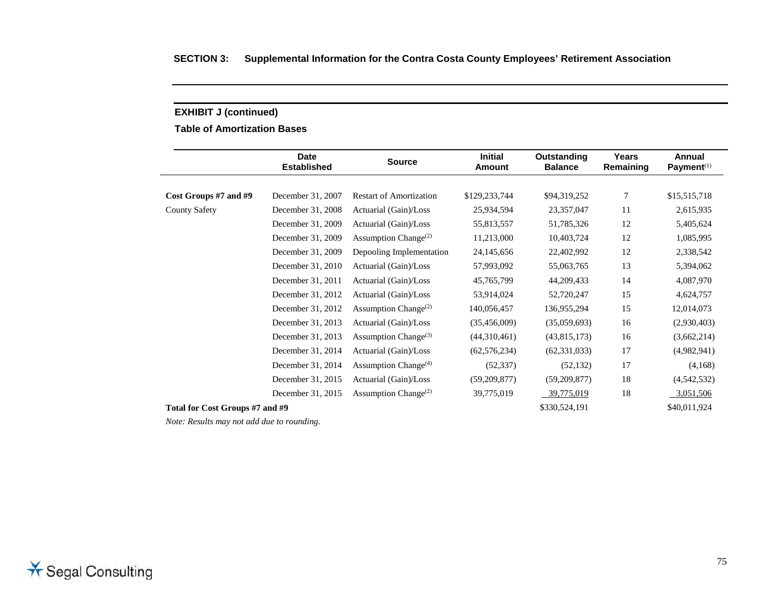**Table of Amortization Bases** 

|                                 | <b>Date</b><br><b>Established</b> | <b>Source</b>                                 | <b>Initial</b><br><b>Amount</b> | Outstanding<br><b>Balance</b> | Years<br>Remaining | Annual<br>Payment <sup>(1)</sup> |
|---------------------------------|-----------------------------------|-----------------------------------------------|---------------------------------|-------------------------------|--------------------|----------------------------------|
|                                 |                                   |                                               |                                 |                               |                    |                                  |
| Cost Groups #7 and #9           | December 31, 2007                 | <b>Restart of Amortization</b>                | \$129,233,744                   | \$94,319,252                  | 7                  | \$15,515,718                     |
| <b>County Safety</b>            | December 31, 2008                 | Actuarial (Gain)/Loss                         | 25,934,594                      | 23,357,047                    | 11                 | 2,615,935                        |
|                                 | December 31, 2009                 | Actuarial (Gain)/Loss                         | 55,813,557                      | 51,785,326                    | 12                 | 5,405,624                        |
|                                 | December 31, 2009                 | Assumption Change <sup><math>(2)</math></sup> | 11,213,000                      | 10,403,724                    | 12                 | 1,085,995                        |
|                                 | December 31, 2009                 | Depooling Implementation                      | 24,145,656                      | 22,402,992                    | 12                 | 2,338,542                        |
|                                 | December 31, 2010                 | Actuarial (Gain)/Loss                         | 57,993,092                      | 55,063,765                    | 13                 | 5,394,062                        |
|                                 | December 31, 2011                 | Actuarial (Gain)/Loss                         | 45,765,799                      | 44,209,433                    | 14                 | 4,087,970                        |
|                                 | December 31, 2012                 | Actuarial (Gain)/Loss                         | 53,914,024                      | 52,720,247                    | 15                 | 4,624,757                        |
|                                 | December 31, 2012                 | Assumption Change <sup><math>(2)</math></sup> | 140,056,457                     | 136,955,294                   | 15                 | 12,014,073                       |
|                                 | December 31, 2013                 | Actuarial (Gain)/Loss                         | (35,456,009)                    | (35,059,693)                  | 16                 | (2,930,403)                      |
|                                 | December 31, 2013                 | Assumption Change <sup>(3)</sup>              | (44,310,461)                    | (43,815,173)                  | 16                 | (3,662,214)                      |
|                                 | December 31, 2014                 | Actuarial (Gain)/Loss                         | (62, 576, 234)                  | (62, 331, 033)                | 17                 | (4,982,941)                      |
|                                 | December 31, 2014                 | Assumption Change <sup>(4)</sup>              | (52, 337)                       | (52, 132)                     | 17                 | (4,168)                          |
|                                 | December 31, 2015                 | Actuarial (Gain)/Loss                         | (59,209,877)                    | (59,209,877)                  | 18                 | (4,542,532)                      |
|                                 | December 31, 2015                 | Assumption Change <sup>(2)</sup>              | 39,775,019                      | 39,775,019                    | 18                 | 3,051,506                        |
| Total for Cost Groups #7 and #9 |                                   |                                               |                                 | \$330,524,191                 |                    | \$40,011,924                     |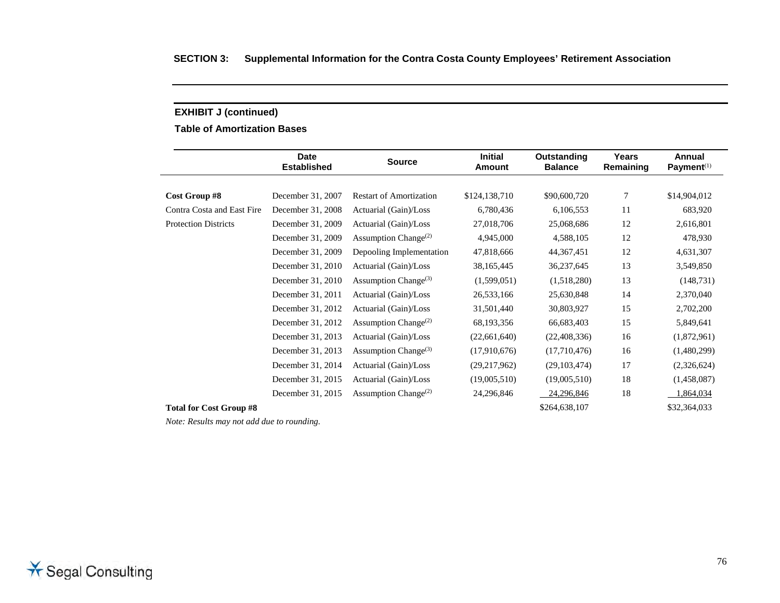**Table of Amortization Bases** 

|                                | <b>Date</b><br><b>Established</b> | <b>Source</b>                                 | <b>Initial</b><br><b>Amount</b> | Outstanding<br><b>Balance</b> | Years<br>Remaining | Annual<br>Payment <sup>(1)</sup> |
|--------------------------------|-----------------------------------|-----------------------------------------------|---------------------------------|-------------------------------|--------------------|----------------------------------|
|                                |                                   |                                               |                                 |                               |                    |                                  |
| Cost Group #8                  | December 31, 2007                 | <b>Restart of Amortization</b>                | \$124,138,710                   | \$90,600,720                  | 7                  | \$14,904,012                     |
| Contra Costa and East Fire     | December 31, 2008                 | Actuarial (Gain)/Loss                         | 6,780,436                       | 6,106,553                     | 11                 | 683,920                          |
| <b>Protection Districts</b>    | December 31, 2009                 | Actuarial (Gain)/Loss                         | 27,018,706                      | 25,068,686                    | 12                 | 2,616,801                        |
|                                | December 31, 2009                 | Assumption Change <sup><math>(2)</math></sup> | 4,945,000                       | 4,588,105                     | 12                 | 478,930                          |
|                                | December 31, 2009                 | Depooling Implementation                      | 47,818,666                      | 44, 367, 451                  | 12                 | 4,631,307                        |
|                                | December 31, 2010                 | Actuarial (Gain)/Loss                         | 38,165,445                      | 36,237,645                    | 13                 | 3,549,850                        |
|                                | December 31, 2010                 | Assumption Change <sup>(3)</sup>              | (1,599,051)                     | (1,518,280)                   | 13                 | (148, 731)                       |
|                                | December 31, 2011                 | Actuarial (Gain)/Loss                         | 26,533,166                      | 25,630,848                    | 14                 | 2,370,040                        |
|                                | December 31, 2012                 | Actuarial (Gain)/Loss                         | 31,501,440                      | 30,803,927                    | 15                 | 2,702,200                        |
|                                | December 31, 2012                 | Assumption Change <sup>(2)</sup>              | 68,193,356                      | 66,683,403                    | 15                 | 5,849,641                        |
|                                | December 31, 2013                 | Actuarial (Gain)/Loss                         | (22,661,640)                    | (22, 408, 336)                | 16                 | (1,872,961)                      |
|                                | December 31, 2013                 | Assumption Change <sup>(3)</sup>              | (17,910,676)                    | (17,710,476)                  | 16                 | (1,480,299)                      |
|                                | December 31, 2014                 | Actuarial (Gain)/Loss                         | (29,217,962)                    | (29, 103, 474)                | 17                 | (2,326,624)                      |
|                                | December 31, 2015                 | Actuarial (Gain)/Loss                         | (19,005,510)                    | (19,005,510)                  | 18                 | (1,458,087)                      |
|                                | December 31, 2015                 | Assumption Change <sup><math>(2)</math></sup> | 24,296,846                      | 24,296,846                    | 18                 | 1,864,034                        |
| <b>Total for Cost Group #8</b> |                                   |                                               |                                 | \$264,638,107                 |                    | \$32,364,033                     |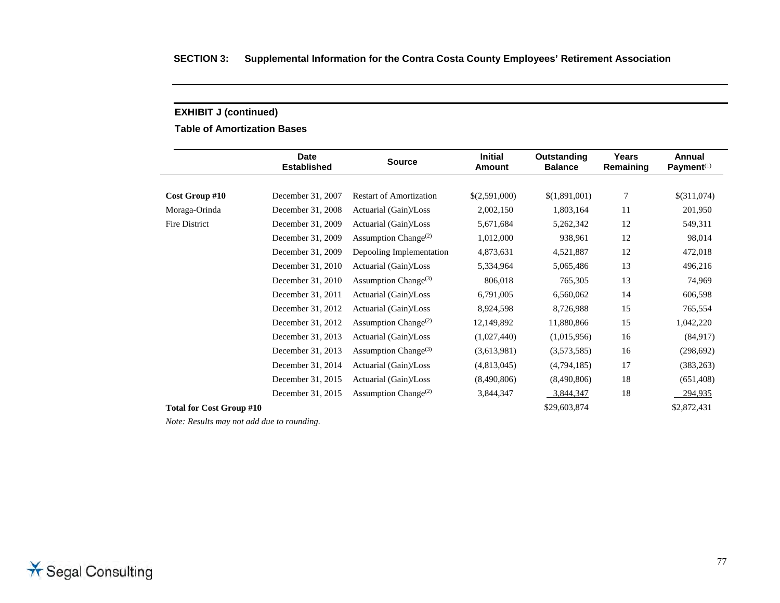**Table of Amortization Bases** 

|                                 | <b>Date</b><br><b>Established</b> | <b>Source</b>                                 | <b>Initial</b><br>Amount | Outstanding<br><b>Balance</b> | Years<br>Remaining | Annual<br>Payment <sup>(1)</sup> |
|---------------------------------|-----------------------------------|-----------------------------------------------|--------------------------|-------------------------------|--------------------|----------------------------------|
|                                 |                                   |                                               |                          |                               |                    |                                  |
| Cost Group #10                  | December 31, 2007                 | <b>Restart of Amortization</b>                | \$(2,591,000)            | \$(1,891,001)                 | $\tau$             | \$(311,074)                      |
| Moraga-Orinda                   | December 31, 2008                 | Actuarial (Gain)/Loss                         | 2,002,150                | 1,803,164                     | 11                 | 201,950                          |
| Fire District                   | December 31, 2009                 | Actuarial (Gain)/Loss                         | 5,671,684                | 5,262,342                     | 12                 | 549,311                          |
|                                 | December 31, 2009                 | Assumption Change <sup><math>(2)</math></sup> | 1,012,000                | 938,961                       | 12                 | 98,014                           |
|                                 | December 31, 2009                 | Depooling Implementation                      | 4,873,631                | 4,521,887                     | 12                 | 472,018                          |
|                                 | December 31, 2010                 | Actuarial (Gain)/Loss                         | 5,334,964                | 5,065,486                     | 13                 | 496,216                          |
|                                 | December 31, 2010                 | Assumption Change <sup>(3)</sup>              | 806,018                  | 765,305                       | 13                 | 74,969                           |
|                                 | December 31, 2011                 | Actuarial (Gain)/Loss                         | 6,791,005                | 6,560,062                     | 14                 | 606,598                          |
|                                 | December 31, 2012                 | Actuarial (Gain)/Loss                         | 8,924,598                | 8,726,988                     | 15                 | 765,554                          |
|                                 | December 31, 2012                 | Assumption Change <sup><math>(2)</math></sup> | 12,149,892               | 11,880,866                    | 15                 | 1,042,220                        |
|                                 | December 31, 2013                 | Actuarial (Gain)/Loss                         | (1,027,440)              | (1,015,956)                   | 16                 | (84, 917)                        |
|                                 | December 31, 2013                 | Assumption Change <sup>(3)</sup>              | (3,613,981)              | (3,573,585)                   | 16                 | (298, 692)                       |
|                                 | December 31, 2014                 | Actuarial (Gain)/Loss                         | (4,813,045)              | (4,794,185)                   | 17                 | (383, 263)                       |
|                                 | December 31, 2015                 | Actuarial (Gain)/Loss                         | (8,490,806)              | (8,490,806)                   | 18                 | (651, 408)                       |
|                                 | December 31, 2015                 | Assumption Change <sup><math>(2)</math></sup> | 3,844,347                | 3,844,347                     | 18                 | 294,935                          |
| <b>Total for Cost Group #10</b> |                                   |                                               |                          | \$29,603,874                  |                    | \$2,872,431                      |

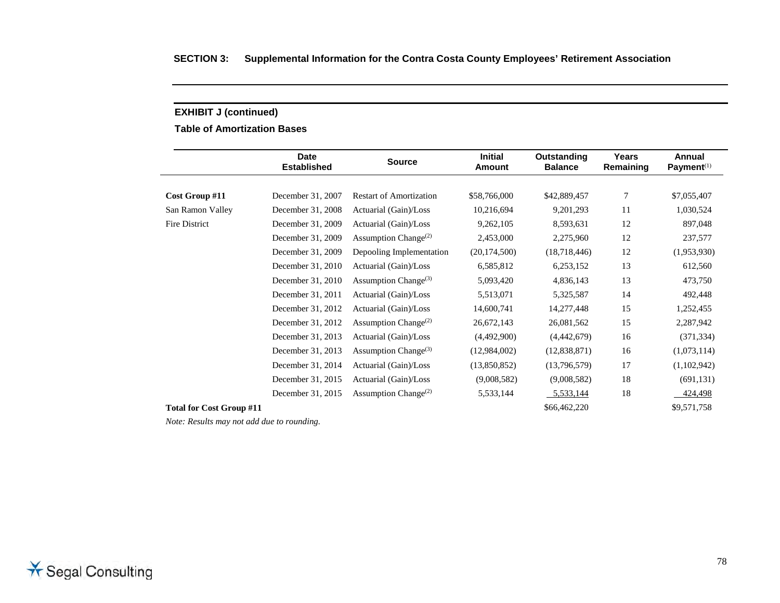**Table of Amortization Bases** 

|                                 | <b>Date</b><br><b>Established</b> | <b>Source</b>                                 | <b>Initial</b><br><b>Amount</b> | Outstanding<br><b>Balance</b> | Years<br>Remaining | Annual<br>Payment <sup>(1)</sup> |
|---------------------------------|-----------------------------------|-----------------------------------------------|---------------------------------|-------------------------------|--------------------|----------------------------------|
|                                 |                                   |                                               |                                 |                               |                    |                                  |
| Cost Group #11                  | December 31, 2007                 | <b>Restart of Amortization</b>                | \$58,766,000                    | \$42,889,457                  | 7                  | \$7,055,407                      |
| San Ramon Valley                | December 31, 2008                 | Actuarial (Gain)/Loss                         | 10,216,694                      | 9,201,293                     | 11                 | 1,030,524                        |
| Fire District                   | December 31, 2009                 | Actuarial (Gain)/Loss                         | 9,262,105                       | 8,593,631                     | 12                 | 897,048                          |
|                                 | December 31, 2009                 | Assumption Change <sup>(2)</sup>              | 2,453,000                       | 2,275,960                     | 12                 | 237,577                          |
|                                 | December 31, 2009                 | Depooling Implementation                      | (20, 174, 500)                  | (18,718,446)                  | 12                 | (1,953,930)                      |
|                                 | December 31, 2010                 | Actuarial (Gain)/Loss                         | 6,585,812                       | 6,253,152                     | 13                 | 612,560                          |
|                                 | December 31, 2010                 | Assumption Change <sup>(3)</sup>              | 5,093,420                       | 4,836,143                     | 13                 | 473,750                          |
|                                 | December 31, 2011                 | Actuarial (Gain)/Loss                         | 5,513,071                       | 5,325,587                     | 14                 | 492,448                          |
|                                 | December 31, 2012                 | Actuarial (Gain)/Loss                         | 14,600,741                      | 14,277,448                    | 15                 | 1,252,455                        |
|                                 | December 31, 2012                 | Assumption Change <sup><math>(2)</math></sup> | 26,672,143                      | 26,081,562                    | 15                 | 2,287,942                        |
|                                 | December 31, 2013                 | Actuarial (Gain)/Loss                         | (4,492,900)                     | (4,442,679)                   | 16                 | (371, 334)                       |
|                                 | December 31, 2013                 | Assumption Change <sup>(3)</sup>              | (12,984,002)                    | (12,838,871)                  | 16                 | (1,073,114)                      |
|                                 | December 31, 2014                 | Actuarial (Gain)/Loss                         | (13,850,852)                    | (13,796,579)                  | 17                 | (1,102,942)                      |
|                                 | December 31, 2015                 | Actuarial (Gain)/Loss                         | (9,008,582)                     | (9,008,582)                   | 18                 | (691, 131)                       |
|                                 | December 31, 2015                 | Assumption Change <sup><math>(2)</math></sup> | 5,533,144                       | 5,533,144                     | 18                 | 424,498                          |
| <b>Total for Cost Group #11</b> |                                   |                                               |                                 | \$66,462,220                  |                    | \$9,571,758                      |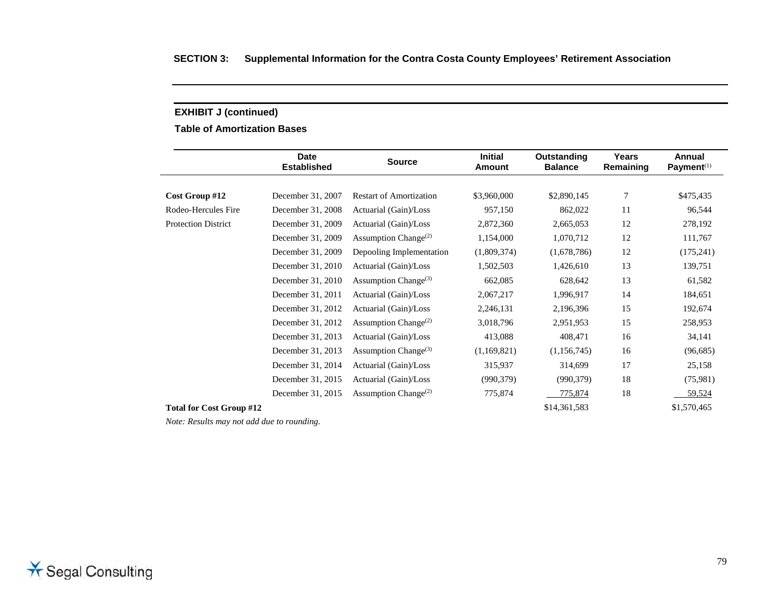**Table of Amortization Bases** 

|                                 | <b>Date</b><br><b>Established</b> | <b>Source</b>                                 | <b>Initial</b><br><b>Amount</b> | Outstanding<br><b>Balance</b> | Years<br>Remaining | Annual<br>Payment <sup>(1)</sup> |
|---------------------------------|-----------------------------------|-----------------------------------------------|---------------------------------|-------------------------------|--------------------|----------------------------------|
|                                 |                                   |                                               |                                 |                               |                    |                                  |
| Cost Group #12                  | December 31, 2007                 | <b>Restart of Amortization</b>                | \$3,960,000                     | \$2,890,145                   | 7                  | \$475,435                        |
| Rodeo-Hercules Fire             | December 31, 2008                 | Actuarial (Gain)/Loss                         | 957,150                         | 862,022                       | 11                 | 96,544                           |
| Protection District             | December 31, 2009                 | Actuarial (Gain)/Loss                         | 2,872,360                       | 2,665,053                     | 12                 | 278,192                          |
|                                 | December 31, 2009                 | Assumption Change <sup><math>(2)</math></sup> | 1,154,000                       | 1,070,712                     | 12                 | 111,767                          |
|                                 | December 31, 2009                 | Depooling Implementation                      | (1,809,374)                     | (1,678,786)                   | 12                 | (175, 241)                       |
|                                 | December 31, 2010                 | Actuarial (Gain)/Loss                         | 1,502,503                       | 1,426,610                     | 13                 | 139,751                          |
|                                 | December 31, 2010                 | Assumption Change <sup>(3)</sup>              | 662,085                         | 628,642                       | 13                 | 61,582                           |
|                                 | December 31, 2011                 | Actuarial (Gain)/Loss                         | 2,067,217                       | 1,996,917                     | 14                 | 184,651                          |
|                                 | December 31, 2012                 | Actuarial (Gain)/Loss                         | 2,246,131                       | 2,196,396                     | 15                 | 192,674                          |
|                                 | December 31, 2012                 | Assumption Change <sup><math>(2)</math></sup> | 3,018,796                       | 2,951,953                     | 15                 | 258,953                          |
|                                 | December 31, 2013                 | Actuarial (Gain)/Loss                         | 413,088                         | 408,471                       | 16                 | 34,141                           |
|                                 | December 31, 2013                 | Assumption Change <sup>(3)</sup>              | (1,169,821)                     | (1,156,745)                   | 16                 | (96,685)                         |
|                                 | December 31, 2014                 | Actuarial (Gain)/Loss                         | 315,937                         | 314,699                       | 17                 | 25,158                           |
|                                 | December 31, 2015                 | Actuarial (Gain)/Loss                         | (990, 379)                      | (990, 379)                    | 18                 | (75,981)                         |
|                                 | December 31, 2015                 | Assumption Change <sup><math>(2)</math></sup> | 775,874                         | 775,874                       | 18                 | 59,524                           |
| <b>Total for Cost Group #12</b> |                                   |                                               |                                 | \$14,361,583                  |                    | \$1,570,465                      |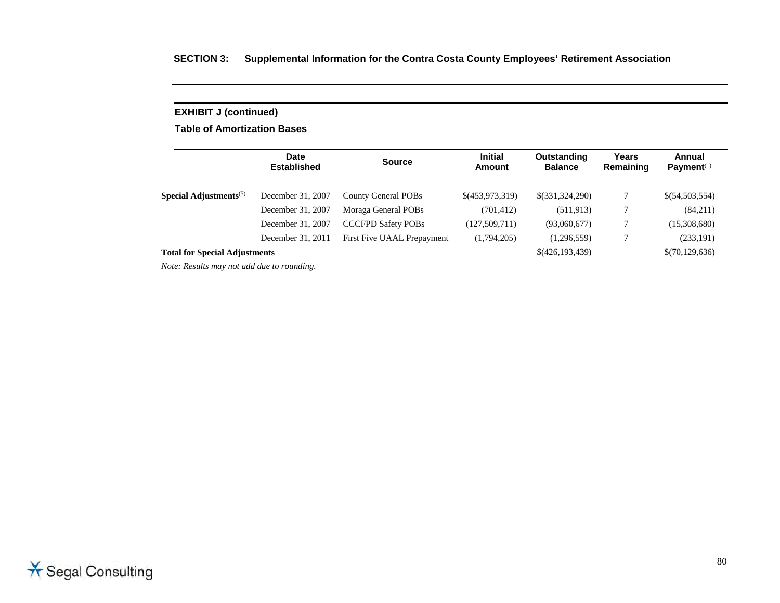## **SECTION 3: Supplemental Information for the Contra Costa County Employees' Retirement Association**

# **EXHIBIT J (continued)**

**Table of Amortization Bases** 

|                                      | <b>Date</b><br><b>Established</b> | <b>Source</b>              | <b>Initial</b><br>Amount | Outstanding<br><b>Balance</b> | Years<br>Remaining | Annual<br>Payment $(1)$ |
|--------------------------------------|-----------------------------------|----------------------------|--------------------------|-------------------------------|--------------------|-------------------------|
| Special Adjustments $(5)$            | December 31, 2007                 | County General POBs        | \$(453,973,319)          | \$(331,324,290)               |                    | \$(54,503,554)          |
|                                      | December 31, 2007                 | Moraga General POBs        | (701, 412)               | (511, 913)                    |                    | (84,211)                |
|                                      | December 31, 2007                 | <b>CCCFPD Safety POBs</b>  | (127,509,711)            | (93,060,677)                  |                    | (15,308,680)            |
|                                      | December 31, 2011                 | First Five UAAL Prepayment | (1,794,205)              | (1,296,559)                   |                    | (233,191)               |
| <b>Total for Special Adjustments</b> |                                   |                            |                          | \$(426,193,439)               |                    | \$(70,129,636)          |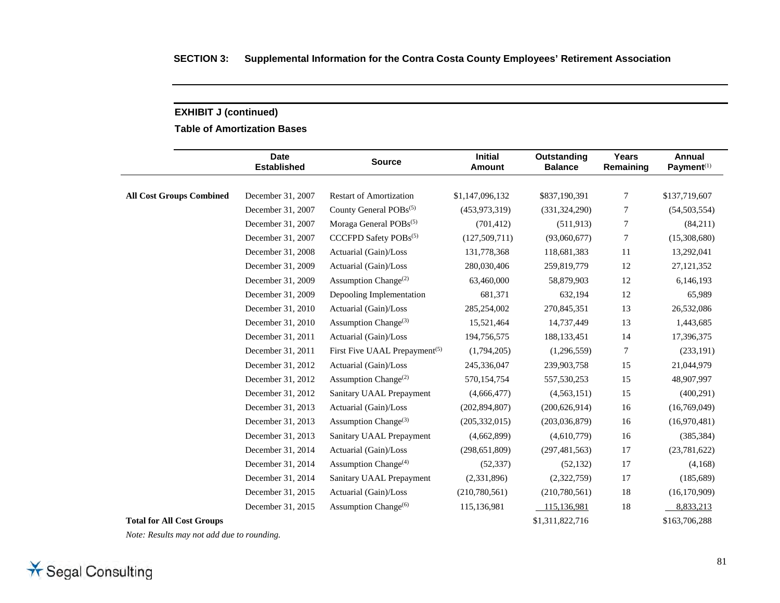**Table of Amortization Bases** 

|                                  | <b>Date</b><br><b>Established</b> | <b>Source</b>                                 | <b>Initial</b><br><b>Amount</b> | Outstanding<br><b>Balance</b> | <b>Years</b><br>Remaining | <b>Annual</b><br>Payment <sup>(1)</sup> |
|----------------------------------|-----------------------------------|-----------------------------------------------|---------------------------------|-------------------------------|---------------------------|-----------------------------------------|
|                                  |                                   |                                               |                                 |                               |                           |                                         |
| <b>All Cost Groups Combined</b>  | December 31, 2007                 | <b>Restart of Amortization</b>                | \$1,147,096,132                 | \$837,190,391                 | 7                         | \$137,719,607                           |
|                                  | December 31, 2007                 | County General POBs <sup>(5)</sup>            | (453, 973, 319)                 | (331, 324, 290)               | 7                         | (54, 503, 554)                          |
|                                  | December 31, 2007                 | Moraga General POBs <sup>(5)</sup>            | (701, 412)                      | (511, 913)                    | 7                         | (84,211)                                |
|                                  | December 31, 2007                 | CCCFPD Safety POBs(5)                         | (127, 509, 711)                 | (93,060,677)                  | 7                         | (15,308,680)                            |
|                                  | December 31, 2008                 | Actuarial (Gain)/Loss                         | 131,778,368                     | 118,681,383                   | 11                        | 13,292,041                              |
|                                  | December 31, 2009                 | Actuarial (Gain)/Loss                         | 280,030,406                     | 259,819,779                   | 12                        | 27, 121, 352                            |
|                                  | December 31, 2009                 | Assumption Change <sup>(2)</sup>              | 63,460,000                      | 58,879,903                    | 12                        | 6,146,193                               |
|                                  | December 31, 2009                 | Depooling Implementation                      | 681,371                         | 632,194                       | 12                        | 65,989                                  |
|                                  | December 31, 2010                 | Actuarial (Gain)/Loss                         | 285,254,002                     | 270,845,351                   | 13                        | 26,532,086                              |
|                                  | December 31, 2010                 | Assumption Change <sup>(3)</sup>              | 15,521,464                      | 14,737,449                    | 13                        | 1,443,685                               |
|                                  | December 31, 2011                 | Actuarial (Gain)/Loss                         | 194,756,575                     | 188, 133, 451                 | 14                        | 17,396,375                              |
|                                  | December 31, 2011                 | First Five UAAL Prepayment <sup>(5)</sup>     | (1,794,205)                     | (1,296,559)                   | 7                         | (233, 191)                              |
|                                  | December 31, 2012                 | Actuarial (Gain)/Loss                         | 245,336,047                     | 239,903,758                   | 15                        | 21,044,979                              |
|                                  | December 31, 2012                 | Assumption Change <sup>(2)</sup>              | 570,154,754                     | 557,530,253                   | 15                        | 48,907,997                              |
|                                  | December 31, 2012                 | Sanitary UAAL Prepayment                      | (4,666,477)                     | (4,563,151)                   | 15                        | (400, 291)                              |
|                                  | December 31, 2013                 | Actuarial (Gain)/Loss                         | (202, 894, 807)                 | (200, 626, 914)               | 16                        | (16,769,049)                            |
|                                  | December 31, 2013                 | Assumption Change <sup>(3)</sup>              | (205, 332, 015)                 | (203,036,879)                 | 16                        | (16,970,481)                            |
|                                  | December 31, 2013                 | Sanitary UAAL Prepayment                      | (4,662,899)                     | (4,610,779)                   | 16                        | (385, 384)                              |
|                                  | December 31, 2014                 | Actuarial (Gain)/Loss                         | (298, 651, 809)                 | (297, 481, 563)               | 17                        | (23, 781, 622)                          |
|                                  | December 31, 2014                 | Assumption Change <sup><math>(4)</math></sup> | (52, 337)                       | (52, 132)                     | 17                        | (4,168)                                 |
|                                  | December 31, 2014                 | Sanitary UAAL Prepayment                      | (2,331,896)                     | (2,322,759)                   | 17                        | (185, 689)                              |
|                                  | December 31, 2015                 | Actuarial (Gain)/Loss                         | (210,780,561)                   | (210,780,561)                 | 18                        | (16, 170, 909)                          |
|                                  | December 31, 2015                 | Assumption Change <sup>(6)</sup>              | 115,136,981                     | 115,136,981                   | 18                        | 8,833,213                               |
| <b>Total for All Cost Groups</b> |                                   |                                               |                                 | \$1,311,822,716               |                           | \$163,706,288                           |

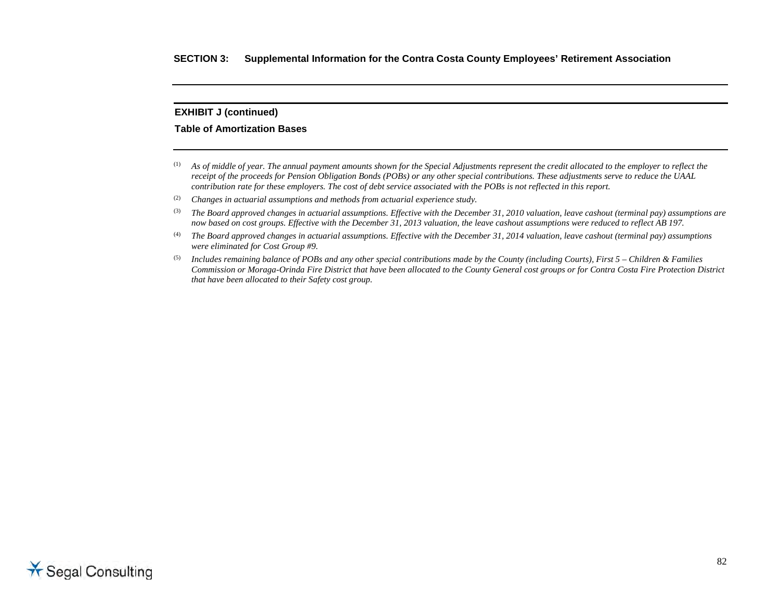#### **Table of Amortization Bases**

- (1) *As of middle of year. The annual payment amounts shown for the Special Adjustments represent the credit allocated to the employer to reflect the receipt of the proceeds for Pension Obligation Bonds (POBs) or any other special contributions. These adjustments serve to reduce the UAAL contribution rate for these employers. The cost of debt service associated with the POBs is not reflected in this report.*
- (2) *Changes in actuarial assumptions and methods from actuarial experience study.*
- (3) *The Board approved changes in actuarial assumptions. Effective with the December 31, 2010 valuation, leave cashout (terminal pay) assumptions are now based on cost groups. Effective with the December 31, 2013 valuation, the leave cashout assumptions were reduced to reflect AB 197.*
- (4) *The Board approved changes in actuarial assumptions. Effective with the December 31, 2014 valuation, leave cashout (terminal pay) assumptions were eliminated for Cost Group #9.*
- (5) *Includes remaining balance of POBs and any other special contributions made by the County (including Courts), First 5 Children & Families Commission or Moraga-Orinda Fire District that have been allocated to the County General cost groups or for Contra Costa Fire Protection District that have been allocated to their Safety cost group.*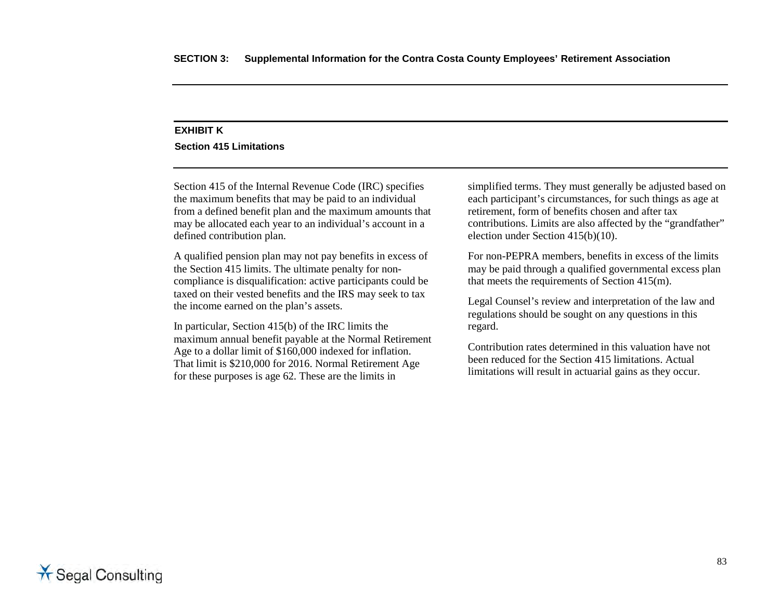### **EXHIBIT K**

#### **Section 415 Limitations**

Section 415 of the Internal Revenue Code (IRC) specifies the maximum benefits that may be paid to an individual from a defined benefit plan and the maximum amounts that may be allocated each year to an individual's account in a defined contribution plan.

A qualified pension plan may not pay benefits in excess of the Section 415 limits. The ultimate penalty for noncompliance is disqualification: active participants could be taxed on their vested benefits and the IRS may seek to tax the income earned on the plan's assets.

In particular, Section 415(b) of the IRC limits the maximum annual benefit payable at the Normal Retirement Age to a dollar limit of \$160,000 indexed for inflation. That limit is \$210,000 for 2016. Normal Retirement Age for these purposes is age 62. These are the limits in

simplified terms. They must generally be adjusted based on each participant's circumstances, for such things as age at retirement, form of benefits chosen and after tax contributions. Limits are also affected by the "grandfather" election under Section 415(b)(10).

For non-PEPRA members, benefits in excess of the limits may be paid through a qualified governmental excess plan that meets the requirements of Section 415(m).

Legal Counsel's review and interpretation of the law and regulations should be sought on any questions in this regard.

Contribution rates determined in this valuation have not been reduced for the Section 415 limitations. Actual limitations will result in actuarial gains as they occur.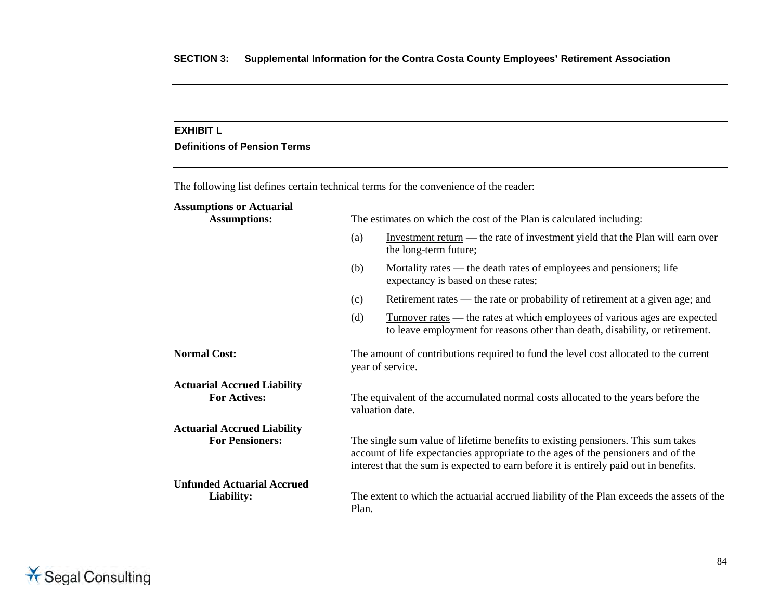#### **EXHIBIT L**

#### **Definitions of Pension Terms**

The following list defines certain technical terms for the convenience of the reader: **Assumptions or Actuarial** The estimates on which the cost of the Plan is calculated including: (a) Investment return — the rate of investment yield that the Plan will earn over the long-term future; (b) Mortality rates — the death rates of employees and pensioners; life expectancy is based on these rates; (c) Retirement rates — the rate or probability of retirement at a given age; and (d) Turnover rates — the rates at which employees of various ages are expected to leave employment for reasons other than death, disability, or retirement. **Normal Cost:** The amount of contributions required to fund the level cost allocated to the current year of service. **Actuarial Accrued Liability For Actives:** The equivalent of the accumulated normal costs allocated to the years before the valuation date. **Actuarial Accrued Liability For Pensioners:** The single sum value of lifetime benefits to existing pensioners. This sum takes account of life expectancies appropriate to the ages of the pensioners and of the interest that the sum is expected to earn before it is entirely paid out in benefits. **Unfunded Actuarial Accrued Liability:** The extent to which the actuarial accrued liability of the Plan exceeds the assets of the Plan.

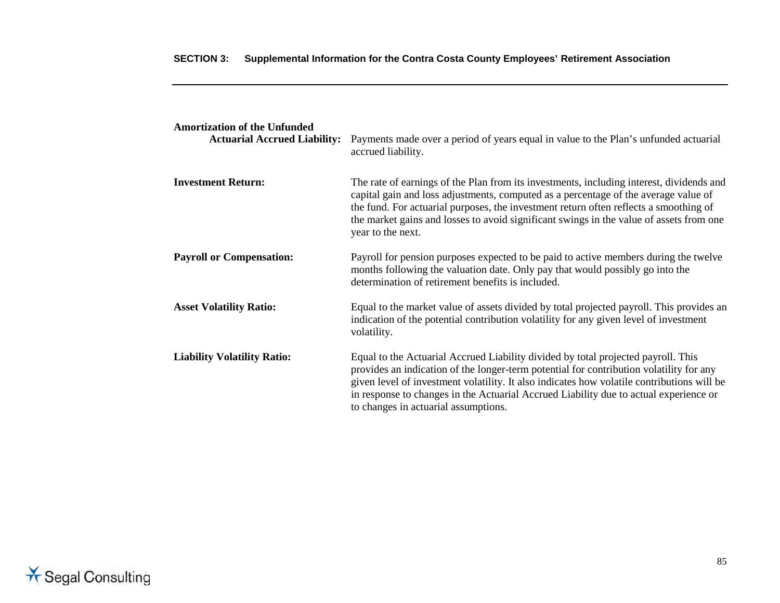| <b>Amortization of the Unfunded</b><br><b>Actuarial Accrued Liability:</b> | Payments made over a period of years equal in value to the Plan's unfunded actuarial<br>accrued liability.                                                                                                                                                                                                                                                                                                  |
|----------------------------------------------------------------------------|-------------------------------------------------------------------------------------------------------------------------------------------------------------------------------------------------------------------------------------------------------------------------------------------------------------------------------------------------------------------------------------------------------------|
| <b>Investment Return:</b>                                                  | The rate of earnings of the Plan from its investments, including interest, dividends and<br>capital gain and loss adjustments, computed as a percentage of the average value of<br>the fund. For actuarial purposes, the investment return often reflects a smoothing of<br>the market gains and losses to avoid significant swings in the value of assets from one<br>year to the next.                    |
| <b>Payroll or Compensation:</b>                                            | Payroll for pension purposes expected to be paid to active members during the twelve<br>months following the valuation date. Only pay that would possibly go into the<br>determination of retirement benefits is included.                                                                                                                                                                                  |
| <b>Asset Volatility Ratio:</b>                                             | Equal to the market value of assets divided by total projected payroll. This provides an<br>indication of the potential contribution volatility for any given level of investment<br>volatility.                                                                                                                                                                                                            |
| <b>Liability Volatility Ratio:</b>                                         | Equal to the Actuarial Accrued Liability divided by total projected payroll. This<br>provides an indication of the longer-term potential for contribution volatility for any<br>given level of investment volatility. It also indicates how volatile contributions will be<br>in response to changes in the Actuarial Accrued Liability due to actual experience or<br>to changes in actuarial assumptions. |

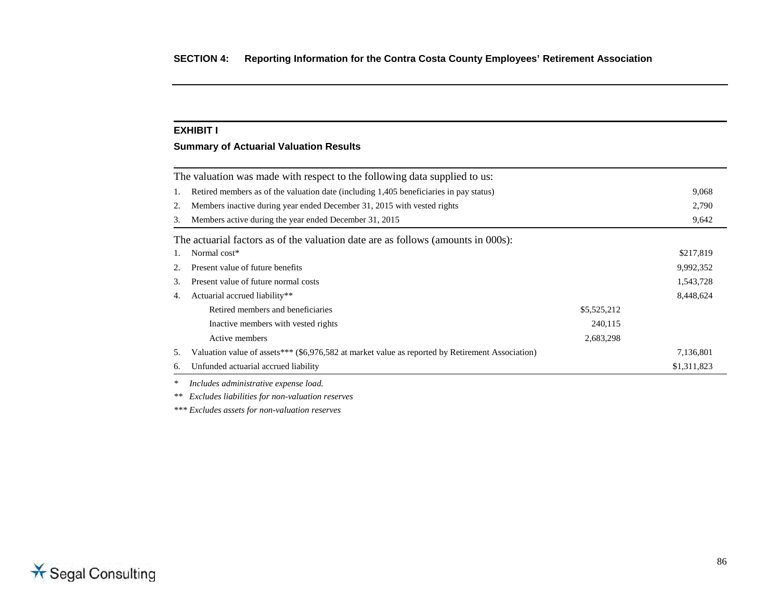## **EXHIBIT I**

### **Summary of Actuarial Valuation Results**

|    | The valuation was made with respect to the following data supplied to us:                        |             |             |
|----|--------------------------------------------------------------------------------------------------|-------------|-------------|
| 1. | Retired members as of the valuation date (including 1,405 beneficiaries in pay status)           |             |             |
| 2. | Members inactive during year ended December 31, 2015 with vested rights                          |             | 2,790       |
| 3. | Members active during the year ended December 31, 2015                                           |             | 9,642       |
|    | The actuarial factors as of the valuation date are as follows (amounts in 000s):                 |             |             |
| 1. | Normal cost*                                                                                     |             | \$217,819   |
| 2. | Present value of future benefits                                                                 |             | 9,992,352   |
| 3. | Present value of future normal costs                                                             |             | 1,543,728   |
| 4. | Actuarial accrued liability**                                                                    |             | 8,448,624   |
|    | Retired members and beneficiaries                                                                | \$5,525,212 |             |
|    | Inactive members with vested rights                                                              | 240,115     |             |
|    | Active members                                                                                   | 2,683,298   |             |
| 5. | Valuation value of assets*** (\$6,976,582 at market value as reported by Retirement Association) |             | 7,136,801   |
| 6. | Unfunded actuarial accrued liability                                                             |             | \$1,311,823 |
| ∗  | Includes administrative expense load                                                             |             |             |

*\* Includes administrative expense load.*

*\*\* Excludes liabilities for non-valuation reserves*

*\*\*\* Excludes assets for non-valuation reserves* 

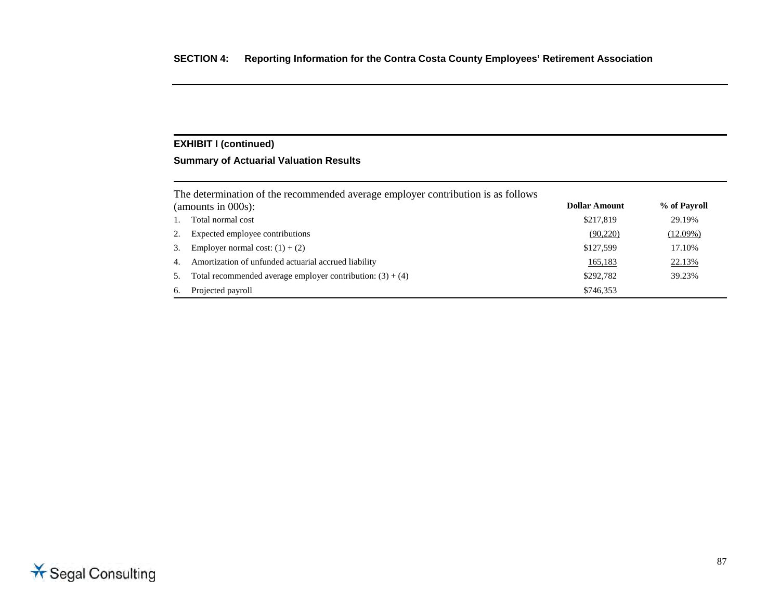## **Summary of Actuarial Valuation Results**

|    | The determination of the recommended average employer contribution is as follows |               |              |
|----|----------------------------------------------------------------------------------|---------------|--------------|
|    | (amounts in $000s$ ):                                                            | Dollar Amount | % of Payroll |
|    | Total normal cost                                                                | \$217,819     | 29.19%       |
|    | Expected employee contributions                                                  | (90,220)      | (12.09%)     |
| 3. | Employer normal cost: $(1) + (2)$                                                | \$127,599     | 17.10%       |
| 4. | Amortization of unfunded actuarial accrued liability                             | 165,183       | 22.13%       |
| 5. | Total recommended average employer contribution: $(3) + (4)$                     | \$292,782     | 39.23%       |
| 6. | Projected payroll                                                                | \$746,353     |              |

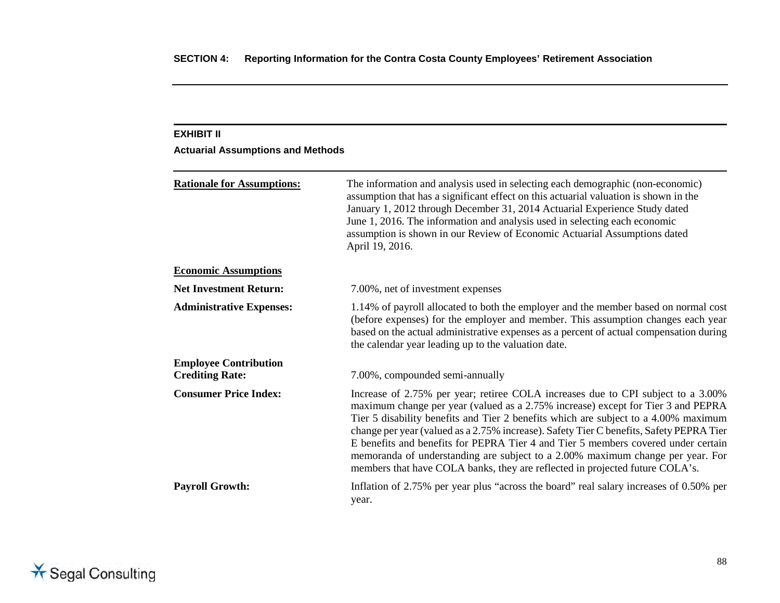## **EXHIBIT II**

# **Actuarial Assumptions and Methods**

| <b>Rationale for Assumptions:</b>                      | The information and analysis used in selecting each demographic (non-economic)<br>assumption that has a significant effect on this actuarial valuation is shown in the<br>January 1, 2012 through December 31, 2014 Actuarial Experience Study dated<br>June 1, 2016. The information and analysis used in selecting each economic<br>assumption is shown in our Review of Economic Actuarial Assumptions dated<br>April 19, 2016.                                                                                                                                                                            |  |
|--------------------------------------------------------|---------------------------------------------------------------------------------------------------------------------------------------------------------------------------------------------------------------------------------------------------------------------------------------------------------------------------------------------------------------------------------------------------------------------------------------------------------------------------------------------------------------------------------------------------------------------------------------------------------------|--|
| <b>Economic Assumptions</b>                            |                                                                                                                                                                                                                                                                                                                                                                                                                                                                                                                                                                                                               |  |
| <b>Net Investment Return:</b>                          | 7.00%, net of investment expenses                                                                                                                                                                                                                                                                                                                                                                                                                                                                                                                                                                             |  |
| <b>Administrative Expenses:</b>                        | 1.14% of payroll allocated to both the employer and the member based on normal cost<br>(before expenses) for the employer and member. This assumption changes each year<br>based on the actual administrative expenses as a percent of actual compensation during<br>the calendar year leading up to the valuation date.                                                                                                                                                                                                                                                                                      |  |
| <b>Employee Contribution</b><br><b>Crediting Rate:</b> | 7.00%, compounded semi-annually                                                                                                                                                                                                                                                                                                                                                                                                                                                                                                                                                                               |  |
| <b>Consumer Price Index:</b>                           | Increase of 2.75% per year; retiree COLA increases due to CPI subject to a 3.00%<br>maximum change per year (valued as a 2.75% increase) except for Tier 3 and PEPRA<br>Tier 5 disability benefits and Tier 2 benefits which are subject to a 4.00% maximum<br>change per year (valued as a 2.75% increase). Safety Tier C benefits, Safety PEPRA Tier<br>E benefits and benefits for PEPRA Tier 4 and Tier 5 members covered under certain<br>memoranda of understanding are subject to a 2.00% maximum change per year. For<br>members that have COLA banks, they are reflected in projected future COLA's. |  |
| <b>Payroll Growth:</b>                                 | Inflation of 2.75% per year plus "across the board" real salary increases of 0.50% per<br>year.                                                                                                                                                                                                                                                                                                                                                                                                                                                                                                               |  |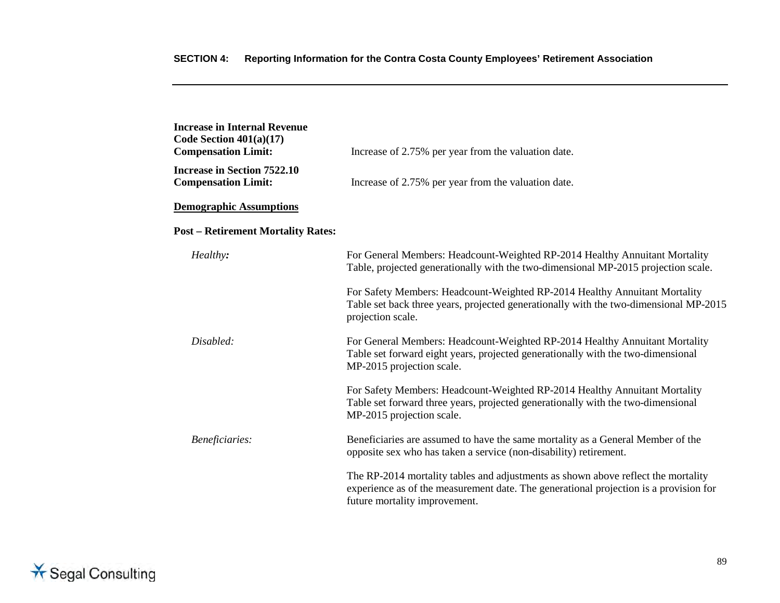| <b>Increase in Internal Revenue</b><br>Code Section $401(a)(17)$<br><b>Compensation Limit:</b> | Increase of 2.75% per year from the valuation date.                                                                                                                                                         |
|------------------------------------------------------------------------------------------------|-------------------------------------------------------------------------------------------------------------------------------------------------------------------------------------------------------------|
| <b>Increase in Section 7522.10</b><br><b>Compensation Limit:</b>                               | Increase of 2.75% per year from the valuation date.                                                                                                                                                         |
| <b>Demographic Assumptions</b>                                                                 |                                                                                                                                                                                                             |
| <b>Post - Retirement Mortality Rates:</b>                                                      |                                                                                                                                                                                                             |
| Healthy:                                                                                       | For General Members: Headcount-Weighted RP-2014 Healthy Annuitant Mortality<br>Table, projected generationally with the two-dimensional MP-2015 projection scale.                                           |
|                                                                                                | For Safety Members: Headcount-Weighted RP-2014 Healthy Annuitant Mortality<br>Table set back three years, projected generationally with the two-dimensional MP-2015<br>projection scale.                    |
| Disabled:                                                                                      | For General Members: Headcount-Weighted RP-2014 Healthy Annuitant Mortality<br>Table set forward eight years, projected generationally with the two-dimensional<br>MP-2015 projection scale.                |
|                                                                                                | For Safety Members: Headcount-Weighted RP-2014 Healthy Annuitant Mortality<br>Table set forward three years, projected generationally with the two-dimensional<br>MP-2015 projection scale.                 |
| Beneficiaries:                                                                                 | Beneficiaries are assumed to have the same mortality as a General Member of the<br>opposite sex who has taken a service (non-disability) retirement.                                                        |
|                                                                                                | The RP-2014 mortality tables and adjustments as shown above reflect the mortality<br>experience as of the measurement date. The generational projection is a provision for<br>future mortality improvement. |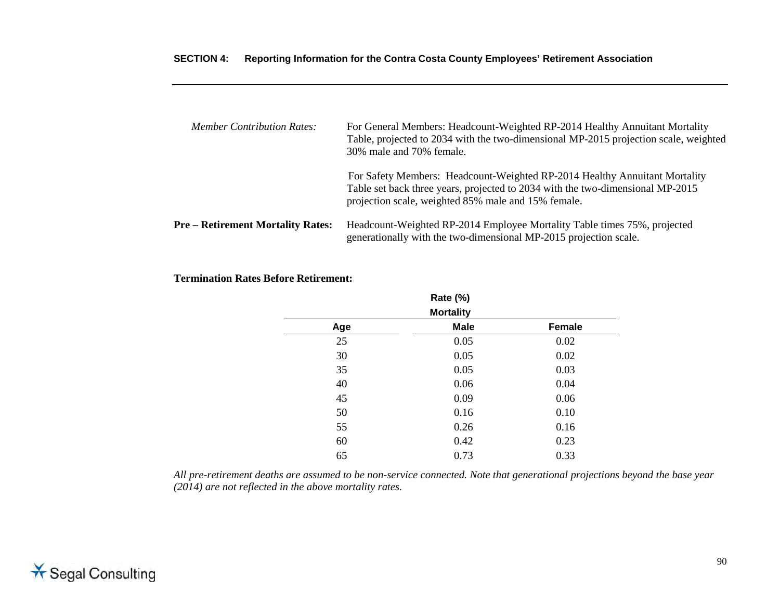| <b>Member Contribution Rates:</b>        | For General Members: Headcount-Weighted RP-2014 Healthy Annuitant Mortality<br>Table, projected to 2034 with the two-dimensional MP-2015 projection scale, weighted<br>30% male and 70% female.                     |
|------------------------------------------|---------------------------------------------------------------------------------------------------------------------------------------------------------------------------------------------------------------------|
|                                          | For Safety Members: Headcount-Weighted RP-2014 Healthy Annuitant Mortality<br>Table set back three years, projected to 2034 with the two-dimensional MP-2015<br>projection scale, weighted 85% male and 15% female. |
| <b>Pre – Retirement Mortality Rates:</b> | Headcount-Weighted RP-2014 Employee Mortality Table times 75%, projected<br>generationally with the two-dimensional MP-2015 projection scale.                                                                       |

### **Termination Rates Before Retirement:**

|                  | Rate (%)    |        |  |  |
|------------------|-------------|--------|--|--|
| <b>Mortality</b> |             |        |  |  |
| Age              | <b>Male</b> | Female |  |  |
| 25               | 0.05        | 0.02   |  |  |
| 30               | 0.05        | 0.02   |  |  |
| 35               | 0.05        | 0.03   |  |  |
| 40               | 0.06        | 0.04   |  |  |
| 45               | 0.09        | 0.06   |  |  |
| 50               | 0.16        | 0.10   |  |  |
| 55               | 0.26        | 0.16   |  |  |
| 60               | 0.42        | 0.23   |  |  |
| 65               | 0.73        | 0.33   |  |  |

*All pre-retirement deaths are assumed to be non-service connected. Note that generational projections beyond the base year (2014) are not reflected in the above mortality rates.* 

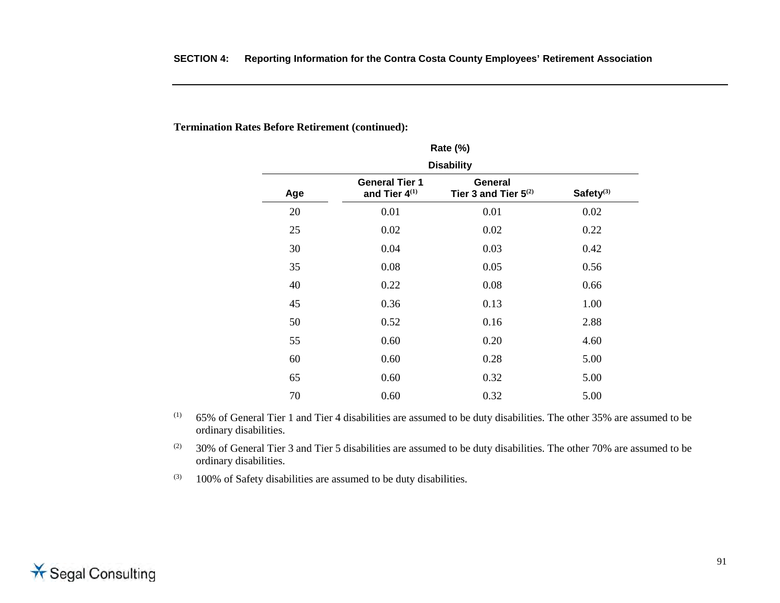**Termination Rates Before Retirement (continued):** 

| <b>Rate (%)</b>                                                                                                     |      |      |      |  |  |  |  |
|---------------------------------------------------------------------------------------------------------------------|------|------|------|--|--|--|--|
| <b>Disability</b>                                                                                                   |      |      |      |  |  |  |  |
| <b>General Tier 1</b><br>General<br>Safety <sup>(3)</sup><br>and Tier $4^{(1)}$<br>Tier 3 and Tier $5^{(2)}$<br>Age |      |      |      |  |  |  |  |
| 20                                                                                                                  | 0.01 | 0.01 | 0.02 |  |  |  |  |
| 25                                                                                                                  | 0.02 | 0.02 | 0.22 |  |  |  |  |
| 30                                                                                                                  | 0.04 | 0.03 | 0.42 |  |  |  |  |
| 35                                                                                                                  | 0.08 | 0.05 | 0.56 |  |  |  |  |
| 40                                                                                                                  | 0.22 | 0.08 | 0.66 |  |  |  |  |
| 45                                                                                                                  | 0.36 | 0.13 | 1.00 |  |  |  |  |
| 50                                                                                                                  | 0.52 | 0.16 | 2.88 |  |  |  |  |
| 55                                                                                                                  | 0.60 | 0.20 | 4.60 |  |  |  |  |
| 60                                                                                                                  | 0.60 | 0.28 | 5.00 |  |  |  |  |
| 65                                                                                                                  | 0.60 | 0.32 | 5.00 |  |  |  |  |
| 70                                                                                                                  | 0.60 | 0.32 | 5.00 |  |  |  |  |

 $(1)$  65% of General Tier 1 and Tier 4 disabilities are assumed to be duty disabilities. The other 35% are assumed to be ordinary disabilities.

 $(2)$  30% of General Tier 3 and Tier 5 disabilities are assumed to be duty disabilities. The other 70% are assumed to be ordinary disabilities.

 $(3)$  100% of Safety disabilities are assumed to be duty disabilities.

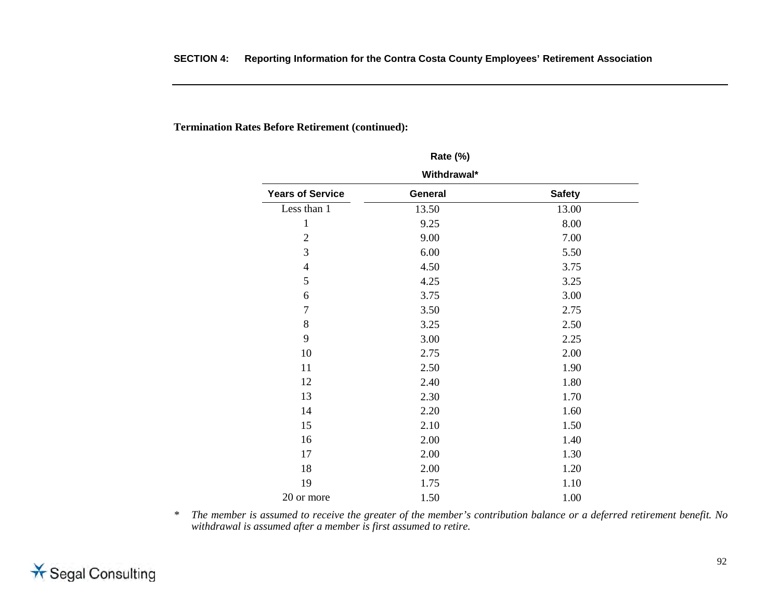## **Termination Rates Before Retirement (continued):**

| $\frac{1}{2}$                                       |       |       |  |  |  |  |  |
|-----------------------------------------------------|-------|-------|--|--|--|--|--|
| Withdrawal*                                         |       |       |  |  |  |  |  |
| <b>Years of Service</b><br><b>Safety</b><br>General |       |       |  |  |  |  |  |
| Less than 1                                         | 13.50 | 13.00 |  |  |  |  |  |
| $\mathbf{1}$                                        | 9.25  | 8.00  |  |  |  |  |  |
| $\overline{2}$                                      | 9.00  | 7.00  |  |  |  |  |  |
| 3                                                   | 6.00  | 5.50  |  |  |  |  |  |
| $\overline{4}$                                      | 4.50  | 3.75  |  |  |  |  |  |
| 5                                                   | 4.25  | 3.25  |  |  |  |  |  |
| 6                                                   | 3.75  | 3.00  |  |  |  |  |  |
| $\tau$                                              | 3.50  | 2.75  |  |  |  |  |  |
| 8                                                   | 3.25  | 2.50  |  |  |  |  |  |
| 9                                                   | 3.00  | 2.25  |  |  |  |  |  |
| 10                                                  | 2.75  | 2.00  |  |  |  |  |  |
| 11                                                  | 2.50  | 1.90  |  |  |  |  |  |
| 12                                                  | 2.40  | 1.80  |  |  |  |  |  |
| 13                                                  | 2.30  | 1.70  |  |  |  |  |  |
| 14                                                  | 2.20  | 1.60  |  |  |  |  |  |
| 15                                                  | 2.10  | 1.50  |  |  |  |  |  |
| 16                                                  | 2.00  | 1.40  |  |  |  |  |  |
| 17                                                  | 2.00  | 1.30  |  |  |  |  |  |
| 18                                                  | 2.00  | 1.20  |  |  |  |  |  |
| 19                                                  | 1.75  | 1.10  |  |  |  |  |  |
| 20 or more                                          | 1.50  | 1.00  |  |  |  |  |  |

**Rate (%)**

*\* The member is assumed to receive the greater of the member's contribution balance or a deferred retirement benefit. No withdrawal is assumed after a member is first assumed to retire.* 

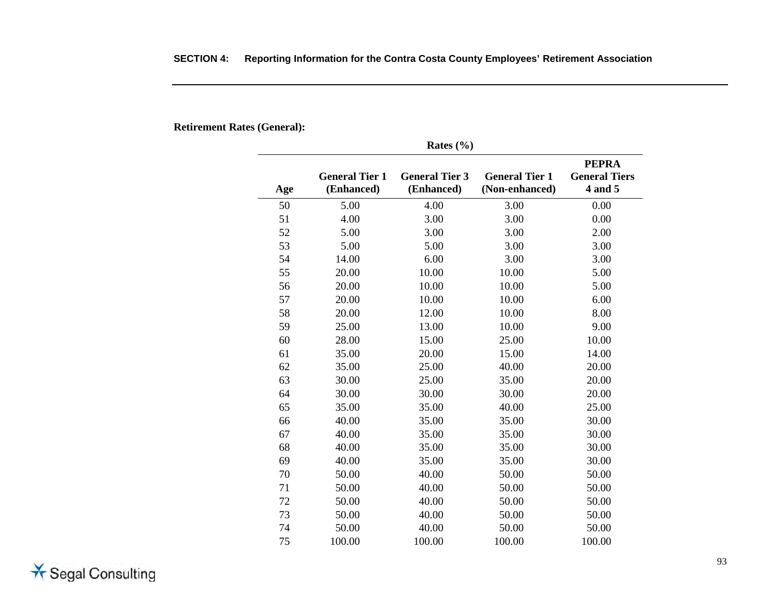**Retirement Rates (General):** 

| Rates $(\% )$ |                                     |                                     |                                         |                                                 |  |  |  |
|---------------|-------------------------------------|-------------------------------------|-----------------------------------------|-------------------------------------------------|--|--|--|
| Age           | <b>General Tier 1</b><br>(Enhanced) | <b>General Tier 3</b><br>(Enhanced) | <b>General Tier 1</b><br>(Non-enhanced) | <b>PEPRA</b><br><b>General Tiers</b><br>4 and 5 |  |  |  |
| 50            | 5.00                                | 4.00                                | 3.00                                    | 0.00                                            |  |  |  |
| 51            | 4.00                                | 3.00                                | 3.00                                    | 0.00                                            |  |  |  |
| 52            | 5.00                                | 3.00                                | 3.00                                    | 2.00                                            |  |  |  |
| 53            | 5.00                                | 5.00                                | 3.00                                    | 3.00                                            |  |  |  |
| 54            | 14.00                               | 6.00                                | 3.00                                    | 3.00                                            |  |  |  |
| 55            | 20.00                               | 10.00                               | 10.00                                   | 5.00                                            |  |  |  |
| 56            | 20.00                               | 10.00                               | 10.00                                   | 5.00                                            |  |  |  |
| 57            | 20.00                               | 10.00                               | 10.00                                   | 6.00                                            |  |  |  |
| 58            | 20.00                               | 12.00                               | 10.00                                   | 8.00                                            |  |  |  |
| 59            | 25.00                               | 13.00                               | 10.00                                   | 9.00                                            |  |  |  |
| 60            | 28.00                               | 15.00                               | 25.00                                   | 10.00                                           |  |  |  |
| 61            | 35.00                               | 20.00                               | 15.00                                   | 14.00                                           |  |  |  |
| 62            | 35.00                               | 25.00                               | 40.00                                   | 20.00                                           |  |  |  |
| 63            | 30.00                               | 25.00                               | 35.00                                   | 20.00                                           |  |  |  |
| 64            | 30.00                               | 30.00                               | 30.00                                   | 20.00                                           |  |  |  |
| 65            | 35.00                               | 35.00                               | 40.00                                   | 25.00                                           |  |  |  |
| 66            | 40.00                               | 35.00                               | 35.00                                   | 30.00                                           |  |  |  |
| 67            | 40.00                               | 35.00                               | 35.00                                   | 30.00                                           |  |  |  |
| 68            | 40.00                               | 35.00                               | 35.00                                   | 30.00                                           |  |  |  |
| 69            | 40.00                               | 35.00                               | 35.00                                   | 30.00                                           |  |  |  |
| 70            | 50.00                               | 40.00                               | 50.00                                   | 50.00                                           |  |  |  |
| 71            | 50.00                               | 40.00                               | 50.00                                   | 50.00                                           |  |  |  |
| 72            | 50.00                               | 40.00                               | 50.00                                   | 50.00                                           |  |  |  |
| 73            | 50.00                               | 40.00                               | 50.00                                   | 50.00                                           |  |  |  |
| 74            | 50.00                               | 40.00                               | 50.00                                   | 50.00                                           |  |  |  |
| 75            | 100.00                              | 100.00                              | 100.00                                  | 100.00                                          |  |  |  |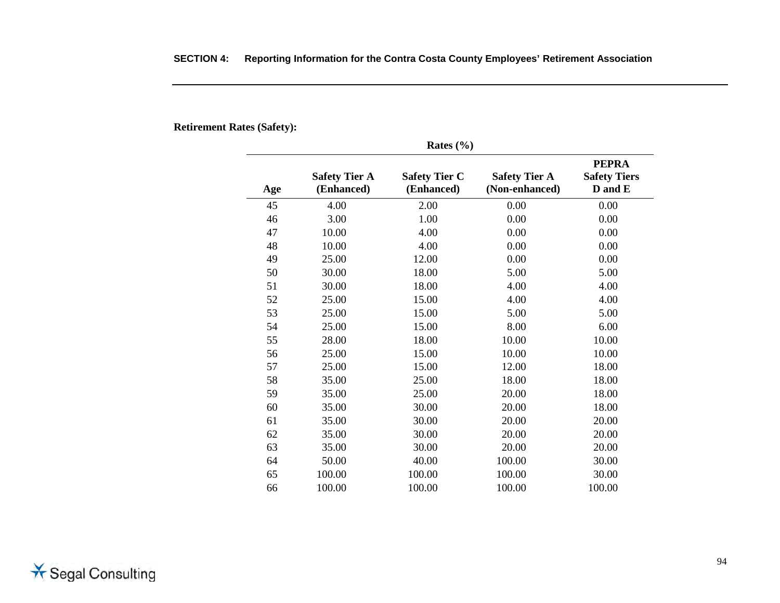|     |                                    | Rates $(\% )$                      |                                        |                                                |
|-----|------------------------------------|------------------------------------|----------------------------------------|------------------------------------------------|
| Age | <b>Safety Tier A</b><br>(Enhanced) | <b>Safety Tier C</b><br>(Enhanced) | <b>Safety Tier A</b><br>(Non-enhanced) | <b>PEPRA</b><br><b>Safety Tiers</b><br>D and E |
| 45  | 4.00                               | 2.00                               | 0.00                                   | 0.00                                           |
| 46  | 3.00                               | 1.00                               | 0.00                                   | 0.00                                           |
| 47  | 10.00                              | 4.00                               | 0.00                                   | 0.00                                           |
| 48  | 10.00                              | 4.00                               | 0.00                                   | 0.00                                           |
| 49  | 25.00                              | 12.00                              | 0.00                                   | 0.00                                           |
| 50  | 30.00                              | 18.00                              | 5.00                                   | 5.00                                           |
| 51  | 30.00                              | 18.00                              | 4.00                                   | 4.00                                           |
| 52  | 25.00                              | 15.00                              | 4.00                                   | 4.00                                           |
| 53  | 25.00                              | 15.00                              | 5.00                                   | 5.00                                           |
| 54  | 25.00                              | 15.00                              | 8.00                                   | 6.00                                           |
| 55  | 28.00                              | 18.00                              | 10.00                                  | 10.00                                          |
| 56  | 25.00                              | 15.00                              | 10.00                                  | 10.00                                          |
| 57  | 25.00                              | 15.00                              | 12.00                                  | 18.00                                          |
| 58  | 35.00                              | 25.00                              | 18.00                                  | 18.00                                          |
| 59  | 35.00                              | 25.00                              | 20.00                                  | 18.00                                          |
| 60  | 35.00                              | 30.00                              | 20.00                                  | 18.00                                          |
| 61  | 35.00                              | 30.00                              | 20.00                                  | 20.00                                          |
| 62  | 35.00                              | 30.00                              | 20.00                                  | 20.00                                          |
| 63  | 35.00                              | 30.00                              | 20.00                                  | 20.00                                          |
| 64  | 50.00                              | 40.00                              | 100.00                                 | 30.00                                          |
| 65  | 100.00                             | 100.00                             | 100.00                                 | 30.00                                          |
| 66  | 100.00                             | 100.00                             | 100.00                                 | 100.00                                         |

## **SECTION 4: Reporting Information for the Contra Costa County Employees' Retirement Association**

**Retirement Rates (Safety):** 

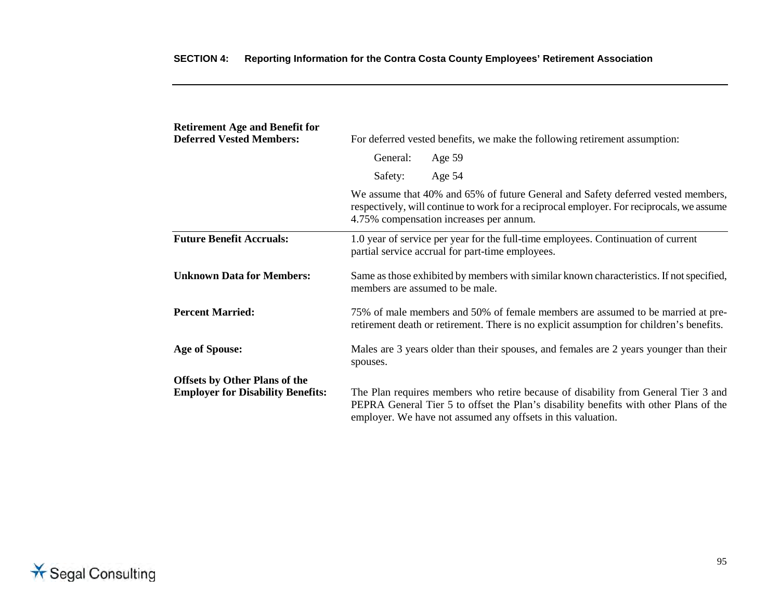| <b>Retirement Age and Benefit for</b><br><b>Deferred Vested Members:</b>         | For deferred vested benefits, we make the following retirement assumption:                                                                                                  |                                                                                                                                                                                                                                             |  |
|----------------------------------------------------------------------------------|-----------------------------------------------------------------------------------------------------------------------------------------------------------------------------|---------------------------------------------------------------------------------------------------------------------------------------------------------------------------------------------------------------------------------------------|--|
|                                                                                  | General:                                                                                                                                                                    | Age 59                                                                                                                                                                                                                                      |  |
|                                                                                  | Safety:                                                                                                                                                                     | Age 54                                                                                                                                                                                                                                      |  |
|                                                                                  |                                                                                                                                                                             | We assume that 40% and 65% of future General and Safety deferred vested members,<br>respectively, will continue to work for a reciprocal employer. For reciprocals, we assume<br>4.75% compensation increases per annum.                    |  |
| <b>Future Benefit Accruals:</b>                                                  | 1.0 year of service per year for the full-time employees. Continuation of current<br>partial service accrual for part-time employees.                                       |                                                                                                                                                                                                                                             |  |
| <b>Unknown Data for Members:</b>                                                 | Same as those exhibited by members with similar known characteristics. If not specified,<br>members are assumed to be male.                                                 |                                                                                                                                                                                                                                             |  |
| <b>Percent Married:</b>                                                          | 75% of male members and 50% of female members are assumed to be married at pre-<br>retirement death or retirement. There is no explicit assumption for children's benefits. |                                                                                                                                                                                                                                             |  |
| <b>Age of Spouse:</b>                                                            | Males are 3 years older than their spouses, and females are 2 years younger than their<br>spouses.                                                                          |                                                                                                                                                                                                                                             |  |
| <b>Offsets by Other Plans of the</b><br><b>Employer for Disability Benefits:</b> |                                                                                                                                                                             | The Plan requires members who retire because of disability from General Tier 3 and<br>PEPRA General Tier 5 to offset the Plan's disability benefits with other Plans of the<br>employer. We have not assumed any offsets in this valuation. |  |

# **SECTION 4: Reporting Information for the Contra Costa County Employees' Retirement Association**

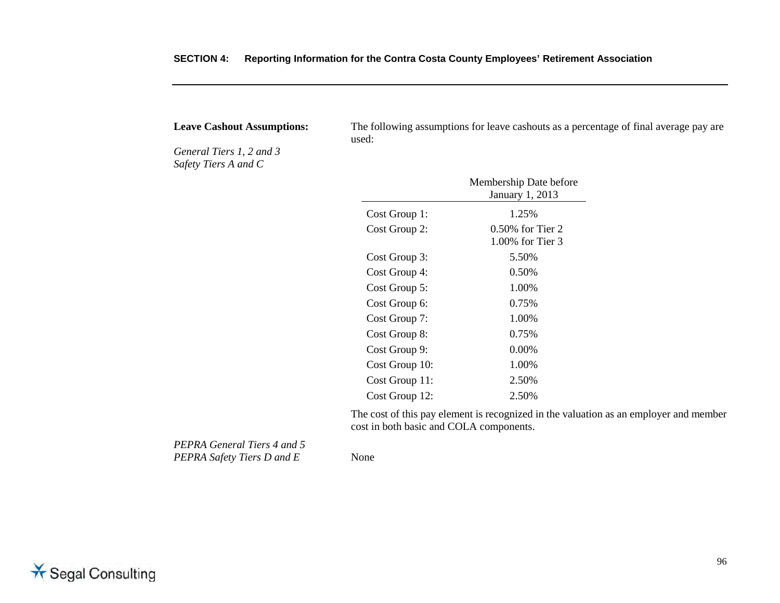|  | SECTION 4: Reporting Information for the Contra Costa County Employees' Retirement Association |  |  |  |
|--|------------------------------------------------------------------------------------------------|--|--|--|
|--|------------------------------------------------------------------------------------------------|--|--|--|

*General Tiers 1, 2 and 3 Safety Tiers A and C* 

**Leave Cashout Assumptions:** The following assumptions for leave cashouts as a percentage of final average pay are used:

|                | Membership Date before<br>January 1, 2013 |
|----------------|-------------------------------------------|
| Cost Group 1:  | 1.25%                                     |
| Cost Group 2:  | $0.50\%$ for Tier 2<br>1.00% for Tier 3   |
| Cost Group 3:  | 5.50%                                     |
| Cost Group 4:  | 0.50%                                     |
| Cost Group 5:  | 1.00%                                     |
| Cost Group 6:  | 0.75%                                     |
| Cost Group 7:  | 1.00%                                     |
| Cost Group 8:  | 0.75%                                     |
| Cost Group 9:  | $0.00\%$                                  |
| Cost Group 10: | 1.00%                                     |
| Cost Group 11: | 2.50%                                     |
| Cost Group 12: | 2.50%                                     |

The cost of this pay element is recognized in the valuation as an employer and member cost in both basic and COLA components.

*PEPRA General Tiers 4 and 5 PEPRA Safety Tiers D and E* None

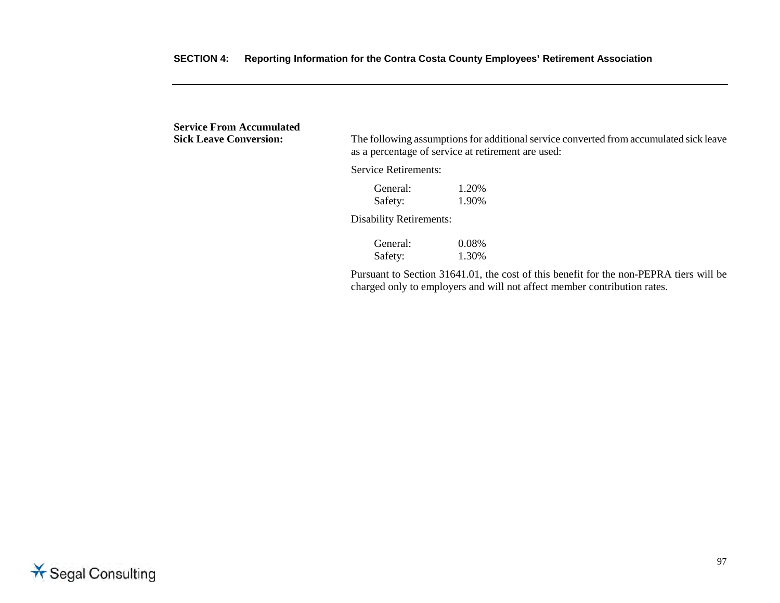**Service From Accumulated<br>Sick Leave Conversion:** The following assumptions for additional service converted from accumulated sick leave as a percentage of service at retirement are used: Service Retirements: General:  $1.20\%$ <br>Safety:  $1.90\%$ Safety: Disability Retirements: General: 0.08%<br>Safety: 1.30% Safety: Pursuant to Section 31641.01, the cost of this benefit for the non-PEPRA tiers will be charged only to employers and will not affect member contribution rates.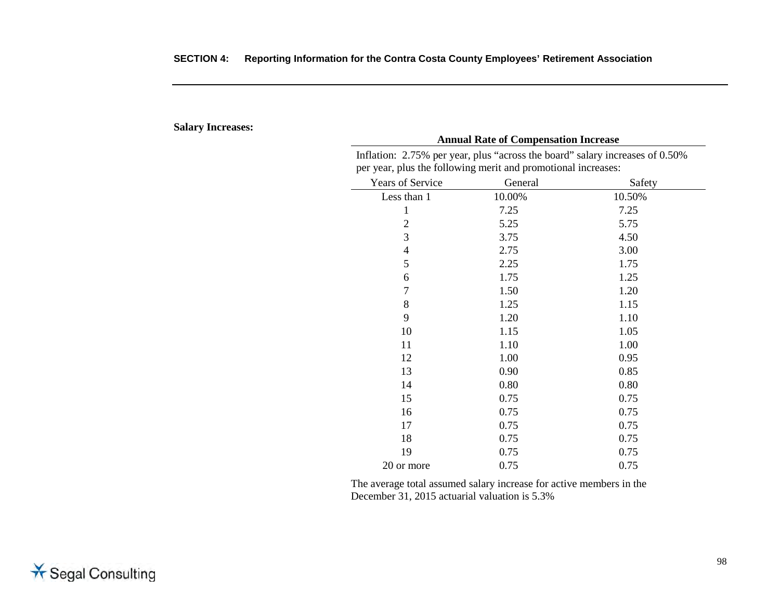#### **Salary Increases:**

|                  | per year, plus the following merit and promotional increases: |        |  |
|------------------|---------------------------------------------------------------|--------|--|
| Years of Service | General                                                       | Safety |  |
| Less than 1      | 10.00%                                                        | 10.50% |  |
| 1                | 7.25                                                          | 7.25   |  |
| $\overline{2}$   | 5.25                                                          | 5.75   |  |
| 3                | 3.75                                                          | 4.50   |  |
| $\overline{4}$   | 2.75                                                          | 3.00   |  |
| 5                | 2.25                                                          | 1.75   |  |
| 6                | 1.75                                                          | 1.25   |  |
| $\overline{7}$   | 1.50                                                          | 1.20   |  |
| 8                | 1.25                                                          | 1.15   |  |
| 9                | 1.20                                                          | 1.10   |  |
| 10               | 1.15                                                          | 1.05   |  |
| 11               | 1.10                                                          | 1.00   |  |
| 12               | 1.00                                                          | 0.95   |  |
| 13               | 0.90                                                          | 0.85   |  |
| 14               | 0.80                                                          | 0.80   |  |
| 15               | 0.75                                                          | 0.75   |  |
| 16               | 0.75                                                          | 0.75   |  |
| 17               | 0.75                                                          | 0.75   |  |
| 18               | 0.75                                                          | 0.75   |  |
| 19               | 0.75                                                          | 0.75   |  |
| 20 or more       | 0.75                                                          | 0.75   |  |

Inflation: 2.75% per year, plus "across the board" salary increases of 0.50% per year, plus the following merit and promotional increases:

**Annual Rate of Compensation Increase**

The average total assumed salary increase for active members in the December 31, 2015 actuarial valuation is 5.3%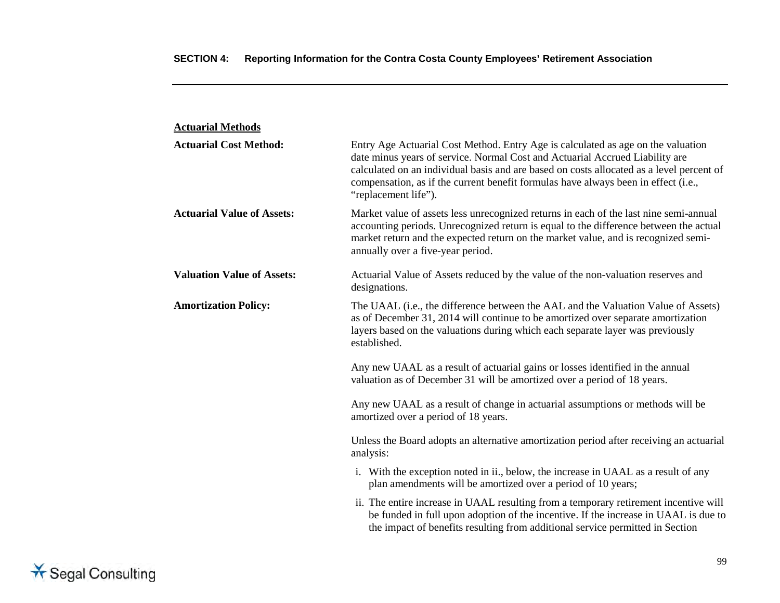| <b>Actuarial Methods</b>          |                                                                                                                                                                                                                                                                                                                                                                            |
|-----------------------------------|----------------------------------------------------------------------------------------------------------------------------------------------------------------------------------------------------------------------------------------------------------------------------------------------------------------------------------------------------------------------------|
| <b>Actuarial Cost Method:</b>     | Entry Age Actuarial Cost Method. Entry Age is calculated as age on the valuation<br>date minus years of service. Normal Cost and Actuarial Accrued Liability are<br>calculated on an individual basis and are based on costs allocated as a level percent of<br>compensation, as if the current benefit formulas have always been in effect (i.e.,<br>"replacement life"). |
| <b>Actuarial Value of Assets:</b> | Market value of assets less unrecognized returns in each of the last nine semi-annual<br>accounting periods. Unrecognized return is equal to the difference between the actual<br>market return and the expected return on the market value, and is recognized semi-<br>annually over a five-year period.                                                                  |
| <b>Valuation Value of Assets:</b> | Actuarial Value of Assets reduced by the value of the non-valuation reserves and<br>designations.                                                                                                                                                                                                                                                                          |
| <b>Amortization Policy:</b>       | The UAAL ( <i>i.e.</i> , the difference between the AAL and the Valuation Value of Assets)<br>as of December 31, 2014 will continue to be amortized over separate amortization<br>layers based on the valuations during which each separate layer was previously<br>established.                                                                                           |
|                                   | Any new UAAL as a result of actuarial gains or losses identified in the annual<br>valuation as of December 31 will be amortized over a period of 18 years.                                                                                                                                                                                                                 |
|                                   | Any new UAAL as a result of change in actuarial assumptions or methods will be<br>amortized over a period of 18 years.                                                                                                                                                                                                                                                     |
|                                   | Unless the Board adopts an alternative amortization period after receiving an actuarial<br>analysis:                                                                                                                                                                                                                                                                       |
|                                   | i. With the exception noted in ii., below, the increase in UAAL as a result of any<br>plan amendments will be amortized over a period of 10 years;                                                                                                                                                                                                                         |
|                                   | ii. The entire increase in UAAL resulting from a temporary retirement incentive will<br>be funded in full upon adoption of the incentive. If the increase in UAAL is due to<br>the impact of benefits resulting from additional service permitted in Section                                                                                                               |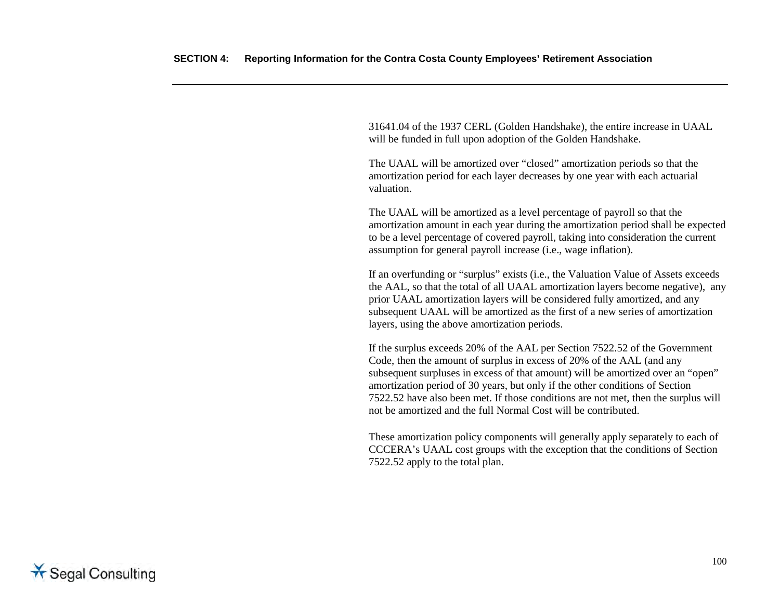31641.04 of the 1937 CERL (Golden Handshake), the entire increase in UAAL will be funded in full upon adoption of the Golden Handshake.

The UAAL will be amortized over "closed" amortization periods so that the amortization period for each layer decreases by one year with each actuarial valuation.

The UAAL will be amortized as a level percentage of payroll so that the amortization amount in each year during the amortization period shall be expected to be a level percentage of covered payroll, taking into consideration the current assumption for general payroll increase (i.e., wage inflation).

If an overfunding or "surplus" exists (i.e., the Valuation Value of Assets exceeds the AAL, so that the total of all UAAL amortization layers become negative), any prior UAAL amortization layers will be considered fully amortized, and any subsequent UAAL will be amortized as the first of a new series of amortization layers, using the above amortization periods.

If the surplus exceeds 20% of the AAL per Section 7522.52 of the Government Code, then the amount of surplus in excess of 20% of the AAL (and any subsequent surpluses in excess of that amount) will be amortized over an "open" amortization period of 30 years, but only if the other conditions of Section 7522.52 have also been met. If those conditions are not met, then the surplus will not be amortized and the full Normal Cost will be contributed.

These amortization policy components will generally apply separately to each of CCCERA's UAAL cost groups with the exception that the conditions of Section 7522.52 apply to the total plan.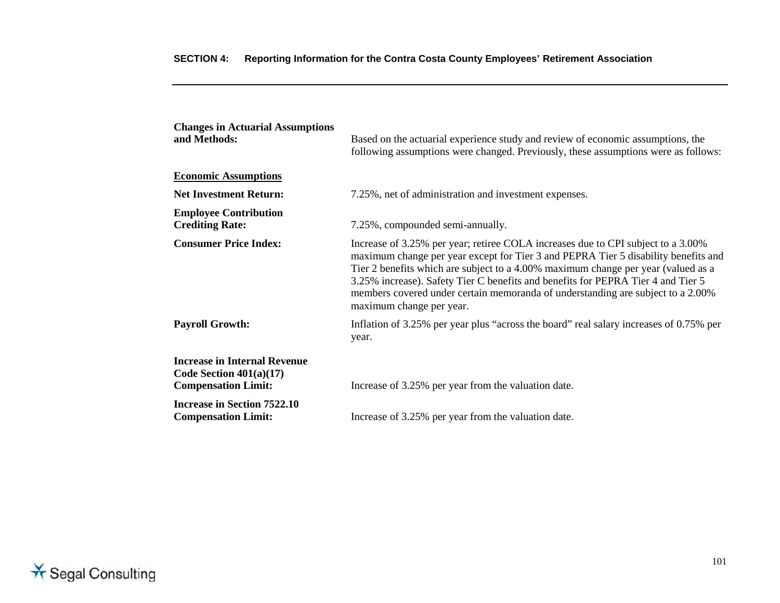| <b>Changes in Actuarial Assumptions</b><br>and Methods:                                        | Based on the actuarial experience study and review of economic assumptions, the<br>following assumptions were changed. Previously, these assumptions were as follows:                                                                                                                                                                                                                                                                                          |
|------------------------------------------------------------------------------------------------|----------------------------------------------------------------------------------------------------------------------------------------------------------------------------------------------------------------------------------------------------------------------------------------------------------------------------------------------------------------------------------------------------------------------------------------------------------------|
| <b>Economic Assumptions</b>                                                                    |                                                                                                                                                                                                                                                                                                                                                                                                                                                                |
| <b>Net Investment Return:</b>                                                                  | 7.25%, net of administration and investment expenses.                                                                                                                                                                                                                                                                                                                                                                                                          |
| <b>Employee Contribution</b><br><b>Crediting Rate:</b>                                         | 7.25%, compounded semi-annually.                                                                                                                                                                                                                                                                                                                                                                                                                               |
| <b>Consumer Price Index:</b>                                                                   | Increase of 3.25% per year; retiree COLA increases due to CPI subject to a 3.00%<br>maximum change per year except for Tier 3 and PEPRA Tier 5 disability benefits and<br>Tier 2 benefits which are subject to a 4.00% maximum change per year (valued as a<br>3.25% increase). Safety Tier C benefits and benefits for PEPRA Tier 4 and Tier 5<br>members covered under certain memoranda of understanding are subject to a 2.00%<br>maximum change per year. |
| <b>Payroll Growth:</b>                                                                         | Inflation of 3.25% per year plus "across the board" real salary increases of 0.75% per<br>year.                                                                                                                                                                                                                                                                                                                                                                |
| <b>Increase in Internal Revenue</b><br>Code Section $401(a)(17)$<br><b>Compensation Limit:</b> | Increase of 3.25% per year from the valuation date.                                                                                                                                                                                                                                                                                                                                                                                                            |
| <b>Increase in Section 7522.10</b><br><b>Compensation Limit:</b>                               | Increase of 3.25% per year from the valuation date.                                                                                                                                                                                                                                                                                                                                                                                                            |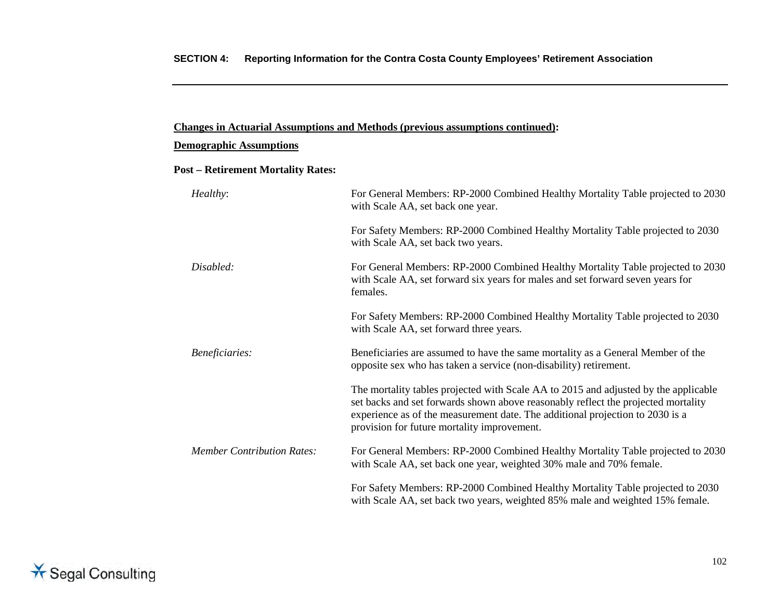#### **Demographic Assumptions**

#### **Post – Retirement Mortality Rates:**

| Healthy:                          | For General Members: RP-2000 Combined Healthy Mortality Table projected to 2030<br>with Scale AA, set back one year.                                                                                                                                                                                     |  |
|-----------------------------------|----------------------------------------------------------------------------------------------------------------------------------------------------------------------------------------------------------------------------------------------------------------------------------------------------------|--|
|                                   | For Safety Members: RP-2000 Combined Healthy Mortality Table projected to 2030<br>with Scale AA, set back two years.                                                                                                                                                                                     |  |
| Disabled:                         | For General Members: RP-2000 Combined Healthy Mortality Table projected to 2030<br>with Scale AA, set forward six years for males and set forward seven years for<br>females.                                                                                                                            |  |
|                                   | For Safety Members: RP-2000 Combined Healthy Mortality Table projected to 2030<br>with Scale AA, set forward three years.                                                                                                                                                                                |  |
| Beneficiaries:                    | Beneficiaries are assumed to have the same mortality as a General Member of the<br>opposite sex who has taken a service (non-disability) retirement.                                                                                                                                                     |  |
|                                   | The mortality tables projected with Scale AA to 2015 and adjusted by the applicable<br>set backs and set forwards shown above reasonably reflect the projected mortality<br>experience as of the measurement date. The additional projection to 2030 is a<br>provision for future mortality improvement. |  |
| <b>Member Contribution Rates:</b> | For General Members: RP-2000 Combined Healthy Mortality Table projected to 2030<br>with Scale AA, set back one year, weighted 30% male and 70% female.                                                                                                                                                   |  |
|                                   | For Safety Members: RP-2000 Combined Healthy Mortality Table projected to 2030<br>with Scale AA, set back two years, weighted 85% male and weighted 15% female.                                                                                                                                          |  |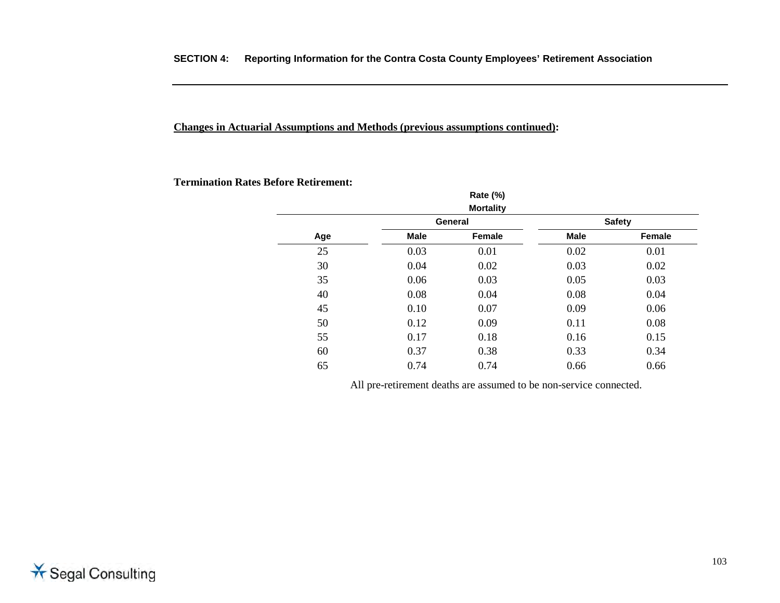**Termination Rates Before Retirement:** 

|     |             | Rate (%)         |             |               |
|-----|-------------|------------------|-------------|---------------|
|     |             | <b>Mortality</b> |             |               |
|     |             | General          |             | <b>Safety</b> |
| Age | <b>Male</b> | Female           | <b>Male</b> | Female        |
| 25  | 0.03        | 0.01             | 0.02        | 0.01          |
| 30  | 0.04        | 0.02             | 0.03        | 0.02          |
| 35  | 0.06        | 0.03             | 0.05        | 0.03          |
| 40  | 0.08        | 0.04             | 0.08        | 0.04          |
| 45  | 0.10        | 0.07             | 0.09        | 0.06          |
| 50  | 0.12        | 0.09             | 0.11        | 0.08          |
| 55  | 0.17        | 0.18             | 0.16        | 0.15          |
| 60  | 0.37        | 0.38             | 0.33        | 0.34          |
| 65  | 0.74        | 0.74             | 0.66        | 0.66          |

All pre-retirement deaths are assumed to be non-service connected.

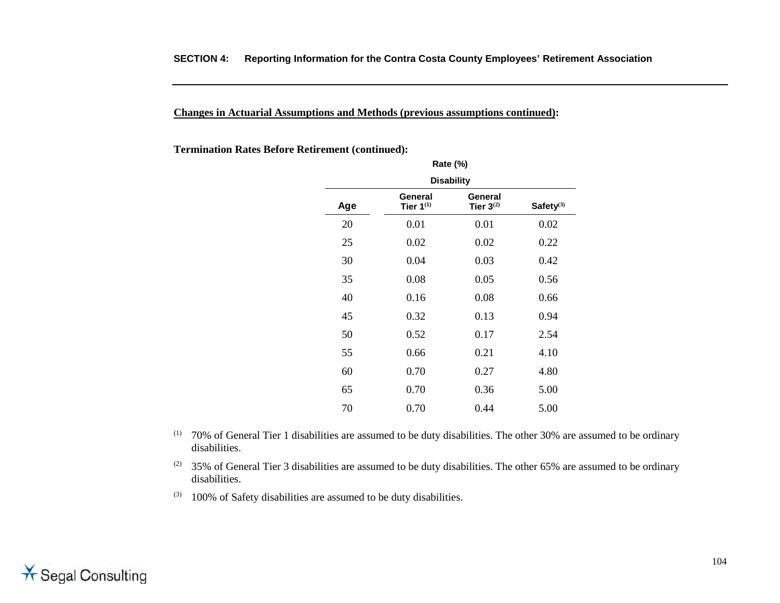**Termination Rates Before Retirement (continued):**

|     |                           | Rate (%)                  |              |  |  |
|-----|---------------------------|---------------------------|--------------|--|--|
|     | <b>Disability</b>         |                           |              |  |  |
| Age | General<br>Tier $1^{(1)}$ | General<br>Tier $3^{(2)}$ | Safety $(3)$ |  |  |
| 20  | 0.01                      | 0.01                      | 0.02         |  |  |
| 25  | 0.02                      | 0.02                      | 0.22         |  |  |
| 30  | 0.04                      | 0.03                      | 0.42         |  |  |
| 35  | 0.08                      | 0.05                      | 0.56         |  |  |
| 40  | 0.16                      | 0.08                      | 0.66         |  |  |
| 45  | 0.32                      | 0.13                      | 0.94         |  |  |
| 50  | 0.52                      | 0.17                      | 2.54         |  |  |
| 55  | 0.66                      | 0.21                      | 4.10         |  |  |
| 60  | 0.70                      | 0.27                      | 4.80         |  |  |
| 65  | 0.70                      | 0.36                      | 5.00         |  |  |
| 70  | 0.70                      | 0.44                      | 5.00         |  |  |

- (1) 70% of General Tier 1 disabilities are assumed to be duty disabilities. The other 30% are assumed to be ordinary disabilities.
- (2) 35% of General Tier 3 disabilities are assumed to be duty disabilities. The other 65% are assumed to be ordinary disabilities.
- $(3)$  100% of Safety disabilities are assumed to be duty disabilities.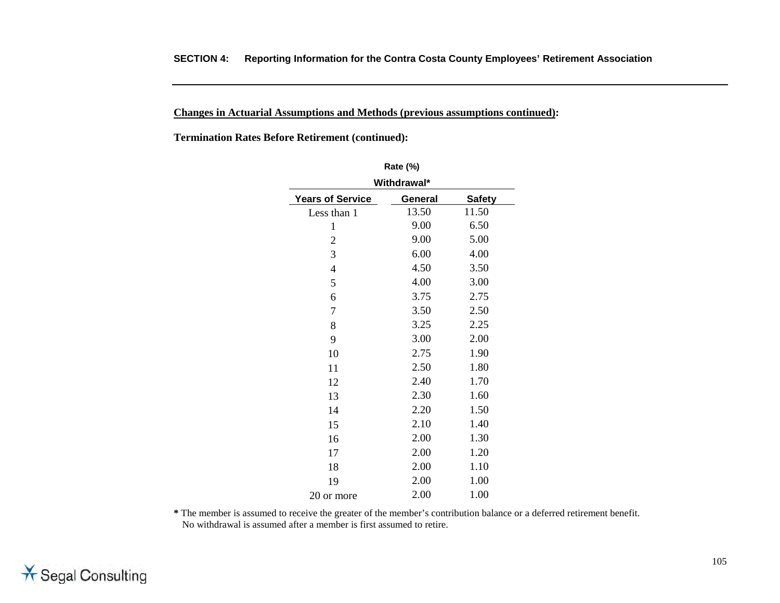**Termination Rates Before Retirement (continued):**

| <b>Rate (%)</b>         |         |               |  |  |  |
|-------------------------|---------|---------------|--|--|--|
| Withdrawal*             |         |               |  |  |  |
| <b>Years of Service</b> | General | <b>Safety</b> |  |  |  |
| Less than 1             | 13.50   | 11.50         |  |  |  |
| 1                       | 9.00    | 6.50          |  |  |  |
| $\overline{2}$          | 9.00    | 5.00          |  |  |  |
| $\mathfrak{Z}$          | 6.00    | 4.00          |  |  |  |
| 4                       | 4.50    | 3.50          |  |  |  |
| 5                       | 4.00    | 3.00          |  |  |  |
| 6                       | 3.75    | 2.75          |  |  |  |
| 7                       | 3.50    | 2.50          |  |  |  |
| 8                       | 3.25    | 2.25          |  |  |  |
| 9                       | 3.00    | 2.00          |  |  |  |
| 10                      | 2.75    | 1.90          |  |  |  |
| 11                      | 2.50    | 1.80          |  |  |  |
| 12                      | 2.40    | 1.70          |  |  |  |
| 13                      | 2.30    | 1.60          |  |  |  |
| 14                      | 2.20    | 1.50          |  |  |  |
| 15                      | 2.10    | 1.40          |  |  |  |
| 16                      | 2.00    | 1.30          |  |  |  |
| 17                      | 2.00    | 1.20          |  |  |  |
| 18                      | 2.00    | 1.10          |  |  |  |
| 19                      | 2.00    | 1.00          |  |  |  |
| 20 or more              | 2.00    | 1.00          |  |  |  |

**\*** The member is assumed to receive the greater of the member's contribution balance or a deferred retirement benefit. No withdrawal is assumed after a member is first assumed to retire.

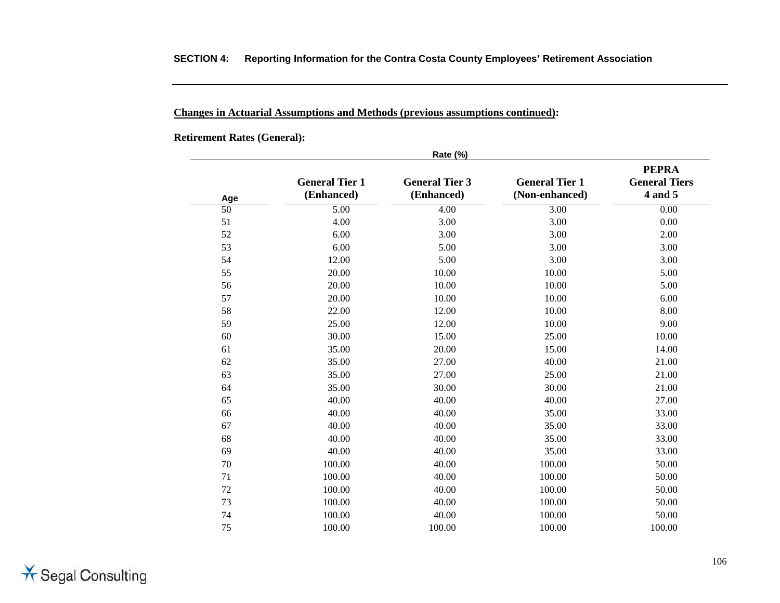#### **Changes in Actuarial Assumptions and Methods (previous assumptions continued):**

**Retirement Rates (General):** 

|     |                                     | <b>Rate (%)</b>                     |                                         |                                                 |
|-----|-------------------------------------|-------------------------------------|-----------------------------------------|-------------------------------------------------|
| Age | <b>General Tier 1</b><br>(Enhanced) | <b>General Tier 3</b><br>(Enhanced) | <b>General Tier 1</b><br>(Non-enhanced) | <b>PEPRA</b><br><b>General Tiers</b><br>4 and 5 |
| 50  | 5.00                                | 4.00                                | 3.00                                    | 0.00                                            |
| 51  | 4.00                                | 3.00                                | 3.00                                    | 0.00                                            |
| 52  | 6.00                                | 3.00                                | 3.00                                    | 2.00                                            |
| 53  | 6.00                                | 5.00                                | 3.00                                    | 3.00                                            |
| 54  | 12.00                               | 5.00                                | 3.00                                    | 3.00                                            |
| 55  | 20.00                               | 10.00                               | 10.00                                   | 5.00                                            |
| 56  | 20.00                               | 10.00                               | 10.00                                   | 5.00                                            |
| 57  | 20.00                               | 10.00                               | 10.00                                   | 6.00                                            |
| 58  | 22.00                               | 12.00                               | 10.00                                   | 8.00                                            |
| 59  | 25.00                               | 12.00                               | 10.00                                   | 9.00                                            |
| 60  | 30.00                               | 15.00                               | 25.00                                   | 10.00                                           |
| 61  | 35.00                               | 20.00                               | 15.00                                   | 14.00                                           |
| 62  | 35.00                               | 27.00                               | 40.00                                   | 21.00                                           |
| 63  | 35.00                               | 27.00                               | 25.00                                   | 21.00                                           |
| 64  | 35.00                               | 30.00                               | 30.00                                   | 21.00                                           |
| 65  | 40.00                               | 40.00                               | 40.00                                   | 27.00                                           |
| 66  | 40.00                               | 40.00                               | 35.00                                   | 33.00                                           |
| 67  | 40.00                               | 40.00                               | 35.00                                   | 33.00                                           |
| 68  | 40.00                               | 40.00                               | 35.00                                   | 33.00                                           |
| 69  | 40.00                               | 40.00                               | 35.00                                   | 33.00                                           |
| 70  | 100.00                              | 40.00                               | 100.00                                  | 50.00                                           |
| 71  | 100.00                              | 40.00                               | 100.00                                  | 50.00                                           |
| 72  | 100.00                              | 40.00                               | 100.00                                  | 50.00                                           |
| 73  | 100.00                              | 40.00                               | 100.00                                  | 50.00                                           |
| 74  | 100.00                              | 40.00                               | 100.00                                  | 50.00                                           |
| 75  | 100.00                              | 100.00                              | 100.00                                  | 100.00                                          |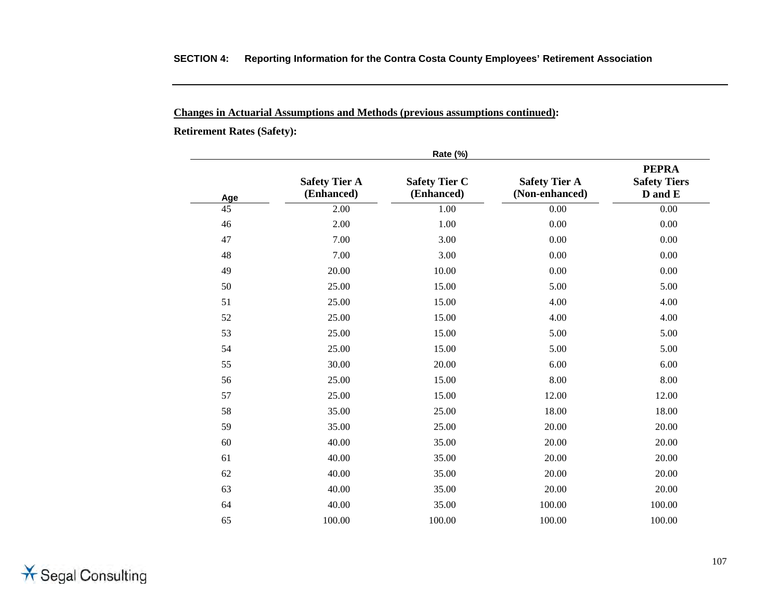#### **Changes in Actuarial Assumptions and Methods (previous assumptions continued):**

**Retirement Rates (Safety):**

|     |                                    | Rate (%)                           |                                        |                                                |
|-----|------------------------------------|------------------------------------|----------------------------------------|------------------------------------------------|
| Age | <b>Safety Tier A</b><br>(Enhanced) | <b>Safety Tier C</b><br>(Enhanced) | <b>Safety Tier A</b><br>(Non-enhanced) | <b>PEPRA</b><br><b>Safety Tiers</b><br>D and E |
| 45  | 2.00                               | 1.00                               | $0.00\,$                               | 0.00                                           |
| 46  | 2.00                               | 1.00                               | 0.00                                   | 0.00                                           |
| 47  | 7.00                               | 3.00                               | 0.00                                   | 0.00                                           |
| 48  | 7.00                               | 3.00                               | 0.00                                   | 0.00                                           |
| 49  | 20.00                              | 10.00                              | 0.00                                   | $0.00\,$                                       |
| 50  | 25.00                              | 15.00                              | 5.00                                   | 5.00                                           |
| 51  | 25.00                              | 15.00                              | 4.00                                   | 4.00                                           |
| 52  | 25.00                              | 15.00                              | 4.00                                   | 4.00                                           |
| 53  | 25.00                              | 15.00                              | 5.00                                   | 5.00                                           |
| 54  | 25.00                              | 15.00                              | 5.00                                   | 5.00                                           |
| 55  | 30.00                              | 20.00                              | 6.00                                   | 6.00                                           |
| 56  | 25.00                              | 15.00                              | 8.00                                   | 8.00                                           |
| 57  | 25.00                              | 15.00                              | 12.00                                  | 12.00                                          |
| 58  | 35.00                              | 25.00                              | 18.00                                  | 18.00                                          |
| 59  | 35.00                              | 25.00                              | 20.00                                  | 20.00                                          |
| 60  | 40.00                              | 35.00                              | 20.00                                  | 20.00                                          |
| 61  | 40.00                              | 35.00                              | 20.00                                  | 20.00                                          |
| 62  | 40.00                              | 35.00                              | 20.00                                  | 20.00                                          |
| 63  | 40.00                              | 35.00                              | 20.00                                  | 20.00                                          |
| 64  | 40.00                              | 35.00                              | 100.00                                 | 100.00                                         |
| 65  | 100.00                             | 100.00                             | 100.00                                 | 100.00                                         |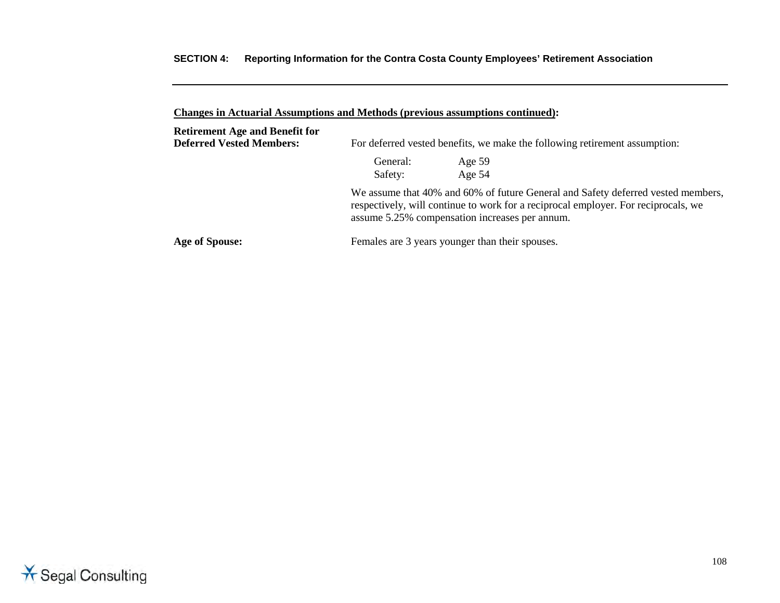| Changes in Actuarial Assumptions and Methods (previous assumptions continued): |                                                                            |                                                                                                                                                                                                                          |  |
|--------------------------------------------------------------------------------|----------------------------------------------------------------------------|--------------------------------------------------------------------------------------------------------------------------------------------------------------------------------------------------------------------------|--|
| <b>Retirement Age and Benefit for</b><br><b>Deferred Vested Members:</b>       | For deferred vested benefits, we make the following retirement assumption: |                                                                                                                                                                                                                          |  |
|                                                                                | General:<br>Safety:                                                        | Age $59$<br>Age $54$                                                                                                                                                                                                     |  |
|                                                                                |                                                                            | We assume that 40% and 60% of future General and Safety deferred vested members,<br>respectively, will continue to work for a reciprocal employer. For reciprocals, we<br>assume 5.25% compensation increases per annum. |  |
| Age of Spouse:                                                                 |                                                                            | Females are 3 years younger than their spouses.                                                                                                                                                                          |  |

**Changes in Actuarial Assumptions and Methods (previous assumptions continued):**

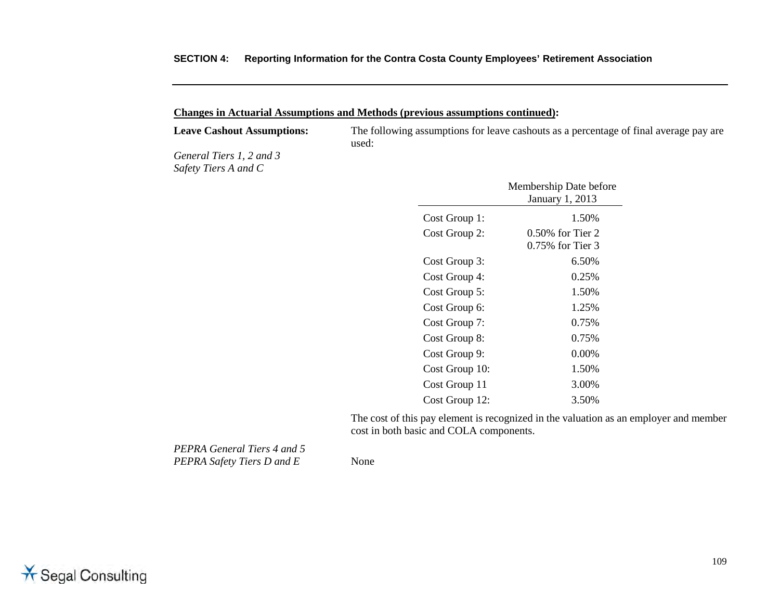#### **Changes in Actuarial Assumptions and Methods (previous assumptions continued):**

**Leave Cashout Assumptions:** The following assumptions for leave cashouts as a percentage of final average pay are used:

*General Tiers 1, 2 and 3 Safety Tiers A and C* 

|                | Membership Date before<br><b>January 1, 2013</b> |
|----------------|--------------------------------------------------|
| Cost Group 1:  | 1.50%                                            |
| Cost Group 2:  | $0.50\%$ for Tier 2                              |
|                | 0.75% for Tier 3                                 |
| Cost Group 3:  | 6.50%                                            |
| Cost Group 4:  | 0.25%                                            |
| Cost Group 5:  | 1.50%                                            |
| Cost Group 6:  | 1.25%                                            |
| Cost Group 7:  | 0.75%                                            |
| Cost Group 8:  | 0.75%                                            |
| Cost Group 9:  | $0.00\%$                                         |
| Cost Group 10: | 1.50%                                            |
| Cost Group 11  | 3.00%                                            |
| Cost Group 12: | 3.50%                                            |

The cost of this pay element is recognized in the valuation as an employer and member cost in both basic and COLA components.

*PEPRA General Tiers 4 and 5 PEPRA Safety Tiers D and E* None

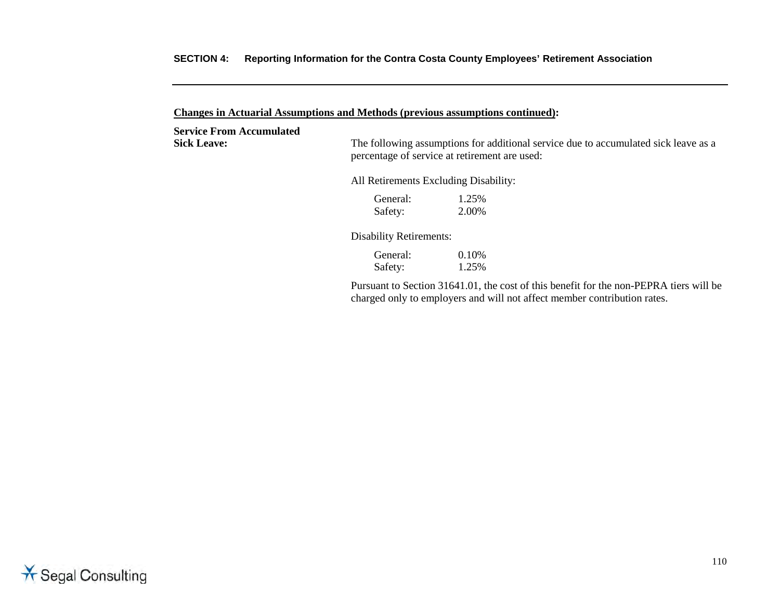**Changes in Actuarial Assumptions and Methods (previous assumptions continued):**

**Service From Accumulated**

Sick Leave: The following assumptions for additional service due to accumulated sick leave as a percentage of service at retirement are used:

All Retirements Excluding Disability:

General: 1.25% Safety: 2.00%

Disability Retirements:

General: 0.10%<br>Safety: 1.25% Safety:

Pursuant to Section 31641.01, the cost of this benefit for the non-PEPRA tiers will be charged only to employers and will not affect member contribution rates.

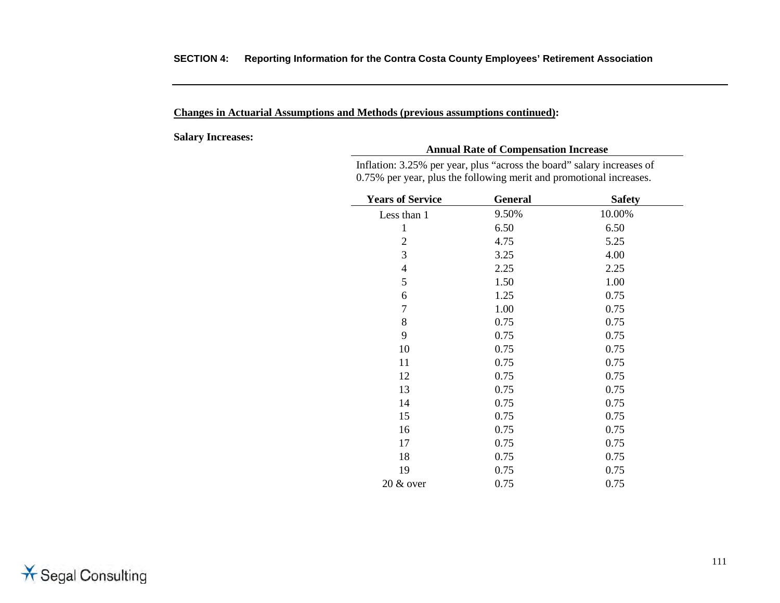**Salary Increases:**

#### **Annual Rate of Compensation Increase**

Inflation: 3.25% per year, plus "across the board" salary increases of 0.75% per year, plus the following merit and promotional increases.

| <b>Years of Service</b> | <b>General</b> | <b>Safety</b> |  |
|-------------------------|----------------|---------------|--|
| Less than 1             | 9.50%          | 10.00%        |  |
| 1                       | 6.50           | 6.50          |  |
| $\overline{2}$          | 4.75           | 5.25          |  |
| 3                       | 3.25           | 4.00          |  |
| $\overline{4}$          | 2.25           | 2.25          |  |
| 5                       | 1.50           | 1.00          |  |
| 6                       | 1.25           | 0.75          |  |
| $\overline{7}$          | 1.00           | 0.75          |  |
| 8                       | 0.75           | 0.75          |  |
| 9                       | 0.75           | 0.75          |  |
| 10                      | 0.75           | 0.75          |  |
| 11                      | 0.75           | 0.75          |  |
| 12                      | 0.75           | 0.75          |  |
| 13                      | 0.75           | 0.75          |  |
| 14                      | 0.75           | 0.75          |  |
| 15                      | 0.75           | 0.75          |  |
| 16                      | 0.75           | 0.75          |  |
| 17                      | 0.75           | 0.75          |  |
| 18                      | 0.75           | 0.75          |  |
| 19                      | 0.75           | 0.75          |  |
| $20 \& over$            | 0.75           | 0.75          |  |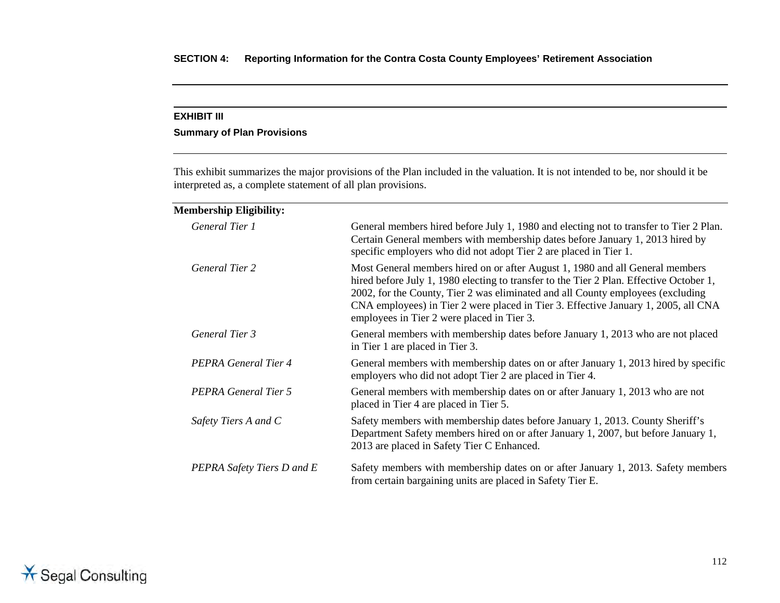#### **EXHIBIT III**

#### **Summary of Plan Provisions**

This exhibit summarizes the major provisions of the Plan included in the valuation. It is not intended to be, nor should it be interpreted as, a complete statement of all plan provisions.

| <b>Membership Eligibility:</b> |                                                                                                                                                                                                                                                                                                                                                                                                 |
|--------------------------------|-------------------------------------------------------------------------------------------------------------------------------------------------------------------------------------------------------------------------------------------------------------------------------------------------------------------------------------------------------------------------------------------------|
| General Tier 1                 | General members hired before July 1, 1980 and electing not to transfer to Tier 2 Plan.<br>Certain General members with membership dates before January 1, 2013 hired by<br>specific employers who did not adopt Tier 2 are placed in Tier 1.                                                                                                                                                    |
| <b>General Tier 2</b>          | Most General members hired on or after August 1, 1980 and all General members<br>hired before July 1, 1980 electing to transfer to the Tier 2 Plan. Effective October 1,<br>2002, for the County, Tier 2 was eliminated and all County employees (excluding<br>CNA employees) in Tier 2 were placed in Tier 3. Effective January 1, 2005, all CNA<br>employees in Tier 2 were placed in Tier 3. |
| General Tier 3                 | General members with membership dates before January 1, 2013 who are not placed<br>in Tier 1 are placed in Tier 3.                                                                                                                                                                                                                                                                              |
| PEPRA General Tier 4           | General members with membership dates on or after January 1, 2013 hired by specific<br>employers who did not adopt Tier 2 are placed in Tier 4.                                                                                                                                                                                                                                                 |
| PEPRA General Tier 5           | General members with membership dates on or after January 1, 2013 who are not<br>placed in Tier 4 are placed in Tier 5.                                                                                                                                                                                                                                                                         |
| Safety Tiers A and C           | Safety members with membership dates before January 1, 2013. County Sheriff's<br>Department Safety members hired on or after January 1, 2007, but before January 1,<br>2013 are placed in Safety Tier C Enhanced.                                                                                                                                                                               |
| PEPRA Safety Tiers D and E     | Safety members with membership dates on or after January 1, 2013. Safety members<br>from certain bargaining units are placed in Safety Tier E.                                                                                                                                                                                                                                                  |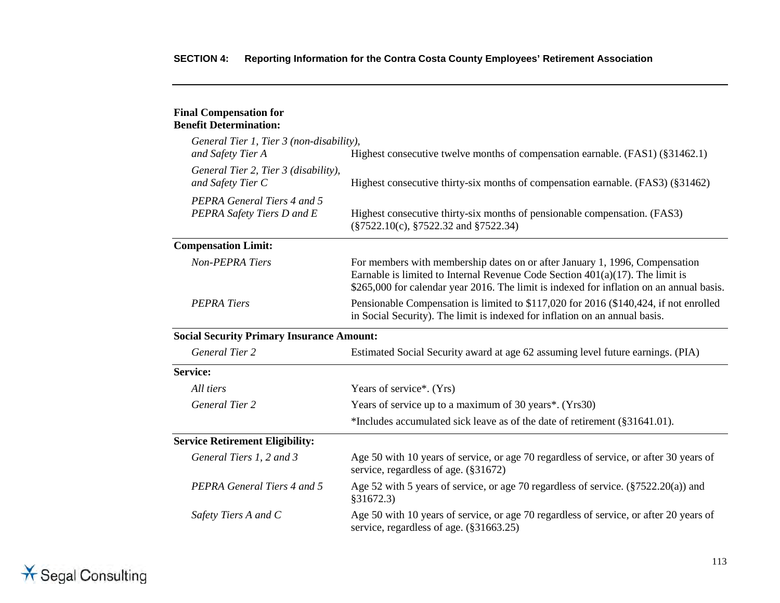#### **Final Compensation for Benefit Determination:**

| General Tier 1, Tier 3 (non-disability),                                                                                                                  |                                                                                                                                                                                                                                                                                                                     |  |  |
|-----------------------------------------------------------------------------------------------------------------------------------------------------------|---------------------------------------------------------------------------------------------------------------------------------------------------------------------------------------------------------------------------------------------------------------------------------------------------------------------|--|--|
| and Safety Tier A                                                                                                                                         | Highest consecutive twelve months of compensation earnable. (FAS1) (§31462.1)<br>Highest consecutive thirty-six months of compensation earnable. (FAS3) (§31462)<br>Highest consecutive thirty-six months of pensionable compensation. (FAS3)<br>$(\frac{2522.10(c)}{2522.32 \text{ and } \frac{2522.34}{2522.34})$ |  |  |
| General Tier 2, Tier 3 (disability),<br>and Safety Tier C                                                                                                 |                                                                                                                                                                                                                                                                                                                     |  |  |
| PEPRA General Tiers 4 and 5<br>PEPRA Safety Tiers D and E                                                                                                 |                                                                                                                                                                                                                                                                                                                     |  |  |
| <b>Compensation Limit:</b>                                                                                                                                |                                                                                                                                                                                                                                                                                                                     |  |  |
| Non-PEPRA Tiers                                                                                                                                           | For members with membership dates on or after January 1, 1996, Compensation<br>Earnable is limited to Internal Revenue Code Section $401(a)(17)$ . The limit is<br>\$265,000 for calendar year 2016. The limit is indexed for inflation on an annual basis.                                                         |  |  |
| <b>PEPRA Tiers</b>                                                                                                                                        | Pensionable Compensation is limited to \$117,020 for 2016 (\$140,424, if not enrolled<br>in Social Security). The limit is indexed for inflation on an annual basis.                                                                                                                                                |  |  |
| <b>Social Security Primary Insurance Amount:</b>                                                                                                          |                                                                                                                                                                                                                                                                                                                     |  |  |
| <b>General Tier 2</b>                                                                                                                                     | Estimated Social Security award at age 62 assuming level future earnings. (PIA)                                                                                                                                                                                                                                     |  |  |
| <b>Service:</b>                                                                                                                                           |                                                                                                                                                                                                                                                                                                                     |  |  |
| All tiers                                                                                                                                                 | Years of service*. (Yrs)                                                                                                                                                                                                                                                                                            |  |  |
| <b>General Tier 2</b>                                                                                                                                     | Years of service up to a maximum of 30 years*. (Yrs30)                                                                                                                                                                                                                                                              |  |  |
|                                                                                                                                                           | *Includes accumulated sick leave as of the date of retirement (§31641.01).                                                                                                                                                                                                                                          |  |  |
| <b>Service Retirement Eligibility:</b>                                                                                                                    |                                                                                                                                                                                                                                                                                                                     |  |  |
| General Tiers 1, 2 and 3                                                                                                                                  | Age 50 with 10 years of service, or age 70 regardless of service, or after 30 years of<br>service, regardless of age. (§31672)                                                                                                                                                                                      |  |  |
| PEPRA General Tiers 4 and 5                                                                                                                               | Age 52 with 5 years of service, or age 70 regardless of service. (§7522.20(a)) and<br>\$31672.3)                                                                                                                                                                                                                    |  |  |
| Age 50 with 10 years of service, or age 70 regardless of service, or after 20 years of<br>Safety Tiers A and C<br>service, regardless of age. (§31663.25) |                                                                                                                                                                                                                                                                                                                     |  |  |

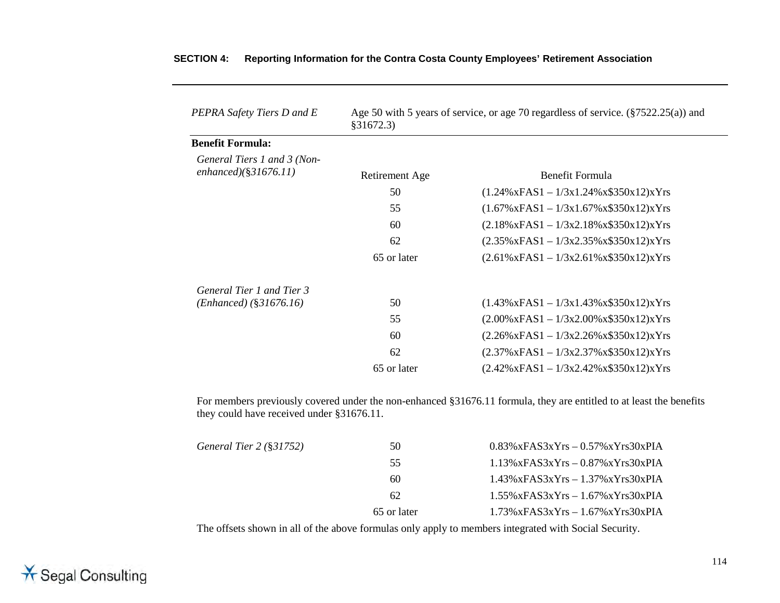| PEPRA Safety Tiers D and E                              | Age 50 with 5 years of service, or age 70 regardless of service. $(\frac{87522.25(a)}{2})$ and<br>§31672.3) |                                                                                                                               |  |  |
|---------------------------------------------------------|-------------------------------------------------------------------------------------------------------------|-------------------------------------------------------------------------------------------------------------------------------|--|--|
| <b>Benefit Formula:</b>                                 |                                                                                                             |                                                                                                                               |  |  |
| General Tiers 1 and 3 (Non-<br>enhanced) $(\S31676.11)$ | Retirement Age                                                                                              | Benefit Formula                                                                                                               |  |  |
|                                                         | 50                                                                                                          | $(1.24\% \text{x} \text{F} \text{A} \text{S} 1 - 1/3 \text{x} 1.24\% \text{x} \text{S} 350 \text{x} 12) \text{X} \text{Y}$ rs |  |  |
|                                                         | 55                                                                                                          | $(1.67\% \text{xFAS1} - 1/3\text{x}1.67\% \text{x$}350\text{x}12)\text{xYrs}$                                                 |  |  |
|                                                         | 60                                                                                                          | $(2.18\% \text{x} \text{FAS1} - 1/3 \text{x} 2.18\% \text{x} \text{FSS0} \text{x} 12) \text{x} \text{Yrs}$                    |  |  |
|                                                         | 62                                                                                                          | $(2.35\% \text{x} \text{F} \text{AS} 1 - 1/3 \text{x} 2.35\% \text{x} $350 \text{x} 12) \text{x} \text{Yrs}$                  |  |  |
|                                                         | 65 or later                                                                                                 | $(2.61\% \text{x} \text{F} \text{A} \text{S}1 - 1/3 \text{x} 2.61\% \text{x} \text{S} 350 \text{x} 12) \text{X} \text{Y}$ rs  |  |  |
| General Tier 1 and Tier 3                               |                                                                                                             |                                                                                                                               |  |  |
| $(Enhanced)$ (§31676.16)                                | 50                                                                                                          | $(1.43\% \text{x} \text{FAS} 1 - 1/3 \text{x} 1.43\% \text{x} $350 \text{x} 12) \text{x} \text{Yrs}$                          |  |  |
|                                                         | 55                                                                                                          | $(2.00\% \text{xFAS1} - 1/3 \text{x} 2.00\% \text{x$} 350 \text{x} 12) \text{xYrs}$                                           |  |  |
|                                                         | 60                                                                                                          | $(2.26\% \text{xFAS1} - 1/3 \text{x} 2.26\% \text{x$} 350 \text{x} 12) \text{xYrs}$                                           |  |  |
|                                                         | 62                                                                                                          | $(2.37\% \text{x} \text{F} \text{A} \text{S} 1 - 1/3 \text{x} 2.37\% \text{x} \text{S} 350 \text{x} 12) \text{X} \text{Y}$ rs |  |  |
|                                                         | 65 or later                                                                                                 | $(2.42\% \text{x} \text{F} \text{A} \text{S} 1 - 1/3 \text{x} 2.42\% \text{x} \text{S} 350 \text{x} 12) \text{X} \text{Y}$ rs |  |  |

For members previously covered under the non-enhanced §31676.11 formula, they are entitled to at least the benefits they could have received under §31676.11.

| General Tier $2$ (§31752) | 50          | $0.83\%$ xFAS3xYrs $-0.57\%$ xYrs30xPIA |  |  |
|---------------------------|-------------|-----------------------------------------|--|--|
|                           | 55          | $1.13\%$ xFAS3xYrs $-0.87\%$ xYrs30xPIA |  |  |
|                           | 60          | $1.43\%$ xFAS3xYrs $-1.37\%$ xYrs30xPIA |  |  |
|                           | 62          | $1.55\%$ xFAS3xYrs $-1.67\%$ xYrs30xPIA |  |  |
|                           | 65 or later | $1.73\%$ xFAS3xYrs $-1.67\%$ xYrs30xPIA |  |  |

The offsets shown in all of the above formulas only apply to members integrated with Social Security.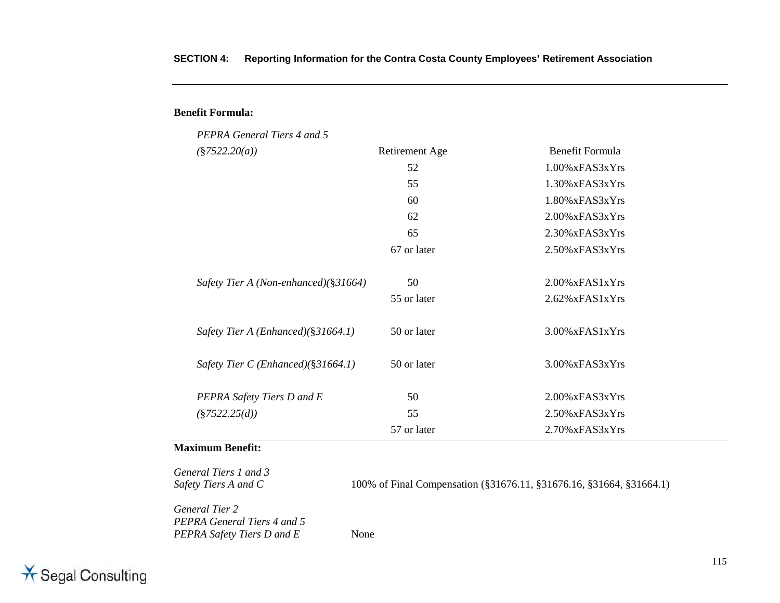| PEPRA General Tiers 4 and 5            |                |                    |
|----------------------------------------|----------------|--------------------|
| $(\$7522.20(a))$                       | Retirement Age | Benefit Formula    |
|                                        | 52             | $1.00\%$ xFAS3xYrs |
|                                        | 55             | $1.30\%$ xFAS3xYrs |
|                                        | 60             | $1.80\%$ xFAS3xYrs |
|                                        | 62             | $2.00\%$ xFAS3xYrs |
|                                        | 65             | 2.30% xFAS3xYrs    |
|                                        | 67 or later    | 2.50% xFAS3xYrs    |
| Safety Tier A (Non-enhanced)(§31664)   | 50             | $2.00\%$ xFAS1xYrs |
|                                        | 55 or later    | $2.62\%$ xFAS1xYrs |
| Safety Tier A (Enhanced)( $§31664.1$ ) | 50 or later    | $3.00\%$ xFAS1xYrs |
| Safety Tier C (Enhanced)( $§31664.1$ ) | 50 or later    | 3.00% xFAS3xYrs    |
| PEPRA Safety Tiers D and E             | 50             | $2.00\%$ xFAS3xYrs |
| $(\$7522.25(d))$                       | 55             | 2.50% xFAS3xYrs    |
|                                        | 57 or later    | $2.70\%$ xFAS3xYrs |

#### **Maximum Benefit:**

**Benefit Formula:**

*General Tiers 1 and 3* 

100% of Final Compensation (§31676.11, §31676.16, §31664, §31664.1)

*General Tier 2 PEPRA General Tiers 4 and 5 PEPRA Safety Tiers D and E* None

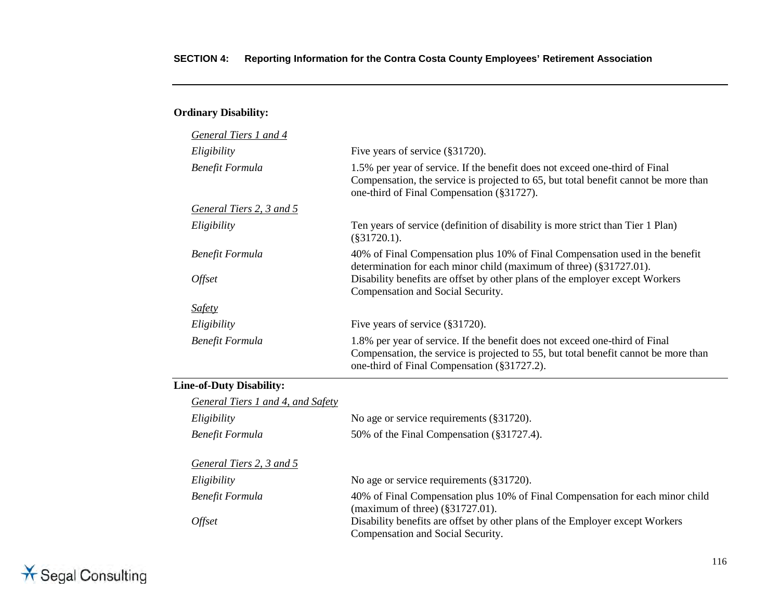#### **Ordinary Disability:**

| General Tiers 1 and 4    |                                                                                                                                                                                                                   |
|--------------------------|-------------------------------------------------------------------------------------------------------------------------------------------------------------------------------------------------------------------|
| Eligibility              | Five years of service (§31720).                                                                                                                                                                                   |
| Benefit Formula          | 1.5% per year of service. If the benefit does not exceed one-third of Final<br>Compensation, the service is projected to 65, but total benefit cannot be more than<br>one-third of Final Compensation (§31727).   |
| General Tiers 2, 3 and 5 |                                                                                                                                                                                                                   |
| Eligibility              | Ten years of service (definition of disability is more strict than Tier 1 Plan)<br>$(\$31720.1).$                                                                                                                 |
| Benefit Formula          | 40% of Final Compensation plus 10% of Final Compensation used in the benefit<br>determination for each minor child (maximum of three) (§31727.01).                                                                |
| <i><b>Offset</b></i>     | Disability benefits are offset by other plans of the employer except Workers<br>Compensation and Social Security.                                                                                                 |
| <i>Safety</i>            |                                                                                                                                                                                                                   |
| Eligibility              | Five years of service (§31720).                                                                                                                                                                                   |
| Benefit Formula          | 1.8% per year of service. If the benefit does not exceed one-third of Final<br>Compensation, the service is projected to 55, but total benefit cannot be more than<br>one-third of Final Compensation (§31727.2). |
|                          |                                                                                                                                                                                                                   |

#### **Line-of-Duty Disability:**

| General Tiers 1 and 4, and Safety |                                                                                                                      |
|-----------------------------------|----------------------------------------------------------------------------------------------------------------------|
| Eligibility                       | No age or service requirements (§31720).                                                                             |
| Benefit Formula                   | 50% of the Final Compensation (§31727.4).                                                                            |
|                                   |                                                                                                                      |
| General Tiers 2, 3 and 5          |                                                                                                                      |
| Eligibility                       | No age or service requirements (§31720).                                                                             |
| Benefit Formula                   | 40% of Final Compensation plus 10% of Final Compensation for each minor child<br>(maximum of three) $(\$31727.01)$ . |
| <i>Offset</i>                     | Disability benefits are offset by other plans of the Employer except Workers<br>Compensation and Social Security.    |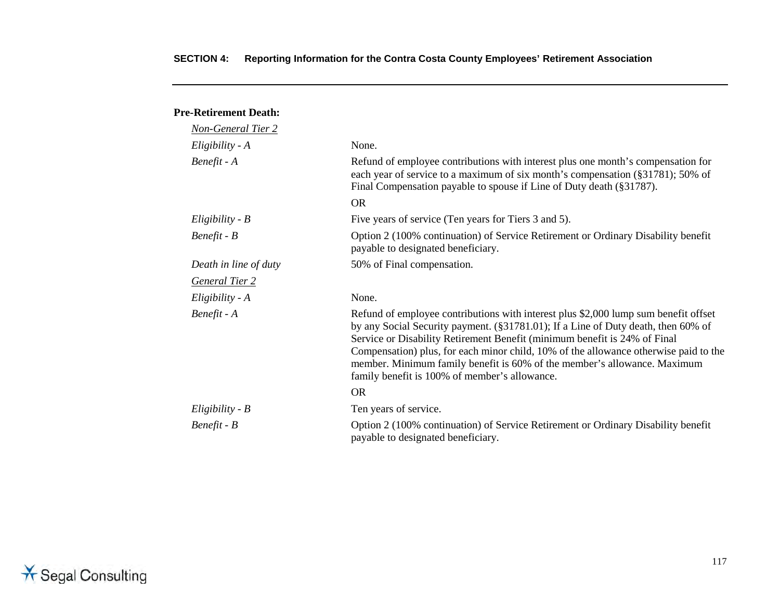#### **Pre-Retirement Death:**

| <b>Non-General Tier 2</b> |                                                                                                                                                                                                                                                                                                                                                                                                                                                                            |
|---------------------------|----------------------------------------------------------------------------------------------------------------------------------------------------------------------------------------------------------------------------------------------------------------------------------------------------------------------------------------------------------------------------------------------------------------------------------------------------------------------------|
| $Eligibility - A$         | None.                                                                                                                                                                                                                                                                                                                                                                                                                                                                      |
| Benefit - A               | Refund of employee contributions with interest plus one month's compensation for<br>each year of service to a maximum of six month's compensation (§31781); 50% of<br>Final Compensation payable to spouse if Line of Duty death (§31787).                                                                                                                                                                                                                                 |
|                           | <b>OR</b>                                                                                                                                                                                                                                                                                                                                                                                                                                                                  |
| $Eligibility - B$         | Five years of service (Ten years for Tiers 3 and 5).                                                                                                                                                                                                                                                                                                                                                                                                                       |
| $Benefit - B$             | Option 2 (100% continuation) of Service Retirement or Ordinary Disability benefit<br>payable to designated beneficiary.                                                                                                                                                                                                                                                                                                                                                    |
| Death in line of duty     | 50% of Final compensation.                                                                                                                                                                                                                                                                                                                                                                                                                                                 |
| <b>General Tier 2</b>     |                                                                                                                                                                                                                                                                                                                                                                                                                                                                            |
| $Eligibility - A$         | None.                                                                                                                                                                                                                                                                                                                                                                                                                                                                      |
| Benefit - A               | Refund of employee contributions with interest plus \$2,000 lump sum benefit offset<br>by any Social Security payment. (§31781.01); If a Line of Duty death, then 60% of<br>Service or Disability Retirement Benefit (minimum benefit is 24% of Final<br>Compensation) plus, for each minor child, 10% of the allowance otherwise paid to the<br>member. Minimum family benefit is 60% of the member's allowance. Maximum<br>family benefit is 100% of member's allowance. |
|                           | <b>OR</b>                                                                                                                                                                                                                                                                                                                                                                                                                                                                  |
| $Eligibility - B$         | Ten years of service.                                                                                                                                                                                                                                                                                                                                                                                                                                                      |
| $Benefit - B$             | Option 2 (100% continuation) of Service Retirement or Ordinary Disability benefit<br>payable to designated beneficiary.                                                                                                                                                                                                                                                                                                                                                    |

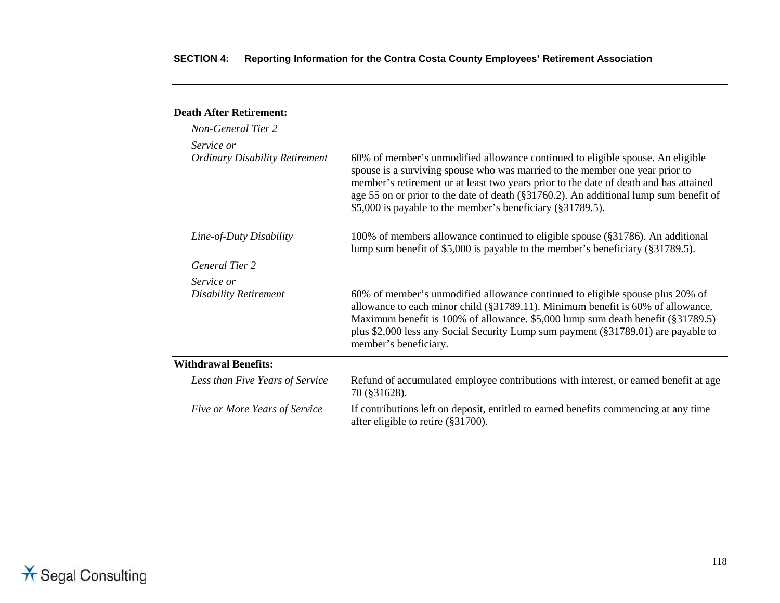#### **Death After Retirement:** *Non-General Tier 2 Service or Ordinary Disability Retirement* 60% of member's unmodified allowance continued to eligible spouse. An eligible spouse is a surviving spouse who was married to the member one year prior to member's retirement or at least two years prior to the date of death and has attained age 55 on or prior to the date of death (§31760.2). An additional lump sum benefit of \$5,000 is payable to the member's beneficiary (§31789.5). *Line-of-Duty Disability* 100% of members allowance continued to eligible spouse (§31786). An additional lump sum benefit of \$5,000 is payable to the member's beneficiary (§31789.5). *General Tier 2 Service or Disability Retirement* 60% of member's unmodified allowance continued to eligible spouse plus 20% of allowance to each minor child (§31789.11). Minimum benefit is 60% of allowance. Maximum benefit is 100% of allowance. \$5,000 lump sum death benefit (§31789.5) plus \$2,000 less any Social Security Lump sum payment (§31789.01) are payable to

|                                 | member's beneficiary.                                                                                                      |
|---------------------------------|----------------------------------------------------------------------------------------------------------------------------|
| <b>Withdrawal Benefits:</b>     |                                                                                                                            |
| Less than Five Years of Service | Refund of accumulated employee contributions with interest, or earned benefit at age<br>70 (\$31628).                      |
| Five or More Years of Service   | If contributions left on deposit, entitled to earned benefits commencing at any time<br>after eligible to retire (§31700). |

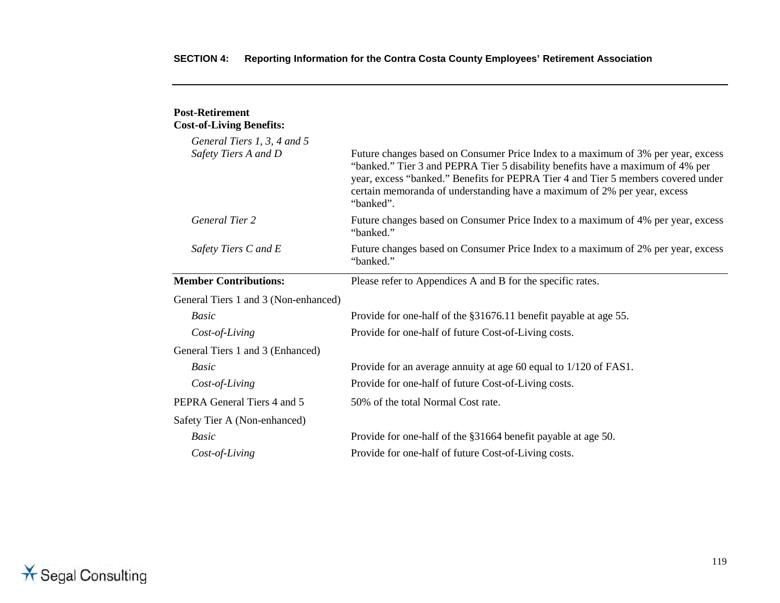| <b>Post-Retirement</b><br><b>Cost-of-Living Benefits:</b> |                                                                                                                                                                                                                                                                                                                                                  |
|-----------------------------------------------------------|--------------------------------------------------------------------------------------------------------------------------------------------------------------------------------------------------------------------------------------------------------------------------------------------------------------------------------------------------|
| General Tiers 1, 3, 4 and 5                               |                                                                                                                                                                                                                                                                                                                                                  |
| Safety Tiers A and D                                      | Future changes based on Consumer Price Index to a maximum of 3% per year, excess<br>"banked." Tier 3 and PEPRA Tier 5 disability benefits have a maximum of 4% per<br>year, excess "banked." Benefits for PEPRA Tier 4 and Tier 5 members covered under<br>certain memoranda of understanding have a maximum of 2% per year, excess<br>"banked". |
| <b>General Tier 2</b>                                     | Future changes based on Consumer Price Index to a maximum of 4% per year, excess<br>"banked."                                                                                                                                                                                                                                                    |
| Safety Tiers C and E                                      | Future changes based on Consumer Price Index to a maximum of 2% per year, excess<br>"banked."                                                                                                                                                                                                                                                    |
| <b>Member Contributions:</b>                              | Please refer to Appendices A and B for the specific rates.                                                                                                                                                                                                                                                                                       |
| General Tiers 1 and 3 (Non-enhanced)                      |                                                                                                                                                                                                                                                                                                                                                  |
| <b>Basic</b>                                              | Provide for one-half of the §31676.11 benefit payable at age 55.                                                                                                                                                                                                                                                                                 |
| Cost-of-Living                                            | Provide for one-half of future Cost-of-Living costs.                                                                                                                                                                                                                                                                                             |
| General Tiers 1 and 3 (Enhanced)                          |                                                                                                                                                                                                                                                                                                                                                  |
| <b>Basic</b>                                              | Provide for an average annuity at age 60 equal to 1/120 of FAS1.                                                                                                                                                                                                                                                                                 |
| Cost-of-Living                                            | Provide for one-half of future Cost-of-Living costs.                                                                                                                                                                                                                                                                                             |
| PEPRA General Tiers 4 and 5                               | 50% of the total Normal Cost rate.                                                                                                                                                                                                                                                                                                               |
| Safety Tier A (Non-enhanced)                              |                                                                                                                                                                                                                                                                                                                                                  |
| <b>Basic</b>                                              | Provide for one-half of the §31664 benefit payable at age 50.                                                                                                                                                                                                                                                                                    |
| Cost-of-Living                                            | Provide for one-half of future Cost-of-Living costs.                                                                                                                                                                                                                                                                                             |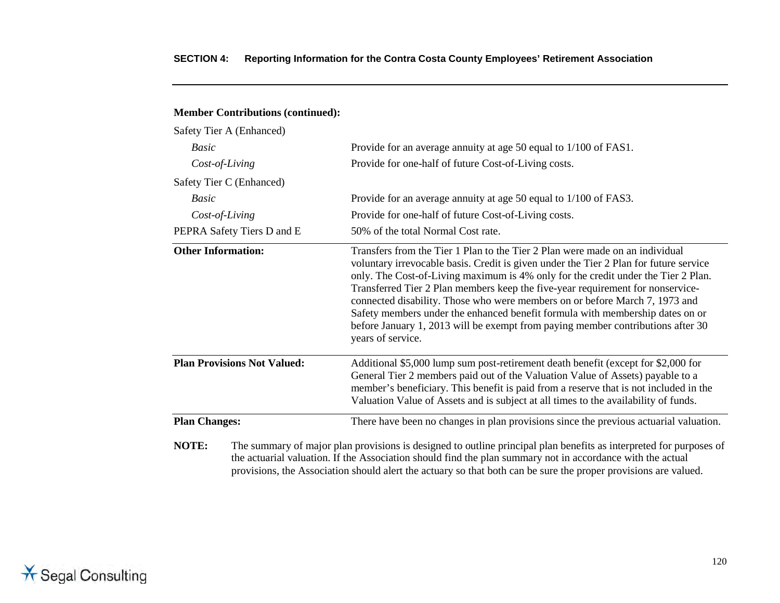| Safety Tier A (Enhanced)           |                                                                                                                                                                                                                                                                                                                                                                                                                                                                                                                                                                                                                      |
|------------------------------------|----------------------------------------------------------------------------------------------------------------------------------------------------------------------------------------------------------------------------------------------------------------------------------------------------------------------------------------------------------------------------------------------------------------------------------------------------------------------------------------------------------------------------------------------------------------------------------------------------------------------|
| <b>Basic</b>                       | Provide for an average annuity at age 50 equal to 1/100 of FAS1.                                                                                                                                                                                                                                                                                                                                                                                                                                                                                                                                                     |
| Cost-of-Living                     | Provide for one-half of future Cost-of-Living costs.                                                                                                                                                                                                                                                                                                                                                                                                                                                                                                                                                                 |
| Safety Tier C (Enhanced)           |                                                                                                                                                                                                                                                                                                                                                                                                                                                                                                                                                                                                                      |
| Basic                              | Provide for an average annuity at age 50 equal to 1/100 of FAS3.                                                                                                                                                                                                                                                                                                                                                                                                                                                                                                                                                     |
| Cost-of-Living                     | Provide for one-half of future Cost-of-Living costs.                                                                                                                                                                                                                                                                                                                                                                                                                                                                                                                                                                 |
| PEPRA Safety Tiers D and E         | 50% of the total Normal Cost rate.                                                                                                                                                                                                                                                                                                                                                                                                                                                                                                                                                                                   |
| <b>Other Information:</b>          | Transfers from the Tier 1 Plan to the Tier 2 Plan were made on an individual<br>voluntary irrevocable basis. Credit is given under the Tier 2 Plan for future service<br>only. The Cost-of-Living maximum is 4% only for the credit under the Tier 2 Plan.<br>Transferred Tier 2 Plan members keep the five-year requirement for nonservice-<br>connected disability. Those who were members on or before March 7, 1973 and<br>Safety members under the enhanced benefit formula with membership dates on or<br>before January 1, 2013 will be exempt from paying member contributions after 30<br>years of service. |
| <b>Plan Provisions Not Valued:</b> | Additional \$5,000 lump sum post-retirement death benefit (except for \$2,000 for<br>General Tier 2 members paid out of the Valuation Value of Assets) payable to a<br>member's beneficiary. This benefit is paid from a reserve that is not included in the<br>Valuation Value of Assets and is subject at all times to the availability of funds.                                                                                                                                                                                                                                                                  |
| <b>Plan Changes:</b>               | There have been no changes in plan provisions since the previous actuarial valuation.                                                                                                                                                                                                                                                                                                                                                                                                                                                                                                                                |
| NOTE:                              | The summary of major plan provisions is designed to outline principal plan benefits as interpreted for purposes of<br>the extremely relation. If the According charld find the plan cummons not in economic with the ectual                                                                                                                                                                                                                                                                                                                                                                                          |

#### **Member Contributions (continued):**

the actuarial valuation. If the Association should find the plan summary not in accordance with the actual provisions, the Association should alert the actuary so that both can be sure the proper provisions are valued.

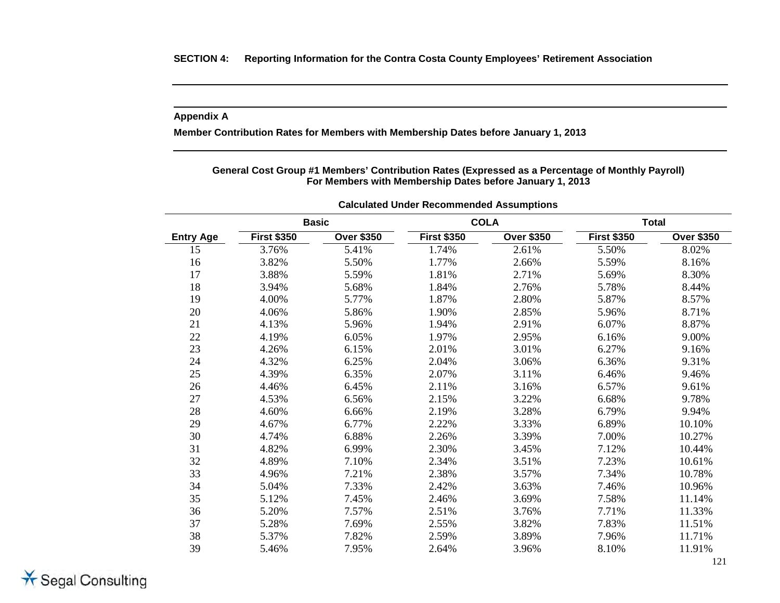#### **Appendix A**

**Member Contribution Rates for Members with Membership Dates before January 1, 2013** 

**General Cost Group #1 Members' Contribution Rates (Expressed as a Percentage of Monthly Payroll) For Members with Membership Dates before January 1, 2013**

| <b>Basic</b>     |                    | <b>COLA</b>       |                    | <b>Total</b>      |                    |                   |
|------------------|--------------------|-------------------|--------------------|-------------------|--------------------|-------------------|
| <b>Entry Age</b> | <b>First \$350</b> | <b>Over \$350</b> | <b>First \$350</b> | <b>Over \$350</b> | <b>First \$350</b> | <b>Over \$350</b> |
| 15               | 3.76%              | 5.41%             | 1.74%              | 2.61%             | 5.50%              | 8.02%             |
| 16               | 3.82%              | 5.50%             | 1.77%              | 2.66%             | 5.59%              | 8.16%             |
| 17               | 3.88%              | 5.59%             | 1.81%              | 2.71%             | 5.69%              | 8.30%             |
| 18               | 3.94%              | 5.68%             | 1.84%              | 2.76%             | 5.78%              | 8.44%             |
| 19               | 4.00%              | 5.77%             | 1.87%              | 2.80%             | 5.87%              | 8.57%             |
| 20               | 4.06%              | 5.86%             | 1.90%              | 2.85%             | 5.96%              | 8.71%             |
| 21               | 4.13%              | 5.96%             | 1.94%              | 2.91%             | 6.07%              | 8.87%             |
| 22               | 4.19%              | 6.05%             | 1.97%              | 2.95%             | 6.16%              | 9.00%             |
| 23               | 4.26%              | 6.15%             | 2.01%              | 3.01%             | 6.27%              | 9.16%             |
| 24               | 4.32%              | 6.25%             | 2.04%              | 3.06%             | 6.36%              | 9.31%             |
| 25               | 4.39%              | 6.35%             | 2.07%              | 3.11%             | 6.46%              | 9.46%             |
| 26               | 4.46%              | 6.45%             | 2.11%              | 3.16%             | 6.57%              | 9.61%             |
| 27               | 4.53%              | 6.56%             | 2.15%              | 3.22%             | 6.68%              | 9.78%             |
| 28               | 4.60%              | 6.66%             | 2.19%              | 3.28%             | 6.79%              | 9.94%             |
| 29               | 4.67%              | 6.77%             | 2.22%              | 3.33%             | 6.89%              | 10.10%            |
| 30               | 4.74%              | 6.88%             | 2.26%              | 3.39%             | 7.00%              | 10.27%            |
| 31               | 4.82%              | 6.99%             | 2.30%              | 3.45%             | 7.12%              | 10.44%            |
| 32               | 4.89%              | 7.10%             | 2.34%              | 3.51%             | 7.23%              | 10.61%            |
| 33               | 4.96%              | 7.21%             | 2.38%              | 3.57%             | 7.34%              | 10.78%            |
| 34               | 5.04%              | 7.33%             | 2.42%              | 3.63%             | 7.46%              | 10.96%            |
| 35               | 5.12%              | 7.45%             | 2.46%              | 3.69%             | 7.58%              | 11.14%            |
| 36               | 5.20%              | 7.57%             | 2.51%              | 3.76%             | 7.71%              | 11.33%            |
| 37               | 5.28%              | 7.69%             | 2.55%              | 3.82%             | 7.83%              | 11.51%            |
| 38               | 5.37%              | 7.82%             | 2.59%              | 3.89%             | 7.96%              | 11.71%            |
| 39               | 5.46%              | 7.95%             | 2.64%              | 3.96%             | 8.10%              | 11.91%            |

**Calculated Under Recommended Assumptions**

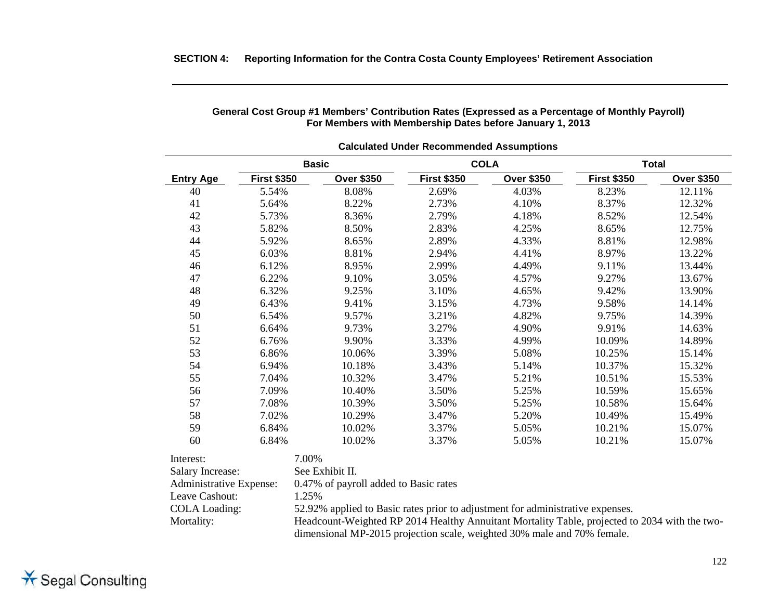|                  |                    | <b>Basic</b>      |                    | <b>COLA</b>       |                    | <b>Total</b>      |
|------------------|--------------------|-------------------|--------------------|-------------------|--------------------|-------------------|
| <b>Entry Age</b> | <b>First \$350</b> | <b>Over \$350</b> | <b>First \$350</b> | <b>Over \$350</b> | <b>First \$350</b> | <b>Over \$350</b> |
| 40               | 5.54%              | 8.08%             | 2.69%              | 4.03%             | 8.23%              | 12.11%            |
| 41               | 5.64%              | 8.22%             | 2.73%              | 4.10%             | 8.37%              | 12.32%            |
| 42               | 5.73%              | 8.36%             | 2.79%              | 4.18%             | 8.52%              | 12.54%            |
| 43               | 5.82%              | 8.50%             | 2.83%              | 4.25%             | 8.65%              | 12.75%            |
| 44               | 5.92%              | 8.65%             | 2.89%              | 4.33%             | 8.81%              | 12.98%            |
| 45               | 6.03%              | 8.81%             | 2.94%              | 4.41%             | 8.97%              | 13.22%            |
| 46               | 6.12%              | 8.95%             | 2.99%              | 4.49%             | 9.11%              | 13.44%            |
| 47               | 6.22%              | 9.10%             | 3.05%              | 4.57%             | 9.27%              | 13.67%            |
| 48               | 6.32%              | 9.25%             | 3.10%              | 4.65%             | 9.42%              | 13.90%            |
| 49               | 6.43%              | 9.41%             | 3.15%              | 4.73%             | 9.58%              | 14.14%            |
| 50               | 6.54%              | 9.57%             | 3.21%              | 4.82%             | 9.75%              | 14.39%            |
| 51               | 6.64%              | 9.73%             | 3.27%              | 4.90%             | 9.91%              | 14.63%            |
| 52               | 6.76%              | 9.90%             | 3.33%              | 4.99%             | 10.09%             | 14.89%            |
| 53               | 6.86%              | 10.06%            | 3.39%              | 5.08%             | 10.25%             | 15.14%            |
| 54               | 6.94%              | 10.18%            | 3.43%              | 5.14%             | 10.37%             | 15.32%            |
| 55               | 7.04%              | 10.32%            | 3.47%              | 5.21%             | 10.51%             | 15.53%            |
| 56               | 7.09%              | 10.40%            | 3.50%              | 5.25%             | 10.59%             | 15.65%            |
| 57               | 7.08%              | 10.39%            | 3.50%              | 5.25%             | 10.58%             | 15.64%            |
| 58               | 7.02%              | 10.29%            | 3.47%              | 5.20%             | 10.49%             | 15.49%            |
| 59               | 6.84%              | 10.02%            | 3.37%              | 5.05%             | 10.21%             | 15.07%            |
| 60               | 6.84%              | 10.02%            | 3.37%              | 5.05%             | 10.21%             | 15.07%            |
| Interest:        | 7.00%              |                   |                    |                   |                    |                   |
| Salary Increase: |                    | See Exhibit II.   |                    |                   |                    |                   |

#### **General Cost Group #1 Members' Contribution Rates (Expressed as a Percentage of Monthly Payroll) For Members with Membership Dates before January 1, 2013**

| Interest:               | 7.00%                                                                                                                                                                    |
|-------------------------|--------------------------------------------------------------------------------------------------------------------------------------------------------------------------|
| <b>Salary Increase:</b> | See Exhibit II.                                                                                                                                                          |
| Administrative Expense: | 0.47% of payroll added to Basic rates                                                                                                                                    |
| Leave Cashout:          | 1.25%                                                                                                                                                                    |
| <b>COLA Loading:</b>    | 52.92% applied to Basic rates prior to adjustment for administrative expenses.                                                                                           |
| Mortality:              | Headcount-Weighted RP 2014 Healthy Annuitant Mortality Table, projected to 2034 with the two-<br>dimensional MP-2015 projection scale, weighted 30% male and 70% female. |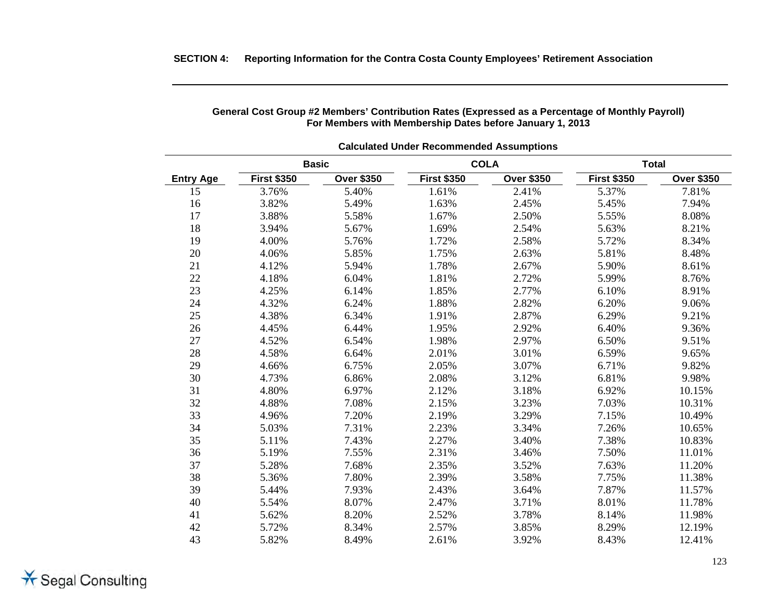| <b>Calculated Under Recommended Assumptions</b> |                    |                   |                    |                   |                    |                   |  |  |
|-------------------------------------------------|--------------------|-------------------|--------------------|-------------------|--------------------|-------------------|--|--|
|                                                 | <b>Basic</b>       |                   |                    | <b>COLA</b>       | <b>Total</b>       |                   |  |  |
| <b>Entry Age</b>                                | <b>First \$350</b> | <b>Over \$350</b> | <b>First \$350</b> | <b>Over \$350</b> | <b>First \$350</b> | <b>Over \$350</b> |  |  |
| 15                                              | 3.76%              | 5.40%             | 1.61%              | 2.41%             | 5.37%              | 7.81%             |  |  |
| 16                                              | 3.82%              | 5.49%             | 1.63%              | 2.45%             | 5.45%              | 7.94%             |  |  |
| 17                                              | 3.88%              | 5.58%             | 1.67%              | 2.50%             | 5.55%              | 8.08%             |  |  |
| 18                                              | 3.94%              | 5.67%             | 1.69%              | 2.54%             | 5.63%              | 8.21%             |  |  |
| 19                                              | 4.00%              | 5.76%             | 1.72%              | 2.58%             | 5.72%              | 8.34%             |  |  |
| 20                                              | 4.06%              | 5.85%             | 1.75%              | 2.63%             | 5.81%              | 8.48%             |  |  |
| 21                                              | 4.12%              | 5.94%             | 1.78%              | 2.67%             | 5.90%              | 8.61%             |  |  |
| 22                                              | 4.18%              | 6.04%             | 1.81%              | 2.72%             | 5.99%              | 8.76%             |  |  |
| 23                                              | 4.25%              | 6.14%             | 1.85%              | 2.77%             | 6.10%              | 8.91%             |  |  |
| 24                                              | 4.32%              | 6.24%             | 1.88%              | 2.82%             | 6.20%              | 9.06%             |  |  |
| 25                                              | 4.38%              | 6.34%             | 1.91%              | 2.87%             | 6.29%              | 9.21%             |  |  |
| 26                                              | 4.45%              | 6.44%             | 1.95%              | 2.92%             | 6.40%              | 9.36%             |  |  |
| 27                                              | 4.52%              | 6.54%             | 1.98%              | 2.97%             | 6.50%              | 9.51%             |  |  |
| 28                                              | 4.58%              | 6.64%             | 2.01%              | 3.01%             | 6.59%              | 9.65%             |  |  |
| 29                                              | 4.66%              | 6.75%             | 2.05%              | 3.07%             | 6.71%              | 9.82%             |  |  |
| 30                                              | 4.73%              | 6.86%             | 2.08%              | 3.12%             | 6.81%              | 9.98%             |  |  |
| 31                                              | 4.80%              | 6.97%             | 2.12%              | 3.18%             | 6.92%              | 10.15%            |  |  |
| 32                                              | 4.88%              | 7.08%             | 2.15%              | 3.23%             | 7.03%              | 10.31%            |  |  |
| 33                                              | 4.96%              | 7.20%             | 2.19%              | 3.29%             | 7.15%              | 10.49%            |  |  |
| 34                                              | 5.03%              | 7.31%             | 2.23%              | 3.34%             | 7.26%              | 10.65%            |  |  |
| 35                                              | 5.11%              | 7.43%             | 2.27%              | 3.40%             | 7.38%              | 10.83%            |  |  |
| 36                                              | 5.19%              | 7.55%             | 2.31%              | 3.46%             | 7.50%              | 11.01%            |  |  |
| 37                                              | 5.28%              | 7.68%             | 2.35%              | 3.52%             | 7.63%              | 11.20%            |  |  |
| 38                                              | 5.36%              | 7.80%             | 2.39%              | 3.58%             | 7.75%              | 11.38%            |  |  |
| 39                                              | 5.44%              | 7.93%             | 2.43%              | 3.64%             | 7.87%              | 11.57%            |  |  |
| 40                                              | 5.54%              | 8.07%             | 2.47%              | 3.71%             | 8.01%              | 11.78%            |  |  |
| 41                                              | 5.62%              | 8.20%             | 2.52%              | 3.78%             | 8.14%              | 11.98%            |  |  |
| 42                                              | 5.72%              | 8.34%             | 2.57%              | 3.85%             | 8.29%              | 12.19%            |  |  |
| 43                                              | 5.82%              | 8.49%             | 2.61%              | 3.92%             | 8.43%              | 12.41%            |  |  |

#### **General Cost Group #2 Members' Contribution Rates (Expressed as a Percentage of Monthly Payroll) For Members with Membership Dates before January 1, 2013**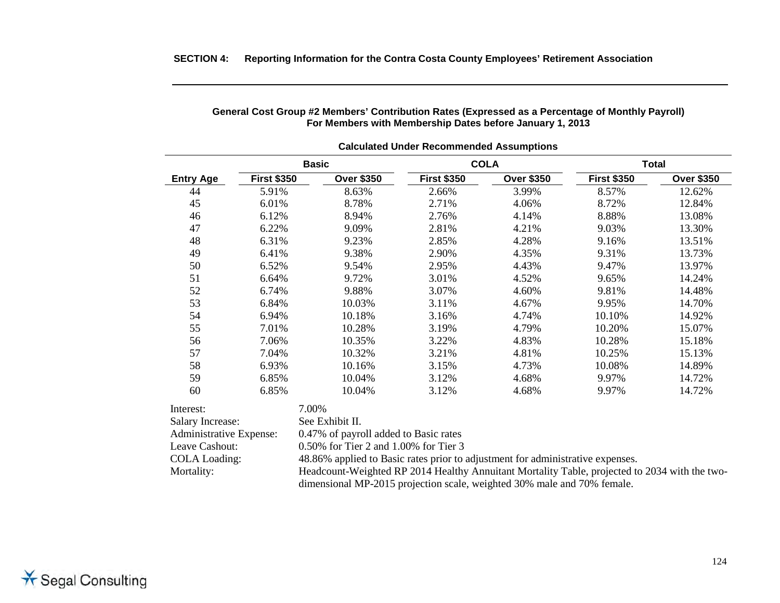| <b>Calculated Under Recommended Assumptions</b> |                    |                                                                                               |                    |                   |                    |                   |  |  |
|-------------------------------------------------|--------------------|-----------------------------------------------------------------------------------------------|--------------------|-------------------|--------------------|-------------------|--|--|
|                                                 |                    | <b>Basic</b>                                                                                  |                    | <b>COLA</b>       |                    | <b>Total</b>      |  |  |
| <b>Entry Age</b>                                | <b>First \$350</b> | <b>Over \$350</b>                                                                             | <b>First \$350</b> | <b>Over \$350</b> | <b>First \$350</b> | <b>Over \$350</b> |  |  |
| 44                                              | 5.91%              | 8.63%                                                                                         | 2.66%              | 3.99%             | 8.57%              | 12.62%            |  |  |
| 45                                              | 6.01%              | 8.78%                                                                                         | 2.71%              | 4.06%             | 8.72%              | 12.84%            |  |  |
| 46                                              | 6.12%              | 8.94%                                                                                         | 2.76%              | 4.14%             | 8.88%              | 13.08%            |  |  |
| 47                                              | 6.22%              | 9.09%                                                                                         | 2.81%              | 4.21%             | 9.03%              | 13.30%            |  |  |
| 48                                              | 6.31%              | 9.23%                                                                                         | 2.85%              | 4.28%             | 9.16%              | 13.51%            |  |  |
| 49                                              | 6.41%              | 9.38%                                                                                         | 2.90%              | 4.35%             | 9.31%              | 13.73%            |  |  |
| 50                                              | 6.52%              | 9.54%                                                                                         | 2.95%              | 4.43%             | 9.47%              | 13.97%            |  |  |
| 51                                              | 6.64%              | 9.72%                                                                                         | 3.01%              | 4.52%             | 9.65%              | 14.24%            |  |  |
| 52                                              | 6.74%              | 9.88%                                                                                         | 3.07%              | 4.60%             | 9.81%              | 14.48%            |  |  |
| 53                                              | 6.84%              | 10.03%                                                                                        | 3.11%              | 4.67%             | 9.95%              | 14.70%            |  |  |
| 54                                              | 6.94%              | 10.18%                                                                                        | 3.16%              | 4.74%             | 10.10%             | 14.92%            |  |  |
| 55                                              | 7.01%              | 10.28%                                                                                        | 3.19%              | 4.79%             | 10.20%             | 15.07%            |  |  |
| 56                                              | 7.06%              | 10.35%                                                                                        | 3.22%              | 4.83%             | 10.28%             | 15.18%            |  |  |
| 57                                              | 7.04%              | 10.32%                                                                                        | 3.21%              | 4.81%             | 10.25%             | 15.13%            |  |  |
| 58                                              | 6.93%              | 10.16%                                                                                        | 3.15%              | 4.73%             | 10.08%             | 14.89%            |  |  |
| 59                                              | 6.85%              | 10.04%                                                                                        | 3.12%              | 4.68%             | 9.97%              | 14.72%            |  |  |
| 60                                              | 6.85%              | 10.04%                                                                                        | 3.12%              | 4.68%             | 9.97%              | 14.72%            |  |  |
| Interest:                                       |                    | 7.00%                                                                                         |                    |                   |                    |                   |  |  |
| Salary Increase:                                |                    | See Exhibit II.                                                                               |                    |                   |                    |                   |  |  |
| Administrative Expense:                         |                    | 0.47% of payroll added to Basic rates                                                         |                    |                   |                    |                   |  |  |
| Leave Cashout:                                  |                    | 0.50% for Tier 2 and 1.00% for Tier 3                                                         |                    |                   |                    |                   |  |  |
| <b>COLA Loading:</b>                            |                    | 48.86% applied to Basic rates prior to adjustment for administrative expenses.                |                    |                   |                    |                   |  |  |
| Mortality:                                      |                    | Headcount-Weighted RP 2014 Healthy Annuitant Mortality Table, projected to 2034 with the two- |                    |                   |                    |                   |  |  |
|                                                 |                    | dimensional MP-2015 projection scale, weighted 30% male and 70% female.                       |                    |                   |                    |                   |  |  |

#### **General Cost Group #2 Members' Contribution Rates (Expressed as a Percentage of Monthly Payroll) For Members with Membership Dates before January 1, 2013**

**SECTION 4: Reporting Information for the Contra Costa County Employees' Retirement Association**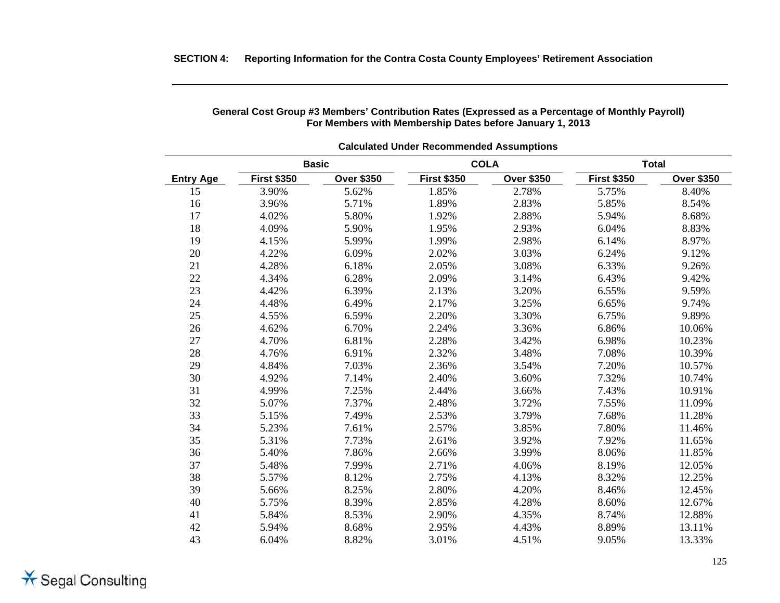| <b>Calculated Under Recommended Assumptions</b> |                    |                   |                    |                   |                    |                   |  |  |
|-------------------------------------------------|--------------------|-------------------|--------------------|-------------------|--------------------|-------------------|--|--|
|                                                 | <b>Basic</b>       |                   |                    | <b>COLA</b>       | <b>Total</b>       |                   |  |  |
| <b>Entry Age</b>                                | <b>First \$350</b> | <b>Over \$350</b> | <b>First \$350</b> | <b>Over \$350</b> | <b>First \$350</b> | <b>Over \$350</b> |  |  |
| 15                                              | 3.90%              | 5.62%             | 1.85%              | 2.78%             | 5.75%              | 8.40%             |  |  |
| 16                                              | 3.96%              | 5.71%             | 1.89%              | 2.83%             | 5.85%              | 8.54%             |  |  |
| 17                                              | 4.02%              | 5.80%             | 1.92%              | 2.88%             | 5.94%              | 8.68%             |  |  |
| 18                                              | 4.09%              | 5.90%             | 1.95%              | 2.93%             | 6.04%              | 8.83%             |  |  |
| 19                                              | 4.15%              | 5.99%             | 1.99%              | 2.98%             | 6.14%              | 8.97%             |  |  |
| 20                                              | 4.22%              | 6.09%             | 2.02%              | 3.03%             | 6.24%              | 9.12%             |  |  |
| 21                                              | 4.28%              | 6.18%             | 2.05%              | 3.08%             | 6.33%              | 9.26%             |  |  |
| 22                                              | 4.34%              | 6.28%             | 2.09%              | 3.14%             | 6.43%              | 9.42%             |  |  |
| 23                                              | 4.42%              | 6.39%             | 2.13%              | 3.20%             | 6.55%              | 9.59%             |  |  |
| 24                                              | 4.48%              | 6.49%             | 2.17%              | 3.25%             | 6.65%              | 9.74%             |  |  |
| 25                                              | 4.55%              | 6.59%             | 2.20%              | 3.30%             | 6.75%              | 9.89%             |  |  |
| 26                                              | 4.62%              | 6.70%             | 2.24%              | 3.36%             | 6.86%              | 10.06%            |  |  |
| 27                                              | 4.70%              | 6.81%             | 2.28%              | 3.42%             | 6.98%              | 10.23%            |  |  |
| 28                                              | 4.76%              | 6.91%             | 2.32%              | 3.48%             | 7.08%              | 10.39%            |  |  |
| 29                                              | 4.84%              | 7.03%             | 2.36%              | 3.54%             | 7.20%              | 10.57%            |  |  |
| 30                                              | 4.92%              | 7.14%             | 2.40%              | 3.60%             | 7.32%              | 10.74%            |  |  |
| 31                                              | 4.99%              | 7.25%             | 2.44%              | 3.66%             | 7.43%              | 10.91%            |  |  |
| 32                                              | 5.07%              | 7.37%             | 2.48%              | 3.72%             | 7.55%              | 11.09%            |  |  |
| 33                                              | 5.15%              | 7.49%             | 2.53%              | 3.79%             | 7.68%              | 11.28%            |  |  |
| 34                                              | 5.23%              | 7.61%             | 2.57%              | 3.85%             | 7.80%              | 11.46%            |  |  |
| 35                                              | 5.31%              | 7.73%             | 2.61%              | 3.92%             | 7.92%              | 11.65%            |  |  |
| 36                                              | 5.40%              | 7.86%             | 2.66%              | 3.99%             | 8.06%              | 11.85%            |  |  |
| 37                                              | 5.48%              | 7.99%             | 2.71%              | 4.06%             | 8.19%              | 12.05%            |  |  |
| 38                                              | 5.57%              | 8.12%             | 2.75%              | 4.13%             | 8.32%              | 12.25%            |  |  |
| 39                                              | 5.66%              | 8.25%             | 2.80%              | 4.20%             | 8.46%              | 12.45%            |  |  |
| 40                                              | 5.75%              | 8.39%             | 2.85%              | 4.28%             | 8.60%              | 12.67%            |  |  |
| 41                                              | 5.84%              | 8.53%             | 2.90%              | 4.35%             | 8.74%              | 12.88%            |  |  |
| 42                                              | 5.94%              | 8.68%             | 2.95%              | 4.43%             | 8.89%              | 13.11%            |  |  |
| 43                                              | 6.04%              | 8.82%             | 3.01%              | 4.51%             | 9.05%              | 13.33%            |  |  |

#### **General Cost Group #3 Members' Contribution Rates (Expressed as a Percentage of Monthly Payroll) For Members with Membership Dates before January 1, 2013**

**SECTION 4: Reporting Information for the Contra Costa County Employees' Retirement Association**

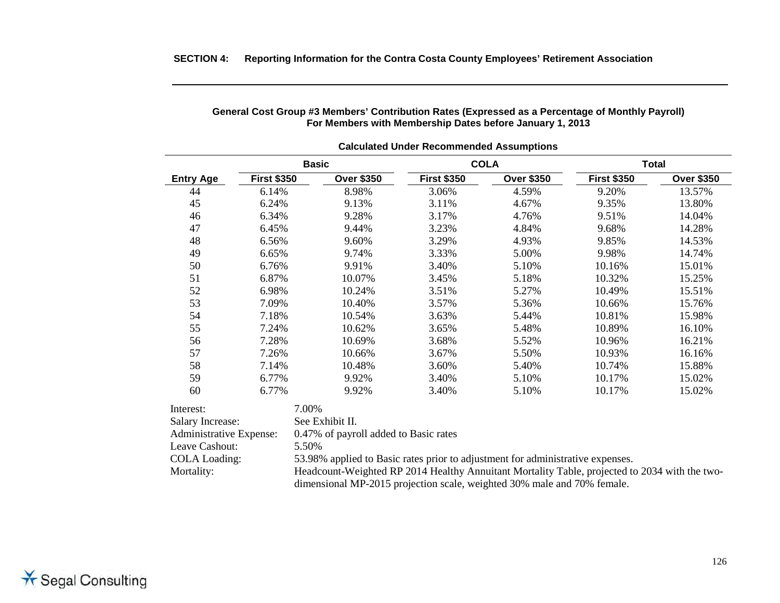| <b>Calculated Under Recommended Assumptions</b>                                                                                                                                                                                                                          |                    |                                       |                    |                   |                    |                   |  |  |
|--------------------------------------------------------------------------------------------------------------------------------------------------------------------------------------------------------------------------------------------------------------------------|--------------------|---------------------------------------|--------------------|-------------------|--------------------|-------------------|--|--|
|                                                                                                                                                                                                                                                                          |                    | <b>Basic</b>                          | <b>COLA</b>        |                   |                    | <b>Total</b>      |  |  |
| <b>Entry Age</b>                                                                                                                                                                                                                                                         | <b>First \$350</b> | <b>Over \$350</b>                     | <b>First \$350</b> | <b>Over \$350</b> | <b>First \$350</b> | <b>Over \$350</b> |  |  |
| 44                                                                                                                                                                                                                                                                       | 6.14%              | 8.98%                                 | 3.06%              | 4.59%             | 9.20%              | 13.57%            |  |  |
| 45                                                                                                                                                                                                                                                                       | 6.24%              | 9.13%                                 | 3.11%              | 4.67%             | 9.35%              | 13.80%            |  |  |
| 46                                                                                                                                                                                                                                                                       | 6.34%              | 9.28%                                 | 3.17%              | 4.76%             | 9.51%              | 14.04%            |  |  |
| 47                                                                                                                                                                                                                                                                       | 6.45%              | 9.44%                                 | 3.23%              | 4.84%             | 9.68%              | 14.28%            |  |  |
| 48                                                                                                                                                                                                                                                                       | 6.56%              | 9.60%                                 | 3.29%              | 4.93%             | 9.85%              | 14.53%            |  |  |
| 49                                                                                                                                                                                                                                                                       | 6.65%              | 9.74%                                 | 3.33%              | 5.00%             | 9.98%              | 14.74%            |  |  |
| 50                                                                                                                                                                                                                                                                       | 6.76%              | 9.91%                                 | 3.40%              | 5.10%             | 10.16%             | 15.01%            |  |  |
| 51                                                                                                                                                                                                                                                                       | 6.87%              | 10.07%                                | 3.45%              | 5.18%             | 10.32%             | 15.25%            |  |  |
| 52                                                                                                                                                                                                                                                                       | 6.98%              | 10.24%                                | 3.51%              | 5.27%             | 10.49%             | 15.51%            |  |  |
| 53                                                                                                                                                                                                                                                                       | 7.09%              | 10.40%                                | 3.57%              | 5.36%             | 10.66%             | 15.76%            |  |  |
| 54                                                                                                                                                                                                                                                                       | 7.18%              | 10.54%                                | 3.63%              | 5.44%             | 10.81%             | 15.98%            |  |  |
| 55                                                                                                                                                                                                                                                                       | 7.24%              | 10.62%                                | 3.65%              | 5.48%             | 10.89%             | 16.10%            |  |  |
| 56                                                                                                                                                                                                                                                                       | 7.28%              | 10.69%                                | 3.68%              | 5.52%             | 10.96%             | 16.21%            |  |  |
| 57                                                                                                                                                                                                                                                                       | 7.26%              | 10.66%                                | 3.67%              | 5.50%             | 10.93%             | 16.16%            |  |  |
| 58                                                                                                                                                                                                                                                                       | 7.14%              | 10.48%                                | 3.60%              | 5.40%             | 10.74%             | 15.88%            |  |  |
| 59                                                                                                                                                                                                                                                                       | 6.77%              | 9.92%                                 | 3.40%              | 5.10%             | 10.17%             | 15.02%            |  |  |
| 60                                                                                                                                                                                                                                                                       | 6.77%              | 9.92%                                 | 3.40%              | 5.10%             | 10.17%             | 15.02%            |  |  |
| Interest:                                                                                                                                                                                                                                                                |                    | 7.00%                                 |                    |                   |                    |                   |  |  |
| <b>Salary Increase:</b>                                                                                                                                                                                                                                                  |                    | See Exhibit II.                       |                    |                   |                    |                   |  |  |
| Administrative Expense:                                                                                                                                                                                                                                                  |                    | 0.47% of payroll added to Basic rates |                    |                   |                    |                   |  |  |
| Leave Cashout:                                                                                                                                                                                                                                                           |                    | 5.50%                                 |                    |                   |                    |                   |  |  |
| <b>COLA Loading:</b>                                                                                                                                                                                                                                                     |                    |                                       |                    |                   |                    |                   |  |  |
| 53.98% applied to Basic rates prior to adjustment for administrative expenses.<br>Headcount-Weighted RP 2014 Healthy Annuitant Mortality Table, projected to 2034 with the two-<br>Mortality:<br>dimensional MP-2015 projection scale, weighted 30% male and 70% female. |                    |                                       |                    |                   |                    |                   |  |  |

**General Cost Group #3 Members' Contribution Rates (Expressed as a Percentage of Monthly Payroll) For Members with Membership Dates before January 1, 2013**

#### **SECTION 4: Reporting Information for the Contra Costa County Employees' Retirement Association**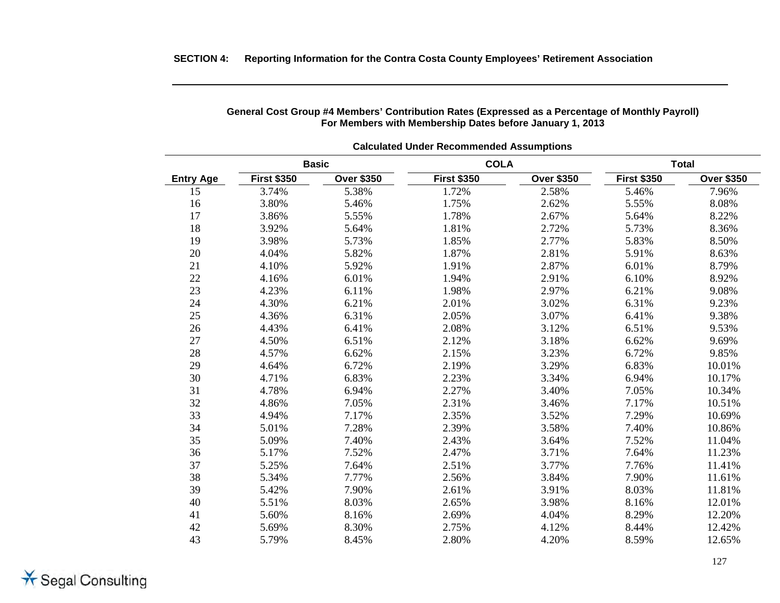| <b>Calculated Under Recommended Assumptions</b> |                    |                   |                    |                   |                    |                   |  |  |  |
|-------------------------------------------------|--------------------|-------------------|--------------------|-------------------|--------------------|-------------------|--|--|--|
|                                                 | <b>Basic</b>       |                   | <b>COLA</b>        |                   |                    | <b>Total</b>      |  |  |  |
| <b>Entry Age</b>                                | <b>First \$350</b> | <b>Over \$350</b> | <b>First \$350</b> | <b>Over \$350</b> | <b>First \$350</b> | <b>Over \$350</b> |  |  |  |
| 15                                              | 3.74%              | 5.38%             | 1.72%              | 2.58%             | 5.46%              | 7.96%             |  |  |  |
| 16                                              | 3.80%              | 5.46%             | 1.75%              | 2.62%             | 5.55%              | 8.08%             |  |  |  |
| 17                                              | 3.86%              | 5.55%             | 1.78%              | 2.67%             | 5.64%              | 8.22%             |  |  |  |
| 18                                              | 3.92%              | 5.64%             | 1.81%              | 2.72%             | 5.73%              | 8.36%             |  |  |  |
| 19                                              | 3.98%              | 5.73%             | 1.85%              | 2.77%             | 5.83%              | 8.50%             |  |  |  |
| 20                                              | 4.04%              | 5.82%             | 1.87%              | 2.81%             | 5.91%              | 8.63%             |  |  |  |
| 21                                              | 4.10%              | 5.92%             | 1.91%              | 2.87%             | 6.01%              | 8.79%             |  |  |  |
| 22                                              | 4.16%              | 6.01%             | 1.94%              | 2.91%             | 6.10%              | 8.92%             |  |  |  |
| 23                                              | 4.23%              | 6.11%             | 1.98%              | 2.97%             | 6.21%              | 9.08%             |  |  |  |
| 24                                              | 4.30%              | 6.21%             | 2.01%              | 3.02%             | 6.31%              | 9.23%             |  |  |  |
| 25                                              | 4.36%              | 6.31%             | 2.05%              | 3.07%             | 6.41%              | 9.38%             |  |  |  |
| 26                                              | 4.43%              | 6.41%             | 2.08%              | 3.12%             | 6.51%              | 9.53%             |  |  |  |
| 27                                              | 4.50%              | 6.51%             | 2.12%              | 3.18%             | 6.62%              | 9.69%             |  |  |  |
| 28                                              | 4.57%              | 6.62%             | 2.15%              | 3.23%             | 6.72%              | 9.85%             |  |  |  |
| 29                                              | 4.64%              | 6.72%             | 2.19%              | 3.29%             | 6.83%              | 10.01%            |  |  |  |
| 30                                              | 4.71%              | 6.83%             | 2.23%              | 3.34%             | 6.94%              | 10.17%            |  |  |  |
| 31                                              | 4.78%              | 6.94%             | 2.27%              | 3.40%             | 7.05%              | 10.34%            |  |  |  |
| 32                                              | 4.86%              | 7.05%             | 2.31%              | 3.46%             | 7.17%              | 10.51%            |  |  |  |
| 33                                              | 4.94%              | 7.17%             | 2.35%              | 3.52%             | 7.29%              | 10.69%            |  |  |  |
| 34                                              | 5.01%              | 7.28%             | 2.39%              | 3.58%             | 7.40%              | 10.86%            |  |  |  |
| 35                                              | 5.09%              | 7.40%             | 2.43%              | 3.64%             | 7.52%              | 11.04%            |  |  |  |
| 36                                              | 5.17%              | 7.52%             | 2.47%              | 3.71%             | 7.64%              | 11.23%            |  |  |  |
| 37                                              | 5.25%              | 7.64%             | 2.51%              | 3.77%             | 7.76%              | 11.41%            |  |  |  |
| 38                                              | 5.34%              | 7.77%             | 2.56%              | 3.84%             | 7.90%              | 11.61%            |  |  |  |
| 39                                              | 5.42%              | 7.90%             | 2.61%              | 3.91%             | 8.03%              | 11.81%            |  |  |  |
| 40                                              | 5.51%              | 8.03%             | 2.65%              | 3.98%             | 8.16%              | 12.01%            |  |  |  |
| 41                                              | 5.60%              | 8.16%             | 2.69%              | 4.04%             | 8.29%              | 12.20%            |  |  |  |
| 42                                              | 5.69%              | 8.30%             | 2.75%              | 4.12%             | 8.44%              | 12.42%            |  |  |  |
| 43                                              | 5.79%              | 8.45%             | 2.80%              | 4.20%             | 8.59%              | 12.65%            |  |  |  |

#### **General Cost Group #4 Members' Contribution Rates (Expressed as a Percentage of Monthly Payroll) For Members with Membership Dates before January 1, 2013**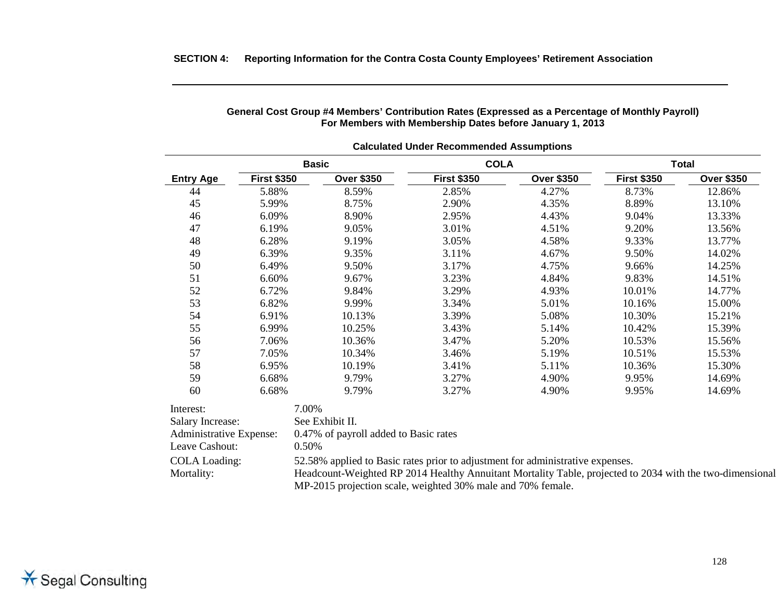| <b>Calculated Under Recommended Assumptions</b> |                         |                                                         |                                       |                                                                            |                                                                                                                                                                                            |  |  |  |
|-------------------------------------------------|-------------------------|---------------------------------------------------------|---------------------------------------|----------------------------------------------------------------------------|--------------------------------------------------------------------------------------------------------------------------------------------------------------------------------------------|--|--|--|
|                                                 | <b>Basic</b>            |                                                         |                                       | <b>Total</b>                                                               |                                                                                                                                                                                            |  |  |  |
|                                                 | <b>Over \$350</b>       | <b>First \$350</b>                                      | <b>Over \$350</b>                     | <b>First \$350</b>                                                         | <b>Over \$350</b>                                                                                                                                                                          |  |  |  |
| 5.88%                                           | 8.59%                   | 2.85%                                                   | 4.27%                                 | 8.73%                                                                      | 12.86%                                                                                                                                                                                     |  |  |  |
| 5.99%                                           | 8.75%                   | 2.90%                                                   | 4.35%                                 | 8.89%                                                                      | 13.10%                                                                                                                                                                                     |  |  |  |
| 6.09%                                           | 8.90%                   | 2.95%                                                   | 4.43%                                 | 9.04%                                                                      | 13.33%                                                                                                                                                                                     |  |  |  |
| 6.19%                                           | 9.05%                   | 3.01%                                                   | 4.51%                                 | 9.20%                                                                      | 13.56%                                                                                                                                                                                     |  |  |  |
| 6.28%                                           | 9.19%                   | 3.05%                                                   | 4.58%                                 | 9.33%                                                                      | 13.77%                                                                                                                                                                                     |  |  |  |
| 6.39%                                           | 9.35%                   | 3.11%                                                   | 4.67%                                 | 9.50%                                                                      | 14.02%                                                                                                                                                                                     |  |  |  |
| 6.49%                                           | 9.50%                   | 3.17%                                                   | 4.75%                                 | 9.66%                                                                      | 14.25%                                                                                                                                                                                     |  |  |  |
| 6.60%                                           | 9.67%                   | 3.23%                                                   | 4.84%                                 | 9.83%                                                                      | 14.51%                                                                                                                                                                                     |  |  |  |
| 6.72%                                           | 9.84%                   | 3.29%                                                   | 4.93%                                 | 10.01%                                                                     | 14.77%                                                                                                                                                                                     |  |  |  |
| 6.82%                                           | 9.99%                   | 3.34%                                                   | 5.01%                                 | 10.16%                                                                     | 15.00%                                                                                                                                                                                     |  |  |  |
| 6.91%                                           | 10.13%                  | 3.39%                                                   | 5.08%                                 | 10.30%                                                                     | 15.21%                                                                                                                                                                                     |  |  |  |
| 6.99%                                           | 10.25%                  | 3.43%                                                   | 5.14%                                 | 10.42%                                                                     | 15.39%                                                                                                                                                                                     |  |  |  |
| 7.06%                                           | 10.36%                  | 3.47%                                                   | 5.20%                                 | 10.53%                                                                     | 15.56%                                                                                                                                                                                     |  |  |  |
| 7.05%                                           | 10.34%                  | 3.46%                                                   | 5.19%                                 | 10.51%                                                                     | 15.53%                                                                                                                                                                                     |  |  |  |
| 6.95%                                           | 10.19%                  | 3.41%                                                   | 5.11%                                 | 10.36%                                                                     | 15.30%                                                                                                                                                                                     |  |  |  |
| 6.68%                                           | 9.79%                   | 3.27%                                                   | 4.90%                                 | 9.95%                                                                      | 14.69%                                                                                                                                                                                     |  |  |  |
| 6.68%                                           | 9.79%                   | 3.27%                                                   | 4.90%                                 | 9.95%                                                                      | 14.69%                                                                                                                                                                                     |  |  |  |
|                                                 |                         |                                                         |                                       |                                                                            |                                                                                                                                                                                            |  |  |  |
|                                                 |                         |                                                         |                                       |                                                                            |                                                                                                                                                                                            |  |  |  |
|                                                 |                         |                                                         |                                       |                                                                            |                                                                                                                                                                                            |  |  |  |
|                                                 |                         |                                                         |                                       |                                                                            |                                                                                                                                                                                            |  |  |  |
|                                                 |                         |                                                         |                                       |                                                                            |                                                                                                                                                                                            |  |  |  |
|                                                 |                         |                                                         |                                       |                                                                            |                                                                                                                                                                                            |  |  |  |
|                                                 |                         |                                                         |                                       |                                                                            |                                                                                                                                                                                            |  |  |  |
|                                                 | Administrative Expense: | <b>First \$350</b><br>7.00%<br>See Exhibit II.<br>0.50% | 0.47% of payroll added to Basic rates | <b>COLA</b><br>MP-2015 projection scale, weighted 30% male and 70% female. | 52.58% applied to Basic rates prior to adjustment for administrative expenses.<br>Headcount-Weighted RP 2014 Healthy Annuitant Mortality Table, projected to 2034 with the two-dimensional |  |  |  |

**General Cost Group #4 Members' Contribution Rates (Expressed as a Percentage of Monthly Payroll) For Members with Membership Dates before January 1, 2013**

#### **SECTION 4: Reporting Information for the Contra Costa County Employees' Retirement Association**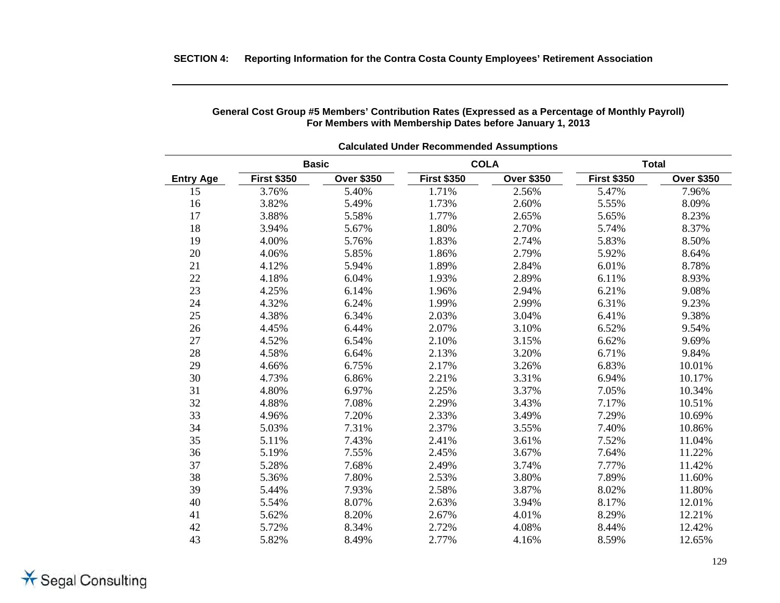| <b>Calculated Under Recommended Assumptions</b> |                    |                   |                    |                   |                    |                   |  |  |
|-------------------------------------------------|--------------------|-------------------|--------------------|-------------------|--------------------|-------------------|--|--|
|                                                 | <b>Basic</b>       |                   |                    | <b>COLA</b>       | <b>Total</b>       |                   |  |  |
| <b>Entry Age</b>                                | <b>First \$350</b> | <b>Over \$350</b> | <b>First \$350</b> | <b>Over \$350</b> | <b>First \$350</b> | <b>Over \$350</b> |  |  |
| 15                                              | 3.76%              | 5.40%             | 1.71%              | 2.56%             | 5.47%              | 7.96%             |  |  |
| 16                                              | 3.82%              | 5.49%             | 1.73%              | 2.60%             | 5.55%              | 8.09%             |  |  |
| 17                                              | 3.88%              | 5.58%             | 1.77%              | 2.65%             | 5.65%              | 8.23%             |  |  |
| 18                                              | 3.94%              | 5.67%             | 1.80%              | 2.70%             | 5.74%              | 8.37%             |  |  |
| 19                                              | 4.00%              | 5.76%             | 1.83%              | 2.74%             | 5.83%              | 8.50%             |  |  |
| 20                                              | 4.06%              | 5.85%             | 1.86%              | 2.79%             | 5.92%              | 8.64%             |  |  |
| 21                                              | 4.12%              | 5.94%             | 1.89%              | 2.84%             | 6.01%              | 8.78%             |  |  |
| 22                                              | 4.18%              | 6.04%             | 1.93%              | 2.89%             | 6.11%              | 8.93%             |  |  |
| 23                                              | 4.25%              | 6.14%             | 1.96%              | 2.94%             | 6.21%              | 9.08%             |  |  |
| 24                                              | 4.32%              | 6.24%             | 1.99%              | 2.99%             | 6.31%              | 9.23%             |  |  |
| 25                                              | 4.38%              | 6.34%             | 2.03%              | 3.04%             | 6.41%              | 9.38%             |  |  |
| 26                                              | 4.45%              | 6.44%             | 2.07%              | 3.10%             | 6.52%              | 9.54%             |  |  |
| $27\,$                                          | 4.52%              | 6.54%             | 2.10%              | 3.15%             | 6.62%              | 9.69%             |  |  |
| 28                                              | 4.58%              | 6.64%             | 2.13%              | 3.20%             | 6.71%              | 9.84%             |  |  |
| 29                                              | 4.66%              | 6.75%             | 2.17%              | 3.26%             | 6.83%              | 10.01%            |  |  |
| 30                                              | 4.73%              | 6.86%             | 2.21%              | 3.31%             | 6.94%              | 10.17%            |  |  |
| 31                                              | 4.80%              | 6.97%             | 2.25%              | 3.37%             | 7.05%              | 10.34%            |  |  |
| 32                                              | 4.88%              | 7.08%             | 2.29%              | 3.43%             | 7.17%              | 10.51%            |  |  |
| 33                                              | 4.96%              | 7.20%             | 2.33%              | 3.49%             | 7.29%              | 10.69%            |  |  |
| 34                                              | 5.03%              | 7.31%             | 2.37%              | 3.55%             | 7.40%              | 10.86%            |  |  |
| 35                                              | 5.11%              | 7.43%             | 2.41%              | 3.61%             | 7.52%              | 11.04%            |  |  |
| 36                                              | 5.19%              | 7.55%             | 2.45%              | 3.67%             | 7.64%              | 11.22%            |  |  |
| 37                                              | 5.28%              | 7.68%             | 2.49%              | 3.74%             | 7.77%              | 11.42%            |  |  |
| 38                                              | 5.36%              | 7.80%             | 2.53%              | 3.80%             | 7.89%              | 11.60%            |  |  |
| 39                                              | 5.44%              | 7.93%             | 2.58%              | 3.87%             | 8.02%              | 11.80%            |  |  |
| 40                                              | 5.54%              | 8.07%             | 2.63%              | 3.94%             | 8.17%              | 12.01%            |  |  |
| 41                                              | 5.62%              | 8.20%             | 2.67%              | 4.01%             | 8.29%              | 12.21%            |  |  |
| 42                                              | 5.72%              | 8.34%             | 2.72%              | 4.08%             | 8.44%              | 12.42%            |  |  |
| 43                                              | 5.82%              | 8.49%             | 2.77%              | 4.16%             | 8.59%              | 12.65%            |  |  |

#### **General Cost Group #5 Members' Contribution Rates (Expressed as a Percentage of Monthly Payroll) For Members with Membership Dates before January 1, 2013**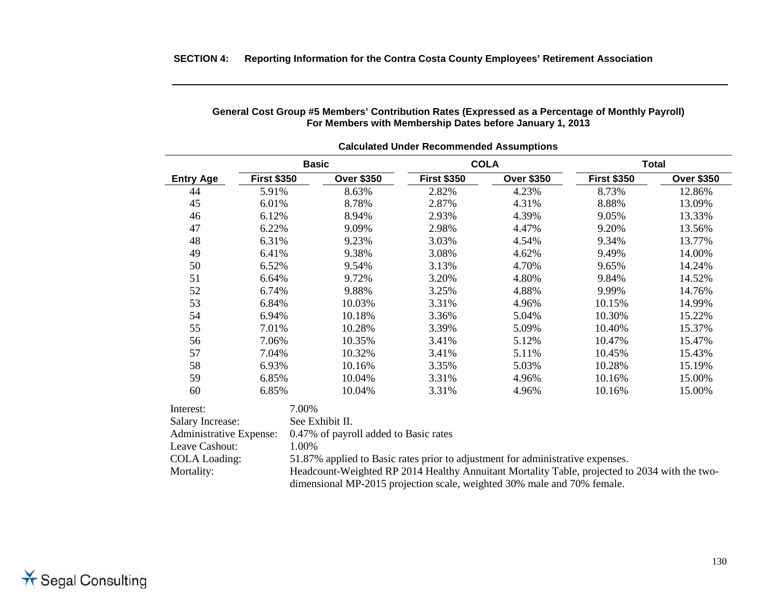|                                             |                    |                                                                                               | <b>Calculated Under Recommended Assumptions</b> |                   |                    |                   |  |  |
|---------------------------------------------|--------------------|-----------------------------------------------------------------------------------------------|-------------------------------------------------|-------------------|--------------------|-------------------|--|--|
| <b>COLA</b><br><b>Basic</b><br><b>Total</b> |                    |                                                                                               |                                                 |                   |                    |                   |  |  |
| <b>Entry Age</b>                            | <b>First \$350</b> | <b>Over \$350</b>                                                                             | <b>First \$350</b>                              | <b>Over \$350</b> | <b>First \$350</b> | <b>Over \$350</b> |  |  |
| 44                                          | 5.91%              | 8.63%                                                                                         | 2.82%                                           | 4.23%             | 8.73%              | 12.86%            |  |  |
| 45                                          | 6.01%              | 8.78%                                                                                         | 2.87%                                           | 4.31%             | 8.88%              | 13.09%            |  |  |
| 46                                          | 6.12%              | 8.94%                                                                                         | 2.93%                                           | 4.39%             | 9.05%              | 13.33%            |  |  |
| 47                                          | 6.22%              | 9.09%                                                                                         | 2.98%                                           | 4.47%             | 9.20%              | 13.56%            |  |  |
| 48                                          | 6.31%              | 9.23%                                                                                         | 3.03%                                           | 4.54%             | 9.34%              | 13.77%            |  |  |
| 49                                          | 6.41%              | 9.38%                                                                                         | 3.08%                                           | 4.62%             | 9.49%              | 14.00%            |  |  |
| 50                                          | 6.52%              | 9.54%                                                                                         | 3.13%                                           | 4.70%             | 9.65%              | 14.24%            |  |  |
| 51                                          | 6.64%              | 9.72%                                                                                         | 3.20%                                           | 4.80%             | 9.84%              | 14.52%            |  |  |
| 52                                          | 6.74%              | 9.88%                                                                                         | 3.25%                                           | 4.88%             | 9.99%              | 14.76%            |  |  |
| 53                                          | 6.84%              | 10.03%                                                                                        | 3.31%                                           | 4.96%             | 10.15%             | 14.99%            |  |  |
| 54                                          | 6.94%              | 10.18%                                                                                        | 3.36%                                           | 5.04%             | 10.30%             | 15.22%            |  |  |
| 55                                          | 7.01%              | 10.28%                                                                                        | 3.39%                                           | 5.09%             | 10.40%             | 15.37%            |  |  |
| 56                                          | 7.06%              | 10.35%                                                                                        | 3.41%                                           | 5.12%             | 10.47%             | 15.47%            |  |  |
| 57                                          | 7.04%              | 10.32%                                                                                        | 3.41%                                           | 5.11%             | 10.45%             | 15.43%            |  |  |
| 58                                          | 6.93%              | 10.16%                                                                                        | 3.35%                                           | 5.03%             | 10.28%             | 15.19%            |  |  |
| 59                                          | 6.85%              | 10.04%                                                                                        | 3.31%                                           | 4.96%             | 10.16%             | 15.00%            |  |  |
| 60                                          | 6.85%              | 10.04%                                                                                        | 3.31%                                           | 4.96%             | 10.16%             | 15.00%            |  |  |
| Interest:                                   |                    | 7.00%                                                                                         |                                                 |                   |                    |                   |  |  |
| <b>Salary Increase:</b>                     |                    | See Exhibit II.                                                                               |                                                 |                   |                    |                   |  |  |
| <b>Administrative Expense:</b>              |                    | 0.47% of payroll added to Basic rates                                                         |                                                 |                   |                    |                   |  |  |
| Leave Cashout:                              |                    | 1.00%                                                                                         |                                                 |                   |                    |                   |  |  |
| <b>COLA Loading:</b>                        |                    | 51.87% applied to Basic rates prior to adjustment for administrative expenses.                |                                                 |                   |                    |                   |  |  |
| Mortality:                                  |                    | Headcount-Weighted RP 2014 Healthy Annuitant Mortality Table, projected to 2034 with the two- |                                                 |                   |                    |                   |  |  |
|                                             |                    | dimensional MP-2015 projection scale, weighted 30% male and 70% female.                       |                                                 |                   |                    |                   |  |  |

**General Cost Group #5 Members' Contribution Rates (Expressed as a Percentage of Monthly Payroll) For Members with Membership Dates before January 1, 2013**

#### **SECTION 4: Reporting Information for the Contra Costa County Employees' Retirement Association**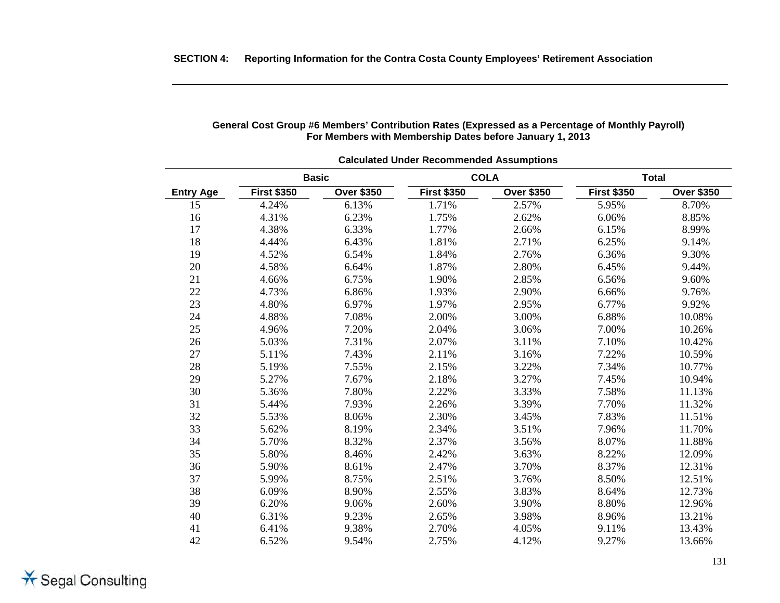| <b>Calculated Under Recommended Assumptions</b> |                    |                   |                    |                   |                    |                   |  |  |  |
|-------------------------------------------------|--------------------|-------------------|--------------------|-------------------|--------------------|-------------------|--|--|--|
|                                                 |                    | <b>Basic</b>      | <b>COLA</b>        |                   | <b>Total</b>       |                   |  |  |  |
| <b>Entry Age</b>                                | <b>First \$350</b> | <b>Over \$350</b> | <b>First \$350</b> | <b>Over \$350</b> | <b>First \$350</b> | <b>Over \$350</b> |  |  |  |
| 15                                              | 4.24%              | 6.13%             | 1.71%              | 2.57%             | 5.95%              | 8.70%             |  |  |  |
| 16                                              | 4.31%              | 6.23%             | 1.75%              | 2.62%             | 6.06%              | 8.85%             |  |  |  |
| 17                                              | 4.38%              | 6.33%             | 1.77%              | 2.66%             | 6.15%              | 8.99%             |  |  |  |
| 18                                              | 4.44%              | 6.43%             | 1.81%              | 2.71%             | 6.25%              | 9.14%             |  |  |  |
| 19                                              | 4.52%              | 6.54%             | 1.84%              | 2.76%             | 6.36%              | 9.30%             |  |  |  |
| $20\,$                                          | 4.58%              | 6.64%             | 1.87%              | 2.80%             | 6.45%              | 9.44%             |  |  |  |
| 21                                              | 4.66%              | 6.75%             | 1.90%              | 2.85%             | 6.56%              | 9.60%             |  |  |  |
| 22                                              | 4.73%              | 6.86%             | 1.93%              | 2.90%             | 6.66%              | 9.76%             |  |  |  |
| 23                                              | 4.80%              | 6.97%             | 1.97%              | 2.95%             | 6.77%              | 9.92%             |  |  |  |
| 24                                              | 4.88%              | 7.08%             | 2.00%              | 3.00%             | 6.88%              | 10.08%            |  |  |  |
| 25                                              | 4.96%              | 7.20%             | 2.04%              | 3.06%             | 7.00%              | 10.26%            |  |  |  |
| 26                                              | 5.03%              | 7.31%             | 2.07%              | 3.11%             | 7.10%              | 10.42%            |  |  |  |
| 27                                              | 5.11%              | 7.43%             | 2.11%              | 3.16%             | 7.22%              | 10.59%            |  |  |  |
| 28                                              | 5.19%              | 7.55%             | 2.15%              | 3.22%             | 7.34%              | 10.77%            |  |  |  |
| 29                                              | 5.27%              | 7.67%             | 2.18%              | 3.27%             | 7.45%              | 10.94%            |  |  |  |
| 30                                              | 5.36%              | 7.80%             | 2.22%              | 3.33%             | 7.58%              | 11.13%            |  |  |  |
| 31                                              | 5.44%              | 7.93%             | 2.26%              | 3.39%             | 7.70%              | 11.32%            |  |  |  |
| 32                                              | 5.53%              | 8.06%             | 2.30%              | 3.45%             | 7.83%              | 11.51%            |  |  |  |
| 33                                              | 5.62%              | 8.19%             | 2.34%              | 3.51%             | 7.96%              | 11.70%            |  |  |  |
| 34                                              | 5.70%              | 8.32%             | 2.37%              | 3.56%             | 8.07%              | 11.88%            |  |  |  |
| 35                                              | 5.80%              | 8.46%             | 2.42%              | 3.63%             | 8.22%              | 12.09%            |  |  |  |
| 36                                              | 5.90%              | 8.61%             | 2.47%              | 3.70%             | 8.37%              | 12.31%            |  |  |  |
| 37                                              | 5.99%              | 8.75%             | 2.51%              | 3.76%             | 8.50%              | 12.51%            |  |  |  |
| 38                                              | 6.09%              | 8.90%             | 2.55%              | 3.83%             | 8.64%              | 12.73%            |  |  |  |
| 39                                              | 6.20%              | 9.06%             | 2.60%              | 3.90%             | 8.80%              | 12.96%            |  |  |  |
| 40                                              | 6.31%              | 9.23%             | 2.65%              | 3.98%             | 8.96%              | 13.21%            |  |  |  |
| 41                                              | 6.41%              | 9.38%             | 2.70%              | 4.05%             | 9.11%              | 13.43%            |  |  |  |
| 42                                              | 6.52%              | 9.54%             | 2.75%              | 4.12%             | 9.27%              | 13.66%            |  |  |  |

#### **General Cost Group #6 Members' Contribution Rates (Expressed as a Percentage of Monthly Payroll) For Members with Membership Dates before January 1, 2013**

**SECTION 4: Reporting Information for the Contra Costa County Employees' Retirement Association**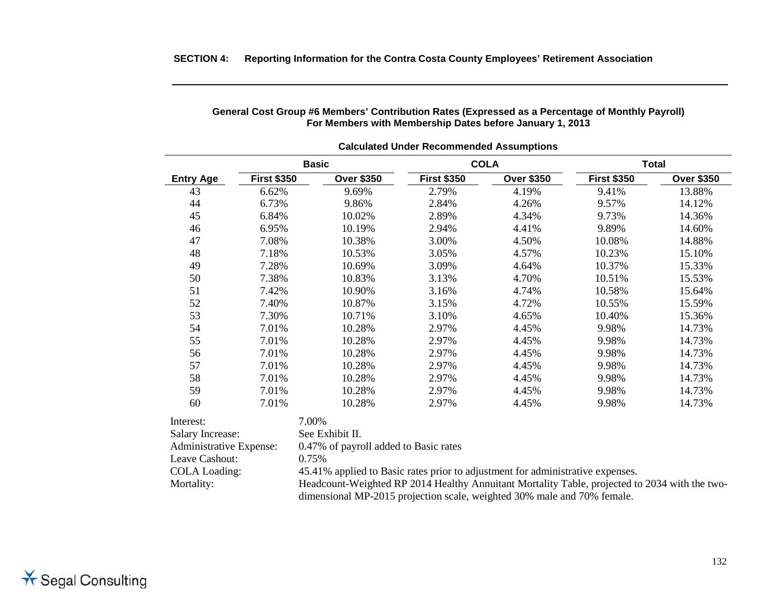| <b>Calculated Under Recommended Assumptions</b> |                    |                                                                                |                    |                   |                    |                   |  |  |  |
|-------------------------------------------------|--------------------|--------------------------------------------------------------------------------|--------------------|-------------------|--------------------|-------------------|--|--|--|
|                                                 |                    | <b>Basic</b>                                                                   |                    | <b>COLA</b>       |                    | <b>Total</b>      |  |  |  |
| <b>Entry Age</b>                                | <b>First \$350</b> | <b>Over \$350</b>                                                              | <b>First \$350</b> | <b>Over \$350</b> | <b>First \$350</b> | <b>Over \$350</b> |  |  |  |
| 43                                              | 6.62%              | 9.69%                                                                          | 2.79%              | 4.19%             | 9.41%              | 13.88%            |  |  |  |
| 44                                              | 6.73%              | 9.86%                                                                          | 2.84%              | 4.26%             | 9.57%              | 14.12%            |  |  |  |
| 45                                              | 6.84%              | 10.02%                                                                         | 2.89%              | 4.34%             | 9.73%              | 14.36%            |  |  |  |
| 46                                              | 6.95%              | 10.19%                                                                         | 2.94%              | 4.41%             | 9.89%              | 14.60%            |  |  |  |
| 47                                              | 7.08%              | 10.38%                                                                         | 3.00%              | 4.50%             | 10.08%             | 14.88%            |  |  |  |
| 48                                              | 7.18%              | 10.53%                                                                         | 3.05%              | 4.57%             | 10.23%             | 15.10%            |  |  |  |
| 49                                              | 7.28%              | 10.69%                                                                         | 3.09%              | 4.64%             | 10.37%             | 15.33%            |  |  |  |
| 50                                              | 7.38%              | 10.83%                                                                         | 3.13%              | 4.70%             | 10.51%             | 15.53%            |  |  |  |
| 51                                              | 7.42%              | 10.90%                                                                         | 3.16%              | 4.74%             | 10.58%             | 15.64%            |  |  |  |
| 52                                              | 7.40%              | 10.87%                                                                         | 3.15%              | 4.72%             | 10.55%             | 15.59%            |  |  |  |
| 53                                              | 7.30%              | 10.71%                                                                         | 3.10%              | 4.65%             | 10.40%             | 15.36%            |  |  |  |
| 54                                              | 7.01%              | 10.28%                                                                         | 2.97%              | 4.45%             | 9.98%              | 14.73%            |  |  |  |
| 55                                              | 7.01%              | 10.28%                                                                         | 2.97%              | 4.45%             | 9.98%              | 14.73%            |  |  |  |
| 56                                              | 7.01%              | 10.28%                                                                         | 2.97%              | 4.45%             | 9.98%              | 14.73%            |  |  |  |
| 57                                              | 7.01%              | 10.28%                                                                         | 2.97%              | 4.45%             | 9.98%              | 14.73%            |  |  |  |
| 58                                              | 7.01%              | 10.28%                                                                         | 2.97%              | 4.45%             | 9.98%              | 14.73%            |  |  |  |
| 59                                              | 7.01%              | 10.28%                                                                         | 2.97%              | 4.45%             | 9.98%              | 14.73%            |  |  |  |
| 60                                              | 7.01%              | 10.28%                                                                         | 2.97%              | 4.45%             | 9.98%              | 14.73%            |  |  |  |
| Interest:                                       |                    | 7.00%                                                                          |                    |                   |                    |                   |  |  |  |
| <b>Salary Increase:</b>                         |                    | See Exhibit II.                                                                |                    |                   |                    |                   |  |  |  |
| Administrative Expense:                         |                    | 0.47% of payroll added to Basic rates                                          |                    |                   |                    |                   |  |  |  |
| Leave Cashout:                                  |                    | 0.75%                                                                          |                    |                   |                    |                   |  |  |  |
| <b>COLA Loading:</b>                            |                    | 45.41% applied to Basic rates prior to adjustment for administrative expenses. |                    |                   |                    |                   |  |  |  |

Mortality: Headcount-Weighted RP 2014 Healthy Annuitant Mortality Table, projected to 2034 with the two-

dimensional MP-2015 projection scale, weighted 30% male and 70% female.

### **SECTION 4: Reporting Information for the Contra Costa County Employees' Retirement Association**

#### **General Cost Group #6 Members' Contribution Rates (Expressed as a Percentage of Monthly Payroll) For Members with Membership Dates before January 1, 2013**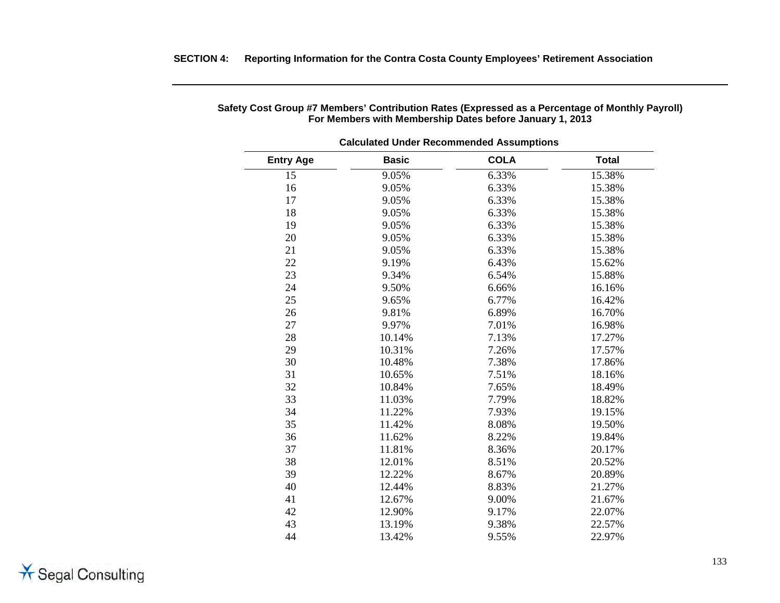| <b>Calculated Under Recommended Assumptions</b> |              |             |              |  |  |
|-------------------------------------------------|--------------|-------------|--------------|--|--|
| <b>Entry Age</b>                                | <b>Basic</b> | <b>COLA</b> | <b>Total</b> |  |  |
| 15                                              | 9.05%        | 6.33%       | 15.38%       |  |  |
| 16                                              | 9.05%        | 6.33%       | 15.38%       |  |  |
| 17                                              | 9.05%        | 6.33%       | 15.38%       |  |  |
| 18                                              | 9.05%        | 6.33%       | 15.38%       |  |  |
| 19                                              | 9.05%        | 6.33%       | 15.38%       |  |  |
| 20                                              | 9.05%        | 6.33%       | 15.38%       |  |  |
| 21                                              | 9.05%        | 6.33%       | 15.38%       |  |  |
| 22                                              | 9.19%        | 6.43%       | 15.62%       |  |  |
| 23                                              | 9.34%        | 6.54%       | 15.88%       |  |  |
| 24                                              | 9.50%        | 6.66%       | 16.16%       |  |  |
| 25                                              | 9.65%        | 6.77%       | 16.42%       |  |  |
| 26                                              | 9.81%        | 6.89%       | 16.70%       |  |  |
| 27                                              | 9.97%        | 7.01%       | 16.98%       |  |  |
| 28                                              | 10.14%       | 7.13%       | 17.27%       |  |  |
| 29                                              | 10.31%       | 7.26%       | 17.57%       |  |  |
| 30                                              | 10.48%       | 7.38%       | 17.86%       |  |  |
| 31                                              | 10.65%       | 7.51%       | 18.16%       |  |  |
| 32                                              | 10.84%       | 7.65%       | 18.49%       |  |  |
| 33                                              | 11.03%       | 7.79%       | 18.82%       |  |  |
| 34                                              | 11.22%       | 7.93%       | 19.15%       |  |  |
| 35                                              | 11.42%       | 8.08%       | 19.50%       |  |  |
| 36                                              | 11.62%       | 8.22%       | 19.84%       |  |  |
| 37                                              | 11.81%       | 8.36%       | 20.17%       |  |  |
| 38                                              | 12.01%       | 8.51%       | 20.52%       |  |  |
| 39                                              | 12.22%       | 8.67%       | 20.89%       |  |  |
| 40                                              | 12.44%       | 8.83%       | 21.27%       |  |  |
| 41                                              | 12.67%       | 9.00%       | 21.67%       |  |  |
| 42                                              | 12.90%       | 9.17%       | 22.07%       |  |  |
| 43                                              | 13.19%       | 9.38%       | 22.57%       |  |  |
| 44                                              | 13.42%       | 9.55%       | 22.97%       |  |  |

# **Safety Cost Group #7 Members' Contribution Rates (Expressed as a Percentage of Monthly Payroll) For Members with Membership Dates before January 1, 2013**

**SECTION 4: Reporting Information for the Contra Costa County Employees' Retirement Association**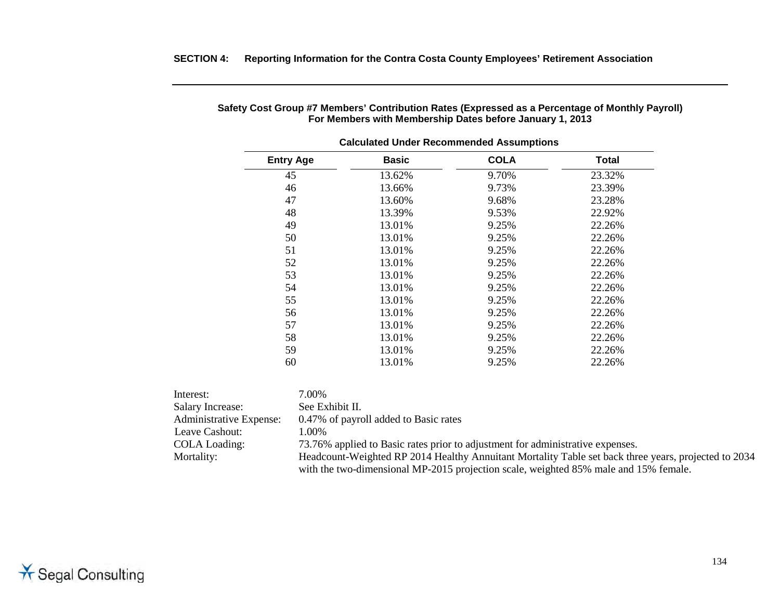| <b>Entry Age</b> | <b>Basic</b> | <b>COLA</b> | <b>Total</b> |
|------------------|--------------|-------------|--------------|
| 45               | 13.62%       | 9.70%       | 23.32%       |
| 46               | 13.66%       | 9.73%       | 23.39%       |
| 47               | 13.60%       | 9.68%       | 23.28%       |
| 48               | 13.39%       | 9.53%       | 22.92%       |
| 49               | 13.01%       | 9.25%       | 22.26%       |
| 50               | 13.01%       | 9.25%       | 22.26%       |
| 51               | 13.01%       | 9.25%       | 22.26%       |
| 52               | 13.01%       | 9.25%       | 22.26%       |
| 53               | 13.01%       | 9.25%       | 22.26%       |
| 54               | 13.01%       | 9.25%       | 22.26%       |
| 55               | 13.01%       | 9.25%       | 22.26%       |
| 56               | 13.01%       | 9.25%       | 22.26%       |
| 57               | 13.01%       | 9.25%       | 22.26%       |
| 58               | 13.01%       | 9.25%       | 22.26%       |
| 59               | 13.01%       | 9.25%       | 22.26%       |
| 60               | 13.01%       | 9.25%       | 22.26%       |

### **Safety Cost Group #7 Members' Contribution Rates (Expressed as a Percentage of Monthly Payroll) For Members with Membership Dates before January 1, 2013**

**SECTION 4: Reporting Information for the Contra Costa County Employees' Retirement Association**

**Calculated Under Recommended Assumptions**

| Interest:                      | 7.00%                                                                                                |
|--------------------------------|------------------------------------------------------------------------------------------------------|
| <b>Salary Increase:</b>        | See Exhibit II.                                                                                      |
| <b>Administrative Expense:</b> | 0.47% of payroll added to Basic rates                                                                |
| Leave Cashout:                 | 1.00%                                                                                                |
| <b>COLA Loading:</b>           | 73.76% applied to Basic rates prior to adjustment for administrative expenses.                       |
| Mortality:                     | Headcount-Weighted RP 2014 Healthy Annuitant Mortality Table set back three years, projected to 2034 |
|                                | with the two-dimensional MP-2015 projection scale, weighted 85% male and 15% female.                 |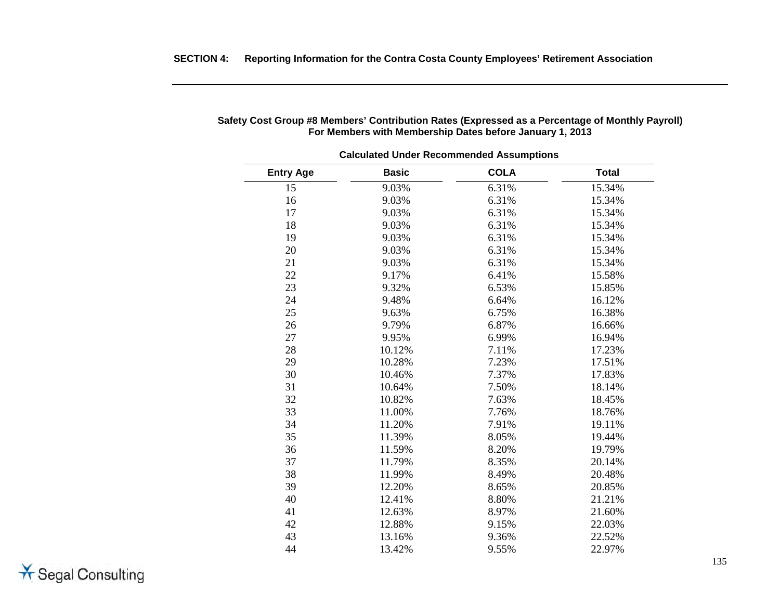|                  | <b>Calculated Under Recommended Assumptions</b> |             |              |  |  |  |
|------------------|-------------------------------------------------|-------------|--------------|--|--|--|
| <b>Entry Age</b> | <b>Basic</b>                                    | <b>COLA</b> | <b>Total</b> |  |  |  |
| 15               | 9.03%                                           | 6.31%       | 15.34%       |  |  |  |
| 16               | 9.03%                                           | 6.31%       | 15.34%       |  |  |  |
| 17               | 9.03%                                           | 6.31%       | 15.34%       |  |  |  |
| 18               | 9.03%                                           | 6.31%       | 15.34%       |  |  |  |
| 19               | 9.03%                                           | 6.31%       | 15.34%       |  |  |  |
| 20               | 9.03%                                           | 6.31%       | 15.34%       |  |  |  |
| 21               | 9.03%                                           | 6.31%       | 15.34%       |  |  |  |
| 22               | 9.17%                                           | 6.41%       | 15.58%       |  |  |  |
| 23               | 9.32%                                           | 6.53%       | 15.85%       |  |  |  |
| 24               | 9.48%                                           | 6.64%       | 16.12%       |  |  |  |
| 25               | 9.63%                                           | 6.75%       | 16.38%       |  |  |  |
| 26               | 9.79%                                           | 6.87%       | 16.66%       |  |  |  |
| 27               | 9.95%                                           | 6.99%       | 16.94%       |  |  |  |
| 28               | 10.12%                                          | 7.11%       | 17.23%       |  |  |  |
| 29               | 10.28%                                          | 7.23%       | 17.51%       |  |  |  |
| 30               | 10.46%                                          | 7.37%       | 17.83%       |  |  |  |
| 31               | 10.64%                                          | 7.50%       | 18.14%       |  |  |  |
| 32               | 10.82%                                          | 7.63%       | 18.45%       |  |  |  |
| 33               | 11.00%                                          | 7.76%       | 18.76%       |  |  |  |
| 34               | 11.20%                                          | 7.91%       | 19.11%       |  |  |  |
| 35               | 11.39%                                          | 8.05%       | 19.44%       |  |  |  |
| 36               | 11.59%                                          | 8.20%       | 19.79%       |  |  |  |
| 37               | 11.79%                                          | 8.35%       | 20.14%       |  |  |  |
| 38               | 11.99%                                          | 8.49%       | 20.48%       |  |  |  |
| 39               | 12.20%                                          | 8.65%       | 20.85%       |  |  |  |
| 40               | 12.41%                                          | 8.80%       | 21.21%       |  |  |  |
| 41               | 12.63%                                          | 8.97%       | 21.60%       |  |  |  |
| 42               | 12.88%                                          | 9.15%       | 22.03%       |  |  |  |
| 43               | 13.16%                                          | 9.36%       | 22.52%       |  |  |  |
| 44               | 13.42%                                          | 9.55%       | 22.97%       |  |  |  |

# **Safety Cost Group #8 Members' Contribution Rates (Expressed as a Percentage of Monthly Payroll) For Members with Membership Dates before January 1, 2013**

\* Segal Consulting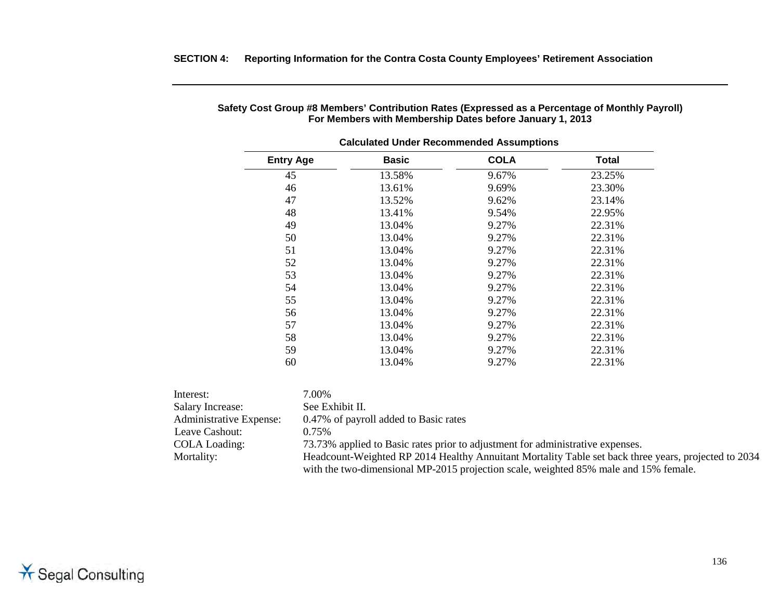| <b>Entry Age</b>  | <b>Basic</b>                                                                                | <b>COLA</b> | Total  |
|-------------------|---------------------------------------------------------------------------------------------|-------------|--------|
| 45                | 13.58%                                                                                      | 9.67%       | 23.25% |
| 46                | 13.61%                                                                                      | 9.69%       | 23.30% |
| 47                | 13.52%                                                                                      | 9.62%       | 23.14% |
| 48                | 13.41%                                                                                      | 9.54%       | 22.95% |
| 49                | 13.04%                                                                                      | 9.27%       | 22.31% |
| 50                | 13.04%                                                                                      | 9.27%       | 22.31% |
| 51                | 13.04%                                                                                      | 9.27%       | 22.31% |
| 52                | 13.04%                                                                                      | 9.27%       | 22.31% |
| 53                | 13.04%                                                                                      | 9.27%       | 22.31% |
| 54                | 13.04%                                                                                      | 9.27%       | 22.31% |
| 55                | 13.04%                                                                                      | 9.27%       | 22.31% |
| 56                | 13.04%                                                                                      | 9.27%       | 22.31% |
| 57                | 13.04%                                                                                      | 9.27%       | 22.31% |
| 58                | 13.04%                                                                                      | 9.27%       | 22.31% |
| 59                | 13.04%                                                                                      | 9.27%       | 22.31% |
| 60                | 13.04%                                                                                      | 9.27%       | 22.31% |
|                   |                                                                                             |             |        |
| 7.00%             |                                                                                             |             |        |
| ncrease:          | See Exhibit II.                                                                             |             |        |
| strative Expense: | 0.47% of payroll added to Basic rates                                                       |             |        |
| 0.75%<br>Cashout: |                                                                                             |             |        |
|                   | $72.720$ and $1.11.1$ and $1.11.1$ and $1.11.11.1$ and $1.11.11.11.1$ and $1.11.11.11.11.1$ |             |        |

# **Safety Cost Group #8 Members' Contribution Rates (Expressed as a Percentage of Monthly Payroll) For Members with Membership Dates before January 1, 2013**

**SECTION 4: Reporting Information for the Contra Costa County Employees' Retirement Association**

**Calculated Under Recommended Assumptions**

| Interest:                      | $00\%$                                                                                               |
|--------------------------------|------------------------------------------------------------------------------------------------------|
| <b>Salary Increase:</b>        | See Exhibit II.                                                                                      |
| <b>Administrative Expense:</b> | 0.47% of payroll added to Basic rates                                                                |
| Leave Cashout:                 | $0.75\%$                                                                                             |
| <b>COLA Loading:</b>           | 73.73% applied to Basic rates prior to adjustment for administrative expenses.                       |
| Mortality:                     | Headcount-Weighted RP 2014 Healthy Annuitant Mortality Table set back three years, projected to 2034 |
|                                | with the two-dimensional MP-2015 projection scale, weighted 85% male and 15% female.                 |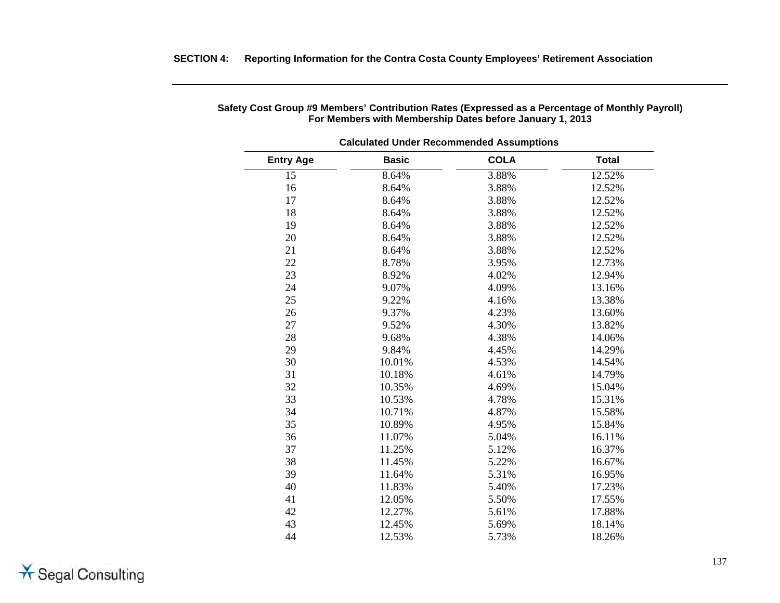| <b>Entry Age</b> | <b>Basic</b> | <b>COLA</b> | <b>Total</b> |
|------------------|--------------|-------------|--------------|
| 15               | 8.64%        | 3.88%       | 12.52%       |
| 16               | 8.64%        | 3.88%       | 12.52%       |
| 17               | 8.64%        | 3.88%       | 12.52%       |
| 18               | 8.64%        | 3.88%       | 12.52%       |
| 19               | 8.64%        | 3.88%       | 12.52%       |
| 20               | 8.64%        | 3.88%       | 12.52%       |
| 21               | 8.64%        | 3.88%       | 12.52%       |
| 22               | 8.78%        | 3.95%       | 12.73%       |
| 23               | 8.92%        | 4.02%       | 12.94%       |
| 24               | 9.07%        | 4.09%       | 13.16%       |
| 25               | 9.22%        | 4.16%       | 13.38%       |
| 26<br>9.37%      |              | 4.23%       | 13.60%       |
| 27               | 9.52%        | 4.30%       | 13.82%       |
| 28               | 9.68%        | 4.38%       | 14.06%       |
| 29               | 9.84%        | 4.45%       | 14.29%       |
| 30               | 10.01%       | 4.53%       | 14.54%       |
| 31               | 10.18%       | 4.61%       | 14.79%       |
| 32               | 10.35%       | 4.69%       | 15.04%       |
| 33               | 10.53%       | 4.78%       | 15.31%       |
| 34               | 10.71%       | 4.87%       | 15.58%       |
| 35               | 10.89%       | 4.95%       | 15.84%       |
| 36               | 11.07%       | 5.04%       | 16.11%       |
| 37               | 11.25%       | 5.12%       | 16.37%       |
| 38               | 11.45%       | 5.22%       | 16.67%       |
| 39               | 11.64%       | 5.31%       | 16.95%       |
| 40               | 11.83%       | 5.40%       | 17.23%       |
| 41               | 12.05%       | 5.50%       | 17.55%       |
| 42               | 12.27%       | 5.61%       | 17.88%       |
| 43               | 12.45%       | 5.69%       | 18.14%       |
| 44               | 12.53%       | 5.73%       | 18.26%       |

# **Safety Cost Group #9 Members' Contribution Rates (Expressed as a Percentage of Monthly Payroll) For Members with Membership Dates before January 1, 2013**

**SECTION 4: Reporting Information for the Contra Costa County Employees' Retirement Association**

**X** Segal Consulting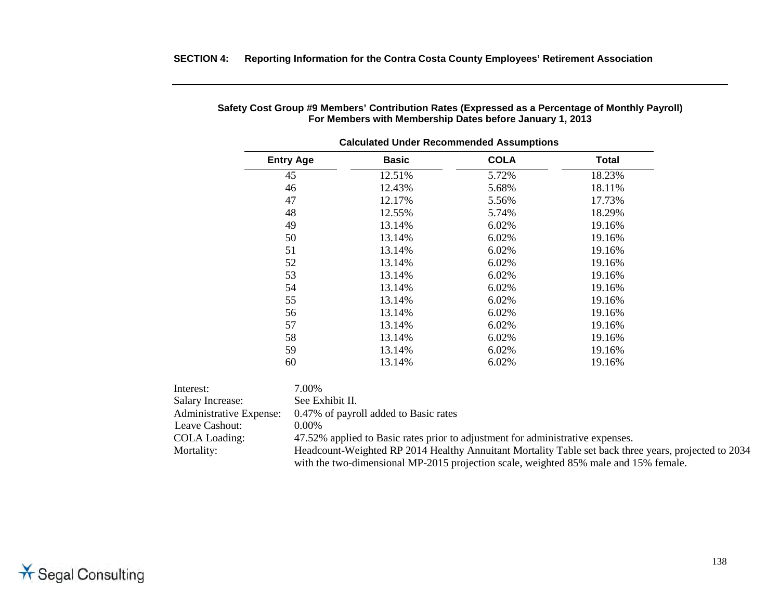|                         |                  | <b>Calculated Under Recommended Assumptions</b>                                |             |                                                                                                      |
|-------------------------|------------------|--------------------------------------------------------------------------------|-------------|------------------------------------------------------------------------------------------------------|
|                         | <b>Entry Age</b> | <b>Basic</b>                                                                   | <b>COLA</b> | <b>Total</b>                                                                                         |
|                         | 45               | 12.51%                                                                         | 5.72%       | 18.23%                                                                                               |
|                         | 46               | 12.43%                                                                         | 5.68%       | 18.11%                                                                                               |
|                         | 47               | 12.17%                                                                         | 5.56%       | 17.73%                                                                                               |
|                         | 48               | 12.55%                                                                         | 5.74%       | 18.29%                                                                                               |
|                         | 49               | 13.14%                                                                         | 6.02%       | 19.16%                                                                                               |
|                         | 50               | 13.14%                                                                         | 6.02%       | 19.16%                                                                                               |
|                         | 51               | 13.14%                                                                         | 6.02%       | 19.16%                                                                                               |
|                         | 52               | 13.14%                                                                         | 6.02%       | 19.16%                                                                                               |
|                         | 53               | 13.14%                                                                         | 6.02%       | 19.16%                                                                                               |
|                         | 54               | 13.14%                                                                         | 6.02%       | 19.16%                                                                                               |
|                         | 55               | 13.14%                                                                         | 6.02%       | 19.16%                                                                                               |
|                         | 56               | 13.14%                                                                         | 6.02%       | 19.16%                                                                                               |
|                         | 57               | 13.14%                                                                         | 6.02%       | 19.16%                                                                                               |
|                         | 58               | 13.14%                                                                         | 6.02%       | 19.16%                                                                                               |
|                         | 59               | 13.14%                                                                         | 6.02%       | 19.16%                                                                                               |
|                         | 60               | 13.14%                                                                         | 6.02%       | 19.16%                                                                                               |
| Interest:               | 7.00%            |                                                                                |             |                                                                                                      |
| <b>Salary Increase:</b> | See Exhibit II.  |                                                                                |             |                                                                                                      |
| Administrative Expense: |                  | 0.47% of payroll added to Basic rates                                          |             |                                                                                                      |
| Leave Cashout:          | $0.00\%$         |                                                                                |             |                                                                                                      |
| <b>COLA Loading:</b>    |                  | 47.52% applied to Basic rates prior to adjustment for administrative expenses. |             |                                                                                                      |
| Mortality:              |                  |                                                                                |             | Headcount-Weighted RP 2014 Healthy Annuitant Mortality Table set back three years, projected to 2034 |
|                         |                  |                                                                                |             | with the two-dimensional MP-2015 projection scale, weighted 85% male and 15% female.                 |

# **Safety Cost Group #9 Members' Contribution Rates (Expressed as a Percentage of Monthly Payroll) For Members with Membership Dates before January 1, 2013**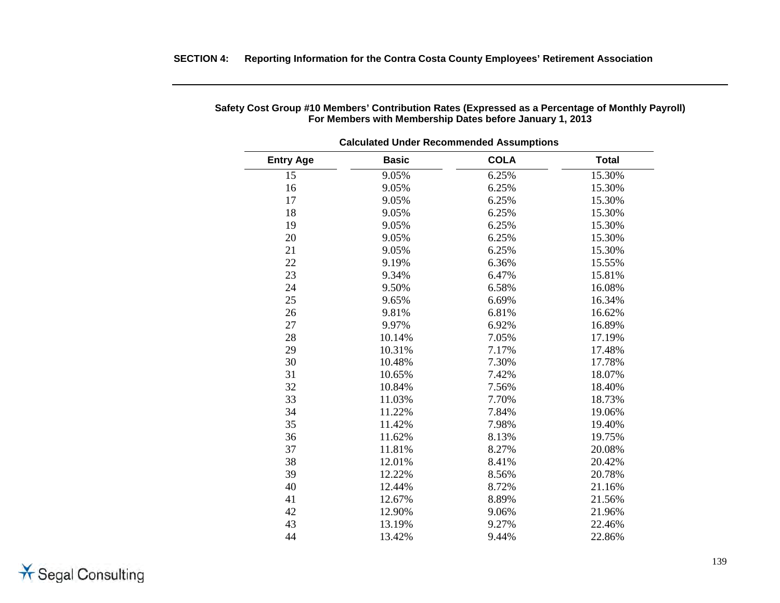| <b>Calculated Under Recommended Assumptions</b> |              |             |              |  |  |
|-------------------------------------------------|--------------|-------------|--------------|--|--|
| <b>Entry Age</b>                                | <b>Basic</b> | <b>COLA</b> | <b>Total</b> |  |  |
| 15                                              | 9.05%        | 6.25%       | 15.30%       |  |  |
| 16                                              | 9.05%        | 6.25%       | 15.30%       |  |  |
| 17                                              | 9.05%        | 6.25%       | 15.30%       |  |  |
| 18                                              | 9.05%        | 6.25%       | 15.30%       |  |  |
| 19                                              | 9.05%        | 6.25%       | 15.30%       |  |  |
| 20                                              | 9.05%        | 6.25%       | 15.30%       |  |  |
| 21                                              | 9.05%        | 6.25%       | 15.30%       |  |  |
| 22                                              | 9.19%        | 6.36%       | 15.55%       |  |  |
| 23                                              | 9.34%        | 6.47%       | 15.81%       |  |  |
| 24                                              | 9.50%        | 6.58%       | 16.08%       |  |  |
| 25                                              | 9.65%        | 6.69%       | 16.34%       |  |  |
| 26                                              | 9.81%        | 6.81%       | 16.62%       |  |  |
| 27                                              | 9.97%        | 6.92%       | 16.89%       |  |  |
| 28                                              | 10.14%       | 7.05%       | 17.19%       |  |  |
| 29                                              | 10.31%       | 7.17%       | 17.48%       |  |  |
| 30                                              | 10.48%       | 7.30%       | 17.78%       |  |  |
| 31                                              | 10.65%       | 7.42%       | 18.07%       |  |  |
| 32                                              | 10.84%       | 7.56%       | 18.40%       |  |  |
| 33                                              | 11.03%       | 7.70%       | 18.73%       |  |  |
| 34                                              | 11.22%       | 7.84%       | 19.06%       |  |  |
| 35                                              | 11.42%       | 7.98%       | 19.40%       |  |  |
| 36                                              | 11.62%       | 8.13%       | 19.75%       |  |  |
| 37                                              | 11.81%       | 8.27%       | 20.08%       |  |  |
| 38                                              | 12.01%       | 8.41%       | 20.42%       |  |  |
| 39                                              | 12.22%       | 8.56%       | 20.78%       |  |  |
| 40                                              | 12.44%       | 8.72%       | 21.16%       |  |  |
| 41                                              | 12.67%       | 8.89%       | 21.56%       |  |  |
| 42                                              | 12.90%       | 9.06%       | 21.96%       |  |  |
| 43                                              | 13.19%       | 9.27%       | 22.46%       |  |  |
| 44                                              | 13.42%       | 9.44%       | 22.86%       |  |  |

# **Safety Cost Group #10 Members' Contribution Rates (Expressed as a Percentage of Monthly Payroll) For Members with Membership Dates before January 1, 2013**

**SECTION 4: Reporting Information for the Contra Costa County Employees' Retirement Association**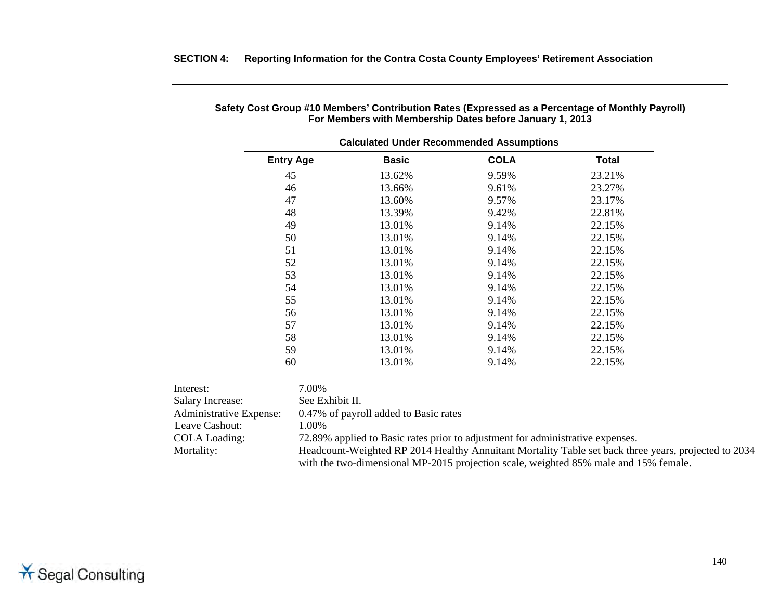|                         |                  | <b>Calculated Under Recommended Assumptions</b>                                                      |             |        |
|-------------------------|------------------|------------------------------------------------------------------------------------------------------|-------------|--------|
|                         | <b>Entry Age</b> | <b>Basic</b>                                                                                         | <b>COLA</b> | Total  |
|                         | 45               | 13.62%                                                                                               | 9.59%       | 23.21% |
|                         | 46               | 13.66%                                                                                               | 9.61%       | 23.27% |
|                         | 47               | 13.60%                                                                                               | 9.57%       | 23.17% |
|                         | 48               | 13.39%                                                                                               | 9.42%       | 22.81% |
|                         | 49               | 13.01%                                                                                               | 9.14%       | 22.15% |
|                         | 50               | 13.01%                                                                                               | 9.14%       | 22.15% |
|                         | 51               | 13.01%                                                                                               | 9.14%       | 22.15% |
|                         | 52               | 13.01%                                                                                               | 9.14%       | 22.15% |
|                         | 53               | 13.01%                                                                                               | 9.14%       | 22.15% |
|                         | 54               | 13.01%                                                                                               | 9.14%       | 22.15% |
|                         | 55               | 13.01%                                                                                               | 9.14%       | 22.15% |
|                         | 56               | 13.01%                                                                                               | 9.14%       | 22.15% |
|                         | 57               | 13.01%                                                                                               | 9.14%       | 22.15% |
|                         | 58               | 13.01%                                                                                               | 9.14%       | 22.15% |
|                         | 59               | 13.01%                                                                                               | 9.14%       | 22.15% |
|                         | 60               | 13.01%                                                                                               | 9.14%       | 22.15% |
| Interest:               | 7.00%            |                                                                                                      |             |        |
| <b>Salary Increase:</b> | See Exhibit II.  |                                                                                                      |             |        |
| Administrative Expense: |                  | 0.47% of payroll added to Basic rates                                                                |             |        |
| Leave Cashout:          | 1.00%            |                                                                                                      |             |        |
| <b>COLA</b> Loading:    |                  | 72.89% applied to Basic rates prior to adjustment for administrative expenses.                       |             |        |
| Mortality:              |                  | Headcount-Weighted RP 2014 Healthy Annuitant Mortality Table set back three years, projected to 2034 |             |        |
|                         |                  | with the two-dimensional MP-2015 projection scale, weighted 85% male and 15% female.                 |             |        |

#### **Safety Cost Group #10 Members' Contribution Rates (Expressed as a Percentage of Monthly Payroll) For Members with Membership Dates before January 1, 2013**

**SECTION 4: Reporting Information for the Contra Costa County Employees' Retirement Association**

\* Segal Consulting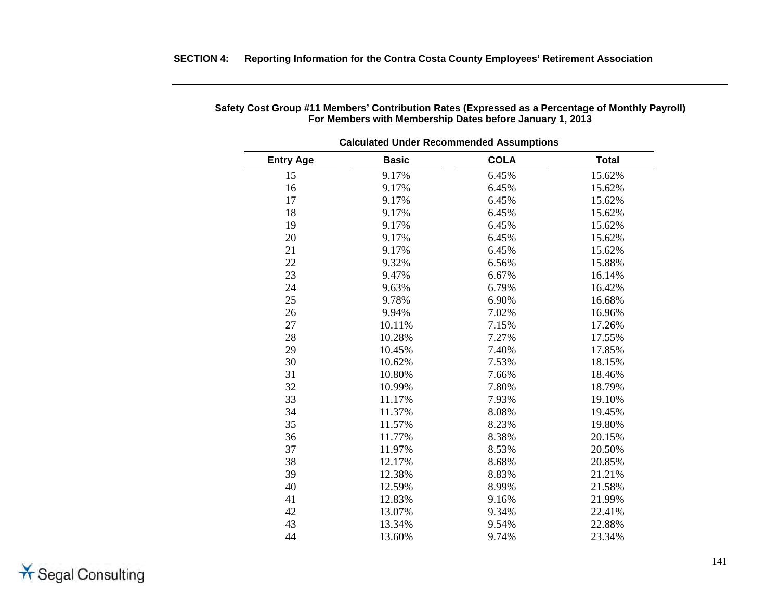| <b>Entry Age</b> | <b>Basic</b> | <b>COLA</b> | <b>Total</b> |  |
|------------------|--------------|-------------|--------------|--|
| 15               | 9.17%        | 6.45%       | 15.62%       |  |
| 16               | 9.17%        | 6.45%       | 15.62%       |  |
| 17               | 9.17%        | 6.45%       | 15.62%       |  |
| 18               | 9.17%        | 6.45%       | 15.62%       |  |
| 19               | 9.17%        | 6.45%       | 15.62%       |  |
| 20               | 9.17%        | 6.45%       | 15.62%       |  |
| 21               | 9.17%        | 6.45%       | 15.62%       |  |
| 22               | 9.32%        | 6.56%       | 15.88%       |  |
| 23               | 9.47%        | 6.67%       | 16.14%       |  |
| 24               | 9.63%        | 6.79%       | 16.42%       |  |
| 25               | 9.78%        | 6.90%       | 16.68%       |  |
| 26               | 9.94%        | 7.02%       | 16.96%       |  |
| 27               | 10.11%       | 7.15%       | 17.26%       |  |
| 28               | 10.28%       | 7.27%       | 17.55%       |  |
| 29               | 10.45%       | 7.40%       | 17.85%       |  |
| 30               | 10.62%       | 7.53%       | 18.15%       |  |
| 31               | 10.80%       | 7.66%       | 18.46%       |  |
| 32               | 10.99%       | 7.80%       | 18.79%       |  |
| 33               | 11.17%       | 7.93%       | 19.10%       |  |
| 34               | 11.37%       | 8.08%       | 19.45%       |  |
| 35               | 11.57%       | 8.23%       | 19.80%       |  |
| 36               | 11.77%       | 8.38%       | 20.15%       |  |
| 37               | 11.97%       | 8.53%       | 20.50%       |  |
| 38               | 12.17%       | 8.68%       | 20.85%       |  |
| 39               | 12.38%       | 8.83%       | 21.21%       |  |
| 40               | 12.59%       | 8.99%       | 21.58%       |  |
| 41               | 12.83%       | 9.16%       | 21.99%       |  |
| 42               | 13.07%       | 9.34%       | 22.41%       |  |
| 43               | 13.34%       | 9.54%       | 22.88%       |  |
| 44               | 13.60%       | 9.74%       | 23.34%       |  |

# **Safety Cost Group #11 Members' Contribution Rates (Expressed as a Percentage of Monthly Payroll) For Members with Membership Dates before January 1, 2013**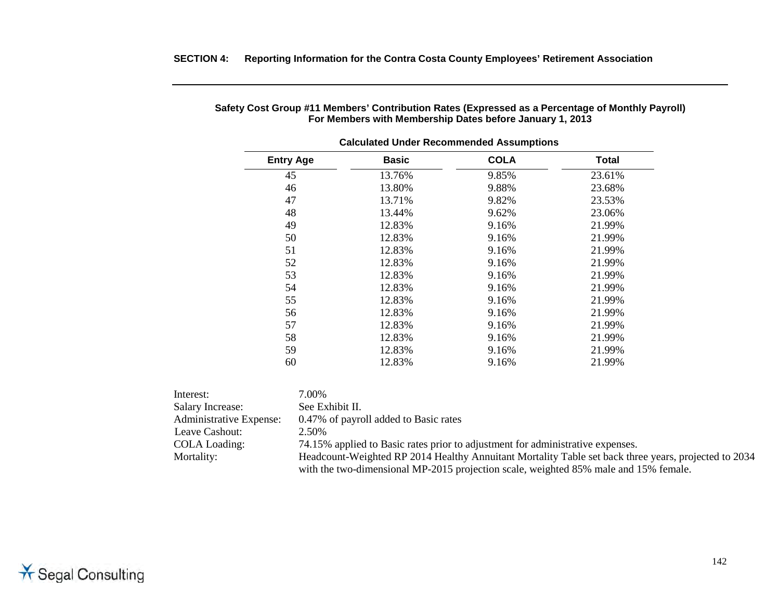|                         | <b>Calculated Under Recommended Assumptions</b> |                                       |             |              |  |  |
|-------------------------|-------------------------------------------------|---------------------------------------|-------------|--------------|--|--|
|                         | <b>Entry Age</b>                                | <b>Basic</b>                          | <b>COLA</b> | <b>Total</b> |  |  |
|                         | 45                                              | 13.76%                                | 9.85%       | 23.61%       |  |  |
|                         | 46                                              | 13.80%                                | 9.88%       | 23.68%       |  |  |
|                         | 47                                              | 13.71%                                | 9.82%       | 23.53%       |  |  |
|                         | 48                                              | 13.44%                                | 9.62%       | 23.06%       |  |  |
|                         | 49                                              | 12.83%                                | 9.16%       | 21.99%       |  |  |
|                         | 50                                              | 12.83%                                | 9.16%       | 21.99%       |  |  |
| 51                      |                                                 | 12.83%                                | 9.16%       | 21.99%       |  |  |
|                         | 52                                              | 12.83%                                | 9.16%       | 21.99%       |  |  |
|                         | 53                                              | 12.83%                                | 9.16%       | 21.99%       |  |  |
|                         | 54                                              | 12.83%                                | 9.16%       | 21.99%       |  |  |
|                         | 55                                              | 12.83%                                | 9.16%       | 21.99%       |  |  |
|                         | 56                                              | 12.83%                                | 9.16%       | 21.99%       |  |  |
|                         | 57                                              | 12.83%                                | 9.16%       | 21.99%       |  |  |
|                         | 58                                              | 12.83%                                | 9.16%       | 21.99%       |  |  |
|                         | 59                                              | 12.83%                                | 9.16%       | 21.99%       |  |  |
|                         | 60                                              | 12.83%                                | 9.16%       | 21.99%       |  |  |
| Interest:               | 7.00%                                           |                                       |             |              |  |  |
| <b>Salary Increase:</b> | See Exhibit II.                                 |                                       |             |              |  |  |
| Administrative Expense: |                                                 | 0.47% of payroll added to Basic rates |             |              |  |  |
| Leave Cashout:          | 2.50%                                           |                                       |             |              |  |  |

#### **Safety Cost Group #11 Members' Contribution Rates (Expressed as a Percentage of Monthly Payroll) For Members with Membership Dates before January 1, 2013**

**SECTION 4: Reporting Information for the Contra Costa County Employees' Retirement Association**

COLA Loading: 74.15% applied to Basic rates prior to adjustment for administrative expenses.<br>Mortality: Headcount-Weighted RP 2014 Healthy Annuitant Mortality Table set back three Headcount-Weighted RP 2014 Healthy Annuitant Mortality Table set back three years, projected to 2034 with the two-dimensional MP-2015 projection scale, weighted 85% male and 15% female.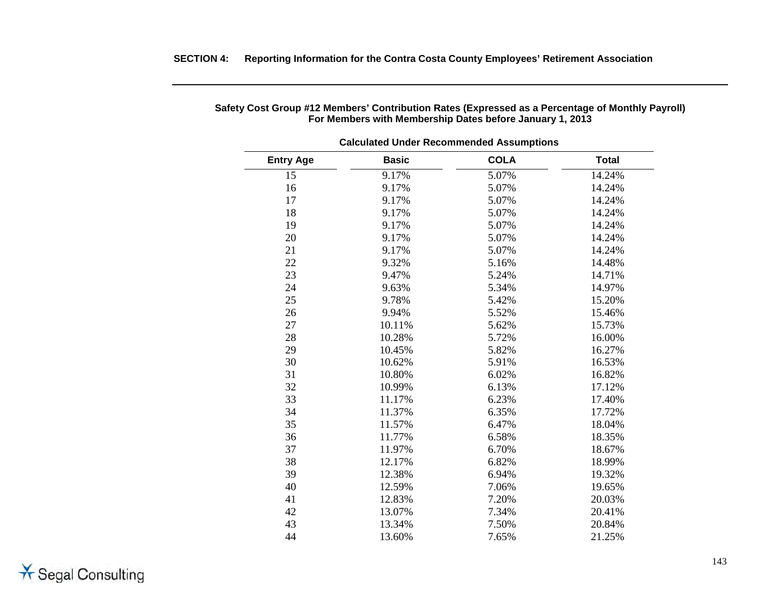| <b>Calculated Under Recommended Assumptions</b> |              |             |              |  |  |
|-------------------------------------------------|--------------|-------------|--------------|--|--|
| <b>Entry Age</b>                                | <b>Basic</b> | <b>COLA</b> | <b>Total</b> |  |  |
| 15                                              | 9.17%        | 5.07%       | 14.24%       |  |  |
| 16                                              | 9.17%        | 5.07%       | 14.24%       |  |  |
| 17                                              | 9.17%        | 5.07%       | 14.24%       |  |  |
| 18                                              | 9.17%        | 5.07%       | 14.24%       |  |  |
| 19                                              | 9.17%        | 5.07%       | 14.24%       |  |  |
| 20                                              | 9.17%        | 5.07%       | 14.24%       |  |  |
| 21                                              | 9.17%        | 5.07%       | 14.24%       |  |  |
| 22                                              | 9.32%        | 5.16%       | 14.48%       |  |  |
| 23                                              | 9.47%        | 5.24%       | 14.71%       |  |  |
| 24                                              | 9.63%        | 5.34%       | 14.97%       |  |  |
| 25                                              | 9.78%        | 5.42%       | 15.20%       |  |  |
| 26                                              | 9.94%        | 5.52%       | 15.46%       |  |  |
| 27                                              | 10.11%       | 5.62%       | 15.73%       |  |  |
| 28                                              | 10.28%       | 5.72%       | 16.00%       |  |  |
| 29                                              | 10.45%       | 5.82%       | 16.27%       |  |  |
| 30                                              | 10.62%       | 5.91%       | 16.53%       |  |  |
| 31                                              | 10.80%       | 6.02%       | 16.82%       |  |  |
| 32                                              | 10.99%       | 6.13%       | 17.12%       |  |  |
| 33                                              | 11.17%       | 6.23%       | 17.40%       |  |  |
| 34                                              | 11.37%       | 6.35%       | 17.72%       |  |  |
| 35                                              | 11.57%       | 6.47%       | 18.04%       |  |  |
| 36                                              | 11.77%       | 6.58%       | 18.35%       |  |  |
| 37                                              | 11.97%       | 6.70%       | 18.67%       |  |  |
| 38                                              | 12.17%       | 6.82%       | 18.99%       |  |  |
| 39                                              | 12.38%       | 6.94%       | 19.32%       |  |  |
| 40                                              | 12.59%       | 7.06%       | 19.65%       |  |  |
| 41                                              | 12.83%       | 7.20%       | 20.03%       |  |  |
| 42                                              | 13.07%       | 7.34%       | 20.41%       |  |  |
| 43                                              | 13.34%       | 7.50%       | 20.84%       |  |  |
| 44                                              | 13.60%       | 7.65%       | 21.25%       |  |  |

# **Safety Cost Group #12 Members' Contribution Rates (Expressed as a Percentage of Monthly Payroll) For Members with Membership Dates before January 1, 2013**

**SECTION 4: Reporting Information for the Contra Costa County Employees' Retirement Association**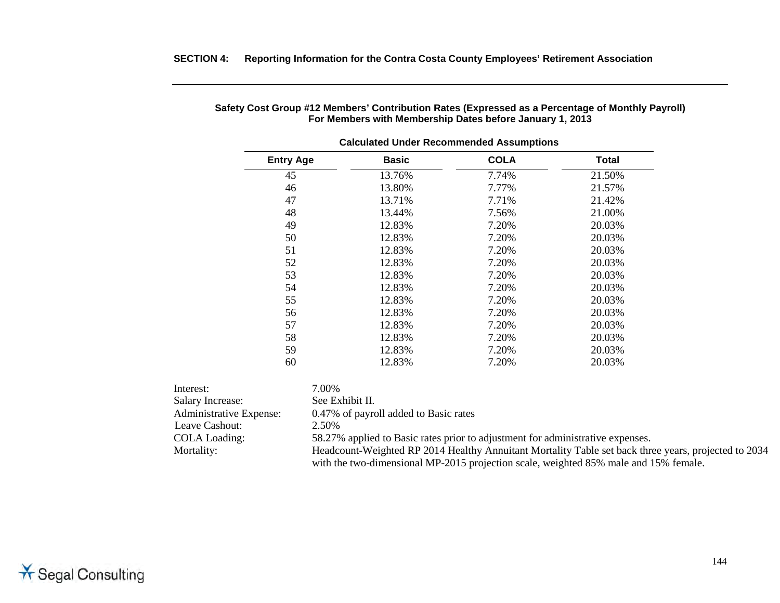| <b>Calculated Under Recommended Assumptions</b> |                                                                                                      |             |              |  |
|-------------------------------------------------|------------------------------------------------------------------------------------------------------|-------------|--------------|--|
| <b>Entry Age</b>                                | <b>Basic</b>                                                                                         | <b>COLA</b> | <b>Total</b> |  |
| 45                                              | 13.76%                                                                                               | 7.74%       | 21.50%       |  |
| 46                                              | 13.80%                                                                                               | 7.77%       | 21.57%       |  |
| 47                                              | 13.71%                                                                                               | 7.71%       | 21.42%       |  |
| 48                                              | 13.44%                                                                                               | 7.56%       | 21.00%       |  |
| 49                                              | 12.83%                                                                                               | 7.20%       | 20.03%       |  |
| 50                                              | 12.83%                                                                                               | 7.20%       | 20.03%       |  |
| 51                                              | 12.83%                                                                                               | 7.20%       | 20.03%       |  |
| 52                                              | 12.83%                                                                                               | 7.20%       | 20.03%       |  |
| 53                                              | 12.83%                                                                                               | 7.20%       | 20.03%       |  |
| 54                                              | 12.83%                                                                                               | 7.20%       | 20.03%       |  |
| 55                                              | 12.83%                                                                                               | 7.20%       | 20.03%       |  |
| 56                                              | 12.83%                                                                                               | 7.20%       | 20.03%       |  |
| 57                                              | 12.83%                                                                                               | 7.20%       | 20.03%       |  |
| 58                                              | 12.83%                                                                                               | 7.20%       | 20.03%       |  |
| 59                                              | 12.83%                                                                                               | 7.20%       | 20.03%       |  |
| 60                                              | 12.83%                                                                                               | 7.20%       | 20.03%       |  |
| Interest:                                       | 7.00%                                                                                                |             |              |  |
| Salary Increase:                                | See Exhibit II.                                                                                      |             |              |  |
| Administrative Expense:                         | 0.47% of payroll added to Basic rates                                                                |             |              |  |
| Leave Cashout:                                  | 2.50%                                                                                                |             |              |  |
| COLA Loading:                                   | 58.27% applied to Basic rates prior to adjustment for administrative expenses.                       |             |              |  |
| Mortality:                                      | Headcount-Weighted RP 2014 Healthy Annuitant Mortality Table set back three years, projected to 2034 |             |              |  |

with the two-dimensional MP-2015 projection scale, weighted 85% male and 15% female.

### **Safety Cost Group #12 Members' Contribution Rates (Expressed as a Percentage of Monthly Payroll) For Members with Membership Dates before January 1, 2013**

**SECTION 4: Reporting Information for the Contra Costa County Employees' Retirement Association**

\* Segal Consulting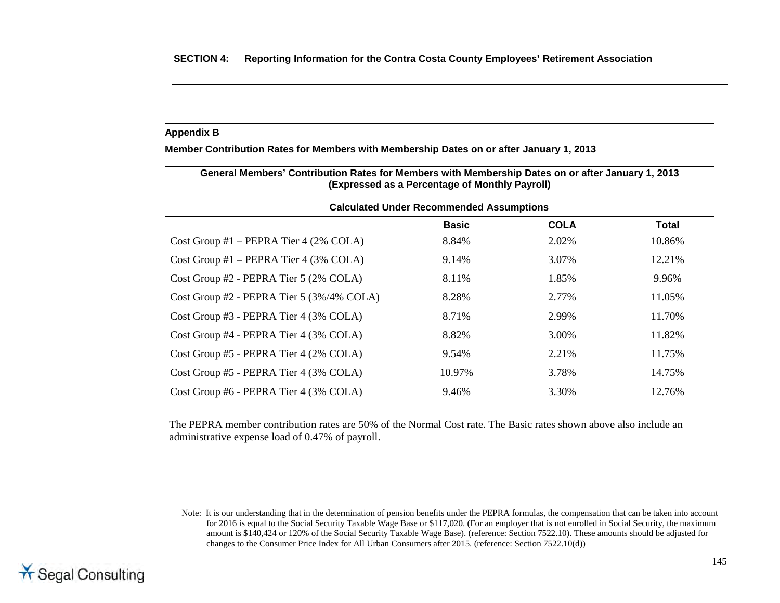# **Appendix B**

**Member Contribution Rates for Members with Membership Dates on or after January 1, 2013**

| General Members' Contribution Rates for Members with Membership Dates on or after January 1, 2013<br>(Expressed as a Percentage of Monthly Payroll) |              |             |        |  |  |  |  |  |
|-----------------------------------------------------------------------------------------------------------------------------------------------------|--------------|-------------|--------|--|--|--|--|--|
| <b>Calculated Under Recommended Assumptions</b>                                                                                                     |              |             |        |  |  |  |  |  |
|                                                                                                                                                     | <b>Basic</b> | <b>COLA</b> | Total  |  |  |  |  |  |
| Cost Group #1 – PEPRA Tier 4 $(2\%$ COLA)                                                                                                           | 8.84%        | 2.02%       | 10.86% |  |  |  |  |  |
| Cost Group #1 – PEPRA Tier 4 (3% COLA)                                                                                                              | 9.14%        | 3.07%       | 12.21% |  |  |  |  |  |
| Cost Group #2 - PEPRA Tier 5 (2% COLA)                                                                                                              | 8.11%        | 1.85%       | 9.96%  |  |  |  |  |  |
| Cost Group #2 - PEPRA Tier 5 (3%/4% COLA)                                                                                                           | 8.28%        | 2.77%       | 11.05% |  |  |  |  |  |
| Cost Group #3 - PEPRA Tier 4 (3% COLA)                                                                                                              | 8.71%        | 2.99%       | 11.70% |  |  |  |  |  |
| Cost Group #4 - PEPRA Tier 4 (3% COLA)                                                                                                              | 8.82%        | 3.00%       | 11.82% |  |  |  |  |  |
| Cost Group #5 - PEPRA Tier 4 (2% COLA)                                                                                                              | 9.54%        | 2.21%       | 11.75% |  |  |  |  |  |
| Cost Group #5 - PEPRA Tier 4 (3% COLA)                                                                                                              | 10.97%       | 3.78%       | 14.75% |  |  |  |  |  |
| Cost Group #6 - PEPRA Tier 4 (3% COLA)                                                                                                              | 9.46%        | 3.30%       | 12.76% |  |  |  |  |  |

The PEPRA member contribution rates are 50% of the Normal Cost rate. The Basic rates shown above also include an administrative expense load of 0.47% of payroll.

Note: It is our understanding that in the determination of pension benefits under the PEPRA formulas, the compensation that can be taken into account for 2016 is equal to the Social Security Taxable Wage Base or \$117,020. (For an employer that is not enrolled in Social Security, the maximum amount is \$140,424 or 120% of the Social Security Taxable Wage Base). (reference: Section 7522.10). These amounts should be adjusted for changes to the Consumer Price Index for All Urban Consumers after 2015. (reference: Section 7522.10(d))